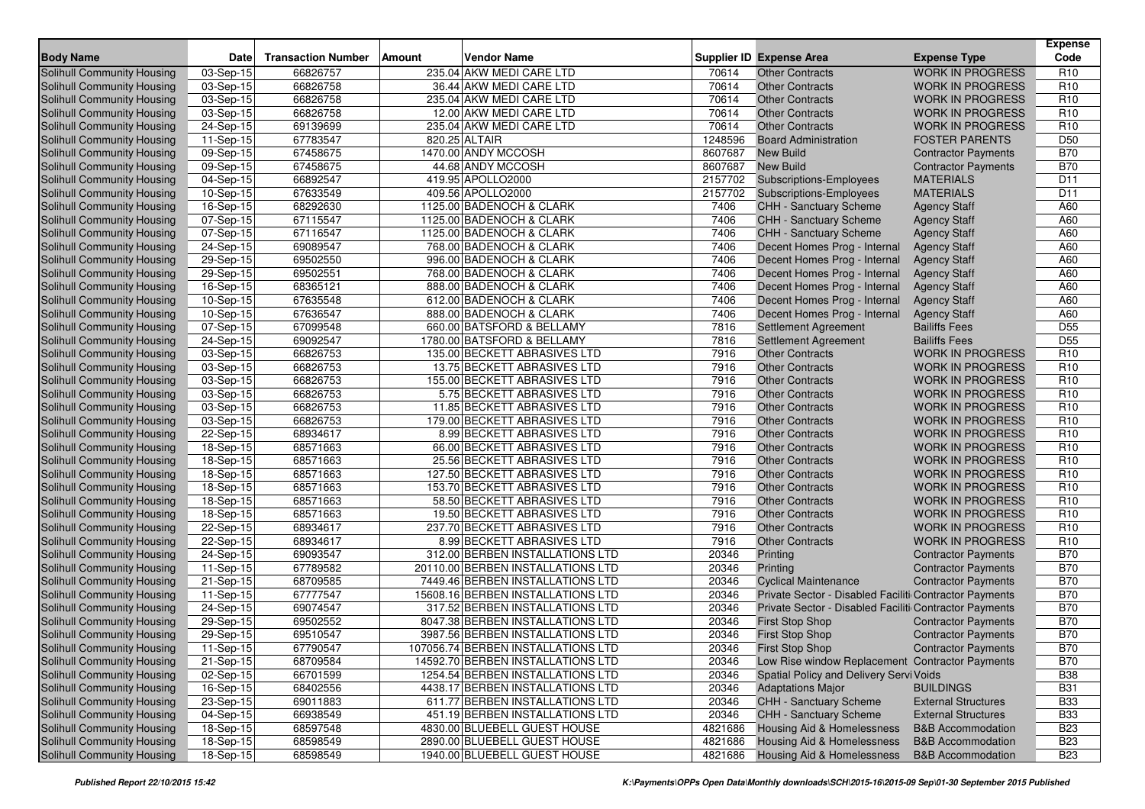|                                                          |                         |                           |                                                                       |                |                                                        |                              | <b>Expense</b>                |
|----------------------------------------------------------|-------------------------|---------------------------|-----------------------------------------------------------------------|----------------|--------------------------------------------------------|------------------------------|-------------------------------|
| <b>Body Name</b>                                         | <b>Date</b>             | <b>Transaction Number</b> | <b>Amount</b><br><b>Vendor Name</b>                                   |                | <b>Supplier ID Expense Area</b>                        | <b>Expense Type</b>          | Code                          |
| <b>Solihull Community Housing</b>                        | 03-Sep-15               | 66826757                  | 235.04 AKW MEDI CARE LTD                                              | 70614          | <b>Other Contracts</b>                                 | <b>WORK IN PROGRESS</b>      | R <sub>10</sub>               |
| Solihull Community Housing                               | 03-Sep-15               | 66826758                  | 36.44 AKW MEDI CARE LTD                                               | 70614          | <b>Other Contracts</b>                                 | <b>WORK IN PROGRESS</b>      | R <sub>10</sub>               |
| Solihull Community Housing                               | 03-Sep-15               | 66826758                  | 235.04 AKW MEDI CARE LTD                                              | 70614          | <b>Other Contracts</b>                                 | <b>WORK IN PROGRESS</b>      | R <sub>10</sub>               |
| Solihull Community Housing                               | 03-Sep-15               | 66826758                  | 12.00 AKW MEDI CARE LTD                                               | 70614          | <b>Other Contracts</b>                                 | <b>WORK IN PROGRESS</b>      | R <sub>10</sub>               |
| Solihull Community Housing                               | 24-Sep-15               | 69139699                  | 235.04 AKW MEDI CARE LTD                                              | 70614          | <b>Other Contracts</b>                                 | <b>WORK IN PROGRESS</b>      | R <sub>10</sub>               |
| Solihull Community Housing                               | 11-Sep-15               | 67783547                  | 820.25 ALTAIR                                                         | 1248596        | <b>Board Administration</b>                            | <b>FOSTER PARENTS</b>        | D <sub>50</sub>               |
| Solihull Community Housing                               | 09-Sep-15               | 67458675                  | 1470.00 ANDY MCCOSH                                                   | 8607687        | <b>New Build</b>                                       | <b>Contractor Payments</b>   | <b>B70</b>                    |
| Solihull Community Housing                               | 09-Sep-15               | 67458675                  | 44.68 ANDY MCCOSH                                                     | 8607687        | <b>New Build</b>                                       | <b>Contractor Payments</b>   | <b>B70</b>                    |
| Solihull Community Housing                               | $\overline{04}$ -Sep-15 | 66892547                  | 419.95 APOLLO2000                                                     | 2157702        | Subscriptions-Employees                                | <b>MATERIALS</b>             | D <sub>11</sub>               |
| Solihull Community Housing                               | 10-Sep-15               | 67633549                  | 409.56 APOLLO2000                                                     | 2157702        | <b>Subscriptions-Employees</b>                         | <b>MATERIALS</b>             | D <sub>11</sub>               |
| Solihull Community Housing                               | 16-Sep-15               | 68292630                  | 1125.00 BADENOCH & CLARK                                              | 7406           | <b>CHH - Sanctuary Scheme</b>                          | <b>Agency Staff</b>          | A60                           |
| Solihull Community Housing                               | 07-Sep-15               | 67115547                  | 1125.00 BADENOCH & CLARK                                              | 7406           | CHH - Sanctuary Scheme                                 | <b>Agency Staff</b>          | A60                           |
| Solihull Community Housing                               | 07-Sep-15               | 67116547                  | 1125.00 BADENOCH & CLARK                                              | 7406           | CHH - Sanctuary Scheme                                 | <b>Agency Staff</b>          | A60                           |
| Solihull Community Housing                               | 24-Sep-15               | 69089547                  | 768.00 BADENOCH & CLARK                                               | 7406           | Decent Homes Prog - Internal                           | <b>Agency Staff</b>          | A60                           |
| Solihull Community Housing                               | 29-Sep-15               | 69502550                  | 996.00 BADENOCH & CLARK                                               | 7406           | Decent Homes Prog - Internal                           | <b>Agency Staff</b>          | A60                           |
| Solihull Community Housing                               | 29-Sep-15               | 69502551                  | 768.00 BADENOCH & CLARK                                               | 7406           | Decent Homes Prog - Internal                           | <b>Agency Staff</b>          | A60                           |
| Solihull Community Housing                               | 16-Sep-15               | 68365121                  | 888.00 BADENOCH & CLARK                                               | 7406           | Decent Homes Prog - Internal                           | <b>Agency Staff</b>          | A60                           |
| Solihull Community Housing                               | 10-Sep-15               | 67635548                  | 612.00 BADENOCH & CLARK                                               | 7406           | Decent Homes Prog - Internal                           | <b>Agency Staff</b>          | A60                           |
| Solihull Community Housing                               | 10-Sep-15               | 67636547                  | 888.00 BADENOCH & CLARK                                               | 7406           | Decent Homes Prog - Internal                           | <b>Agency Staff</b>          | A60                           |
| Solihull Community Housing                               | 07-Sep-15               | 67099548                  | 660.00 BATSFORD & BELLAMY                                             | 7816           | <b>Settlement Agreement</b>                            | <b>Bailiffs Fees</b>         | D <sub>55</sub>               |
| Solihull Community Housing                               | 24-Sep-15               | 69092547                  | 1780.00 BATSFORD & BELLAMY                                            | 7816           | Settlement Agreement                                   | <b>Bailiffs Fees</b>         | D <sub>55</sub>               |
| Solihull Community Housing                               | 03-Sep-15               | 66826753                  | 135.00 BECKETT ABRASIVES LTD                                          | 7916           | <b>Other Contracts</b>                                 | <b>WORK IN PROGRESS</b>      | R <sub>10</sub>               |
| Solihull Community Housing                               | 03-Sep-15               | 66826753                  | 13.75 BECKETT ABRASIVES LTD                                           | 7916           | <b>Other Contracts</b>                                 | <b>WORK IN PROGRESS</b>      | R <sub>10</sub>               |
| Solihull Community Housing                               | 03-Sep-15               | 66826753                  | 155.00 BECKETT ABRASIVES LTD                                          | 7916           | <b>Other Contracts</b>                                 | <b>WORK IN PROGRESS</b>      | R <sub>10</sub>               |
| Solihull Community Housing                               | 03-Sep-15               | 66826753                  | 5.75 BECKETT ABRASIVES LTD                                            | 7916           | <b>Other Contracts</b>                                 | <b>WORK IN PROGRESS</b>      | R <sub>10</sub>               |
| Solihull Community Housing                               | 03-Sep-15               | 66826753                  | 11.85 BECKETT ABRASIVES LTD                                           | 7916           | <b>Other Contracts</b>                                 | <b>WORK IN PROGRESS</b>      | R <sub>10</sub>               |
| Solihull Community Housing                               | 03-Sep-15               | 66826753                  | 179.00 BECKETT ABRASIVES LTD                                          | 7916           | <b>Other Contracts</b>                                 | <b>WORK IN PROGRESS</b>      | R <sub>10</sub>               |
| Solihull Community Housing                               | 22-Sep-15               | 68934617                  | 8.99 BECKETT ABRASIVES LTD                                            | 7916           | <b>Other Contracts</b>                                 | <b>WORK IN PROGRESS</b>      | R <sub>10</sub>               |
| Solihull Community Housing                               | 18-Sep-15               | 68571663                  | 66.00 BECKETT ABRASIVES LTD                                           | 7916           | <b>Other Contracts</b>                                 | <b>WORK IN PROGRESS</b>      | R <sub>10</sub>               |
| Solihull Community Housing                               | 18-Sep-15               | 68571663                  | 25.56 BECKETT ABRASIVES LTD                                           | 7916           | <b>Other Contracts</b>                                 | <b>WORK IN PROGRESS</b>      | R <sub>10</sub>               |
| Solihull Community Housing                               | 18-Sep-15               | 68571663                  | 127.50 BECKETT ABRASIVES LTD                                          | 7916           | <b>Other Contracts</b>                                 | <b>WORK IN PROGRESS</b>      | R <sub>10</sub>               |
| Solihull Community Housing                               | 18-Sep-15               | 68571663                  | 153.70 BECKETT ABRASIVES LTD                                          | 7916           | <b>Other Contracts</b>                                 | <b>WORK IN PROGRESS</b>      | R <sub>10</sub>               |
| Solihull Community Housing                               | 18-Sep-15               | 68571663                  | 58.50 BECKETT ABRASIVES LTD                                           | 7916           | <b>Other Contracts</b>                                 | <b>WORK IN PROGRESS</b>      | R <sub>10</sub>               |
| Solihull Community Housing                               | 18-Sep-15               | 68571663                  | 19.50 BECKETT ABRASIVES LTD                                           | 7916           | <b>Other Contracts</b>                                 | <b>WORK IN PROGRESS</b>      | R <sub>10</sub>               |
| Solihull Community Housing                               | 22-Sep-15               | 68934617                  | 237.70 BECKETT ABRASIVES LTD                                          | 7916           | <b>Other Contracts</b>                                 | <b>WORK IN PROGRESS</b>      | R <sub>10</sub>               |
| Solihull Community Housing                               | 22-Sep-15               | 68934617                  | 8.99 BECKETT ABRASIVES LTD                                            | 7916           | <b>Other Contracts</b>                                 | <b>WORK IN PROGRESS</b>      | R <sub>10</sub><br><b>B70</b> |
| Solihull Community Housing<br>Solihull Community Housing | 24-Sep-15               | 69093547<br>67789582      | 312.00 BERBEN INSTALLATIONS LTD                                       | 20346<br>20346 | Printing                                               | <b>Contractor Payments</b>   | <b>B70</b>                    |
|                                                          | 11-Sep-15               |                           | 20110.00 BERBEN INSTALLATIONS LTD                                     |                | Printing<br><b>Cyclical Maintenance</b>                | <b>Contractor Payments</b>   | <b>B70</b>                    |
| Solihull Community Housing                               | 21-Sep-15               | 68709585<br>67777547      | 7449.46 BERBEN INSTALLATIONS LTD<br>15608.16 BERBEN INSTALLATIONS LTD | 20346<br>20346 | Private Sector - Disabled Faciliti Contractor Payments | <b>Contractor Payments</b>   | <b>B70</b>                    |
| Solihull Community Housing<br>Solihull Community Housing | 11-Sep-15<br>24-Sep-15  | 69074547                  | 317.52 BERBEN INSTALLATIONS LTD                                       | 20346          | Private Sector - Disabled Faciliti Contractor Payments |                              | <b>B70</b>                    |
| Solihull Community Housing                               | 29-Sep-15               | 69502552                  | 8047.38 BERBEN INSTALLATIONS LTD                                      | 20346          | <b>First Stop Shop</b>                                 | <b>Contractor Payments</b>   | <b>B70</b>                    |
| Solihull Community Housing                               | 29-Sep-15               | 69510547                  | 3987.56 BERBEN INSTALLATIONS LTD                                      | 20346          | <b>First Stop Shop</b>                                 | <b>Contractor Payments</b>   | <b>B70</b>                    |
| Solihull Community Housing                               | 11-Sep-15               | 67790547                  | 107056.74 BERBEN INSTALLATIONS LTD                                    | 20346          | <b>First Stop Shop</b>                                 | <b>Contractor Payments</b>   | <b>B70</b>                    |
| Solihull Community Housing                               | 21-Sep-15               | 68709584                  | 14592.70 BERBEN INSTALLATIONS LTD                                     | 20346          | Low Rise window Replacement Contractor Payments        |                              | <b>B70</b>                    |
| Solihull Community Housing                               | 02-Sep-15               | 66701599                  | 1254.54 BERBEN INSTALLATIONS LTD                                      | 20346          | Spatial Policy and Delivery Servi Voids                |                              | <b>B38</b>                    |
| Solihull Community Housing                               | 16-Sep-15               | 68402556                  | 4438.17 BERBEN INSTALLATIONS LTD                                      | 20346          | <b>Adaptations Major</b>                               | <b>BUILDINGS</b>             | <b>B31</b>                    |
| Solihull Community Housing                               | 23-Sep-15               | 69011883                  | 611.77 BERBEN INSTALLATIONS LTD                                       | 20346          | CHH - Sanctuary Scheme                                 | <b>External Structures</b>   | <b>B33</b>                    |
| Solihull Community Housing                               | 04-Sep-15               | 66938549                  | 451.19 BERBEN INSTALLATIONS LTD                                       | 20346          | CHH - Sanctuary Scheme                                 | <b>External Structures</b>   | <b>B33</b>                    |
| <b>Solihull Community Housing</b>                        | 18-Sep-15               | 68597548                  | 4830.00 BLUEBELL GUEST HOUSE                                          | 4821686        | Housing Aid & Homelessness                             | <b>B&amp;B Accommodation</b> | <b>B23</b>                    |
| Solihull Community Housing                               | 18-Sep-15               | 68598549                  | 2890.00 BLUEBELL GUEST HOUSE                                          | 4821686        | <b>Housing Aid &amp; Homelessness</b>                  | <b>B&amp;B Accommodation</b> | <b>B23</b>                    |
| <b>Solihull Community Housing</b>                        | 18-Sep-15               | 68598549                  | 1940.00 BLUEBELL GUEST HOUSE                                          | 4821686        | Housing Aid & Homelessness                             | <b>B&amp;B Accommodation</b> | <b>B23</b>                    |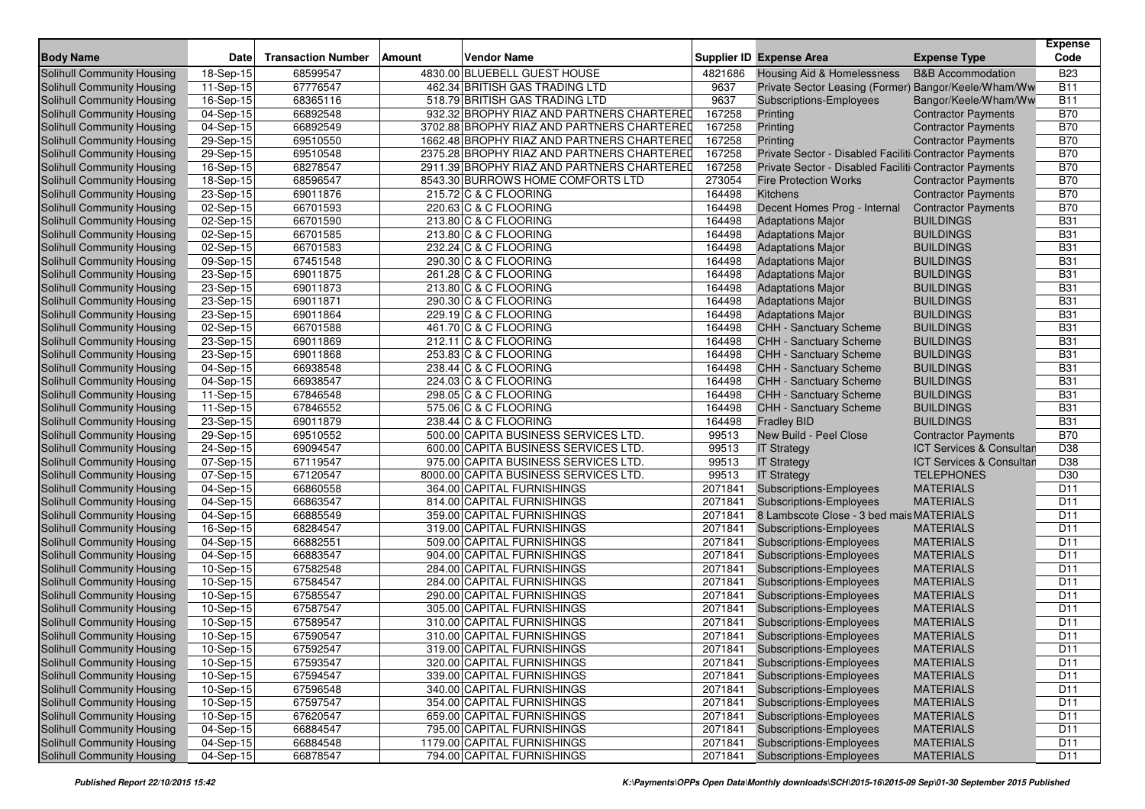| <b>Body Name</b>                                         | <b>Date</b>             | <b>Transaction Number</b> | <b>Amount</b> | <b>Vendor Name</b>                             |                    | <b>Supplier ID Expense Area</b>                        | <b>Expense Type</b>                           | <b>Expense</b><br>Code   |
|----------------------------------------------------------|-------------------------|---------------------------|---------------|------------------------------------------------|--------------------|--------------------------------------------------------|-----------------------------------------------|--------------------------|
| Solihull Community Housing                               | 18-Sep-15               | 68599547                  |               | 4830.00 BLUEBELL GUEST HOUSE                   | 4821686            | Housing Aid & Homelessness                             | <b>B&amp;B Accommodation</b>                  | <b>B23</b>               |
| <b>Solihull Community Housing</b>                        | 11-Sep-15               | 67776547                  |               | 462.34 BRITISH GAS TRADING LTD                 | 9637               | Private Sector Leasing (Former) Bangor/Keele/Wham/Ww   |                                               | <b>B11</b>               |
| <b>Solihull Community Housing</b>                        | 16-Sep-15               | 68365116                  |               | 518.79 BRITISH GAS TRADING LTD                 | 9637               | Subscriptions-Employees                                | Bangor/Keele/Wham/Ww                          | <b>B11</b>               |
| Solihull Community Housing                               | 04-Sep-15               | 66892548                  |               | 932.32 BROPHY RIAZ AND PARTNERS CHARTERED      | 167258             | Printing                                               | <b>Contractor Payments</b>                    | <b>B70</b>               |
| Solihull Community Housing                               | $\overline{04}$ -Sep-15 | 66892549                  |               | 3702.88 BROPHY RIAZ AND PARTNERS CHARTERED     | 167258             | Printing                                               | <b>Contractor Payments</b>                    | <b>B70</b>               |
| Solihull Community Housing                               | 29-Sep-15               | 69510550                  |               | 1662.48 BROPHY RIAZ AND PARTNERS CHARTERED     | 167258             | Printing                                               | <b>Contractor Payments</b>                    | <b>B70</b>               |
| Solihull Community Housing                               | 29-Sep-15               | 69510548                  |               | 2375.28 BROPHY RIAZ AND PARTNERS CHARTERED     | 167258             | Private Sector - Disabled Faciliti Contractor Payments |                                               | <b>B70</b>               |
| Solihull Community Housing                               | 16-Sep-15               | 68278547                  |               | 2911.39 BROPHY RIAZ AND PARTNERS CHARTERED     | 167258             | Private Sector - Disabled Faciliti Contractor Payments |                                               | <b>B70</b>               |
| Solihull Community Housing                               | 18-Sep-15               | 68596547                  |               | 8543.30 BURROWS HOME COMFORTS LTD              | 273054             | <b>Fire Protection Works</b>                           | <b>Contractor Payments</b>                    | <b>B70</b>               |
| Solihull Community Housing                               | 23-Sep-15               | 69011876                  |               | 215.72 C & C FLOORING                          | 164498             | Kitchens                                               | <b>Contractor Payments</b>                    | <b>B70</b>               |
| Solihull Community Housing                               | 02-Sep-15               | 66701593                  |               | 220.63 C & C FLOORING                          | 164498             | Decent Homes Prog - Internal                           | <b>Contractor Payments</b>                    | <b>B70</b>               |
| Solihull Community Housing                               | 02-Sep-15               | 66701590                  |               | 213.80 C & C FLOORING                          | 164498             | <b>Adaptations Major</b>                               | <b>BUILDINGS</b>                              | <b>B31</b>               |
| Solihull Community Housing                               | 02-Sep-15               | 66701585                  |               | 213.80 C & C FLOORING                          | 164498             | <b>Adaptations Major</b>                               | <b>BUILDINGS</b>                              | <b>B31</b>               |
| Solihull Community Housing                               | 02-Sep-15               | 66701583                  |               | 232.24 C & C FLOORING                          | 164498             | <b>Adaptations Major</b>                               | <b>BUILDINGS</b>                              | <b>B31</b>               |
| Solihull Community Housing                               | 09-Sep-15               | 67451548                  |               | 290.30 C & C FLOORING                          | 164498             | <b>Adaptations Major</b>                               | <b>BUILDINGS</b>                              | <b>B31</b>               |
| Solihull Community Housing                               | 23-Sep-15               | 69011875                  |               | 261.28 C & C FLOORING                          | 164498             | <b>Adaptations Major</b>                               | <b>BUILDINGS</b>                              | <b>B31</b>               |
| Solihull Community Housing                               | 23-Sep-15               | 69011873                  |               | 213.80 C & C FLOORING                          | 164498             | <b>Adaptations Major</b>                               | <b>BUILDINGS</b>                              | <b>B31</b>               |
|                                                          |                         | 69011871                  |               | 290.30 C & C FLOORING                          | 164498             |                                                        | <b>BUILDINGS</b>                              | <b>B31</b>               |
| Solihull Community Housing<br>Solihull Community Housing | 23-Sep-15<br>23-Sep-15  | 69011864                  |               | 229.19 C & C FLOORING                          | 164498             | <b>Adaptations Major</b>                               | <b>BUILDINGS</b>                              | <b>B31</b>               |
|                                                          | 02-Sep-15               | 66701588                  |               | 461.70 C & C FLOORING                          | 164498             | <b>Adaptations Major</b><br>CHH - Sanctuary Scheme     | <b>BUILDINGS</b>                              | <b>B31</b>               |
| Solihull Community Housing<br>Solihull Community Housing |                         | 69011869                  |               | 212.11 C & C FLOORING                          | 164498             |                                                        | <b>BUILDINGS</b>                              | <b>B31</b>               |
|                                                          | 23-Sep-15               |                           |               |                                                |                    | CHH - Sanctuary Scheme                                 | <b>BUILDINGS</b>                              |                          |
| Solihull Community Housing                               | 23-Sep-15               | 69011868<br>66938548      |               | 253.83 C & C FLOORING                          | 164498<br>164498   | CHH - Sanctuary Scheme                                 | <b>BUILDINGS</b>                              | <b>B31</b>               |
| Solihull Community Housing                               | $\overline{0}$ 4-Sep-15 |                           |               | 238.44 C & C FLOORING                          |                    | <b>CHH - Sanctuary Scheme</b>                          | <b>BUILDINGS</b>                              | <b>B31</b>               |
| Solihull Community Housing                               | 04-Sep-15               | 66938547<br>67846548      |               | 224.03 C & C FLOORING<br>298.05 C & C FLOORING | 164498<br>164498   | <b>CHH - Sanctuary Scheme</b>                          | <b>BUILDINGS</b>                              | <b>B31</b><br><b>B31</b> |
| Solihull Community Housing                               | 11-Sep-15               |                           |               | 575.06 C & C FLOORING                          |                    | CHH - Sanctuary Scheme                                 | <b>BUILDINGS</b>                              |                          |
| Solihull Community Housing                               | 11-Sep-15               | 67846552                  |               |                                                | 164498             | CHH - Sanctuary Scheme                                 |                                               | <b>B31</b>               |
| Solihull Community Housing                               | 23-Sep-15               | 69011879                  |               | 238.44 C & C FLOORING                          | 164498             | <b>Fradley BID</b>                                     | <b>BUILDINGS</b>                              | <b>B31</b>               |
| Solihull Community Housing                               | 29-Sep-15               | 69510552                  |               | 500.00 CAPITA BUSINESS SERVICES LTD.           | 99513              | New Build - Peel Close                                 | <b>Contractor Payments</b>                    | <b>B70</b>               |
| Solihull Community Housing                               | 24-Sep-15               | 69094547                  |               | 600.00 CAPITA BUSINESS SERVICES LTD.           | 99513              | <b>IT Strategy</b>                                     | ICT Services & Consultan                      | D38                      |
| Solihull Community Housing                               | 07-Sep-15               | 67119547                  |               | 975.00 CAPITA BUSINESS SERVICES LTD.           | 99513<br>99513     | <b>IT Strategy</b>                                     | ICT Services & Consultan<br><b>TELEPHONES</b> | D38<br>D30               |
| Solihull Community Housing<br>Solihull Community Housing | 07-Sep-15               | 67120547                  |               | 8000.00 CAPITA BUSINESS SERVICES LTD.          | 2071841            | <b>IT Strategy</b>                                     | <b>MATERIALS</b>                              |                          |
|                                                          | 04-Sep-15               | 66860558                  |               | 364.00 CAPITAL FURNISHINGS                     | 2071841            | Subscriptions-Employees                                | <b>MATERIALS</b>                              | D <sub>11</sub><br>D11   |
| Solihull Community Housing                               | 04-Sep-15               | 66863547                  |               | 814.00 CAPITAL FURNISHINGS                     | 2071841            | <b>Subscriptions-Employees</b>                         |                                               |                          |
| Solihull Community Housing                               | 04-Sep-15               | 66885549                  |               | 359.00 CAPITAL FURNISHINGS                     |                    | 8 Lambscote Close - 3 bed mais MATERIALS               |                                               | D11                      |
| Solihull Community Housing                               | 16-Sep-15               | 68284547                  |               | 319.00 CAPITAL FURNISHINGS                     | 2071841            | <b>Subscriptions-Employees</b>                         | <b>MATERIALS</b>                              | D <sub>11</sub><br>D11   |
| Solihull Community Housing                               | 04-Sep-15               | 66882551                  |               | 509.00 CAPITAL FURNISHINGS                     | 2071841            | Subscriptions-Employees                                | <b>MATERIALS</b>                              |                          |
| Solihull Community Housing                               | 04-Sep-15               | 66883547                  |               | 904.00 CAPITAL FURNISHINGS                     | 2071841            | <b>Subscriptions-Employees</b>                         | <b>MATERIALS</b>                              | D11                      |
| Solihull Community Housing                               | 10-Sep-15               | 67582548                  |               | 284.00 CAPITAL FURNISHINGS                     | 2071841<br>2071841 | <b>Subscriptions-Employees</b>                         | <b>MATERIALS</b>                              | D11                      |
| Solihull Community Housing                               | 10-Sep-15               | 67584547                  |               | 284.00 CAPITAL FURNISHINGS                     |                    | Subscriptions-Employees                                | <b>MATERIALS</b>                              | D11                      |
| Solihull Community Housing                               | 10-Sep-15<br>10-Sep-15  | 67585547                  |               | 290.00 CAPITAL FURNISHINGS                     | 2071841            | Subscriptions-Employees                                | <b>MATERIALS</b>                              | D11<br>D11               |
| Solihull Community Housing                               |                         | 67587547                  |               | 305.00 CAPITAL FURNISHINGS                     | 2071841<br>2071841 | Subscriptions-Employees                                | <b>MATERIALS</b>                              | D <sub>11</sub>          |
| Solihull Community Housing                               | 10-Sep-15               | 67589547                  |               | 310.00 CAPITAL FURNISHINGS                     |                    | <b>Subscriptions-Employees</b>                         | <b>MATERIALS</b>                              |                          |
| Solihull Community Housing                               | 10-Sep-15               | 67590547                  |               | 310.00 CAPITAL FURNISHINGS                     | 2071841            | <b>Subscriptions-Employees</b>                         | <b>MATERIALS</b>                              | D11                      |
| Solihull Community Housing                               | 10-Sep-15               | 67592547                  |               | 319.00 CAPITAL FURNISHINGS                     |                    | 2071841 Subscriptions-Employees                        | <b>MATERIALS</b>                              | D11                      |
| Solihull Community Housing                               | 10-Sep-15               | 67593547                  |               | 320.00 CAPITAL FURNISHINGS                     | 2071841            | <b>Subscriptions-Employees</b>                         | <b>MATERIALS</b>                              | D <sub>11</sub>          |
| Solihull Community Housing                               | $10-Sep-15$             | 67594547                  |               | 339.00 CAPITAL FURNISHINGS                     | 2071841            | Subscriptions-Employees                                | <b>MATERIALS</b>                              | D <sub>11</sub>          |
| Solihull Community Housing                               | 10-Sep-15               | 67596548                  |               | 340.00 CAPITAL FURNISHINGS                     | 2071841            | <b>Subscriptions-Employees</b>                         | <b>MATERIALS</b>                              | D <sub>11</sub>          |
| Solihull Community Housing                               | 10-Sep-15               | 67597547                  |               | 354.00 CAPITAL FURNISHINGS                     | 2071841            | <b>Subscriptions-Employees</b>                         | <b>MATERIALS</b>                              | D11                      |
| Solihull Community Housing                               | 10-Sep-15               | 67620547                  |               | 659.00 CAPITAL FURNISHINGS                     | 2071841            | <b>Subscriptions-Employees</b>                         | <b>MATERIALS</b>                              | D <sub>11</sub>          |
| Solihull Community Housing                               | 04-Sep-15               | 66884547                  |               | 795.00 CAPITAL FURNISHINGS                     | 2071841            | Subscriptions-Employees                                | <b>MATERIALS</b>                              | D <sub>11</sub>          |
| Solihull Community Housing                               | 04-Sep-15               | 66884548                  |               | 1179.00 CAPITAL FURNISHINGS                    | 2071841            | <b>Subscriptions-Employees</b>                         | <b>MATERIALS</b>                              | D11                      |
| Solihull Community Housing                               | 04-Sep-15               | 66878547                  |               | 794.00 CAPITAL FURNISHINGS                     | 2071841            | <b>Subscriptions-Employees</b>                         | <b>MATERIALS</b>                              | D <sub>11</sub>          |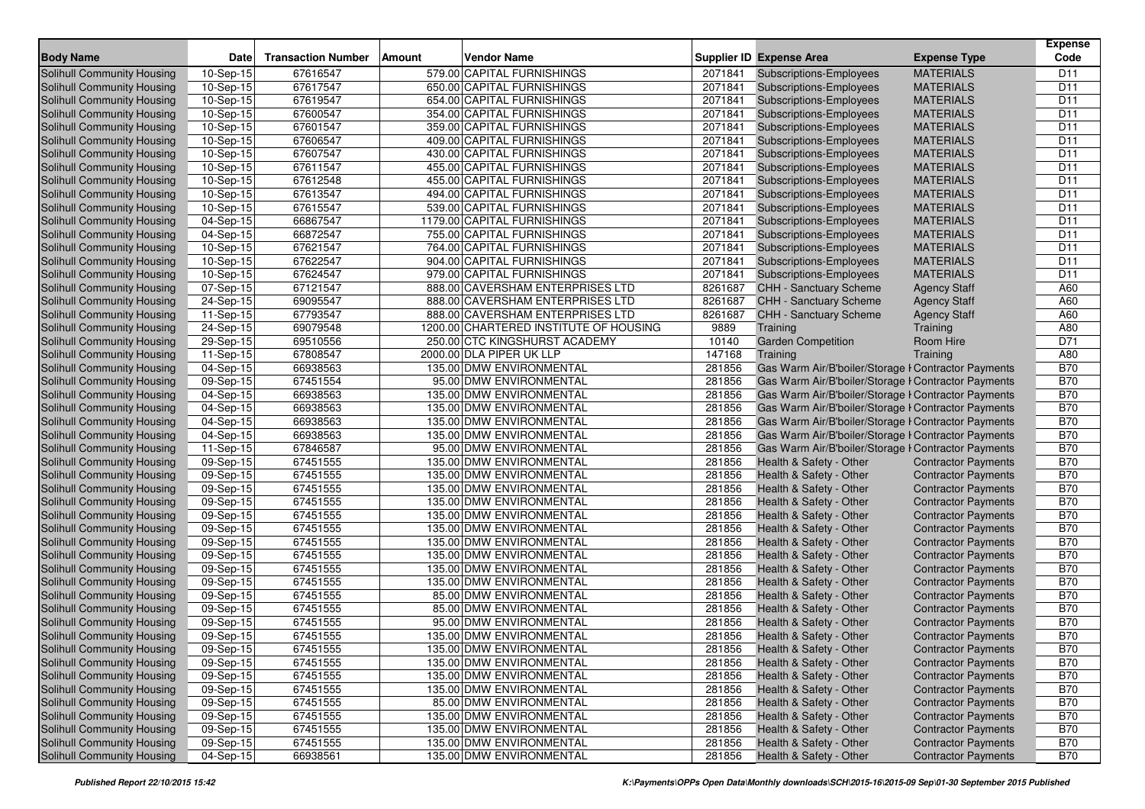|                                                          | <b>Date</b>                            | <b>Transaction Number</b> | Amount | <b>Vendor Name</b>                                       |                    | <b>Supplier ID Expense Area</b>                           |                                      | Expense<br>Code                    |
|----------------------------------------------------------|----------------------------------------|---------------------------|--------|----------------------------------------------------------|--------------------|-----------------------------------------------------------|--------------------------------------|------------------------------------|
| <b>Body Name</b>                                         |                                        |                           |        |                                                          |                    |                                                           | <b>Expense Type</b>                  |                                    |
| <b>Solihull Community Housing</b>                        | 10-Sep-15                              | 67616547                  |        | 579.00 CAPITAL FURNISHINGS                               | 2071841            | <b>Subscriptions-Employees</b>                            | <b>MATERIALS</b>                     | D <sub>11</sub>                    |
| Solihull Community Housing                               | 10-Sep-15                              | 67617547<br>67619547      |        | 650.00 CAPITAL FURNISHINGS<br>654.00 CAPITAL FURNISHINGS | 2071841            | <b>Subscriptions-Employees</b>                            | <b>MATERIALS</b><br><b>MATERIALS</b> | D <sub>11</sub><br>D <sub>11</sub> |
| Solihull Community Housing                               | $10-Sep-15$                            |                           |        |                                                          | 2071841<br>2071841 | <b>Subscriptions-Employees</b>                            | <b>MATERIALS</b>                     |                                    |
| Solihull Community Housing                               | 10-Sep-15                              | 67600547                  |        | 354.00 CAPITAL FURNISHINGS                               | 2071841            | Subscriptions-Employees                                   |                                      | D <sub>11</sub><br>D <sub>11</sub> |
| Solihull Community Housing                               | $\overline{10}$ -Sep-15<br>$10-Sep-15$ | 67601547                  |        | 359.00 CAPITAL FURNISHINGS                               | 2071841            | Subscriptions-Employees                                   | <b>MATERIALS</b><br><b>MATERIALS</b> | D <sub>11</sub>                    |
| Solihull Community Housing                               |                                        | 67606547<br>67607547      |        | 409.00 CAPITAL FURNISHINGS<br>430.00 CAPITAL FURNISHINGS | 2071841            | <b>Subscriptions-Employees</b><br>Subscriptions-Employees | <b>MATERIALS</b>                     | D <sub>11</sub>                    |
| Solihull Community Housing<br>Solihull Community Housing | 10-Sep-15<br>10-Sep-15                 | 67611547                  |        | 455.00 CAPITAL FURNISHINGS                               | 2071841            | Subscriptions-Employees                                   | <b>MATERIALS</b>                     | D <sub>11</sub>                    |
| Solihull Community Housing                               | 10-Sep-15                              | 67612548                  |        | 455.00 CAPITAL FURNISHINGS                               | 2071841            | Subscriptions-Employees                                   | <b>MATERIALS</b>                     | D <sub>11</sub>                    |
| Solihull Community Housing                               | 10-Sep-15                              | 67613547                  |        | 494.00 CAPITAL FURNISHINGS                               | 2071841            | Subscriptions-Employees                                   | <b>MATERIALS</b>                     | D <sub>11</sub>                    |
| Solihull Community Housing                               | 10-Sep-15                              | 67615547                  |        | 539.00 CAPITAL FURNISHINGS                               | 2071841            | Subscriptions-Employees                                   | <b>MATERIALS</b>                     | D <sub>11</sub>                    |
| Solihull Community Housing                               | 04-Sep-15                              | 66867547                  |        | 1179.00 CAPITAL FURNISHINGS                              | 2071841            | Subscriptions-Employees                                   | <b>MATERIALS</b>                     | D11                                |
| Solihull Community Housing                               | 04-Sep-15                              | 66872547                  |        | 755.00 CAPITAL FURNISHINGS                               | 2071841            | Subscriptions-Employees                                   | <b>MATERIALS</b>                     | D <sub>11</sub>                    |
| Solihull Community Housing                               | 10-Sep-15                              | 67621547                  |        | 764.00 CAPITAL FURNISHINGS                               | 2071841            | Subscriptions-Employees                                   | <b>MATERIALS</b>                     | D <sub>11</sub>                    |
| Solihull Community Housing                               | 10-Sep-15                              | 67622547                  |        | 904.00 CAPITAL FURNISHINGS                               | 2071841            | <b>Subscriptions-Employees</b>                            | <b>MATERIALS</b>                     | D <sub>11</sub>                    |
| Solihull Community Housing                               | 10-Sep-15                              | 67624547                  |        | 979.00 CAPITAL FURNISHINGS                               | 2071841            | Subscriptions-Employees                                   | <b>MATERIALS</b>                     | D <sub>11</sub>                    |
| <b>Solihull Community Housing</b>                        | 07-Sep-15                              | 67121547                  |        | 888.00 CAVERSHAM ENTERPRISES LTD                         | 8261687            | <b>CHH - Sanctuary Scheme</b>                             | <b>Agency Staff</b>                  | A60                                |
| Solihull Community Housing                               | 24-Sep-15                              | 69095547                  |        | 888.00 CAVERSHAM ENTERPRISES LTD                         | 8261687            | <b>CHH - Sanctuary Scheme</b>                             | <b>Agency Staff</b>                  | A60                                |
| Solihull Community Housing                               | 11-Sep-15                              | 67793547                  |        | 888.00 CAVERSHAM ENTERPRISES LTD                         | 8261687            | CHH - Sanctuary Scheme                                    | <b>Agency Staff</b>                  | A60                                |
| Solihull Community Housing                               | 24-Sep-15                              | 69079548                  |        | 1200.00 CHARTERED INSTITUTE OF HOUSING                   | 9889               | Training                                                  | Training                             | A80                                |
| Solihull Community Housing                               | 29-Sep-15                              | 69510556                  |        | 250.00 CTC KINGSHURST ACADEMY                            | 10140              | <b>Garden Competition</b>                                 | Room Hire                            | D71                                |
| Solihull Community Housing                               | 11-Sep-15                              | 67808547                  |        | 2000.00 DLA PIPER UK LLP                                 | 147168             | Training                                                  | Training                             | A80                                |
| Solihull Community Housing                               | 04-Sep-15                              | 66938563                  |        | 135.00 DMW ENVIRONMENTAL                                 | 281856             | Gas Warm Air/B'boiler/Storage I Contractor Payments       |                                      | <b>B70</b>                         |
| Solihull Community Housing                               | 09-Sep-15                              | 67451554                  |        | 95.00 DMW ENVIRONMENTAL                                  | 281856             | Gas Warm Air/B'boiler/Storage I Contractor Payments       |                                      | <b>B70</b>                         |
| Solihull Community Housing                               | 04-Sep-15                              | 66938563                  |        | 135.00 DMW ENVIRONMENTAL                                 | 281856             | Gas Warm Air/B'boiler/Storage I Contractor Payments       |                                      | <b>B70</b>                         |
| Solihull Community Housing                               | 04-Sep-15                              | 66938563                  |        | 135.00 DMW ENVIRONMENTAL                                 | 281856             | Gas Warm Air/B'boiler/Storage I Contractor Payments       |                                      | <b>B70</b>                         |
| Solihull Community Housing                               | 04-Sep-15                              | 66938563                  |        | 135.00 DMW ENVIRONMENTAL                                 | 281856             | Gas Warm Air/B'boiler/Storage I Contractor Payments       |                                      | <b>B70</b>                         |
| <b>Solihull Community Housing</b>                        | 04-Sep-15                              | 66938563                  |        | 135.00 DMW ENVIRONMENTAL                                 | 281856             | Gas Warm Air/B'boiler/Storage I Contractor Payments       |                                      | <b>B70</b>                         |
| Solihull Community Housing                               | 11-Sep-15                              | 67846587                  |        | 95.00 DMW ENVIRONMENTAL                                  | 281856             | Gas Warm Air/B'boiler/Storage I Contractor Payments       |                                      | <b>B70</b>                         |
| Solihull Community Housing                               | 09-Sep-15                              | 67451555                  |        | 135.00 DMW ENVIRONMENTAL                                 | 281856             | Health & Safety - Other                                   | <b>Contractor Payments</b>           | <b>B70</b>                         |
| Solihull Community Housing                               | 09-Sep-15                              | 67451555                  |        | 135.00 DMW ENVIRONMENTAL                                 | 281856             | Health & Safety - Other                                   | <b>Contractor Payments</b>           | <b>B70</b>                         |
| Solihull Community Housing                               | 09-Sep-15                              | 67451555                  |        | 135.00 DMW ENVIRONMENTAL                                 | 281856             | Health & Safety - Other                                   | <b>Contractor Payments</b>           | <b>B70</b>                         |
| Solihull Community Housing                               | 09-Sep-15                              | 67451555                  |        | 135.00 DMW ENVIRONMENTAL                                 | 281856             | Health & Safety - Other                                   | <b>Contractor Payments</b>           | <b>B70</b>                         |
| Solihull Community Housing                               | 09-Sep-15                              | 67451555                  |        | 135.00 DMW ENVIRONMENTAL                                 | 281856             | Health & Safety - Other                                   | <b>Contractor Payments</b>           | <b>B70</b>                         |
| Solihull Community Housing                               | 09-Sep-15                              | 67451555                  |        | 135.00 DMW ENVIRONMENTAL                                 | 281856             | Health & Safety - Other                                   | <b>Contractor Payments</b>           | <b>B70</b>                         |
| <b>Solihull Community Housing</b>                        | 09-Sep-15                              | 67451555                  |        | 135.00 DMW ENVIRONMENTAL                                 | 281856             | Health & Safety - Other                                   | <b>Contractor Payments</b>           | <b>B70</b>                         |
| <b>Solihull Community Housing</b>                        | $\overline{0}$ 9-Sep-15                | 67451555                  |        | 135.00 DMW ENVIRONMENTAL                                 | 281856             | Health & Safety - Other                                   | <b>Contractor Payments</b>           | <b>B70</b>                         |
| Solihull Community Housing                               | 09-Sep-15                              | 67451555                  |        | 135.00 DMW ENVIRONMENTAL                                 | 281856             | Health & Safety - Other                                   | <b>Contractor Payments</b>           | <b>B70</b>                         |
| Solihull Community Housing                               | 09-Sep-15                              | 67451555                  |        | 135.00 DMW ENVIRONMENTAL                                 | 281856             | Health & Safety - Other                                   | <b>Contractor Payments</b>           | <b>B70</b>                         |
| Solihull Community Housing                               | 09-Sep-15                              | 67451555                  |        | 85.00 DMW ENVIRONMENTAL                                  | 281856             | Health & Safety - Other                                   | <b>Contractor Payments</b>           | <b>B70</b>                         |
| Solihull Community Housing                               | 09-Sep-15                              | 67451555                  |        | 85.00 DMW ENVIRONMENTAL                                  | 281856             | Health & Safety - Other                                   | <b>Contractor Payments</b>           | <b>B70</b>                         |
| <b>Solihull Community Housing</b>                        | 09-Sep-15                              | 67451555                  |        | 95.00 DMW ENVIRONMENTAL                                  | 281856             | Health & Safety - Other                                   | <b>Contractor Payments</b>           | <b>B70</b>                         |
| Solihull Community Housing                               | 09-Sep-15                              | 67451555                  |        | 135.00 DMW ENVIRONMENTAL                                 | 281856             | Health & Safety - Other                                   | <b>Contractor Payments</b>           | <b>B70</b>                         |
| <b>Solihull Community Housing</b>                        | 09-Sep-15                              | 67451555                  |        | 135.00 DMW ENVIRONMENTAL                                 | 281856             | Health & Safety - Other                                   | <b>Contractor Payments</b>           | <b>B70</b>                         |
| Solihull Community Housing                               | 09-Sep-15                              | 67451555                  |        | 135.00 DMW ENVIRONMENTAL                                 | 281856             | Health & Safety - Other                                   | <b>Contractor Payments</b>           | <b>B70</b>                         |
| Solihull Community Housing                               | 09-Sep-15                              | 67451555                  |        | 135.00 DMW ENVIRONMENTAL                                 | 281856             | Health & Safety - Other                                   | <b>Contractor Payments</b>           | <b>B70</b>                         |
| Solihull Community Housing                               | 09-Sep-15                              | 67451555                  |        | 135.00 DMW ENVIRONMENTAL                                 | 281856             | Health & Safety - Other                                   | <b>Contractor Payments</b>           | <b>B70</b>                         |
| Solihull Community Housing                               | 09-Sep-15                              | 67451555                  |        | 85.00 DMW ENVIRONMENTAL                                  | 281856             | Health & Safety - Other                                   | <b>Contractor Payments</b>           | <b>B70</b>                         |
| Solihull Community Housing                               | 09-Sep-15                              | 67451555                  |        | 135.00 DMW ENVIRONMENTAL                                 | 281856             | Health & Safety - Other                                   | <b>Contractor Payments</b>           | <b>B70</b>                         |
| Solihull Community Housing                               | 09-Sep-15                              | 67451555                  |        | 135.00 DMW ENVIRONMENTAL                                 | 281856             | Health & Safety - Other                                   | <b>Contractor Payments</b>           | <b>B70</b>                         |
| Solihull Community Housing                               | 09-Sep-15                              | 67451555                  |        | 135.00 DMW ENVIRONMENTAL                                 | 281856             | Health & Safety - Other                                   | <b>Contractor Payments</b>           | <b>B70</b>                         |
| <b>Solihull Community Housing</b>                        | 04-Sep-15                              | 66938561                  |        | 135.00 DMW ENVIRONMENTAL                                 | 281856             | Health & Safety - Other                                   | <b>Contractor Payments</b>           | <b>B70</b>                         |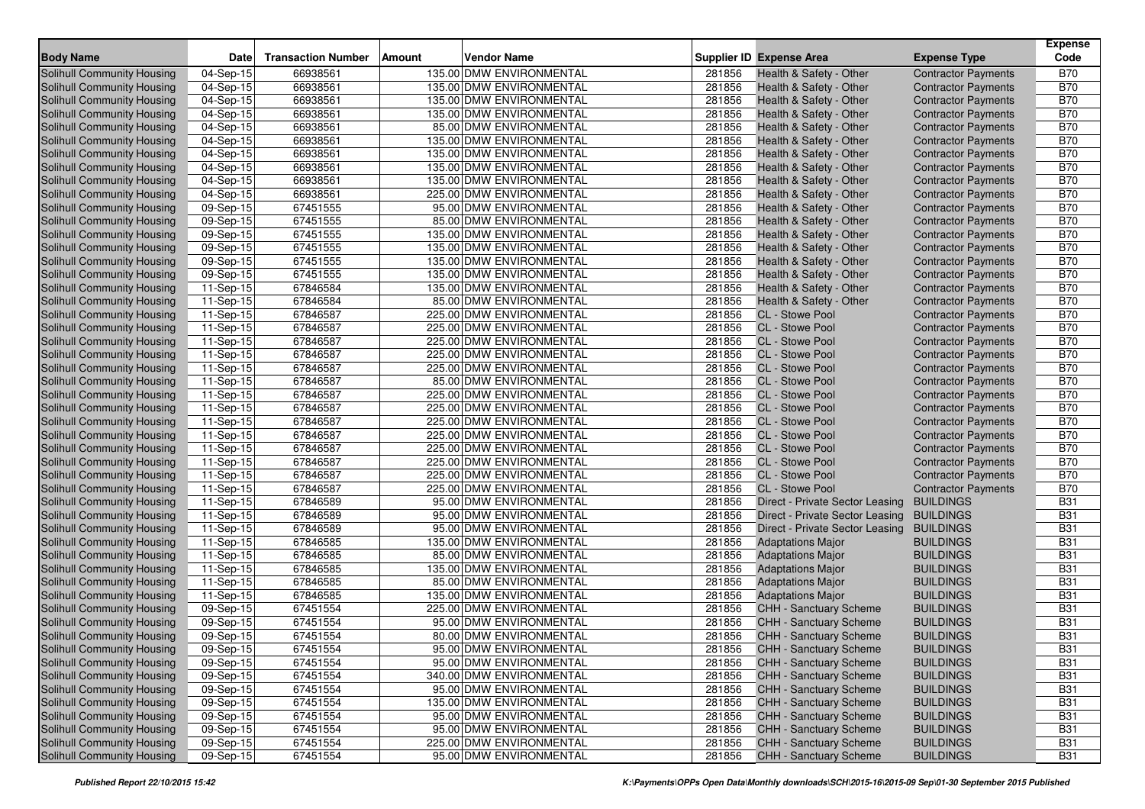|                                   |                         |                           |                              |        |                                 |                            | <b>Expense</b> |
|-----------------------------------|-------------------------|---------------------------|------------------------------|--------|---------------------------------|----------------------------|----------------|
| <b>Body Name</b>                  | <b>Date</b>             | <b>Transaction Number</b> | <b>Vendor Name</b><br>Amount |        | <b>Supplier ID Expense Area</b> | <b>Expense Type</b>        | Code           |
| <b>Solihull Community Housing</b> | 04-Sep-15               | 66938561                  | 135.00 DMW ENVIRONMENTAL     | 281856 | Health & Safety - Other         | <b>Contractor Payments</b> | <b>B70</b>     |
| Solihull Community Housing        | 04-Sep-15               | 66938561                  | 135.00 DMW ENVIRONMENTAL     | 281856 | Health & Safety - Other         | <b>Contractor Payments</b> | <b>B70</b>     |
| Solihull Community Housing        | 04-Sep-15               | 66938561                  | 135.00 DMW ENVIRONMENTAL     | 281856 | Health & Safety - Other         | <b>Contractor Payments</b> | <b>B70</b>     |
| Solihull Community Housing        | 04-Sep-15               | 66938561                  | 135.00 DMW ENVIRONMENTAL     | 281856 | Health & Safety - Other         | <b>Contractor Payments</b> | <b>B70</b>     |
| Solihull Community Housing        | 04-Sep-15               | 66938561                  | 85.00 DMW ENVIRONMENTAL      | 281856 | Health & Safety - Other         | <b>Contractor Payments</b> | <b>B70</b>     |
| Solihull Community Housing        | 04-Sep-15               | 66938561                  | 135.00 DMW ENVIRONMENTAL     | 281856 | Health & Safety - Other         | <b>Contractor Payments</b> | <b>B70</b>     |
| Solihull Community Housing        | 04-Sep-15               | 66938561                  | 135.00 DMW ENVIRONMENTAL     | 281856 | Health & Safety - Other         | <b>Contractor Payments</b> | <b>B70</b>     |
| <b>Solihull Community Housing</b> | 04-Sep-15               | 66938561                  | 135.00 DMW ENVIRONMENTAL     | 281856 | Health & Safety - Other         | <b>Contractor Payments</b> | <b>B70</b>     |
| <b>Solihull Community Housing</b> | 04-Sep-15               | 66938561                  | 135.00 DMW ENVIRONMENTAL     | 281856 | Health & Safety - Other         | <b>Contractor Payments</b> | <b>B70</b>     |
| Solihull Community Housing        | 04-Sep-15               | 66938561                  | 225.00 DMW ENVIRONMENTAL     | 281856 | Health & Safety - Other         | <b>Contractor Payments</b> | <b>B70</b>     |
| Solihull Community Housing        | 09-Sep-15               | 67451555                  | 95.00 DMW ENVIRONMENTAL      | 281856 | Health & Safety - Other         | <b>Contractor Payments</b> | <b>B70</b>     |
| <b>Solihull Community Housing</b> | 09-Sep-15               | 67451555                  | 85.00 DMW ENVIRONMENTAL      | 281856 | Health & Safety - Other         | <b>Contractor Payments</b> | <b>B70</b>     |
| Solihull Community Housing        | 09-Sep-15               | 67451555                  | 135.00 DMW ENVIRONMENTAL     | 281856 | Health & Safety - Other         | <b>Contractor Payments</b> | <b>B70</b>     |
| Solihull Community Housing        | 09-Sep-15               | 67451555                  | 135.00 DMW ENVIRONMENTAL     | 281856 | Health & Safety - Other         | <b>Contractor Payments</b> | <b>B70</b>     |
| Solihull Community Housing        | 09-Sep-15               | 67451555                  | 135.00 DMW ENVIRONMENTAL     | 281856 | Health & Safety - Other         | <b>Contractor Payments</b> | <b>B70</b>     |
| Solihull Community Housing        | 09-Sep-15               | 67451555                  | 135.00 DMW ENVIRONMENTAL     | 281856 | Health & Safety - Other         | <b>Contractor Payments</b> | <b>B70</b>     |
| Solihull Community Housing        | $11-Sep-15$             | 67846584                  | 135.00 DMW ENVIRONMENTAL     | 281856 | Health & Safety - Other         | <b>Contractor Payments</b> | <b>B70</b>     |
| Solihull Community Housing        | 11-Sep-15               | 67846584                  | 85.00 DMW ENVIRONMENTAL      | 281856 | Health & Safety - Other         | <b>Contractor Payments</b> | <b>B70</b>     |
| Solihull Community Housing        | 11-Sep-15               | 67846587                  | 225.00 DMW ENVIRONMENTAL     | 281856 | CL - Stowe Pool                 | <b>Contractor Payments</b> | <b>B70</b>     |
| <b>Solihull Community Housing</b> | 11-Sep-15               | 67846587                  | 225.00 DMW ENVIRONMENTAL     | 281856 | CL - Stowe Pool                 | <b>Contractor Payments</b> | <b>B70</b>     |
| Solihull Community Housing        | 11-Sep-15               | 67846587                  | 225.00 DMW ENVIRONMENTAL     | 281856 | CL - Stowe Pool                 | <b>Contractor Payments</b> | <b>B70</b>     |
| Solihull Community Housing        | 11-Sep-15               | 67846587                  | 225.00 DMW ENVIRONMENTAL     | 281856 | CL - Stowe Pool                 | <b>Contractor Payments</b> | <b>B70</b>     |
| Solihull Community Housing        | 11-Sep-15               | 67846587                  | 225.00 DMW ENVIRONMENTAL     | 281856 | CL - Stowe Pool                 | <b>Contractor Payments</b> | <b>B70</b>     |
| Solihull Community Housing        | 11-Sep-15               | 67846587                  | 85.00 DMW ENVIRONMENTAL      | 281856 | CL - Stowe Pool                 | <b>Contractor Payments</b> | <b>B70</b>     |
| Solihull Community Housing        | 11-Sep-15               | 67846587                  | 225.00 DMW ENVIRONMENTAL     | 281856 | CL - Stowe Pool                 | <b>Contractor Payments</b> | <b>B70</b>     |
| Solihull Community Housing        | 11-Sep-15               | 67846587                  | 225.00 DMW ENVIRONMENTAL     | 281856 | CL - Stowe Pool                 | <b>Contractor Payments</b> | <b>B70</b>     |
| Solihull Community Housing        | 11-Sep-15               | 67846587                  | 225.00 DMW ENVIRONMENTAL     | 281856 | CL - Stowe Pool                 | <b>Contractor Payments</b> | <b>B70</b>     |
| Solihull Community Housing        | 11-Sep-15               | 67846587                  | 225.00 DMW ENVIRONMENTAL     | 281856 | CL - Stowe Pool                 | <b>Contractor Payments</b> | <b>B70</b>     |
| Solihull Community Housing        | 11-Sep-15               | 67846587                  | 225.00 DMW ENVIRONMENTAL     | 281856 | CL - Stowe Pool                 | <b>Contractor Payments</b> | <b>B70</b>     |
| Solihull Community Housing        | 11-Sep-15               | 67846587                  | 225.00 DMW ENVIRONMENTAL     | 281856 | CL - Stowe Pool                 | <b>Contractor Payments</b> | <b>B70</b>     |
| Solihull Community Housing        | 11-Sep-15               | 67846587                  | 225.00 DMW ENVIRONMENTAL     | 281856 | CL - Stowe Pool                 | <b>Contractor Payments</b> | <b>B70</b>     |
| Solihull Community Housing        | 11-Sep-15               | 67846587                  | 225.00 DMW ENVIRONMENTAL     | 281856 | CL - Stowe Pool                 | <b>Contractor Payments</b> | <b>B70</b>     |
| Solihull Community Housing        | 11-Sep-15               | 67846589                  | 95.00 DMW ENVIRONMENTAL      | 281856 | Direct - Private Sector Leasing | <b>BUILDINGS</b>           | <b>B31</b>     |
| <b>Solihull Community Housing</b> | 11-Sep-15               | 67846589                  | 95.00 DMW ENVIRONMENTAL      | 281856 | Direct - Private Sector Leasing | <b>BUILDINGS</b>           | <b>B31</b>     |
| Solihull Community Housing        | 11-Sep-15               | 67846589                  | 95.00 DMW ENVIRONMENTAL      | 281856 | Direct - Private Sector Leasing | <b>BUILDINGS</b>           | <b>B31</b>     |
| Solihull Community Housing        | 11-Sep-15               | 67846585                  | 135.00 DMW ENVIRONMENTAL     | 281856 | <b>Adaptations Major</b>        | <b>BUILDINGS</b>           | <b>B31</b>     |
| Solihull Community Housing        | 11-Sep-15               | 67846585                  | 85.00 DMW ENVIRONMENTAL      | 281856 | <b>Adaptations Major</b>        | <b>BUILDINGS</b>           | <b>B31</b>     |
| Solihull Community Housing        | 11-Sep-15               | 67846585                  | 135.00 DMW ENVIRONMENTAL     | 281856 | <b>Adaptations Major</b>        | <b>BUILDINGS</b>           | <b>B31</b>     |
| Solihull Community Housing        | 11-Sep-15               | 67846585                  | 85.00 DMW ENVIRONMENTAL      | 281856 | <b>Adaptations Major</b>        | <b>BUILDINGS</b>           | <b>B31</b>     |
| Solihull Community Housing        | 11-Sep-15               | 67846585                  | 135.00 DMW ENVIRONMENTAL     | 281856 | <b>Adaptations Major</b>        | <b>BUILDINGS</b>           | <b>B31</b>     |
| Solihull Community Housing        | 09-Sep-15               | 67451554                  | 225.00 DMW ENVIRONMENTAL     | 281856 | CHH - Sanctuary Scheme          | <b>BUILDINGS</b>           | <b>B31</b>     |
| Solihull Community Housing        | 09-Sep-15               | 67451554                  | 95.00 DMW ENVIRONMENTAL      | 281856 | CHH - Sanctuary Scheme          | <b>BUILDINGS</b>           | <b>B31</b>     |
| Solihull Community Housing        | $\overline{0}9$ -Sep-15 | 67451554                  | 80.00 DMW ENVIRONMENTAL      | 281856 | <b>CHH - Sanctuary Scheme</b>   | <b>BUILDINGS</b>           | <b>B31</b>     |
| Solihull Community Housing        | 09-Sep-15               | 67451554                  | 95.00 DMW ENVIRONMENTAL      | 281856 | <b>CHH - Sanctuary Scheme</b>   | <b>BUILDINGS</b>           | <b>B31</b>     |
| Solihull Community Housing        | 09-Sep-15               | 67451554                  | 95.00 DMW ENVIRONMENTAL      | 281856 | <b>CHH - Sanctuary Scheme</b>   | <b>BUILDINGS</b>           | <b>B31</b>     |
| Solihull Community Housing        | 09-Sep-15               | 67451554                  | 340.00 DMW ENVIRONMENTAL     | 281856 | CHH - Sanctuary Scheme          | <b>BUILDINGS</b>           | <b>B31</b>     |
| Solihull Community Housing        | 09-Sep-15               | 67451554                  | 95.00 DMW ENVIRONMENTAL      | 281856 | CHH - Sanctuary Scheme          | <b>BUILDINGS</b>           | <b>B31</b>     |
| Solihull Community Housing        | 09-Sep-15               | 67451554                  | 135.00 DMW ENVIRONMENTAL     | 281856 | CHH - Sanctuary Scheme          | <b>BUILDINGS</b>           | <b>B31</b>     |
| Solihull Community Housing        | 09-Sep-15               | 67451554                  | 95.00 DMW ENVIRONMENTAL      | 281856 | CHH - Sanctuary Scheme          | <b>BUILDINGS</b>           | <b>B31</b>     |
| Solihull Community Housing        | 09-Sep-15               | 67451554                  | 95.00 DMW ENVIRONMENTAL      | 281856 | <b>CHH - Sanctuary Scheme</b>   | <b>BUILDINGS</b>           | <b>B31</b>     |
| Solihull Community Housing        | 09-Sep-15               | 67451554                  | 225.00 DMW ENVIRONMENTAL     | 281856 | CHH - Sanctuary Scheme          | <b>BUILDINGS</b>           | <b>B31</b>     |
| Solihull Community Housing        | 09-Sep-15               | 67451554                  | 95.00 DMW ENVIRONMENTAL      | 281856 | CHH - Sanctuary Scheme          | <b>BUILDINGS</b>           | <b>B31</b>     |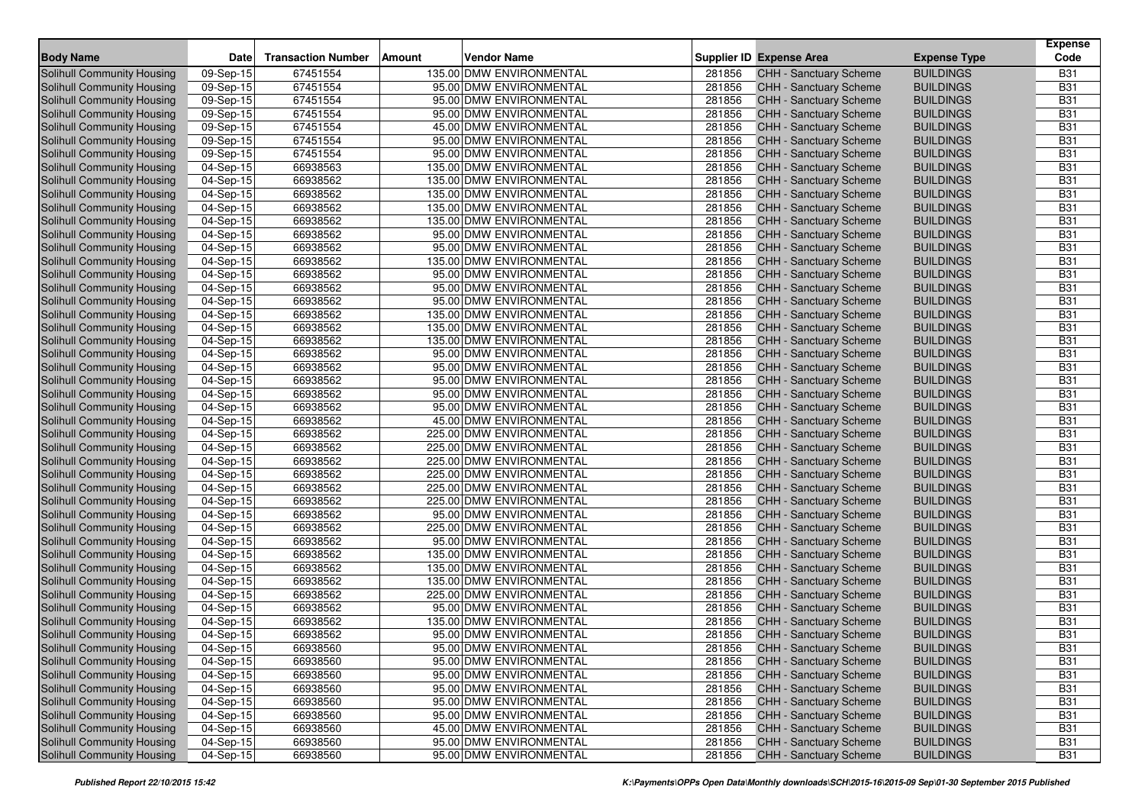| <b>Body Name</b>                                         | Date                     | <b>Transaction Number</b> | <b>Vendor Name</b><br>Amount                        |                  | Supplier ID Expense Area                                | <b>Expense Type</b>                  | <b>Expense</b><br>Code   |
|----------------------------------------------------------|--------------------------|---------------------------|-----------------------------------------------------|------------------|---------------------------------------------------------|--------------------------------------|--------------------------|
| Solihull Community Housing                               | 09-Sep-15                | 67451554                  | 135.00 DMW ENVIRONMENTAL                            | 281856           | CHH - Sanctuary Scheme                                  | <b>BUILDINGS</b>                     | <b>B31</b>               |
| Solihull Community Housing                               | 09-Sep-15                | 67451554                  | 95.00 DMW ENVIRONMENTAL                             | 281856           | <b>CHH - Sanctuary Scheme</b>                           | <b>BUILDINGS</b>                     | <b>B31</b>               |
| <b>Solihull Community Housing</b>                        | 09-Sep-15                | 67451554                  | 95.00 DMW ENVIRONMENTAL                             | 281856           | <b>CHH - Sanctuary Scheme</b>                           | <b>BUILDINGS</b>                     | <b>B31</b>               |
| Solihull Community Housing                               | 09-Sep-15                | 67451554                  | 95.00 DMW ENVIRONMENTAL                             | 281856           | CHH - Sanctuary Scheme                                  | <b>BUILDINGS</b>                     | <b>B31</b>               |
| <b>Solihull Community Housing</b>                        | 09-Sep-15                | 67451554                  | 45.00 DMW ENVIRONMENTAL                             | 281856           | <b>CHH - Sanctuary Scheme</b>                           | <b>BUILDINGS</b>                     | <b>B31</b>               |
| Solihull Community Housing                               | 09-Sep-15                | 67451554                  | 95.00 DMW ENVIRONMENTAL                             | 281856           | <b>CHH - Sanctuary Scheme</b>                           | <b>BUILDINGS</b>                     | <b>B31</b>               |
| Solihull Community Housing                               | 09-Sep-15                | 67451554                  | 95.00 DMW ENVIRONMENTAL                             | 281856           | CHH - Sanctuary Scheme                                  | <b>BUILDINGS</b>                     | <b>B31</b>               |
| Solihull Community Housing                               | 04-Sep-15                | 66938563                  | 135.00 DMW ENVIRONMENTAL                            | 281856           | <b>CHH - Sanctuary Scheme</b>                           | <b>BUILDINGS</b>                     | <b>B31</b>               |
| Solihull Community Housing                               | $\overline{0}$ 4-Sep-15  | 66938562                  | 135.00 DMW ENVIRONMENTAL                            | 281856           | CHH - Sanctuary Scheme                                  | <b>BUILDINGS</b>                     | <b>B31</b>               |
| Solihull Community Housing                               | 04-Sep-15                | 66938562                  | 135.00 DMW ENVIRONMENTAL                            | 281856           | <b>CHH - Sanctuary Scheme</b>                           | <b>BUILDINGS</b>                     | <b>B31</b>               |
| Solihull Community Housing                               | 04-Sep-15                | 66938562                  | 135.00 DMW ENVIRONMENTAL                            | 281856           | CHH - Sanctuary Scheme                                  | <b>BUILDINGS</b>                     | <b>B31</b>               |
| Solihull Community Housing                               | 04-Sep-15                | 66938562                  | 135.00 DMW ENVIRONMENTAL                            | 281856           | CHH - Sanctuary Scheme                                  | <b>BUILDINGS</b>                     | <b>B31</b>               |
| Solihull Community Housing                               | 04-Sep-15                | 66938562                  | 95.00 DMW ENVIRONMENTAL                             | 281856           | CHH - Sanctuary Scheme                                  | <b>BUILDINGS</b>                     | <b>B31</b>               |
| Solihull Community Housing                               | 04-Sep-15                | 66938562                  | 95.00 DMW ENVIRONMENTAL                             | 281856           | CHH - Sanctuary Scheme                                  | <b>BUILDINGS</b>                     | <b>B31</b>               |
| Solihull Community Housing                               | 04-Sep-15                | 66938562                  | 135.00 DMW ENVIRONMENTAL                            | 281856           | <b>CHH - Sanctuary Scheme</b>                           | <b>BUILDINGS</b>                     | <b>B31</b>               |
| Solihull Community Housing                               | 04-Sep-15                | 66938562                  | 95.00 DMW ENVIRONMENTAL                             | 281856           | CHH - Sanctuary Scheme                                  | <b>BUILDINGS</b>                     | <b>B31</b>               |
| <b>Solihull Community Housing</b>                        | 04-Sep-15                | 66938562                  | 95.00 DMW ENVIRONMENTAL                             | 281856           | CHH - Sanctuary Scheme                                  | <b>BUILDINGS</b>                     | <b>B31</b>               |
| Solihull Community Housing                               | 04-Sep-15                | 66938562                  | 95.00 DMW ENVIRONMENTAL                             | 281856           | CHH - Sanctuary Scheme                                  | <b>BUILDINGS</b>                     | <b>B31</b>               |
| Solihull Community Housing                               | 04-Sep-15                | 66938562                  | 135.00 DMW ENVIRONMENTAL                            | 281856           | <b>CHH - Sanctuary Scheme</b>                           | <b>BUILDINGS</b>                     | <b>B31</b>               |
| Solihull Community Housing                               | 04-Sep-15                | 66938562                  | 135.00 DMW ENVIRONMENTAL                            | 281856           | <b>CHH - Sanctuary Scheme</b>                           | <b>BUILDINGS</b>                     | <b>B31</b>               |
| <b>Solihull Community Housing</b>                        | 04-Sep-15                | 66938562                  | 135.00 DMW ENVIRONMENTAL                            | 281856           | <b>CHH - Sanctuary Scheme</b>                           | <b>BUILDINGS</b>                     | <b>B31</b>               |
| Solihull Community Housing                               | 04-Sep-15                | 66938562                  | 95.00 DMW ENVIRONMENTAL                             | 281856           | CHH - Sanctuary Scheme                                  | <b>BUILDINGS</b>                     | <b>B31</b>               |
| Solihull Community Housing                               | 04-Sep-15                | 66938562                  | 95.00 DMW ENVIRONMENTAL                             | 281856           | <b>CHH - Sanctuary Scheme</b>                           | <b>BUILDINGS</b>                     | <b>B31</b>               |
| Solihull Community Housing                               | 04-Sep-15                | 66938562                  | 95.00 DMW ENVIRONMENTAL                             | 281856           | CHH - Sanctuary Scheme                                  | <b>BUILDINGS</b>                     | <b>B31</b>               |
| Solihull Community Housing                               | 04-Sep-15                | 66938562                  | 95.00 DMW ENVIRONMENTAL                             | 281856           | <b>CHH - Sanctuary Scheme</b>                           | <b>BUILDINGS</b>                     | <b>B31</b>               |
| Solihull Community Housing                               | 04-Sep-15                | 66938562                  | 95.00 DMW ENVIRONMENTAL                             | 281856           | CHH - Sanctuary Scheme                                  | <b>BUILDINGS</b>                     | <b>B31</b>               |
| <b>Solihull Community Housing</b>                        | $04-Sep-15$              | 66938562                  | 45.00 DMW ENVIRONMENTAL                             | 281856           | CHH - Sanctuary Scheme                                  | <b>BUILDINGS</b>                     | <b>B31</b>               |
| Solihull Community Housing                               | 04-Sep-15                | 66938562                  | 225.00 DMW ENVIRONMENTAL                            | 281856           | CHH - Sanctuary Scheme                                  | <b>BUILDINGS</b>                     | <b>B31</b>               |
| Solihull Community Housing                               | 04-Sep-15                | 66938562                  | 225.00 DMW ENVIRONMENTAL                            | 281856           | CHH - Sanctuary Scheme                                  | <b>BUILDINGS</b>                     | <b>B31</b>               |
| Solihull Community Housing                               | 04-Sep-15                | 66938562                  | 225.00 DMW ENVIRONMENTAL                            | 281856           | <b>CHH - Sanctuary Scheme</b>                           | <b>BUILDINGS</b>                     | <b>B31</b>               |
| Solihull Community Housing                               | $\overline{0}$ 4-Sep-15  | 66938562                  | 225.00 DMW ENVIRONMENTAL                            | 281856           | CHH - Sanctuary Scheme                                  | <b>BUILDINGS</b>                     | <b>B31</b>               |
| Solihull Community Housing                               | 04-Sep-15                | 66938562                  | 225.00 DMW ENVIRONMENTAL                            | 281856           | CHH - Sanctuary Scheme                                  | <b>BUILDINGS</b>                     | <b>B31</b>               |
| Solihull Community Housing                               | 04-Sep-15                | 66938562                  | 225.00 DMW ENVIRONMENTAL                            | 281856           | CHH - Sanctuary Scheme                                  | <b>BUILDINGS</b>                     | <b>B31</b>               |
| Solihull Community Housing                               | $\overline{0}$ 4-Sep-15  | 66938562                  | 95.00 DMW ENVIRONMENTAL                             | 281856           | CHH - Sanctuary Scheme                                  | <b>BUILDINGS</b>                     | <b>B31</b>               |
| Solihull Community Housing                               | 04-Sep-15                | 66938562                  | 225.00 DMW ENVIRONMENTAL                            | 281856           | CHH - Sanctuary Scheme                                  | <b>BUILDINGS</b>                     | <b>B31</b>               |
| Solihull Community Housing                               | 04-Sep-15                | 66938562                  | 95.00 DMW ENVIRONMENTAL                             | 281856           | CHH - Sanctuary Scheme                                  | <b>BUILDINGS</b>                     | <b>B31</b>               |
| Solihull Community Housing                               | 04-Sep-15                | 66938562                  | 135.00 DMW ENVIRONMENTAL                            | 281856           | <b>CHH - Sanctuary Scheme</b>                           | <b>BUILDINGS</b>                     | <b>B31</b>               |
| Solihull Community Housing                               | 04-Sep-15                | 66938562                  | 135.00 DMW ENVIRONMENTAL                            | 281856           | CHH - Sanctuary Scheme                                  | <b>BUILDINGS</b>                     | <b>B31</b>               |
| Solihull Community Housing                               | 04-Sep-15                | 66938562                  | 135.00 DMW ENVIRONMENTAL                            | 281856<br>281856 | <b>CHH - Sanctuary Scheme</b>                           | <b>BUILDINGS</b>                     | <b>B31</b><br><b>B31</b> |
| Solihull Community Housing<br>Solihull Community Housing | 04-Sep-15                | 66938562                  | 225.00 DMW ENVIRONMENTAL<br>95.00 DMW ENVIRONMENTAL |                  | CHH - Sanctuary Scheme                                  | <b>BUILDINGS</b>                     | <b>B31</b>               |
| Solihull Community Housing                               | 04-Sep-15                | 66938562<br>66938562      | 135.00 DMW ENVIRONMENTAL                            | 281856<br>281856 | <b>CHH - Sanctuary Scheme</b>                           | <b>BUILDINGS</b><br><b>BUILDINGS</b> | <b>B31</b>               |
| <b>Solihull Community Housing</b>                        | 04-Sep-15                | 66938562                  | 95.00 DMW ENVIRONMENTAL                             | 281856           | CHH - Sanctuary Scheme<br><b>CHH - Sanctuary Scheme</b> | <b>BUILDINGS</b>                     | <b>B31</b>               |
| Solihull Community Housing                               | $04-Sep-15$<br>04-Sep-15 | 66938560                  | 95.00 DMW ENVIRONMENTAL                             | 281856           | CHH - Sanctuary Scheme                                  | <b>BUILDINGS</b>                     | <b>B31</b>               |
| Solihull Community Housing                               | 04-Sep-15                | 66938560                  | 95.00 DMW ENVIRONMENTAL                             | 281856           | CHH - Sanctuary Scheme                                  | <b>BUILDINGS</b>                     | <b>B31</b>               |
| Solihull Community Housing                               | 04-Sep-15                | 66938560                  | 95.00 DMW ENVIRONMENTAL                             | 281856           | CHH - Sanctuary Scheme                                  | <b>BUILDINGS</b>                     | <b>B31</b>               |
| Solihull Community Housing                               | 04-Sep-15                | 66938560                  | 95.00 DMW ENVIRONMENTAL                             | 281856           | CHH - Sanctuary Scheme                                  | <b>BUILDINGS</b>                     | <b>B31</b>               |
| Solihull Community Housing                               | 04-Sep-15                | 66938560                  | 95.00 DMW ENVIRONMENTAL                             | 281856           | CHH - Sanctuary Scheme                                  | <b>BUILDINGS</b>                     | <b>B31</b>               |
| Solihull Community Housing                               | 04-Sep-15                | 66938560                  | 95.00 DMW ENVIRONMENTAL                             | 281856           | CHH - Sanctuary Scheme                                  | <b>BUILDINGS</b>                     | <b>B31</b>               |
| Solihull Community Housing                               | 04-Sep-15                | 66938560                  | 45.00 DMW ENVIRONMENTAL                             | 281856           | <b>CHH - Sanctuary Scheme</b>                           | <b>BUILDINGS</b>                     | <b>B31</b>               |
| Solihull Community Housing                               | 04-Sep-15                | 66938560                  | 95.00 DMW ENVIRONMENTAL                             | 281856           | CHH - Sanctuary Scheme                                  | <b>BUILDINGS</b>                     | <b>B31</b>               |
| Solihull Community Housing                               | 04-Sep-15                | 66938560                  | 95.00 DMW ENVIRONMENTAL                             | 281856           | CHH - Sanctuary Scheme                                  | <b>BUILDINGS</b>                     | <b>B31</b>               |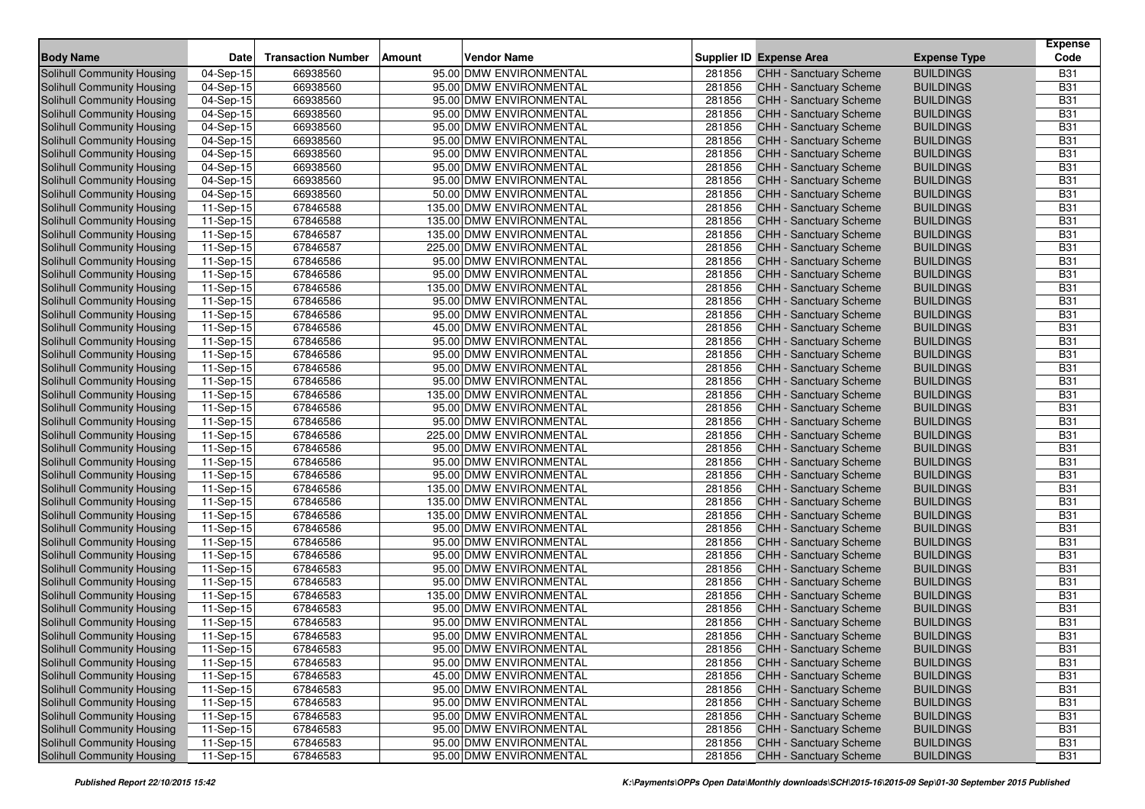| <b>Body Name</b>                  | <b>Date</b> | <b>Transaction Number</b> | Vendor Name<br>Amount    |        | Supplier ID Expense Area      | <b>Expense Type</b> | <b>Expense</b><br>Code |
|-----------------------------------|-------------|---------------------------|--------------------------|--------|-------------------------------|---------------------|------------------------|
| Solihull Community Housing        | 04-Sep-15   | 66938560                  | 95.00 DMW ENVIRONMENTAL  | 281856 | CHH - Sanctuary Scheme        | <b>BUILDINGS</b>    | <b>B31</b>             |
| Solihull Community Housing        | 04-Sep-15   | 66938560                  | 95.00 DMW ENVIRONMENTAL  | 281856 | <b>CHH - Sanctuary Scheme</b> | <b>BUILDINGS</b>    | <b>B31</b>             |
| Solihull Community Housing        | 04-Sep-15   | 66938560                  | 95.00 DMW ENVIRONMENTAL  | 281856 | <b>CHH - Sanctuary Scheme</b> | <b>BUILDINGS</b>    | <b>B31</b>             |
| Solihull Community Housing        | 04-Sep-15   | 66938560                  | 95.00 DMW ENVIRONMENTAL  | 281856 | CHH - Sanctuary Scheme        | <b>BUILDINGS</b>    | <b>B31</b>             |
| Solihull Community Housing        | 04-Sep-15   | 66938560                  | 95.00 DMW ENVIRONMENTAL  | 281856 | CHH - Sanctuary Scheme        | <b>BUILDINGS</b>    | <b>B31</b>             |
| Solihull Community Housing        | 04-Sep-15   | 66938560                  | 95.00 DMW ENVIRONMENTAL  | 281856 | CHH - Sanctuary Scheme        | <b>BUILDINGS</b>    | <b>B31</b>             |
| Solihull Community Housing        | 04-Sep-15   | 66938560                  | 95.00 DMW ENVIRONMENTAL  | 281856 | CHH - Sanctuary Scheme        | <b>BUILDINGS</b>    | <b>B31</b>             |
| Solihull Community Housing        | 04-Sep-15   | 66938560                  | 95.00 DMW ENVIRONMENTAL  | 281856 | CHH - Sanctuary Scheme        | <b>BUILDINGS</b>    | <b>B31</b>             |
| Solihull Community Housing        | 04-Sep-15   | 66938560                  | 95.00 DMW ENVIRONMENTAL  | 281856 | CHH - Sanctuary Scheme        | <b>BUILDINGS</b>    | <b>B31</b>             |
| Solihull Community Housing        | 04-Sep-15   | 66938560                  | 50.00 DMW ENVIRONMENTAL  | 281856 | <b>CHH - Sanctuary Scheme</b> | <b>BUILDINGS</b>    | <b>B31</b>             |
| Solihull Community Housing        | 11-Sep-15   | 67846588                  | 135.00 DMW ENVIRONMENTAL | 281856 | CHH - Sanctuary Scheme        | <b>BUILDINGS</b>    | <b>B31</b>             |
| Solihull Community Housing        | 11-Sep-15   | 67846588                  | 135.00 DMW ENVIRONMENTAL | 281856 | CHH - Sanctuary Scheme        | <b>BUILDINGS</b>    | <b>B31</b>             |
| Solihull Community Housing        | 11-Sep-15   | 67846587                  | 135.00 DMW ENVIRONMENTAL | 281856 | CHH - Sanctuary Scheme        | <b>BUILDINGS</b>    | <b>B31</b>             |
| Solihull Community Housing        | 11-Sep-15   | 67846587                  | 225.00 DMW ENVIRONMENTAL | 281856 | <b>CHH - Sanctuary Scheme</b> | <b>BUILDINGS</b>    | <b>B31</b>             |
| Solihull Community Housing        | 11-Sep-15   | 67846586                  | 95.00 DMW ENVIRONMENTAL  | 281856 | <b>CHH - Sanctuary Scheme</b> | <b>BUILDINGS</b>    | <b>B31</b>             |
| Solihull Community Housing        | 11-Sep-15   | 67846586                  | 95.00 DMW ENVIRONMENTAL  | 281856 | CHH - Sanctuary Scheme        | <b>BUILDINGS</b>    | <b>B31</b>             |
| Solihull Community Housing        | 11-Sep-15   | 67846586                  | 135.00 DMW ENVIRONMENTAL | 281856 | CHH - Sanctuary Scheme        | <b>BUILDINGS</b>    | <b>B31</b>             |
| Solihull Community Housing        | 11-Sep-15   | 67846586                  | 95.00 DMW ENVIRONMENTAL  | 281856 | CHH - Sanctuary Scheme        | <b>BUILDINGS</b>    | <b>B31</b>             |
| Solihull Community Housing        | 11-Sep-15   | 67846586                  | 95.00 DMW ENVIRONMENTAL  | 281856 | <b>CHH - Sanctuary Scheme</b> | <b>BUILDINGS</b>    | <b>B31</b>             |
| Solihull Community Housing        | 11-Sep-15   | 67846586                  | 45.00 DMW ENVIRONMENTAL  | 281856 | CHH - Sanctuary Scheme        | <b>BUILDINGS</b>    | <b>B31</b>             |
| Solihull Community Housing        | 11-Sep-15   | 67846586                  | 95.00 DMW ENVIRONMENTAL  | 281856 | CHH - Sanctuary Scheme        | <b>BUILDINGS</b>    | <b>B31</b>             |
| Solihull Community Housing        | 11-Sep-15   | 67846586                  | 95.00 DMW ENVIRONMENTAL  | 281856 | <b>CHH - Sanctuary Scheme</b> | <b>BUILDINGS</b>    | <b>B31</b>             |
| Solihull Community Housing        | 11-Sep-15   | 67846586                  | 95.00 DMW ENVIRONMENTAL  | 281856 | CHH - Sanctuary Scheme        | <b>BUILDINGS</b>    | <b>B31</b>             |
| Solihull Community Housing        | 11-Sep-15   | 67846586                  | 95.00 DMW ENVIRONMENTAL  | 281856 | <b>CHH - Sanctuary Scheme</b> | <b>BUILDINGS</b>    | <b>B31</b>             |
| Solihull Community Housing        | 11-Sep-15   | 67846586                  | 135.00 DMW ENVIRONMENTAL | 281856 | CHH - Sanctuary Scheme        | <b>BUILDINGS</b>    | <b>B31</b>             |
| Solihull Community Housing        | 11-Sep-15   | 67846586                  | 95.00 DMW ENVIRONMENTAL  | 281856 | CHH - Sanctuary Scheme        | <b>BUILDINGS</b>    | <b>B31</b>             |
| Solihull Community Housing        | 11-Sep-15   | 67846586                  | 95.00 DMW ENVIRONMENTAL  | 281856 | <b>CHH - Sanctuary Scheme</b> | <b>BUILDINGS</b>    | <b>B31</b>             |
| Solihull Community Housing        | 11-Sep-15   | 67846586                  | 225.00 DMW ENVIRONMENTAL | 281856 | CHH - Sanctuary Scheme        | <b>BUILDINGS</b>    | <b>B31</b>             |
| Solihull Community Housing        | 11-Sep-15   | 67846586                  | 95.00 DMW ENVIRONMENTAL  | 281856 | CHH - Sanctuary Scheme        | <b>BUILDINGS</b>    | <b>B31</b>             |
| Solihull Community Housing        | 11-Sep-15   | 67846586                  | 95.00 DMW ENVIRONMENTAL  | 281856 | CHH - Sanctuary Scheme        | <b>BUILDINGS</b>    | <b>B31</b>             |
| Solihull Community Housing        | 11-Sep-15   | 67846586                  | 95.00 DMW ENVIRONMENTAL  | 281856 | <b>CHH - Sanctuary Scheme</b> | <b>BUILDINGS</b>    | <b>B31</b>             |
| Solihull Community Housing        | 11-Sep-15   | 67846586                  | 135.00 DMW ENVIRONMENTAL | 281856 | CHH - Sanctuary Scheme        | <b>BUILDINGS</b>    | <b>B31</b>             |
| Solihull Community Housing        | 11-Sep-15   | 67846586                  | 135.00 DMW ENVIRONMENTAL | 281856 | CHH - Sanctuary Scheme        | <b>BUILDINGS</b>    | <b>B31</b>             |
| Solihull Community Housing        | 11-Sep-15   | 67846586                  | 135.00 DMW ENVIRONMENTAL | 281856 | CHH - Sanctuary Scheme        | <b>BUILDINGS</b>    | <b>B31</b>             |
| Solihull Community Housing        | 11-Sep-15   | 67846586                  | 95.00 DMW ENVIRONMENTAL  | 281856 | <b>CHH - Sanctuary Scheme</b> | <b>BUILDINGS</b>    | <b>B31</b>             |
| Solihull Community Housing        | 11-Sep-15   | 67846586                  | 95.00 DMW ENVIRONMENTAL  | 281856 | CHH - Sanctuary Scheme        | <b>BUILDINGS</b>    | <b>B31</b>             |
| Solihull Community Housing        | 11-Sep-15   | 67846586                  | 95.00 DMW ENVIRONMENTAL  | 281856 | CHH - Sanctuary Scheme        | <b>BUILDINGS</b>    | <b>B31</b>             |
| Solihull Community Housing        | 11-Sep-15   | 67846583                  | 95.00 DMW ENVIRONMENTAL  | 281856 | CHH - Sanctuary Scheme        | <b>BUILDINGS</b>    | <b>B31</b>             |
| Solihull Community Housing        | 11-Sep-15   | 67846583                  | 95.00 DMW ENVIRONMENTAL  | 281856 | <b>CHH - Sanctuary Scheme</b> | <b>BUILDINGS</b>    | <b>B31</b>             |
| Solihull Community Housing        | 11-Sep-15   | 67846583                  | 135.00 DMW ENVIRONMENTAL | 281856 | CHH - Sanctuary Scheme        | <b>BUILDINGS</b>    | <b>B31</b>             |
| Solihull Community Housing        | $11-Sep-15$ | 67846583                  | 95.00 DMW ENVIRONMENTAL  | 281856 | CHH - Sanctuary Scheme        | <b>BUILDINGS</b>    | <b>B31</b>             |
| <b>Solihull Community Housing</b> | $11-Sep-15$ | 67846583                  | 95.00 DMW ENVIRONMENTAL  | 281856 | CHH - Sanctuary Scheme        | <b>BUILDINGS</b>    | <b>B31</b>             |
| Solihull Community Housing        | 11-Sep-15   | 67846583                  | 95.00 DMW ENVIRONMENTAL  | 281856 | <b>CHH - Sanctuary Scheme</b> | <b>BUILDINGS</b>    | <b>B31</b>             |
| Solihull Community Housing        | 11-Sep-15   | 67846583                  | 95.00 DMW ENVIRONMENTAL  | 281856 | CHH - Sanctuary Scheme        | <b>BUILDINGS</b>    | <b>B31</b>             |
| Solihull Community Housing        | 11-Sep-15   | 67846583                  | 95.00 DMW ENVIRONMENTAL  | 281856 | CHH - Sanctuary Scheme        | <b>BUILDINGS</b>    | <b>B31</b>             |
| Solihull Community Housing        | 11-Sep-15   | 67846583                  | 45.00 DMW ENVIRONMENTAL  | 281856 | CHH - Sanctuary Scheme        | <b>BUILDINGS</b>    | <b>B31</b>             |
| Solihull Community Housing        | 11-Sep-15   | 67846583                  | 95.00 DMW ENVIRONMENTAL  | 281856 | CHH - Sanctuary Scheme        | <b>BUILDINGS</b>    | <b>B31</b>             |
| Solihull Community Housing        | 11-Sep-15   | 67846583                  | 95.00 DMW ENVIRONMENTAL  | 281856 | CHH - Sanctuary Scheme        | <b>BUILDINGS</b>    | <b>B31</b>             |
| Solihull Community Housing        | 11-Sep-15   | 67846583                  | 95.00 DMW ENVIRONMENTAL  | 281856 | <b>CHH - Sanctuary Scheme</b> | <b>BUILDINGS</b>    | <b>B31</b>             |
| Solihull Community Housing        | 11-Sep-15   | 67846583                  | 95.00 DMW ENVIRONMENTAL  | 281856 | CHH - Sanctuary Scheme        | <b>BUILDINGS</b>    | <b>B31</b>             |
| Solihull Community Housing        | 11-Sep-15   | 67846583                  | 95.00 DMW ENVIRONMENTAL  | 281856 | CHH - Sanctuary Scheme        | <b>BUILDINGS</b>    | <b>B31</b>             |
| Solihull Community Housing        | 11-Sep-15   | 67846583                  | 95.00 DMW ENVIRONMENTAL  | 281856 | CHH - Sanctuary Scheme        | <b>BUILDINGS</b>    | <b>B31</b>             |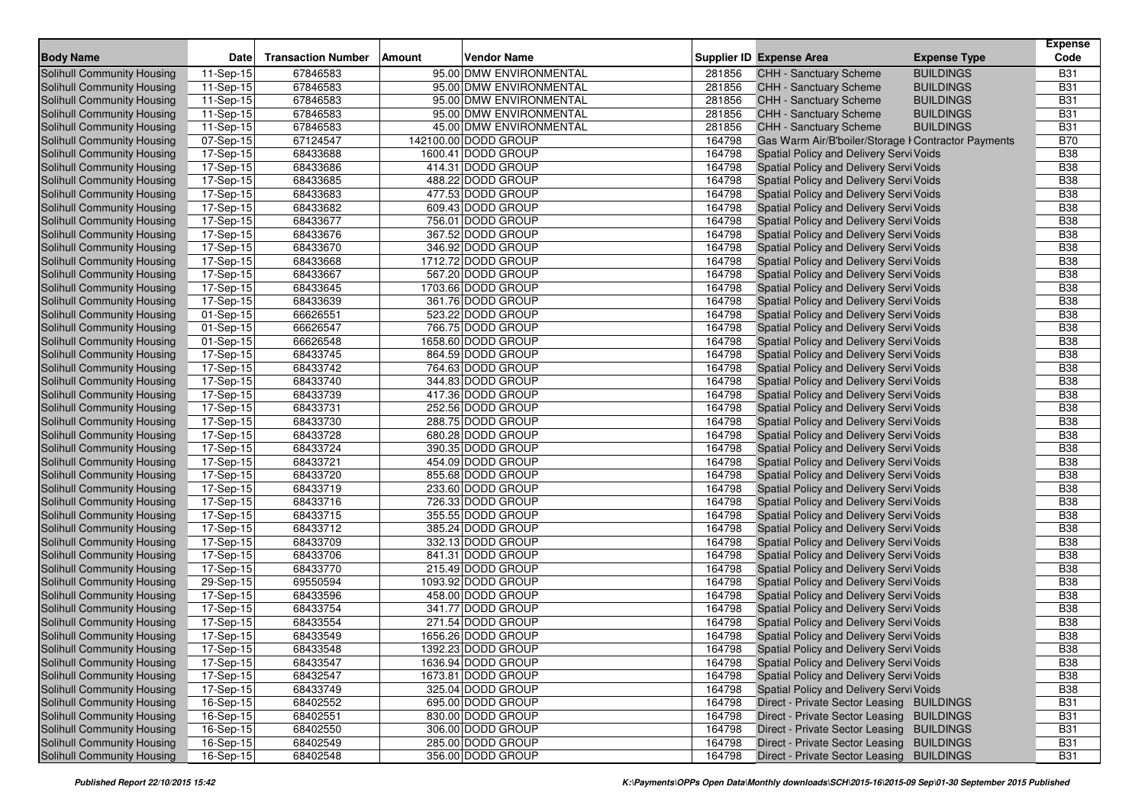|                                                          |                         |                           |        |                                        |                  |                                                                                    |                     | <b>Expense</b>           |
|----------------------------------------------------------|-------------------------|---------------------------|--------|----------------------------------------|------------------|------------------------------------------------------------------------------------|---------------------|--------------------------|
| <b>Body Name</b>                                         | <b>Date</b>             | <b>Transaction Number</b> | Amount | <b>Vendor Name</b>                     |                  | <b>Supplier ID Expense Area</b>                                                    | <b>Expense Type</b> | Code                     |
| <b>Solihull Community Housing</b>                        | 11-Sep-15               | 67846583                  |        | 95.00 DMW ENVIRONMENTAL                | 281856           | CHH - Sanctuary Scheme                                                             | <b>BUILDINGS</b>    | <b>B31</b>               |
| Solihull Community Housing                               | 11-Sep-15               | 67846583                  |        | 95.00 DMW ENVIRONMENTAL                | 281856           | <b>CHH - Sanctuary Scheme</b>                                                      | <b>BUILDINGS</b>    | <b>B31</b>               |
| Solihull Community Housing                               | 11-Sep-15               | 67846583                  |        | 95.00 DMW ENVIRONMENTAL                | 281856           | <b>CHH - Sanctuary Scheme</b>                                                      | <b>BUILDINGS</b>    | <b>B31</b>               |
| Solihull Community Housing                               | 11-Sep-15               | 67846583                  |        | 95.00 DMW ENVIRONMENTAL                | 281856           | CHH - Sanctuary Scheme                                                             | <b>BUILDINGS</b>    | <b>B31</b>               |
| Solihull Community Housing                               | 11-Sep-15               | 67846583                  |        | 45.00 DMW ENVIRONMENTAL                | 281856           | CHH - Sanctuary Scheme                                                             | <b>BUILDINGS</b>    | <b>B31</b>               |
| Solihull Community Housing                               | 07-Sep-15               | 67124547                  |        | 142100.00 DODD GROUP                   | 164798           | Gas Warm Air/B'boiler/Storage I Contractor Payments                                |                     | <b>B70</b>               |
| Solihull Community Housing                               | 17-Sep-15               | 68433688                  |        | 1600.41 DODD GROUP                     | 164798           | Spatial Policy and Delivery Servi Voids                                            |                     | <b>B38</b>               |
| Solihull Community Housing                               | 17-Sep-15               | 68433686                  |        | 414.31 DODD GROUP                      | 164798           | Spatial Policy and Delivery Servi Voids                                            |                     | <b>B38</b>               |
| Solihull Community Housing                               | 17-Sep-15               | 68433685                  |        | 488.22 DODD GROUP                      | 164798           | Spatial Policy and Delivery Servi Voids                                            |                     | <b>B38</b>               |
| Solihull Community Housing                               | 17-Sep-15               | 68433683                  |        | 477.53 DODD GROUP                      | 164798           | Spatial Policy and Delivery Servi Voids                                            |                     | <b>B38</b>               |
| Solihull Community Housing                               | $\overline{17}$ -Sep-15 | 68433682                  |        | 609.43 DODD GROUP                      | 164798           | Spatial Policy and Delivery Servi Voids                                            |                     | <b>B38</b>               |
| Solihull Community Housing                               | 17-Sep-15               | 68433677                  |        | 756.01 DODD GROUP                      | 164798           | Spatial Policy and Delivery Servi Voids                                            |                     | <b>B38</b>               |
| Solihull Community Housing                               | 17-Sep-15               | 68433676                  |        | 367.52 DODD GROUP                      | 164798           | Spatial Policy and Delivery Servi Voids                                            |                     | <b>B38</b>               |
| Solihull Community Housing                               | $17-Sep-15$             | 68433670                  |        | 346.92 DODD GROUP                      | 164798           | Spatial Policy and Delivery Servi Voids                                            |                     | <b>B</b> 38              |
| Solihull Community Housing                               | 17-Sep-15               | 68433668                  |        | 1712.72 DODD GROUP                     | 164798           | Spatial Policy and Delivery Servi Voids                                            |                     | <b>B38</b>               |
| Solihull Community Housing                               | 17-Sep-15               | 68433667                  |        | 567.20 DODD GROUP                      | 164798           | Spatial Policy and Delivery Servi Voids                                            |                     | <b>B38</b>               |
| Solihull Community Housing                               | 17-Sep-15               | 68433645                  |        | 1703.66 DODD GROUP                     | 164798           | Spatial Policy and Delivery Servi Voids                                            |                     | <b>B38</b>               |
| Solihull Community Housing                               | 17-Sep-15               | 68433639                  |        | 361.76 DODD GROUP                      | 164798           | Spatial Policy and Delivery Servi Voids                                            |                     | <b>B38</b>               |
| Solihull Community Housing                               | 01-Sep-15               | 66626551                  |        | 523.22 DODD GROUP                      | 164798           | Spatial Policy and Delivery Servi Voids                                            |                     | <b>B38</b>               |
| Solihull Community Housing                               | 01-Sep-15               | 66626547                  |        | 766.75 DODD GROUP                      | 164798           | Spatial Policy and Delivery Servi Voids                                            |                     | <b>B</b> 38              |
| Solihull Community Housing                               | 01-Sep-15               | 66626548                  |        | 1658.60 DODD GROUP                     | 164798           | Spatial Policy and Delivery Servi Voids                                            |                     | <b>B38</b>               |
| Solihull Community Housing                               | 17-Sep-15               | 68433745                  |        | 864.59 DODD GROUP                      | 164798           | Spatial Policy and Delivery Servi Voids                                            |                     | <b>B38</b>               |
| Solihull Community Housing                               | 17-Sep-15               | 68433742                  |        | 764.63 DODD GROUP                      | 164798           | Spatial Policy and Delivery Servi Voids                                            |                     | <b>B38</b>               |
| Solihull Community Housing                               | 17-Sep-15               | 68433740                  |        | 344.83 DODD GROUP                      | 164798           | Spatial Policy and Delivery Servi Voids                                            |                     | <b>B38</b>               |
| Solihull Community Housing                               | 17-Sep-15               | 68433739                  |        | 417.36 DODD GROUP                      | 164798           | Spatial Policy and Delivery Servi Voids                                            |                     | <b>B</b> 38              |
| Solihull Community Housing                               | 17-Sep-15               | 68433731                  |        | 252.56 DODD GROUP                      | 164798           | Spatial Policy and Delivery Servi Voids                                            |                     | <b>B38</b>               |
| Solihull Community Housing                               | 17-Sep-15               | 68433730                  |        | 288.75 DODD GROUP                      | 164798           | Spatial Policy and Delivery Servi Voids                                            |                     | <b>B38</b>               |
| Solihull Community Housing                               | 17-Sep-15               | 68433728                  |        | 680.28 DODD GROUP                      | 164798           | Spatial Policy and Delivery Servi Voids                                            |                     | <b>B38</b>               |
| Solihull Community Housing                               | 17-Sep-15               | 68433724                  |        | 390.35 DODD GROUP                      | 164798           | Spatial Policy and Delivery Servi Voids                                            |                     | <b>B38</b>               |
| Solihull Community Housing                               | 17-Sep-15               | 68433721                  |        | 454.09 DODD GROUP                      | 164798           | Spatial Policy and Delivery Servi Voids                                            |                     | <b>B38</b>               |
| Solihull Community Housing                               | 17-Sep-15               | 68433720                  |        | 855.68 DODD GROUP                      | 164798           | Spatial Policy and Delivery Servi Voids                                            |                     | <b>B38</b>               |
| Solihull Community Housing                               | 17-Sep-15               | 68433719                  |        | 233.60 DODD GROUP                      | 164798           | Spatial Policy and Delivery Servi Voids                                            |                     | <b>B38</b>               |
| Solihull Community Housing                               | 17-Sep-15               | 68433716                  |        | 726.33 DODD GROUP                      | 164798           | Spatial Policy and Delivery Servi Voids                                            |                     | <b>B38</b>               |
| Solihull Community Housing<br>Solihull Community Housing | 17-Sep-15               | 68433715                  |        | 355.55 DODD GROUP<br>385.24 DODD GROUP | 164798<br>164798 | Spatial Policy and Delivery Servi Voids                                            |                     | <b>B38</b><br><b>B38</b> |
|                                                          | 17-Sep-15               | 68433712                  |        | 332.13 DODD GROUP                      |                  | Spatial Policy and Delivery Servi Voids                                            |                     |                          |
| Solihull Community Housing                               | 17-Sep-15               | 68433709                  |        |                                        | 164798<br>164798 | Spatial Policy and Delivery Servi Voids                                            |                     | <b>B38</b><br><b>B38</b> |
| Solihull Community Housing<br>Solihull Community Housing | 17-Sep-15               | 68433706<br>68433770      |        | 841.31 DODD GROUP<br>215.49 DODD GROUP | 164798           | Spatial Policy and Delivery Servi Voids<br>Spatial Policy and Delivery Servi Voids |                     | <b>B38</b>               |
| Solihull Community Housing                               | 17-Sep-15<br>29-Sep-15  | 69550594                  |        | 1093.92 DODD GROUP                     | 164798           | Spatial Policy and Delivery Servi Voids                                            |                     | <b>B38</b>               |
| Solihull Community Housing                               | 17-Sep-15               | 68433596                  |        | 458.00 DODD GROUP                      | 164798           | Spatial Policy and Delivery Servi Voids                                            |                     | <b>B38</b>               |
| Solihull Community Housing                               | 17-Sep-15               | 68433754                  |        | 341.77 DODD GROUP                      | 164798           | Spatial Policy and Delivery Servi Voids                                            |                     | <b>B38</b>               |
| Solihull Community Housing                               | 17-Sep-15               | 68433554                  |        | 271.54 DODD GROUP                      | 164798           | Spatial Policy and Delivery Servi Voids                                            |                     | <b>B38</b>               |
| Solihull Community Housing                               | 17-Sep-15               | 68433549                  |        | 1656.26 DODD GROUP                     | 164798           | Spatial Policy and Delivery Servi Voids                                            |                     | <b>B38</b>               |
| <b>Solihull Community Housing</b>                        | 17-Sep-15               | 68433548                  |        | 1392.23 DODD GROUP                     | 164798           | Spatial Policy and Delivery Servi Voids                                            |                     | <b>B38</b>               |
| Solihull Community Housing                               | 17-Sep-15               | 68433547                  |        | 1636.94 DODD GROUP                     | 164798           | Spatial Policy and Delivery Servi Voids                                            |                     | <b>B38</b>               |
| Solihull Community Housing                               | 17-Sep-15               | 68432547                  |        | 1673.81 DODD GROUP                     | 164798           | Spatial Policy and Delivery Servi Voids                                            |                     | <b>B38</b>               |
| Solihull Community Housing                               | 17-Sep-15               | 68433749                  |        | 325.04 DODD GROUP                      | 164798           | Spatial Policy and Delivery Servi Voids                                            |                     | <b>B38</b>               |
| Solihull Community Housing                               | 16-Sep-15               | 68402552                  |        | 695.00 DODD GROUP                      | 164798           | Direct - Private Sector Leasing BUILDINGS                                          |                     | <b>B31</b>               |
| Solihull Community Housing                               | 16-Sep-15               | 68402551                  |        | 830.00 DODD GROUP                      | 164798           | Direct - Private Sector Leasing BUILDINGS                                          |                     | <b>B31</b>               |
| Solihull Community Housing                               | 16-Sep-15               | 68402550                  |        | 306.00 DODD GROUP                      | 164798           | Direct - Private Sector Leasing BUILDINGS                                          |                     | <b>B31</b>               |
| <b>Solihull Community Housing</b>                        | 16-Sep-15               | 68402549                  |        | 285.00 DODD GROUP                      | 164798           | Direct - Private Sector Leasing BUILDINGS                                          |                     | <b>B31</b>               |
| Solihull Community Housing                               | 16-Sep-15               | 68402548                  |        | 356.00 DODD GROUP                      | 164798           | Direct - Private Sector Leasing BUILDINGS                                          |                     | <b>B31</b>               |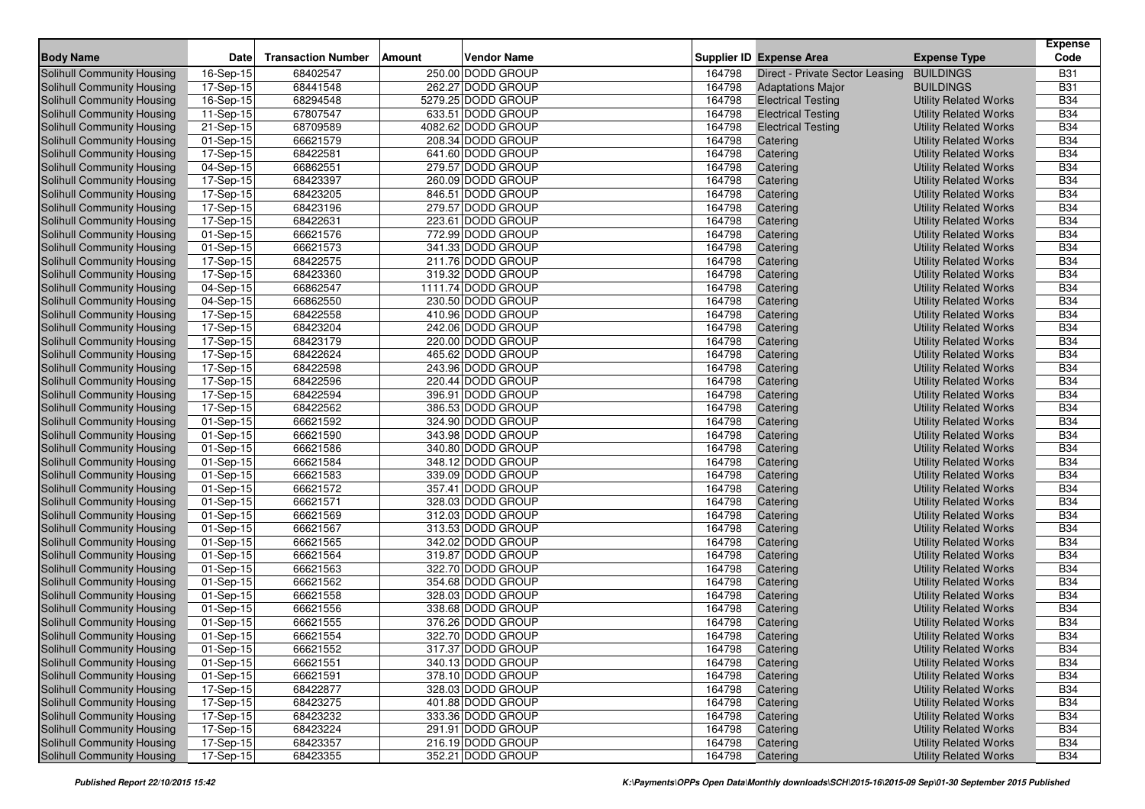| <b>Body Name</b>                                         | <b>Date</b>             | <b>Transaction Number</b> | Amount | Vendor Name                            |                  | Supplier ID Expense Area        | <b>Expense Type</b>          | <b>Expense</b><br>Code   |
|----------------------------------------------------------|-------------------------|---------------------------|--------|----------------------------------------|------------------|---------------------------------|------------------------------|--------------------------|
| Solihull Community Housing                               | 16-Sep-15               | 68402547                  |        | 250.00 DODD GROUP                      | 164798           | Direct - Private Sector Leasing | <b>BUILDINGS</b>             | <b>B31</b>               |
| <b>Solihull Community Housing</b>                        | 17-Sep-15               | 68441548                  |        | 262.27 DODD GROUP                      | 164798           | <b>Adaptations Major</b>        | <b>BUILDINGS</b>             | <b>B31</b>               |
| <b>Solihull Community Housing</b>                        | $\overline{16}$ -Sep-15 | 68294548                  |        | 5279.25 DODD GROUP                     | 164798           | <b>Electrical Testing</b>       | <b>Utility Related Works</b> | <b>B34</b>               |
| Solihull Community Housing                               | 11-Sep-15               | 67807547                  |        | 633.51 DODD GROUP                      | 164798           | <b>Electrical Testing</b>       | <b>Utility Related Works</b> | <b>B34</b>               |
| Solihull Community Housing                               | 21-Sep-15               | 68709589                  |        | 4082.62 DODD GROUP                     | 164798           | <b>Electrical Testing</b>       | <b>Utility Related Works</b> | <b>B34</b>               |
| Solihull Community Housing                               | 01-Sep-15               | 66621579                  |        | 208.34 DODD GROUP                      | 164798           | Catering                        | <b>Utility Related Works</b> | <b>B34</b>               |
| Solihull Community Housing                               | 17-Sep-15               | 68422581                  |        | 641.60 DODD GROUP                      | 164798           | Catering                        | <b>Utility Related Works</b> | <b>B34</b>               |
| Solihull Community Housing                               | 04-Sep-15               | 66862551                  |        | 279.57 DODD GROUP                      | 164798           | Catering                        | <b>Utility Related Works</b> | <b>B34</b>               |
| Solihull Community Housing                               | 17-Sep-15               | 68423397                  |        | 260.09 DODD GROUP                      | 164798           | Catering                        | <b>Utility Related Works</b> | <b>B34</b>               |
| Solihull Community Housing                               | 17-Sep-15               | 68423205                  |        | 846.51 DODD GROUP                      | 164798           | Catering                        | <b>Utility Related Works</b> | <b>B34</b>               |
| <b>Solihull Community Housing</b>                        | 17-Sep-15               | 68423196                  |        | 279.57 DODD GROUP                      | 164798           | Catering                        | <b>Utility Related Works</b> | <b>B34</b>               |
| Solihull Community Housing                               | 17-Sep-15               | 68422631                  |        | 223.61 DODD GROUP                      | 164798           | Catering                        | <b>Utility Related Works</b> | <b>B34</b>               |
| <b>Solihull Community Housing</b>                        | 01-Sep-15               | 66621576                  |        | 772.99 DODD GROUP                      | 164798           | Catering                        | <b>Utility Related Works</b> | <b>B34</b>               |
| <b>Solihull Community Housing</b>                        | 01-Sep-15               | 66621573                  |        | 341.33 DODD GROUP                      | 164798           | Catering                        | <b>Utility Related Works</b> | <b>B34</b>               |
| Solihull Community Housing                               | $\overline{17}$ -Sep-15 | 68422575                  |        | 211.76 DODD GROUP                      | 164798           | Catering                        | <b>Utility Related Works</b> | <b>B34</b>               |
| Solihull Community Housing                               | 17-Sep-15               | 68423360                  |        | 319.32 DODD GROUP                      | 164798           | Catering                        | <b>Utility Related Works</b> | <b>B34</b>               |
| Solihull Community Housing                               | 04-Sep-15               | 66862547                  |        | 1111.74 DODD GROUP                     | 164798           | Catering                        | <b>Utility Related Works</b> | <b>B34</b>               |
|                                                          |                         | 66862550                  |        | 230.50 DODD GROUP                      | 164798           |                                 | <b>Utility Related Works</b> | <b>B34</b>               |
| Solihull Community Housing<br>Solihull Community Housing | 04-Sep-15<br>17-Sep-15  | 68422558                  |        | 410.96 DODD GROUP                      | 164798           | Catering<br>Catering            | <b>Utility Related Works</b> | <b>B34</b>               |
|                                                          | 17-Sep-15               | 68423204                  |        | 242.06 DODD GROUP                      | 164798           |                                 |                              | <b>B34</b>               |
| Solihull Community Housing                               |                         | 68423179                  |        | 220.00 DODD GROUP                      | 164798           | Catering<br>Catering            | <b>Utility Related Works</b> | <b>B34</b>               |
| Solihull Community Housing                               | 17-Sep-15               | 68422624                  |        | 465.62 DODD GROUP                      |                  |                                 | <b>Utility Related Works</b> | <b>B34</b>               |
| Solihull Community Housing                               | 17-Sep-15               | 68422598                  |        | 243.96 DODD GROUP                      | 164798<br>164798 | Catering                        | <b>Utility Related Works</b> |                          |
| Solihull Community Housing                               | 17-Sep-15               |                           |        |                                        |                  | Catering<br>Catering            | <b>Utility Related Works</b> | <b>B34</b>               |
| <b>Solihull Community Housing</b>                        | 17-Sep-15               | 68422596                  |        | 220.44 DODD GROUP<br>396.91 DODD GROUP | 164798<br>164798 |                                 | <b>Utility Related Works</b> | <b>B34</b><br><b>B34</b> |
| <b>Solihull Community Housing</b>                        | 17-Sep-15               | 68422594                  |        |                                        |                  | Catering                        | <b>Utility Related Works</b> |                          |
| Solihull Community Housing                               | $17-Sep-15$             | 68422562                  |        | 386.53 DODD GROUP                      | 164798           | Catering                        | <b>Utility Related Works</b> | <b>B34</b>               |
| <b>Solihull Community Housing</b>                        | 01-Sep-15               | 66621592                  |        | 324.90 DODD GROUP                      | 164798           | Catering                        | <b>Utility Related Works</b> | <b>B34</b>               |
| <b>Solihull Community Housing</b>                        | 01-Sep-15               | 66621590                  |        | 343.98 DODD GROUP                      | 164798           | Catering                        | <b>Utility Related Works</b> | <b>B34</b>               |
| Solihull Community Housing                               | 01-Sep-15               | 66621586                  |        | 340.80 DODD GROUP                      | 164798<br>164798 | Catering                        | <b>Utility Related Works</b> | <b>B34</b><br><b>B34</b> |
| Solihull Community Housing                               | 01-Sep-15               | 66621584<br>66621583      |        | 348.12 DODD GROUP                      |                  | Catering                        | <b>Utility Related Works</b> |                          |
| Solihull Community Housing                               | 01-Sep-15               |                           |        | 339.09 DODD GROUP                      | 164798           | Catering                        | <b>Utility Related Works</b> | <b>B34</b>               |
| Solihull Community Housing                               | 01-Sep-15               | 66621572<br>66621571      |        | 357.41 DODD GROUP                      | 164798           | Catering                        | <b>Utility Related Works</b> | <b>B34</b>               |
| Solihull Community Housing                               | 01-Sep-15               |                           |        | 328.03 DODD GROUP                      | 164798<br>164798 | Catering                        | <b>Utility Related Works</b> | <b>B34</b><br><b>B34</b> |
| Solihull Community Housing                               | 01-Sep-15               | 66621569                  |        | 312.03 DODD GROUP                      |                  | Catering                        | <b>Utility Related Works</b> |                          |
| <b>Solihull Community Housing</b>                        | 01-Sep-15               | 66621567                  |        | 313.53 DODD GROUP                      | 164798           | Catering                        | <b>Utility Related Works</b> | <b>B34</b>               |
| <b>Solihull Community Housing</b>                        | 01-Sep-15               | 66621565                  |        | 342.02 DODD GROUP                      | 164798           | Catering                        | <b>Utility Related Works</b> | <b>B34</b>               |
| Solihull Community Housing                               | 01-Sep-15               | 66621564                  |        | 319.87 DODD GROUP                      | 164798           | Catering                        | <b>Utility Related Works</b> | <b>B34</b>               |
| Solihull Community Housing                               | 01-Sep-15               | 66621563                  |        | 322.70 DODD GROUP                      | 164798           | Catering                        | <b>Utility Related Works</b> | <b>B34</b>               |
| Solihull Community Housing                               | 01-Sep-15               | 66621562                  |        | 354.68 DODD GROUP                      | 164798           | Catering                        | <b>Utility Related Works</b> | <b>B34</b>               |
| Solihull Community Housing                               | 01-Sep-15               | 66621558                  |        | 328.03 DODD GROUP                      | 164798           | Catering                        | <b>Utility Related Works</b> | <b>B34</b>               |
| Solihull Community Housing                               | 01-Sep-15               | 66621556                  |        | 338.68 DODD GROUP                      | 164798           | Catering                        | <b>Utility Related Works</b> | <b>B34</b>               |
| Solihull Community Housing                               | 01-Sep-15               | 66621555                  |        | 376.26 DODD GROUP                      | 164798           | Catering                        | <b>Utility Related Works</b> | <b>B34</b>               |
| Solihull Community Housing                               | 01-Sep-15               | 66621554                  |        | 322.70 DODD GROUP                      | 164798           | Catering                        | <b>Utility Related Works</b> | <b>B34</b>               |
| Solihull Community Housing                               | 01-Sep-15               | 66621552                  |        | 317.37 DODD GROUP                      | 164798           | Catering                        | <b>Utility Related Works</b> | <b>B34</b>               |
| Solihull Community Housing                               | 01-Sep-15               | 66621551                  |        | 340.13 DODD GROUP                      | 164798           | Catering                        | <b>Utility Related Works</b> | <b>B34</b>               |
| Solihull Community Housing                               | 01-Sep-15               | 66621591                  |        | 378.10 DODD GROUP                      | 164798           | Catering                        | <b>Utility Related Works</b> | <b>B34</b>               |
| Solihull Community Housing                               | 17-Sep-15               | 68422877                  |        | 328.03 DODD GROUP                      | 164798           | Catering                        | <b>Utility Related Works</b> | <b>B34</b>               |
| Solihull Community Housing                               | 17-Sep-15               | 68423275                  |        | 401.88 DODD GROUP                      | 164798           | Catering                        | <b>Utility Related Works</b> | <b>B34</b>               |
| Solihull Community Housing                               | 17-Sep-15               | 68423232                  |        | 333.36 DODD GROUP                      | 164798           | Catering                        | <b>Utility Related Works</b> | <b>B34</b>               |
| Solihull Community Housing                               | 17-Sep-15               | 68423224                  |        | 291.91 DODD GROUP                      | 164798           | Catering                        | <b>Utility Related Works</b> | <b>B34</b>               |
| Solihull Community Housing                               | 17-Sep-15               | 68423357                  |        | 216.19 DODD GROUP                      | 164798           | Catering                        | <b>Utility Related Works</b> | <b>B34</b>               |
| Solihull Community Housing                               | 17-Sep-15               | 68423355                  |        | 352.21 DODD GROUP                      | 164798           | Catering                        | <b>Utility Related Works</b> | <b>B34</b>               |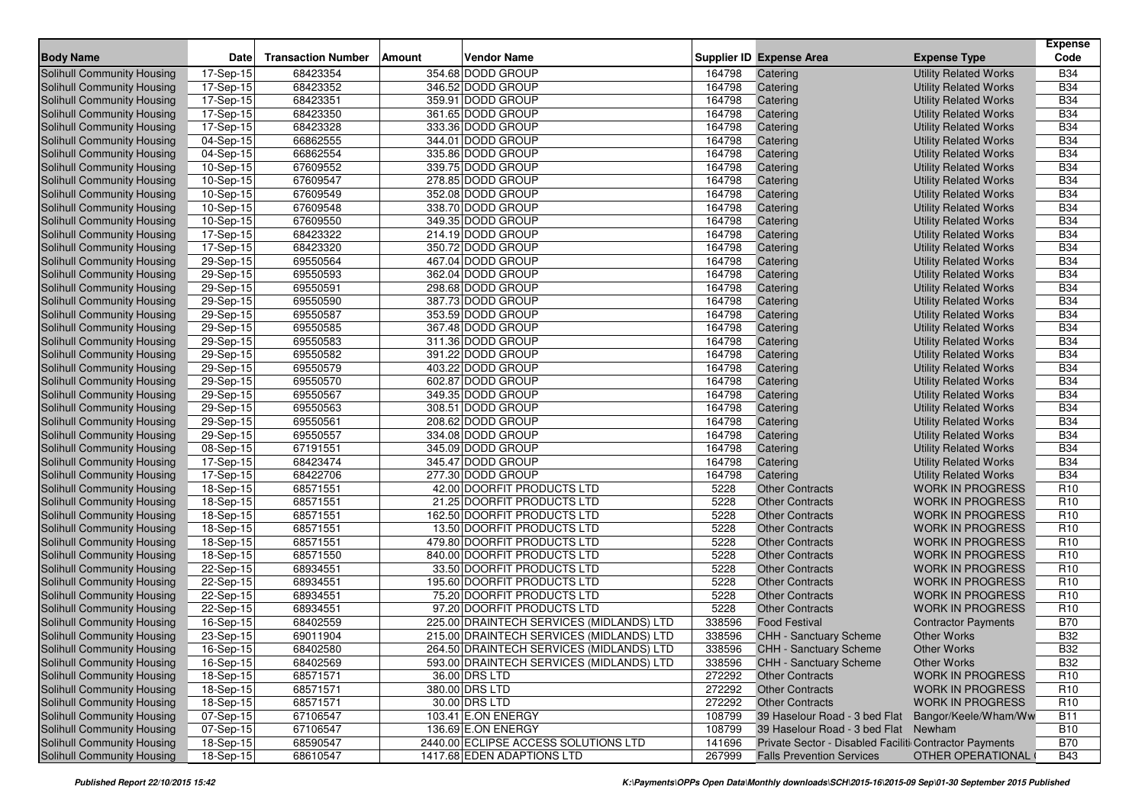| <b>Body Name</b>                  | <b>Date</b>             | <b>Transaction Number</b> | <b>Amount</b> | <b>Vendor Name</b>                       |        | <b>Supplier ID Expense Area</b>                        | <b>Expense Type</b>          | <b>Expense</b><br>Code |
|-----------------------------------|-------------------------|---------------------------|---------------|------------------------------------------|--------|--------------------------------------------------------|------------------------------|------------------------|
| <b>Solihull Community Housing</b> | 17-Sep-15               | 68423354                  |               | 354.68 DODD GROUP                        | 164798 | Catering                                               | <b>Utility Related Works</b> | <b>B34</b>             |
| Solihull Community Housing        | 17-Sep-15               | 68423352                  |               | 346.52 DODD GROUP                        | 164798 | Catering                                               | <b>Utility Related Works</b> | <b>B34</b>             |
| Solihull Community Housing        | 17-Sep-15               | 68423351                  |               | 359.91 DODD GROUP                        | 164798 | Catering                                               | <b>Utility Related Works</b> | <b>B34</b>             |
| Solihull Community Housing        | $\overline{17}$ -Sep-15 | 68423350                  |               | 361.65 DODD GROUP                        | 164798 | Catering                                               | <b>Utility Related Works</b> | <b>B34</b>             |
| Solihull Community Housing        | 17-Sep-15               | 68423328                  |               | 333.36 DODD GROUP                        | 164798 | Catering                                               | <b>Utility Related Works</b> | <b>B34</b>             |
| Solihull Community Housing        | 04-Sep-15               | 66862555                  |               | 344.01 DODD GROUP                        | 164798 | Catering                                               | <b>Utility Related Works</b> | <b>B34</b>             |
| Solihull Community Housing        | 04-Sep-15               | 66862554                  |               | 335.86 DODD GROUP                        | 164798 | Catering                                               | <b>Utility Related Works</b> | <b>B34</b>             |
| Solihull Community Housing        | 10-Sep-15               | 67609552                  |               | 339.75 DODD GROUP                        | 164798 | Catering                                               | <b>Utility Related Works</b> | <b>B34</b>             |
| Solihull Community Housing        | $10-Sep-15$             | 67609547                  |               | 278.85 DODD GROUP                        | 164798 | Catering                                               | <b>Utility Related Works</b> | <b>B34</b>             |
| Solihull Community Housing        | 10-Sep-15               | 67609549                  |               | 352.08 DODD GROUP                        | 164798 | Catering                                               | <b>Utility Related Works</b> | <b>B34</b>             |
| Solihull Community Housing        | 10-Sep-15               | 67609548                  |               | 338.70 DODD GROUP                        | 164798 | Catering                                               | <b>Utility Related Works</b> | <b>B34</b>             |
| Solihull Community Housing        | $10-Sep-15$             | 67609550                  |               | 349.35 DODD GROUP                        | 164798 | Catering                                               | <b>Utility Related Works</b> | <b>B34</b>             |
| Solihull Community Housing        | 17-Sep-15               | 68423322                  |               | 214.19 DODD GROUP                        | 164798 | Catering                                               | <b>Utility Related Works</b> | <b>B34</b>             |
| Solihull Community Housing        | $17-Sep-15$             | 68423320                  |               | 350.72 DODD GROUP                        | 164798 | Catering                                               | <b>Utility Related Works</b> | <b>B34</b>             |
| Solihull Community Housing        | 29-Sep-15               | 69550564                  |               | 467.04 DODD GROUP                        | 164798 | Catering                                               | <b>Utility Related Works</b> | <b>B34</b>             |
| Solihull Community Housing        | 29-Sep-15               | 69550593                  |               | 362.04 DODD GROUP                        | 164798 | Catering                                               | <b>Utility Related Works</b> | <b>B34</b>             |
| Solihull Community Housing        | $29-Sep-15$             | 69550591                  |               | 298.68 DODD GROUP                        | 164798 | Catering                                               | <b>Utility Related Works</b> | <b>B34</b>             |
| Solihull Community Housing        | 29-Sep-15               | 69550590                  |               | 387.73 DODD GROUP                        | 164798 | Catering                                               | <b>Utility Related Works</b> | <b>B34</b>             |
| Solihull Community Housing        | 29-Sep-15               | 69550587                  |               | 353.59 DODD GROUP                        | 164798 | Catering                                               | <b>Utility Related Works</b> | <b>B34</b>             |
| Solihull Community Housing        | 29-Sep-15               | 69550585                  |               | 367.48 DODD GROUP                        | 164798 | Catering                                               | <b>Utility Related Works</b> | <b>B34</b>             |
| Solihull Community Housing        | 29-Sep-15               | 69550583                  |               | 311.36 DODD GROUP                        | 164798 | Catering                                               | <b>Utility Related Works</b> | <b>B34</b>             |
| Solihull Community Housing        | 29-Sep-15               | 69550582                  |               | 391.22 DODD GROUP                        | 164798 | Catering                                               | <b>Utility Related Works</b> | <b>B34</b>             |
| Solihull Community Housing        | 29-Sep-15               | 69550579                  |               | 403.22 DODD GROUP                        | 164798 | Catering                                               | <b>Utility Related Works</b> | <b>B34</b>             |
| Solihull Community Housing        | 29-Sep-15               | 69550570                  |               | 602.87 DODD GROUP                        | 164798 | Catering                                               | <b>Utility Related Works</b> | <b>B34</b>             |
| Solihull Community Housing        | 29-Sep-15               | 69550567                  |               | 349.35 DODD GROUP                        | 164798 | Catering                                               | <b>Utility Related Works</b> | <b>B34</b>             |
| Solihull Community Housing        | $29-Sep-15$             | 69550563                  |               | 308.51 DODD GROUP                        | 164798 | Catering                                               | <b>Utility Related Works</b> | <b>B34</b>             |
| Solihull Community Housing        | 29-Sep-15               | 69550561                  |               | 208.62 DODD GROUP                        | 164798 | Catering                                               | <b>Utility Related Works</b> | <b>B34</b>             |
| Solihull Community Housing        | 29-Sep-15               | 69550557                  |               | 334.08 DODD GROUP                        | 164798 | Catering                                               | <b>Utility Related Works</b> | <b>B34</b>             |
| Solihull Community Housing        | 08-Sep-15               | 67191551                  |               | 345.09 DODD GROUP                        | 164798 | Catering                                               | <b>Utility Related Works</b> | <b>B34</b>             |
| Solihull Community Housing        | 17-Sep-15               | 68423474                  |               | 345.47 DODD GROUP                        | 164798 | Catering                                               | <b>Utility Related Works</b> | <b>B34</b>             |
| Solihull Community Housing        | 17-Sep-15               | 68422706                  |               | 277.30 DODD GROUP                        | 164798 | Catering                                               | <b>Utility Related Works</b> | <b>B34</b>             |
| Solihull Community Housing        | 18-Sep-15               | 68571551                  |               | 42.00 DOORFIT PRODUCTS LTD               | 5228   | <b>Other Contracts</b>                                 | <b>WORK IN PROGRESS</b>      | R <sub>10</sub>        |
| Solihull Community Housing        | 18-Sep-15               | 68571551                  |               | 21.25 DOORFIT PRODUCTS LTD               | 5228   | <b>Other Contracts</b>                                 | <b>WORK IN PROGRESS</b>      | R <sub>10</sub>        |
| <b>Solihull Community Housing</b> | 18-Sep-15               | 68571551                  |               | 162.50 DOORFIT PRODUCTS LTD              | 5228   | <b>Other Contracts</b>                                 | <b>WORK IN PROGRESS</b>      | R <sub>10</sub>        |
| Solihull Community Housing        | 18-Sep-15               | 68571551                  |               | 13.50 DOORFIT PRODUCTS LTD               | 5228   | <b>Other Contracts</b>                                 | <b>WORK IN PROGRESS</b>      | R <sub>10</sub>        |
| Solihull Community Housing        | 18-Sep-15               | 68571551                  |               | 479.80 DOORFIT PRODUCTS LTD              | 5228   | <b>Other Contracts</b>                                 | <b>WORK IN PROGRESS</b>      | R <sub>10</sub>        |
| Solihull Community Housing        | 18-Sep-15               | 68571550                  |               | 840.00 DOORFIT PRODUCTS LTD              | 5228   | <b>Other Contracts</b>                                 | <b>WORK IN PROGRESS</b>      | R <sub>10</sub>        |
| Solihull Community Housing        | 22-Sep-15               | 68934551                  |               | 33.50 DOORFIT PRODUCTS LTD               | 5228   | <b>Other Contracts</b>                                 | <b>WORK IN PROGRESS</b>      | R <sub>10</sub>        |
| <b>Solihull Community Housing</b> | 22-Sep-15               | 68934551                  |               | 195.60 DOORFIT PRODUCTS LTD              | 5228   | <b>Other Contracts</b>                                 | <b>WORK IN PROGRESS</b>      | R <sub>10</sub>        |
| Solihull Community Housing        | 22-Sep-15               | 68934551                  |               | 75.20 DOORFIT PRODUCTS LTD               | 5228   | <b>Other Contracts</b>                                 | <b>WORK IN PROGRESS</b>      | R <sub>10</sub>        |
| Solihull Community Housing        | 22-Sep-15               | 68934551                  |               | 97.20 DOORFIT PRODUCTS LTD               | 5228   | <b>Other Contracts</b>                                 | <b>WORK IN PROGRESS</b>      | R <sub>10</sub>        |
| Solihull Community Housing        | 16-Sep-15               | 68402559                  |               | 225.00 DRAINTECH SERVICES (MIDLANDS) LTD | 338596 | <b>Food Festival</b>                                   | <b>Contractor Payments</b>   | <b>B70</b>             |
| Solihull Community Housing        | 23-Sep-15               | 69011904                  |               | 215.00 DRAINTECH SERVICES (MIDLANDS) LTD | 338596 | CHH - Sanctuary Scheme                                 | <b>Other Works</b>           | <b>B32</b>             |
| Solihull Community Housing        | 16-Sep-15               | 68402580                  |               | 264.50 DRAINTECH SERVICES (MIDLANDS) LTD | 338596 | <b>CHH - Sanctuary Scheme</b>                          | Other Works                  | <b>B32</b>             |
| Solihull Community Housing        | 16-Sep-15               | 68402569                  |               | 593.00 DRAINTECH SERVICES (MIDLANDS) LTD | 338596 | <b>CHH - Sanctuary Scheme</b>                          | Other Works                  | <b>B32</b>             |
| Solihull Community Housing        | 18-Sep-15               | 68571571                  |               | 36.00 DRS LTD                            | 272292 | <b>Other Contracts</b>                                 | <b>WORK IN PROGRESS</b>      | R <sub>10</sub>        |
| Solihull Community Housing        | 18-Sep-15               | 68571571                  |               | 380.00 DRS LTD                           | 272292 | <b>Other Contracts</b>                                 | <b>WORK IN PROGRESS</b>      | R <sub>10</sub>        |
| Solihull Community Housing        | 18-Sep-15               | 68571571                  |               | 30.00 DRS LTD                            | 272292 | <b>Other Contracts</b>                                 | <b>WORK IN PROGRESS</b>      | R <sub>10</sub>        |
| Solihull Community Housing        | 07-Sep-15               | 67106547                  |               | 103.41 E.ON ENERGY                       | 108799 | 39 Haselour Road - 3 bed Flat                          | Bangor/Keele/Wham/Ww         | <b>B11</b>             |
| Solihull Community Housing        | 07-Sep-15               | 67106547                  |               | 136.69 E.ON ENERGY                       | 108799 | 39 Haselour Road - 3 bed Flat Newham                   |                              | <b>B10</b>             |
| Solihull Community Housing        | 18-Sep-15               | 68590547                  |               | 2440.00 ECLIPSE ACCESS SOLUTIONS LTD     | 141696 | Private Sector - Disabled Faciliti Contractor Payments |                              | <b>B70</b>             |
| Solihull Community Housing        | 18-Sep-15               | 68610547                  |               | 1417.68 EDEN ADAPTIONS LTD               | 267999 | <b>Falls Prevention Services</b>                       | OTHER OPERATIONAL            | <b>B43</b>             |
|                                   |                         |                           |               |                                          |        |                                                        |                              |                        |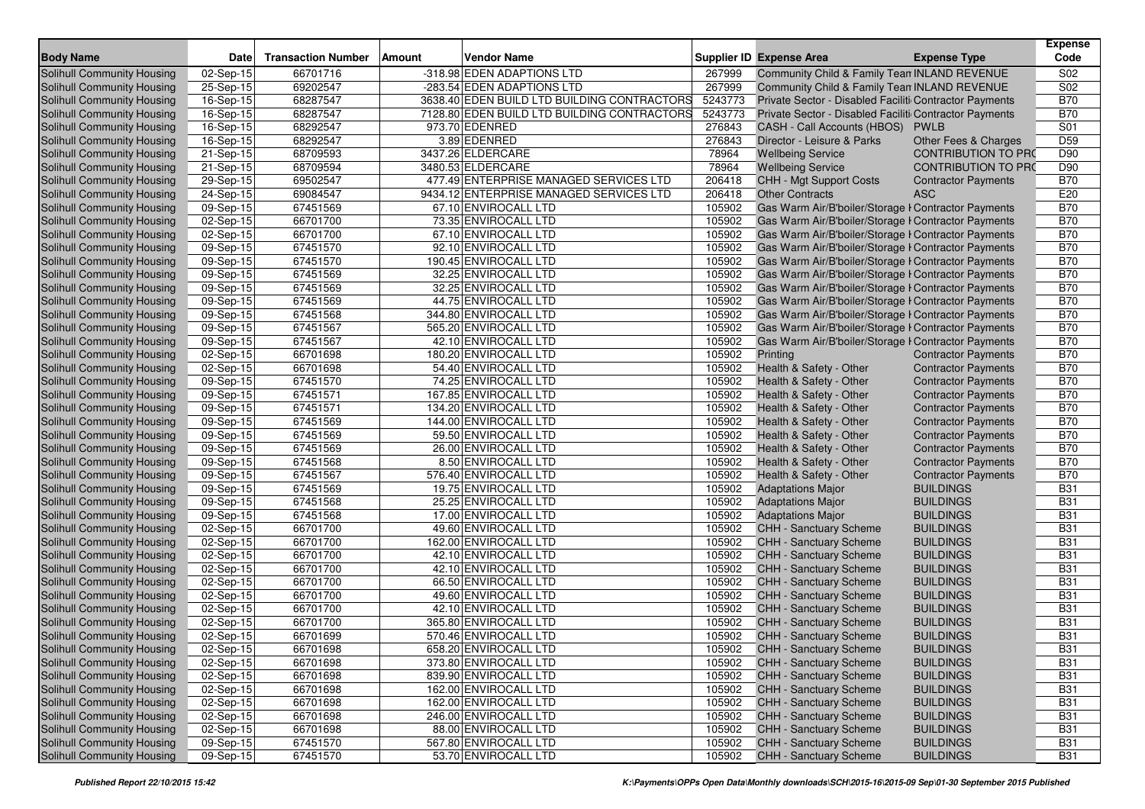| <b>Body Name</b>                  | <b>Date</b>             | <b>Transaction Number</b> | <b>Amount</b> | <b>Vendor Name</b>                          |         | <b>Supplier ID Expense Area</b>                        | <b>Expense Type</b>        | <b>Expense</b><br>Code |
|-----------------------------------|-------------------------|---------------------------|---------------|---------------------------------------------|---------|--------------------------------------------------------|----------------------------|------------------------|
| <b>Solihull Community Housing</b> | 02-Sep-15               | 66701716                  |               | -318.98 EDEN ADAPTIONS LTD                  | 267999  | Community Child & Family Tean INLAND REVENUE           |                            | S02                    |
| Solihull Community Housing        | 25-Sep-15               | 69202547                  |               | -283.54 EDEN ADAPTIONS LTD                  | 267999  | Community Child & Family Tean INLAND REVENUE           |                            | S <sub>02</sub>        |
| Solihull Community Housing        | 16-Sep-15               | 68287547                  |               | 3638.40 EDEN BUILD LTD BUILDING CONTRACTORS | 5243773 | Private Sector - Disabled Faciliti Contractor Payments |                            | <b>B70</b>             |
| Solihull Community Housing        | 16-Sep-15               | 68287547                  |               | 7128.80 EDEN BUILD LTD BUILDING CONTRACTORS | 5243773 | Private Sector - Disabled Faciliti Contractor Payments |                            | <b>B70</b>             |
| Solihull Community Housing        | 16-Sep-15               | 68292547                  |               | 973.70 EDENRED                              | 276843  | CASH - Call Accounts (HBOS)                            | <b>PWLB</b>                | S01                    |
| Solihull Community Housing        | 16-Sep-15               | 68292547                  |               | 3.89 EDENRED                                | 276843  | Director - Leisure & Parks                             | Other Fees & Charges       | D <sub>59</sub>        |
| Solihull Community Housing        | 21-Sep-15               | 68709593                  |               | 3437.26 ELDERCARE                           | 78964   | <b>Wellbeing Service</b>                               | <b>CONTRIBUTION TO PRO</b> | D90                    |
| Solihull Community Housing        | 21-Sep-15               | 68709594                  |               | 3480.53 ELDERCARE                           | 78964   | <b>Wellbeing Service</b>                               | <b>CONTRIBUTION TO PRO</b> | D90                    |
| Solihull Community Housing        | 29-Sep-15               | 69502547                  |               | 477.49 ENTERPRISE MANAGED SERVICES LTD      | 206418  | CHH - Mgt Support Costs                                | <b>Contractor Payments</b> | <b>B70</b>             |
| Solihull Community Housing        | 24-Sep-15               | 69084547                  |               | 9434.12 ENTERPRISE MANAGED SERVICES LTD     | 206418  | <b>Other Contracts</b>                                 | <b>ASC</b>                 | E20                    |
| Solihull Community Housing        | 09-Sep-15               | 67451569                  |               | 67.10 ENVIROCALL LTD                        | 105902  | Gas Warm Air/B'boiler/Storage I Contractor Payments    |                            | <b>B70</b>             |
| Solihull Community Housing        | 02-Sep-15               | 66701700                  |               | 73.35 ENVIROCALL LTD                        | 105902  | Gas Warm Air/B'boiler/Storage I Contractor Payments    |                            | <b>B70</b>             |
| Solihull Community Housing        | 02-Sep-15               | 66701700                  |               | 67.10 ENVIROCALL LTD                        | 105902  | Gas Warm Air/B'boiler/Storage I Contractor Payments    |                            | <b>B70</b>             |
| Solihull Community Housing        | 09-Sep-15               | 67451570                  |               | 92.10 ENVIROCALL LTD                        | 105902  | Gas Warm Air/B'boiler/Storage I Contractor Payments    |                            | <b>B70</b>             |
| Solihull Community Housing        | $\overline{0}9$ -Sep-15 | 67451570                  |               | 190.45 ENVIROCALL LTD                       | 105902  | Gas Warm Air/B'boiler/Storage I Contractor Payments    |                            | <b>B70</b>             |
| Solihull Community Housing        | 09-Sep-15               | 67451569                  |               | 32.25 ENVIROCALL LTD                        | 105902  | Gas Warm Air/B'boiler/Storage I Contractor Payments    |                            | <b>B70</b>             |
| Solihull Community Housing        | 09-Sep-15               | 67451569                  |               | 32.25 ENVIROCALL LTD                        | 105902  | Gas Warm Air/B'boiler/Storage I Contractor Payments    |                            | <b>B70</b>             |
| Solihull Community Housing        | $\overline{09}$ -Sep-15 | 67451569                  |               | 44.75 ENVIROCALL LTD                        | 105902  | Gas Warm Air/B'boiler/Storage I Contractor Payments    |                            | <b>B70</b>             |
| Solihull Community Housing        | 09-Sep-15               | 67451568                  |               | 344.80 ENVIROCALL LTD                       | 105902  | Gas Warm Air/B'boiler/Storage I Contractor Payments    |                            | <b>B70</b>             |
| Solihull Community Housing        | 09-Sep-15               | 67451567                  |               | 565.20 ENVIROCALL LTD                       | 105902  | Gas Warm Air/B'boiler/Storage I Contractor Payments    |                            | <b>B70</b>             |
| Solihull Community Housing        | 09-Sep-15               | 67451567                  |               | 42.10 ENVIROCALL LTD                        | 105902  | Gas Warm Air/B'boiler/Storage I Contractor Payments    |                            | <b>B70</b>             |
| Solihull Community Housing        | 02-Sep-15               | 66701698                  |               | 180.20 ENVIROCALL LTD                       | 105902  | Printing                                               | <b>Contractor Payments</b> | <b>B70</b>             |
| Solihull Community Housing        | 02-Sep-15               | 66701698                  |               | 54.40 ENVIROCALL LTD                        | 105902  | Health & Safety - Other                                | <b>Contractor Payments</b> | <b>B70</b>             |
| Solihull Community Housing        | 09-Sep-15               | 67451570                  |               | 74.25 ENVIROCALL LTD                        | 105902  | Health & Safety - Other                                | <b>Contractor Payments</b> | <b>B70</b>             |
| Solihull Community Housing        | 09-Sep-15               | 67451571                  |               | 167.85 ENVIROCALL LTD                       | 105902  | Health & Safety - Other                                | <b>Contractor Payments</b> | <b>B70</b>             |
| Solihull Community Housing        | 09-Sep-15               | 67451571                  |               | 134.20 ENVIROCALL LTD                       | 105902  | Health & Safety - Other                                | <b>Contractor Payments</b> | <b>B70</b>             |
| Solihull Community Housing        | 09-Sep-15               | 67451569                  |               | 144.00 ENVIROCALL LTD                       | 105902  | Health & Safety - Other                                | <b>Contractor Payments</b> | <b>B70</b>             |
| Solihull Community Housing        | 09-Sep-15               | 67451569                  |               | 59.50 ENVIROCALL LTD                        | 105902  | Health & Safety - Other                                | <b>Contractor Payments</b> | <b>B70</b>             |
| Solihull Community Housing        | 09-Sep-15               | 67451569                  |               | 26.00 ENVIROCALL LTD                        | 105902  | Health & Safety - Other                                | <b>Contractor Payments</b> | <b>B70</b>             |
| Solihull Community Housing        | 09-Sep-15               | 67451568                  |               | 8.50 ENVIROCALL LTD                         | 105902  | Health & Safety - Other                                | <b>Contractor Payments</b> | <b>B70</b>             |
| Solihull Community Housing        | 09-Sep-15               | 67451567                  |               | 576.40 ENVIROCALL LTD                       | 105902  | Health & Safety - Other                                | <b>Contractor Payments</b> | <b>B70</b>             |
| Solihull Community Housing        | 09-Sep-15               | 67451569                  |               | 19.75 ENVIROCALL LTD                        | 105902  | <b>Adaptations Major</b>                               | <b>BUILDINGS</b>           | <b>B31</b>             |
| Solihull Community Housing        | 09-Sep-15               | 67451568                  |               | 25.25 ENVIROCALL LTD                        | 105902  | <b>Adaptations Major</b>                               | <b>BUILDINGS</b>           | <b>B31</b>             |
| Solihull Community Housing        | 09-Sep-15               | 67451568                  |               | 17.00 ENVIROCALL LTD                        | 105902  | <b>Adaptations Major</b>                               | <b>BUILDINGS</b>           | <b>B31</b>             |
| Solihull Community Housing        | 02-Sep-15               | 66701700                  |               | 49.60 ENVIROCALL LTD                        | 105902  | CHH - Sanctuary Scheme                                 | <b>BUILDINGS</b>           | <b>B31</b>             |
| Solihull Community Housing        | 02-Sep-15               | 66701700                  |               | 162.00 ENVIROCALL LTD                       | 105902  | CHH - Sanctuary Scheme                                 | <b>BUILDINGS</b>           | <b>B31</b>             |
| Solihull Community Housing        | 02-Sep-15               | 66701700                  |               | 42.10 ENVIROCALL LTD                        | 105902  | <b>CHH - Sanctuary Scheme</b>                          | <b>BUILDINGS</b>           | <b>B31</b>             |
| Solihull Community Housing        | 02-Sep-15               | 66701700                  |               | 42.10 ENVIROCALL LTD                        | 105902  | CHH - Sanctuary Scheme                                 | <b>BUILDINGS</b>           | <b>B31</b>             |
| Solihull Community Housing        | 02-Sep-15               | 66701700                  |               | 66.50 ENVIROCALL LTD                        | 105902  | CHH - Sanctuary Scheme                                 | <b>BUILDINGS</b>           | <b>B31</b>             |
| Solihull Community Housing        | 02-Sep-15               | 66701700                  |               | 49.60 ENVIROCALL LTD                        | 105902  | <b>CHH - Sanctuary Scheme</b>                          | <b>BUILDINGS</b>           | <b>B31</b>             |
| Solihull Community Housing        | 02-Sep-15               | 66701700                  |               | 42.10 ENVIROCALL LTD                        | 105902  | <b>CHH - Sanctuary Scheme</b>                          | <b>BUILDINGS</b>           | <b>B31</b>             |
| Solihull Community Housing        | 02-Sep-15               | 66701700                  |               | 365.80 ENVIROCALL LTD                       | 105902  | CHH - Sanctuary Scheme                                 | <b>BUILDINGS</b>           | <b>B31</b>             |
| Solihull Community Housing        | 02-Sep-15               | 66701699                  |               | 570.46 ENVIROCALL LTD                       | 105902  | <b>CHH - Sanctuary Scheme</b>                          | <b>BUILDINGS</b>           | <b>B31</b>             |
| Solihull Community Housing        | 02-Sep-15               | 66701698                  |               | 658.20 ENVIROCALL LTD                       |         | 105902 CHH - Sanctuary Scheme                          | <b>BUILDINGS</b>           | <b>B31</b>             |
| Solihull Community Housing        | 02-Sep-15               | 66701698                  |               | 373.80 ENVIROCALL LTD                       | 105902  | <b>CHH - Sanctuary Scheme</b>                          | <b>BUILDINGS</b>           | <b>B31</b>             |
| Solihull Community Housing        | 02-Sep-15               | 66701698                  |               | 839.90 ENVIROCALL LTD                       | 105902  | CHH - Sanctuary Scheme                                 | <b>BUILDINGS</b>           | <b>B31</b>             |
| Solihull Community Housing        | 02-Sep-15               | 66701698                  |               | 162.00 ENVIROCALL LTD                       | 105902  | CHH - Sanctuary Scheme                                 | <b>BUILDINGS</b>           | <b>B31</b>             |
| Solihull Community Housing        | 02-Sep-15               | 66701698                  |               | 162.00 ENVIROCALL LTD                       | 105902  | CHH - Sanctuary Scheme                                 | <b>BUILDINGS</b>           | <b>B31</b>             |
| Solihull Community Housing        | 02-Sep-15               | 66701698                  |               | 246.00 ENVIROCALL LTD                       | 105902  | CHH - Sanctuary Scheme                                 | <b>BUILDINGS</b>           | <b>B31</b>             |
| Solihull Community Housing        | 02-Sep-15               | 66701698                  |               | 88.00 ENVIROCALL LTD                        | 105902  | <b>CHH - Sanctuary Scheme</b>                          | <b>BUILDINGS</b>           | <b>B31</b>             |
| Solihull Community Housing        | 09-Sep-15               | 67451570                  |               | 567.80 ENVIROCALL LTD                       | 105902  | CHH - Sanctuary Scheme                                 | <b>BUILDINGS</b>           | <b>B31</b>             |
| Solihull Community Housing        | 09-Sep-15               | 67451570                  |               | 53.70 ENVIROCALL LTD                        | 105902  | <b>CHH - Sanctuary Scheme</b>                          | <b>BUILDINGS</b>           | <b>B31</b>             |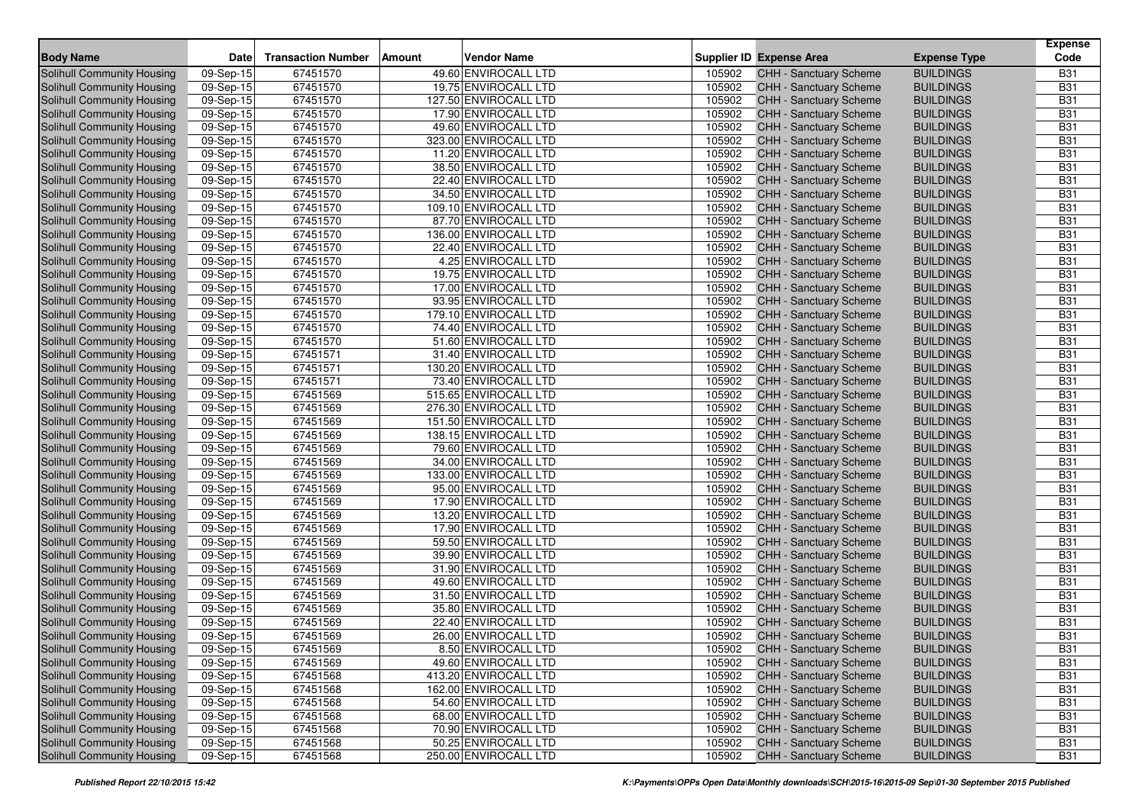| <b>Body Name</b>                  | <b>Date</b>             | <b>Transaction Number</b> | <b>Vendor Name</b><br><b>Amount</b> |        | <b>Supplier ID Expense Area</b> | <b>Expense Type</b> | <b>Expense</b><br>Code |
|-----------------------------------|-------------------------|---------------------------|-------------------------------------|--------|---------------------------------|---------------------|------------------------|
| <b>Solihull Community Housing</b> | 09-Sep-15               | 67451570                  | 49.60 ENVIROCALL LTD                | 105902 | CHH - Sanctuary Scheme          | <b>BUILDINGS</b>    | <b>B31</b>             |
| <b>Solihull Community Housing</b> | 09-Sep-15               | 67451570                  | 19.75 ENVIROCALL LTD                | 105902 | <b>CHH - Sanctuary Scheme</b>   | <b>BUILDINGS</b>    | <b>B31</b>             |
| Solihull Community Housing        | 09-Sep-15               | 67451570                  | 127.50 ENVIROCALL LTD               | 105902 | CHH - Sanctuary Scheme          | <b>BUILDINGS</b>    | <b>B31</b>             |
| Solihull Community Housing        | 09-Sep-15               | 67451570                  | 17.90 ENVIROCALL LTD                | 105902 | <b>CHH - Sanctuary Scheme</b>   | <b>BUILDINGS</b>    | <b>B31</b>             |
| Solihull Community Housing        | 09-Sep-15               | 67451570                  | 49.60 ENVIROCALL LTD                | 105902 | CHH - Sanctuary Scheme          | <b>BUILDINGS</b>    | <b>B31</b>             |
| Solihull Community Housing        | 09-Sep-15               | 67451570                  | 323.00 ENVIROCALL LTD               | 105902 | <b>CHH - Sanctuary Scheme</b>   | <b>BUILDINGS</b>    | <b>B31</b>             |
| Solihull Community Housing        | 09-Sep-15               | 67451570                  | 11.20 ENVIROCALL LTD                | 105902 | CHH - Sanctuary Scheme          | <b>BUILDINGS</b>    | <b>B31</b>             |
| Solihull Community Housing        | 09-Sep-15               | 67451570                  | 38.50 ENVIROCALL LTD                | 105902 | CHH - Sanctuary Scheme          | <b>BUILDINGS</b>    | <b>B31</b>             |
| Solihull Community Housing        | 09-Sep-15               | 67451570                  | 22.40 ENVIROCALL LTD                | 105902 | CHH - Sanctuary Scheme          | <b>BUILDINGS</b>    | <b>B31</b>             |
| Solihull Community Housing        | 09-Sep-15               | 67451570                  | 34.50 ENVIROCALL LTD                | 105902 | <b>CHH - Sanctuary Scheme</b>   | <b>BUILDINGS</b>    | <b>B31</b>             |
| Solihull Community Housing        | 09-Sep-15               | 67451570                  | 109.10 ENVIROCALL LTD               | 105902 | CHH - Sanctuary Scheme          | <b>BUILDINGS</b>    | <b>B31</b>             |
| Solihull Community Housing        | $\overline{09}$ -Sep-15 | 67451570                  | 87.70 ENVIROCALL LTD                | 105902 | CHH - Sanctuary Scheme          | <b>BUILDINGS</b>    | <b>B31</b>             |
| Solihull Community Housing        | 09-Sep-15               | 67451570                  | 136.00 ENVIROCALL LTD               | 105902 | CHH - Sanctuary Scheme          | <b>BUILDINGS</b>    | <b>B31</b>             |
| Solihull Community Housing        | 09-Sep-15               | 67451570                  | 22.40 ENVIROCALL LTD                | 105902 | CHH - Sanctuary Scheme          | <b>BUILDINGS</b>    | <b>B31</b>             |
| Solihull Community Housing        | 09-Sep-15               | 67451570                  | 4.25 ENVIROCALL LTD                 | 105902 | CHH - Sanctuary Scheme          | <b>BUILDINGS</b>    | <b>B31</b>             |
| Solihull Community Housing        | 09-Sep-15               | 67451570                  | 19.75 ENVIROCALL LTD                | 105902 | CHH - Sanctuary Scheme          | <b>BUILDINGS</b>    | <b>B31</b>             |
| <b>Solihull Community Housing</b> | 09-Sep-15               | 67451570                  | 17.00 ENVIROCALL LTD                | 105902 | CHH - Sanctuary Scheme          | <b>BUILDINGS</b>    | <b>B31</b>             |
| Solihull Community Housing        | 09-Sep-15               | 67451570                  | 93.95 ENVIROCALL LTD                | 105902 | CHH - Sanctuary Scheme          | <b>BUILDINGS</b>    | <b>B31</b>             |
| Solihull Community Housing        | 09-Sep-15               | 67451570                  | 179.10 ENVIROCALL LTD               | 105902 | CHH - Sanctuary Scheme          | <b>BUILDINGS</b>    | <b>B31</b>             |
| Solihull Community Housing        | $\overline{09}$ -Sep-15 | 67451570                  | 74.40 ENVIROCALL LTD                | 105902 | CHH - Sanctuary Scheme          | <b>BUILDINGS</b>    | <b>B31</b>             |
| Solihull Community Housing        | 09-Sep-15               | 67451570                  | 51.60 ENVIROCALL LTD                | 105902 | CHH - Sanctuary Scheme          | <b>BUILDINGS</b>    | <b>B31</b>             |
| Solihull Community Housing        | 09-Sep-15               | 67451571                  | 31.40 ENVIROCALL LTD                | 105902 | CHH - Sanctuary Scheme          | <b>BUILDINGS</b>    | <b>B31</b>             |
| Solihull Community Housing        | 09-Sep-15               | 67451571                  | 130.20 ENVIROCALL LTD               | 105902 | CHH - Sanctuary Scheme          | <b>BUILDINGS</b>    | <b>B31</b>             |
| Solihull Community Housing        | 09-Sep-15               | 67451571                  | 73.40 ENVIROCALL LTD                | 105902 | <b>CHH - Sanctuary Scheme</b>   | <b>BUILDINGS</b>    | <b>B31</b>             |
| Solihull Community Housing        | 09-Sep-15               | 67451569                  | 515.65 ENVIROCALL LTD               | 105902 | CHH - Sanctuary Scheme          | <b>BUILDINGS</b>    | <b>B31</b>             |
| Solihull Community Housing        | 09-Sep-15               | 67451569                  | 276.30 ENVIROCALL LTD               | 105902 | CHH - Sanctuary Scheme          | <b>BUILDINGS</b>    | <b>B31</b>             |
| Solihull Community Housing        | 09-Sep-15               | 67451569                  | 151.50 ENVIROCALL LTD               | 105902 | CHH - Sanctuary Scheme          | <b>BUILDINGS</b>    | <b>B31</b>             |
| Solihull Community Housing        | 09-Sep-15               | 67451569                  | 138.15 ENVIROCALL LTD               | 105902 | CHH - Sanctuary Scheme          | <b>BUILDINGS</b>    | <b>B31</b>             |
| Solihull Community Housing        | 09-Sep-15               | 67451569                  | 79.60 ENVIROCALL LTD                | 105902 | CHH - Sanctuary Scheme          | <b>BUILDINGS</b>    | <b>B31</b>             |
| Solihull Community Housing        | 09-Sep-15               | 67451569                  | 34.00 ENVIROCALL LTD                | 105902 | CHH - Sanctuary Scheme          | <b>BUILDINGS</b>    | <b>B31</b>             |
| Solihull Community Housing        | 09-Sep-15               | 67451569                  | 133.00 ENVIROCALL LTD               | 105902 | CHH - Sanctuary Scheme          | <b>BUILDINGS</b>    | <b>B31</b>             |
| Solihull Community Housing        | 09-Sep-15               | 67451569                  | 95.00 ENVIROCALL LTD                | 105902 | CHH - Sanctuary Scheme          | <b>BUILDINGS</b>    | <b>B31</b>             |
| Solihull Community Housing        | 09-Sep-15               | 67451569                  | 17.90 ENVIROCALL LTD                | 105902 | CHH - Sanctuary Scheme          | <b>BUILDINGS</b>    | <b>B31</b>             |
| Solihull Community Housing        | 09-Sep-15               | 67451569                  | 13.20 ENVIROCALL LTD                | 105902 | CHH - Sanctuary Scheme          | <b>BUILDINGS</b>    | <b>B31</b>             |
| Solihull Community Housing        | 09-Sep-15               | 67451569                  | 17.90 ENVIROCALL LTD                | 105902 | <b>CHH - Sanctuary Scheme</b>   | <b>BUILDINGS</b>    | <b>B31</b>             |
| Solihull Community Housing        | 09-Sep-15               | 67451569                  | 59.50 ENVIROCALL LTD                | 105902 | CHH - Sanctuary Scheme          | <b>BUILDINGS</b>    | <b>B31</b>             |
| Solihull Community Housing        | 09-Sep-15               | 67451569                  | 39.90 ENVIROCALL LTD                | 105902 | CHH - Sanctuary Scheme          | <b>BUILDINGS</b>    | <b>B31</b>             |
| Solihull Community Housing        | 09-Sep-15               | 67451569                  | 31.90 ENVIROCALL LTD                | 105902 | CHH - Sanctuary Scheme          | <b>BUILDINGS</b>    | <b>B31</b>             |
| Solihull Community Housing        | 09-Sep-15               | 67451569                  | 49.60 ENVIROCALL LTD                | 105902 | CHH - Sanctuary Scheme          | <b>BUILDINGS</b>    | <b>B31</b>             |
| Solihull Community Housing        | 09-Sep-15               | 67451569                  | 31.50 ENVIROCALL LTD                | 105902 | CHH - Sanctuary Scheme          | <b>BUILDINGS</b>    | <b>B31</b>             |
| Solihull Community Housing        | 09-Sep-15               | 67451569                  | 35.80 ENVIROCALL LTD                | 105902 | CHH - Sanctuary Scheme          | <b>BUILDINGS</b>    | <b>B31</b>             |
| <b>Solihull Community Housing</b> | 09-Sep-15               | 67451569                  | 22.40 ENVIROCALL LTD                | 105902 | CHH - Sanctuary Scheme          | <b>BUILDINGS</b>    | <b>B31</b>             |
| Solihull Community Housing        | 09-Sep-15               | 67451569                  | 26.00 ENVIROCALL LTD                | 105902 | <b>CHH - Sanctuary Scheme</b>   | <b>BUILDINGS</b>    | <b>B31</b>             |
| Solihull Community Housing        | 09-Sep-15               | 67451569                  | 8.50 ENVIROCALL LTD                 | 105902 | CHH - Sanctuary Scheme          | <b>BUILDINGS</b>    | <b>B31</b>             |
| Solihull Community Housing        | 09-Sep-15               | 67451569                  | 49.60 ENVIROCALL LTD                | 105902 | <b>CHH - Sanctuary Scheme</b>   | <b>BUILDINGS</b>    | <b>B31</b>             |
| Solihull Community Housing        | 09-Sep-15               | 67451568                  | 413.20 ENVIROCALL LTD               | 105902 | CHH - Sanctuary Scheme          | <b>BUILDINGS</b>    | <b>B31</b>             |
| Solihull Community Housing        | 09-Sep-15               | 67451568                  | 162.00 ENVIROCALL LTD               | 105902 | CHH - Sanctuary Scheme          | <b>BUILDINGS</b>    | <b>B31</b>             |
| Solihull Community Housing        | 09-Sep-15               | 67451568                  | 54.60 ENVIROCALL LTD                | 105902 | CHH - Sanctuary Scheme          | <b>BUILDINGS</b>    | <b>B31</b>             |
| Solihull Community Housing        | 09-Sep-15               | 67451568                  | 68.00 ENVIROCALL LTD                | 105902 | CHH - Sanctuary Scheme          | <b>BUILDINGS</b>    | <b>B31</b>             |
| Solihull Community Housing        | 09-Sep-15               | 67451568                  | 70.90 ENVIROCALL LTD                | 105902 | CHH - Sanctuary Scheme          | <b>BUILDINGS</b>    | <b>B31</b>             |
| Solihull Community Housing        | 09-Sep-15               | 67451568                  | 50.25 ENVIROCALL LTD                | 105902 | CHH - Sanctuary Scheme          | <b>BUILDINGS</b>    | <b>B31</b>             |
| Solihull Community Housing        | 09-Sep-15               | 67451568                  | 250.00 ENVIROCALL LTD               | 105902 | <b>CHH - Sanctuary Scheme</b>   | <b>BUILDINGS</b>    | <b>B31</b>             |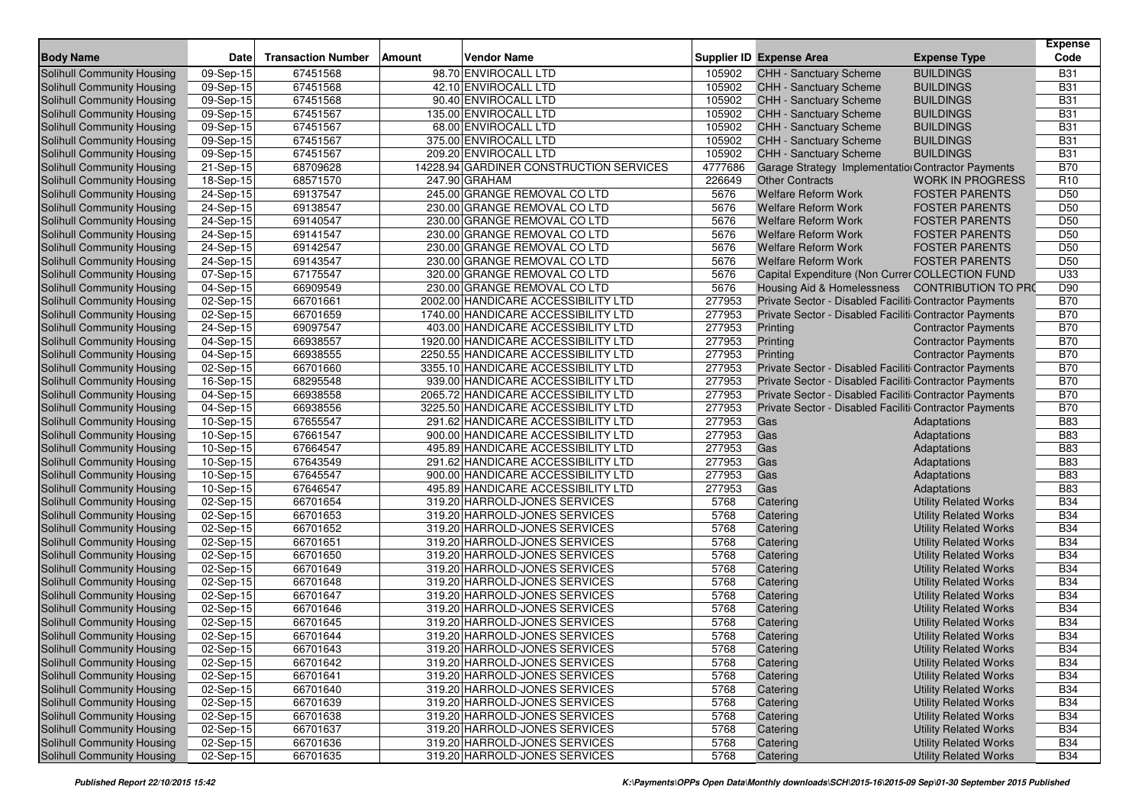| <b>Body Name</b>                  | <b>Date</b> | <b>Transaction Number</b> | <b>Amount</b> | <b>Vendor Name</b>                      |         | <b>Supplier ID Expense Area</b>                        | <b>Expense Type</b>          | <b>Expense</b><br>Code |
|-----------------------------------|-------------|---------------------------|---------------|-----------------------------------------|---------|--------------------------------------------------------|------------------------------|------------------------|
| Solihull Community Housing        | 09-Sep-15   | 67451568                  |               | 98.70 ENVIROCALL LTD                    | 105902  | CHH - Sanctuary Scheme                                 | <b>BUILDINGS</b>             | <b>B31</b>             |
| Solihull Community Housing        | 09-Sep-15   | 67451568                  |               | 42.10 ENVIROCALL LTD                    | 105902  | <b>CHH - Sanctuary Scheme</b>                          | <b>BUILDINGS</b>             | <b>B31</b>             |
| Solihull Community Housing        | 09-Sep-15   | 67451568                  |               | 90.40 ENVIROCALL LTD                    | 105902  | CHH - Sanctuary Scheme                                 | <b>BUILDINGS</b>             | <b>B31</b>             |
| Solihull Community Housing        | 09-Sep-15   | 67451567                  |               | 135.00 ENVIROCALL LTD                   | 105902  | CHH - Sanctuary Scheme                                 | <b>BUILDINGS</b>             | <b>B31</b>             |
| Solihull Community Housing        | 09-Sep-15   | 67451567                  |               | 68.00 ENVIROCALL LTD                    | 105902  | CHH - Sanctuary Scheme                                 | <b>BUILDINGS</b>             | <b>B31</b>             |
| Solihull Community Housing        | 09-Sep-15   | 67451567                  |               | 375.00 ENVIROCALL LTD                   | 105902  | CHH - Sanctuary Scheme                                 | <b>BUILDINGS</b>             | <b>B31</b>             |
| Solihull Community Housing        | 09-Sep-15   | 67451567                  |               | 209.20 ENVIROCALL LTD                   | 105902  | CHH - Sanctuary Scheme                                 | <b>BUILDINGS</b>             | <b>B31</b>             |
| Solihull Community Housing        | 21-Sep-15   | 68709628                  |               | 14228.94 GARDINER CONSTRUCTION SERVICES | 4777686 | Garage Strategy Implementation Contractor Payments     |                              | <b>B70</b>             |
| Solihull Community Housing        | 18-Sep-15   | 68571570                  |               | 247.90 GRAHAM                           | 226649  | <b>Other Contracts</b>                                 | <b>WORK IN PROGRESS</b>      | R <sub>10</sub>        |
| Solihull Community Housing        | 24-Sep-15   | 69137547                  |               | 245.00 GRANGE REMOVAL CO LTD            | 5676    | <b>Welfare Reform Work</b>                             | <b>FOSTER PARENTS</b>        | D <sub>50</sub>        |
| Solihull Community Housing        | 24-Sep-15   | 69138547                  |               | 230.00 GRANGE REMOVAL CO LTD            | 5676    | <b>Welfare Reform Work</b>                             | <b>FOSTER PARENTS</b>        | D <sub>50</sub>        |
| Solihull Community Housing        | 24-Sep-15   | 69140547                  |               | 230.00 GRANGE REMOVAL CO LTD            | 5676    | <b>Welfare Reform Work</b>                             | <b>FOSTER PARENTS</b>        | D <sub>50</sub>        |
| Solihull Community Housing        | 24-Sep-15   | 69141547                  |               | 230.00 GRANGE REMOVAL CO LTD            | 5676    | <b>Welfare Reform Work</b>                             | <b>FOSTER PARENTS</b>        | D <sub>50</sub>        |
| Solihull Community Housing        | 24-Sep-15   | 69142547                  |               | 230.00 GRANGE REMOVAL CO LTD            | 5676    | <b>Welfare Reform Work</b>                             | <b>FOSTER PARENTS</b>        | D <sub>50</sub>        |
| Solihull Community Housing        | 24-Sep-15   | 69143547                  |               | 230.00 GRANGE REMOVAL CO LTD            | 5676    | <b>Welfare Reform Work</b>                             | <b>FOSTER PARENTS</b>        | D <sub>50</sub>        |
| Solihull Community Housing        | 07-Sep-15   | 67175547                  |               | 320.00 GRANGE REMOVAL CO LTD            | 5676    | Capital Expenditure (Non Currer COLLECTION FUND        |                              | U33                    |
| Solihull Community Housing        | 04-Sep-15   | 66909549                  |               | 230.00 GRANGE REMOVAL CO LTD            | 5676    | Housing Aid & Homelessness CONTRIBUTION TO PRO         |                              | D90                    |
| Solihull Community Housing        | 02-Sep-15   | 66701661                  |               | 2002.00 HANDICARE ACCESSIBILITY LTD     | 277953  | Private Sector - Disabled Faciliti Contractor Payments |                              | <b>B70</b>             |
| Solihull Community Housing        | 02-Sep-15   | 66701659                  |               | 1740.00 HANDICARE ACCESSIBILITY LTD     | 277953  | Private Sector - Disabled Faciliti Contractor Payments |                              | <b>B70</b>             |
| Solihull Community Housing        | 24-Sep-15   | 69097547                  |               | 403.00 HANDICARE ACCESSIBILITY LTD      | 277953  | Printing                                               | <b>Contractor Payments</b>   | <b>B70</b>             |
| Solihull Community Housing        | 04-Sep-15   | 66938557                  |               | 1920.00 HANDICARE ACCESSIBILITY LTD     | 277953  | Printing                                               | <b>Contractor Payments</b>   | <b>B70</b>             |
| Solihull Community Housing        | 04-Sep-15   | 66938555                  |               | 2250.55 HANDICARE ACCESSIBILITY LTD     | 277953  | Printing                                               | <b>Contractor Payments</b>   | <b>B70</b>             |
| Solihull Community Housing        | 02-Sep-15   | 66701660                  |               | 3355.10 HANDICARE ACCESSIBILITY LTD     | 277953  | Private Sector - Disabled Faciliti Contractor Payments |                              | <b>B70</b>             |
| Solihull Community Housing        | 16-Sep-15   | 68295548                  |               | 939.00 HANDICARE ACCESSIBILITY LTD      | 277953  | Private Sector - Disabled Faciliti Contractor Payments |                              | <b>B70</b>             |
| Solihull Community Housing        | 04-Sep-15   | 66938558                  |               | 2065.72 HANDICARE ACCESSIBILITY LTD     | 277953  | Private Sector - Disabled Faciliti Contractor Payments |                              | <b>B70</b>             |
| Solihull Community Housing        | 04-Sep-15   | 66938556                  |               | 3225.50 HANDICARE ACCESSIBILITY LTD     | 277953  | Private Sector - Disabled Faciliti Contractor Payments |                              | <b>B70</b>             |
| Solihull Community Housing        | 10-Sep-15   | 67655547                  |               | 291.62 HANDICARE ACCESSIBILITY LTD      | 277953  | Gas                                                    | Adaptations                  | <b>B83</b>             |
| Solihull Community Housing        | 10-Sep-15   | 67661547                  |               | 900.00 HANDICARE ACCESSIBILITY LTD      | 277953  | Gas                                                    | Adaptations                  | <b>B83</b>             |
| Solihull Community Housing        | 10-Sep-15   | 67664547                  |               | 495.89 HANDICARE ACCESSIBILITY LTD      | 277953  | Gas                                                    | Adaptations                  | <b>B83</b>             |
| Solihull Community Housing        | 10-Sep-15   | 67643549                  |               | 291.62 HANDICARE ACCESSIBILITY LTD      | 277953  | Gas                                                    | Adaptations                  | <b>B83</b>             |
| Solihull Community Housing        | 10-Sep-15   | 67645547                  |               | 900.00 HANDICARE ACCESSIBILITY LTD      | 277953  | Gas                                                    | Adaptations                  | <b>B83</b>             |
| Solihull Community Housing        | 10-Sep-15   | 67646547                  |               | 495.89 HANDICARE ACCESSIBILITY LTD      | 277953  | Gas                                                    | Adaptations                  | <b>B83</b>             |
| Solihull Community Housing        | 02-Sep-15   | 66701654                  |               | 319.20 HARROLD-JONES SERVICES           | 5768    | Catering                                               | <b>Utility Related Works</b> | <b>B34</b>             |
| Solihull Community Housing        | $02-Sep-15$ | 66701653                  |               | 319.20 HARROLD-JONES SERVICES           | 5768    | Catering                                               | <b>Utility Related Works</b> | <b>B34</b>             |
| Solihull Community Housing        | 02-Sep-15   | 66701652                  |               | 319.20 HARROLD-JONES SERVICES           | 5768    | Catering                                               | <b>Utility Related Works</b> | <b>B34</b>             |
| Solihull Community Housing        | 02-Sep-15   | 66701651                  |               | 319.20 HARROLD-JONES SERVICES           | 5768    | Catering                                               | <b>Utility Related Works</b> | <b>B34</b>             |
| Solihull Community Housing        | 02-Sep-15   | 66701650                  |               | 319.20 HARROLD-JONES SERVICES           | 5768    | Catering                                               | <b>Utility Related Works</b> | <b>B34</b>             |
| Solihull Community Housing        | 02-Sep-15   | 66701649                  |               | 319.20 HARROLD-JONES SERVICES           | 5768    | Catering                                               | <b>Utility Related Works</b> | <b>B34</b>             |
| Solihull Community Housing        | 02-Sep-15   | 66701648                  |               | 319.20 HARROLD-JONES SERVICES           | 5768    | Catering                                               | <b>Utility Related Works</b> | <b>B34</b>             |
| Solihull Community Housing        | 02-Sep-15   | 66701647                  |               | 319.20 HARROLD-JONES SERVICES           | 5768    | Catering                                               | <b>Utility Related Works</b> | <b>B34</b>             |
| Solihull Community Housing        | 02-Sep-15   | 66701646                  |               | 319.20 HARROLD-JONES SERVICES           | 5768    | Catering                                               | <b>Utility Related Works</b> | <b>B34</b>             |
| <b>Solihull Community Housing</b> | 02-Sep-15   | 66701645                  |               | 319.20 HARROLD-JONES SERVICES           | 5768    | Catering                                               | <b>Utility Related Works</b> | <b>B34</b>             |
| Solihull Community Housing        | 02-Sep-15   | 66701644                  |               | 319.20 HARROLD-JONES SERVICES           | 5768    | Catering                                               | <b>Utility Related Works</b> | <b>B34</b>             |
| <b>Solihull Community Housing</b> | 02-Sep-15   | 66701643                  |               | 319.20 HARROLD-JONES SERVICES           | 5768    | Catering                                               | <b>Utility Related Works</b> | <b>B34</b>             |
| Solihull Community Housing        | 02-Sep-15   | 66701642                  |               | 319.20 HARROLD-JONES SERVICES           | 5768    | Catering                                               | <b>Utility Related Works</b> | <b>B34</b>             |
| Solihull Community Housing        | 02-Sep-15   | 66701641                  |               | 319.20 HARROLD-JONES SERVICES           | 5768    | Catering                                               | <b>Utility Related Works</b> | <b>B34</b>             |
| Solihull Community Housing        | 02-Sep-15   | 66701640                  |               | 319.20 HARROLD-JONES SERVICES           | 5768    | Catering                                               | <b>Utility Related Works</b> | <b>B34</b>             |
| Solihull Community Housing        | 02-Sep-15   | 66701639                  |               | 319.20 HARROLD-JONES SERVICES           | 5768    | Catering                                               | <b>Utility Related Works</b> | <b>B34</b>             |
| Solihull Community Housing        | 02-Sep-15   | 66701638                  |               | 319.20 HARROLD-JONES SERVICES           | 5768    | Catering                                               | <b>Utility Related Works</b> | <b>B34</b>             |
| Solihull Community Housing        | 02-Sep-15   | 66701637                  |               | 319.20 HARROLD-JONES SERVICES           | 5768    | Catering                                               | <b>Utility Related Works</b> | <b>B34</b>             |
| Solihull Community Housing        | 02-Sep-15   | 66701636                  |               | 319.20 HARROLD-JONES SERVICES           | 5768    | Catering                                               | <b>Utility Related Works</b> | <b>B34</b>             |
| Solihull Community Housing        | 02-Sep-15   | 66701635                  |               | 319.20 HARROLD-JONES SERVICES           | 5768    | Catering                                               | <b>Utility Related Works</b> | <b>B34</b>             |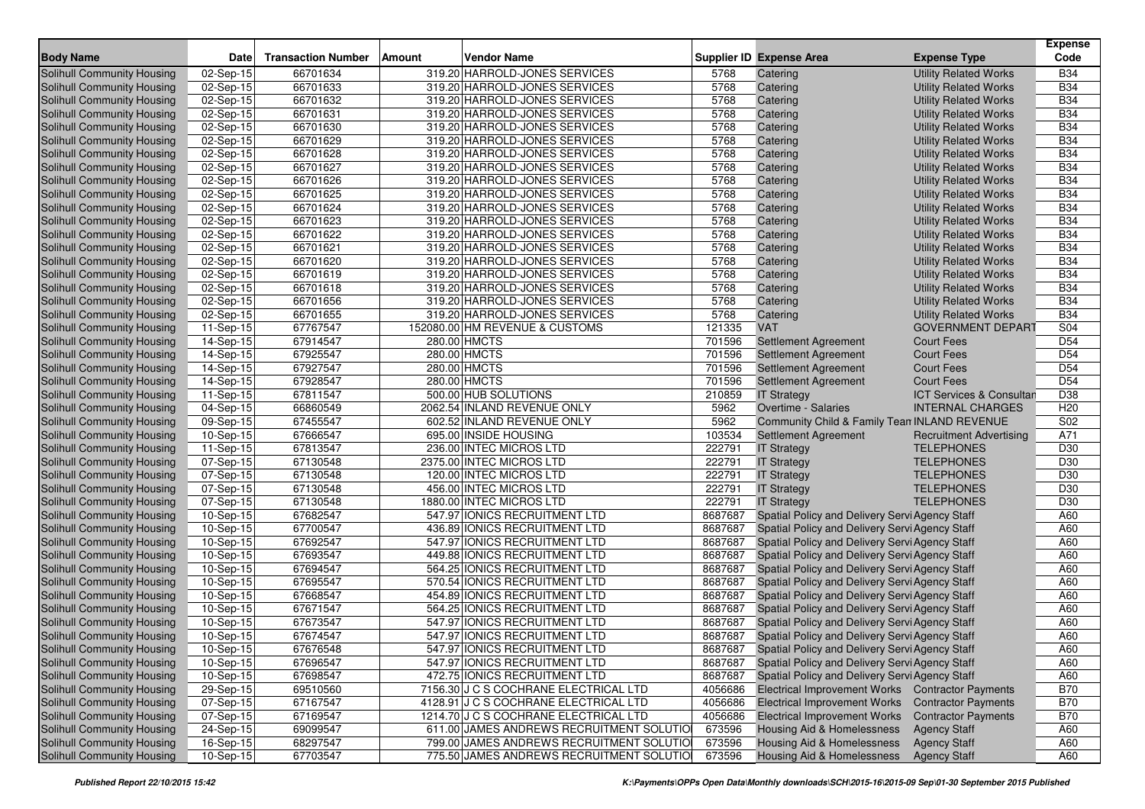| <b>Body Name</b>                                         | Date                    | <b>Transaction Number</b> | Amount | <b>Vendor Name</b>                                             |              | <b>Supplier ID Expense Area</b>                        | <b>Expense Type</b>                                          | <b>Expense</b><br>Code |
|----------------------------------------------------------|-------------------------|---------------------------|--------|----------------------------------------------------------------|--------------|--------------------------------------------------------|--------------------------------------------------------------|------------------------|
|                                                          |                         |                           |        |                                                                |              |                                                        |                                                              | <b>B34</b>             |
| Solihull Community Housing<br>Solihull Community Housing | 02-Sep-15<br>02-Sep-15  | 66701634<br>66701633      |        | 319.20 HARROLD-JONES SERVICES<br>319.20 HARROLD-JONES SERVICES | 5768<br>5768 | Catering<br>Catering                                   | <b>Utility Related Works</b>                                 | <b>B34</b>             |
| Solihull Community Housing                               | 02-Sep-15               | 66701632                  |        | 319.20 HARROLD-JONES SERVICES                                  | 5768         |                                                        | <b>Utility Related Works</b><br><b>Utility Related Works</b> | <b>B34</b>             |
| Solihull Community Housing                               | $\overline{0}$ 2-Sep-15 | 66701631                  |        | 319.20 HARROLD-JONES SERVICES                                  | 5768         | Catering                                               |                                                              | <b>B34</b>             |
| Solihull Community Housing                               | 02-Sep-15               | 66701630                  |        | 319.20 HARROLD-JONES SERVICES                                  | 5768         | Catering<br>Catering                                   | <b>Utility Related Works</b><br><b>Utility Related Works</b> | <b>B34</b>             |
| Solihull Community Housing                               | 02-Sep-15               | 66701629                  |        | 319.20 HARROLD-JONES SERVICES                                  | 5768         |                                                        |                                                              | <b>B34</b>             |
| Solihull Community Housing                               | 02-Sep-15               | 66701628                  |        | 319.20 HARROLD-JONES SERVICES                                  | 5768         | Catering<br>Catering                                   | <b>Utility Related Works</b><br><b>Utility Related Works</b> | <b>B34</b>             |
| Solihull Community Housing                               | 02-Sep-15               | 66701627                  |        | 319.20 HARROLD-JONES SERVICES                                  | 5768         | Catering                                               | <b>Utility Related Works</b>                                 | <b>B34</b>             |
| Solihull Community Housing                               | $\overline{02}$ -Sep-15 | 66701626                  |        | 319.20 HARROLD-JONES SERVICES                                  | 5768         | Catering                                               | <b>Utility Related Works</b>                                 | <b>B34</b>             |
| Solihull Community Housing                               | 02-Sep-15               | 66701625                  |        | 319.20 HARROLD-JONES SERVICES                                  | 5768         | Catering                                               | <b>Utility Related Works</b>                                 | <b>B34</b>             |
| Solihull Community Housing                               | 02-Sep-15               | 66701624                  |        | 319.20 HARROLD-JONES SERVICES                                  | 5768         | Catering                                               | <b>Utility Related Works</b>                                 | <b>B34</b>             |
| Solihull Community Housing                               | 02-Sep-15               | 66701623                  |        | 319.20 HARROLD-JONES SERVICES                                  | 5768         | Catering                                               | <b>Utility Related Works</b>                                 | <b>B34</b>             |
| Solihull Community Housing                               | 02-Sep-15               | 66701622                  |        | 319.20 HARROLD-JONES SERVICES                                  | 5768         | Catering                                               | <b>Utility Related Works</b>                                 | <b>B34</b>             |
| Solihull Community Housing                               | 02-Sep-15               | 66701621                  |        | 319.20 HARROLD-JONES SERVICES                                  | 5768         | Catering                                               | <b>Utility Related Works</b>                                 | <b>B34</b>             |
| Solihull Community Housing                               | 02-Sep-15               | 66701620                  |        | 319.20 HARROLD-JONES SERVICES                                  | 5768         | Catering                                               | <b>Utility Related Works</b>                                 | <b>B34</b>             |
| Solihull Community Housing                               | 02-Sep-15               | 66701619                  |        | 319.20 HARROLD-JONES SERVICES                                  | 5768         | Catering                                               | <b>Utility Related Works</b>                                 | <b>B34</b>             |
| Solihull Community Housing                               | 02-Sep-15               | 66701618                  |        | 319.20 HARROLD-JONES SERVICES                                  | 5768         | Catering                                               | <b>Utility Related Works</b>                                 | <b>B34</b>             |
| Solihull Community Housing                               | 02-Sep-15               | 66701656                  |        | 319.20 HARROLD-JONES SERVICES                                  | 5768         | Catering                                               | <b>Utility Related Works</b>                                 | <b>B34</b>             |
| Solihull Community Housing                               | 02-Sep-15               | 66701655                  |        | 319.20 HARROLD-JONES SERVICES                                  | 5768         | Catering                                               | <b>Utility Related Works</b>                                 | <b>B34</b>             |
| Solihull Community Housing                               | 11-Sep-15               | 67767547                  |        | 152080.00 HM REVENUE & CUSTOMS                                 | 121335       | <b>VAT</b>                                             | <b>GOVERNMENT DEPART</b>                                     | S04                    |
| Solihull Community Housing                               | 14-Sep-15               | 67914547                  |        | 280.00 HMCTS                                                   | 701596       | <b>Settlement Agreement</b>                            | <b>Court Fees</b>                                            | D <sub>54</sub>        |
| Solihull Community Housing                               | 14-Sep-15               | 67925547                  |        | 280.00 HMCTS                                                   | 701596       | <b>Settlement Agreement</b>                            | <b>Court Fees</b>                                            | D <sub>54</sub>        |
| Solihull Community Housing                               | 14-Sep-15               | 67927547                  |        | 280.00 HMCTS                                                   | 701596       | <b>Settlement Agreement</b>                            | <b>Court Fees</b>                                            | D <sub>54</sub>        |
| Solihull Community Housing                               | 14-Sep-15               | 67928547                  |        | 280.00 HMCTS                                                   | 701596       | <b>Settlement Agreement</b>                            | <b>Court Fees</b>                                            | D <sub>54</sub>        |
| <b>Solihull Community Housing</b>                        | 11-Sep-15               | 67811547                  |        | 500.00 HUB SOLUTIONS                                           | 210859       | <b>IT Strategy</b>                                     | <b>ICT Services &amp; Consultan</b>                          | D38                    |
| Solihull Community Housing                               | 04-Sep-15               | 66860549                  |        | 2062.54 INLAND REVENUE ONLY                                    | 5962         | Overtime - Salaries                                    | <b>INTERNAL CHARGES</b>                                      | H <sub>20</sub>        |
| Solihull Community Housing                               | 09-Sep-15               | 67455547                  |        | 602.52 INLAND REVENUE ONLY                                     | 5962         | Community Child & Family Tean INLAND REVENUE           |                                                              | S02                    |
| Solihull Community Housing                               | 10-Sep-15               | 67666547                  |        | 695.00 INSIDE HOUSING                                          | 103534       | <b>Settlement Agreement</b>                            | <b>Recruitment Advertising</b>                               | A71                    |
| Solihull Community Housing                               | 11-Sep-15               | 67813547                  |        | 236.00 INTEC MICROS LTD                                        | 222791       | <b>IT Strategy</b>                                     | <b>TELEPHONES</b>                                            | D30                    |
| Solihull Community Housing                               | 07-Sep-15               | 67130548                  |        | 2375.00 INTEC MICROS LTD                                       | 222791       | <b>IT Strategy</b>                                     | <b>TELEPHONES</b>                                            | D30                    |
| Solihull Community Housing                               | 07-Sep-15               | 67130548                  |        | 120.00 INTEC MICROS LTD                                        | 222791       | <b>IT Strategy</b>                                     | <b>TELEPHONES</b>                                            | D30                    |
| Solihull Community Housing                               | 07-Sep-15               | 67130548                  |        | 456.00 INTEC MICROS LTD                                        | 222791       | <b>IT Strategy</b>                                     | <b>TELEPHONES</b>                                            | D30                    |
| Solihull Community Housing                               | 07-Sep-15               | 67130548                  |        | 1880.00 INTEC MICROS LTD                                       | 222791       | <b>IT Strategy</b>                                     | <b>TELEPHONES</b>                                            | D30                    |
| Solihull Community Housing                               | 10-Sep-15               | 67682547                  |        | 547.97 IONICS RECRUITMENT LTD                                  | 8687687      | Spatial Policy and Delivery Servi Agency Staff         |                                                              | A60                    |
| Solihull Community Housing                               | 10-Sep-15               | 67700547                  |        | 436.89 IONICS RECRUITMENT LTD                                  | 8687687      | Spatial Policy and Delivery Servi Agency Staff         |                                                              | A60                    |
| Solihull Community Housing                               | 10-Sep-15               | 67692547                  |        | 547.97 IONICS RECRUITMENT LTD                                  | 8687687      | Spatial Policy and Delivery Servi Agency Staff         |                                                              | A60                    |
| Solihull Community Housing                               | 10-Sep-15               | 67693547                  |        | 449.88 IONICS RECRUITMENT LTD                                  | 8687687      | Spatial Policy and Delivery Servi Agency Staff         |                                                              | A60                    |
| Solihull Community Housing                               | 10-Sep-15               | 67694547                  |        | 564.25 IONICS RECRUITMENT LTD                                  | 8687687      | Spatial Policy and Delivery Servi Agency Staff         |                                                              | A60                    |
| Solihull Community Housing                               | 10-Sep-15               | 67695547                  |        | 570.54 IONICS RECRUITMENT LTD                                  | 8687687      | Spatial Policy and Delivery Servi Agency Staff         |                                                              | A60                    |
| Solihull Community Housing                               | 10-Sep-15               | 67668547                  |        | 454.89 IONICS RECRUITMENT LTD                                  | 8687687      | Spatial Policy and Delivery Servi Agency Staff         |                                                              | A60                    |
| Solihull Community Housing                               | 10-Sep-15               | 67671547                  |        | 564.25 IONICS RECRUITMENT LTD                                  | 8687687      | Spatial Policy and Delivery Servi Agency Staff         |                                                              | A60                    |
| Solihull Community Housing                               | 10-Sep-15               | 67673547                  |        | 547.97 IONICS RECRUITMENT LTD                                  | 8687687      | Spatial Policy and Delivery Servi Agency Staff         |                                                              | A60                    |
| Solihull Community Housing                               | 10-Sep-15               | 67674547                  |        | 547.97 IONICS RECRUITMENT LTD                                  | 8687687      | Spatial Policy and Delivery Servi Agency Staff         |                                                              | A60                    |
| Solihull Community Housing                               | 10-Sep-15               | 67676548                  |        | 547.97 IONICS RECRUITMENT LTD                                  |              | 8687687 Spatial Policy and Delivery Servi Agency Staff |                                                              | A60                    |
| Solihull Community Housing                               | 10-Sep-15               | 67696547                  |        | 547.97 IONICS RECRUITMENT LTD                                  | 8687687      | Spatial Policy and Delivery Servi Agency Staff         |                                                              | A60                    |
| Solihull Community Housing                               | 10-Sep-15               | 67698547                  |        | 472.75 IONICS RECRUITMENT LTD                                  | 8687687      | Spatial Policy and Delivery Servi Agency Staff         |                                                              | A60                    |
| Solihull Community Housing                               | 29-Sep-15               | 69510560                  |        | 7156.30 J C S COCHRANE ELECTRICAL LTD                          | 4056686      | Electrical Improvement Works Contractor Payments       |                                                              | <b>B70</b>             |
| Solihull Community Housing                               | $07-Sep-15$             | 67167547                  |        | 4128.91 J C S COCHRANE ELECTRICAL LTD                          | 4056686      | Electrical Improvement Works Contractor Payments       |                                                              | <b>B70</b>             |
| Solihull Community Housing                               | 07-Sep-15               | 67169547                  |        | 1214.70 J C S COCHRANE ELECTRICAL LTD                          | 4056686      | <b>Electrical Improvement Works</b>                    | <b>Contractor Payments</b>                                   | <b>B70</b>             |
| Solihull Community Housing                               | 24-Sep-15               | 69099547                  |        | 611.00 JAMES ANDREWS RECRUITMENT SOLUTIO                       | 673596       | Housing Aid & Homelessness                             | <b>Agency Staff</b>                                          | A60                    |
| Solihull Community Housing                               | 16-Sep-15               | 68297547                  |        | 799.00 JAMES ANDREWS RECRUITMENT SOLUTIO                       | 673596       | <b>Housing Aid &amp; Homelessness</b>                  | <b>Agency Staff</b>                                          | A60                    |
| Solihull Community Housing                               | $10-Sep-15$             | 67703547                  |        | 775.50 JAMES ANDREWS RECRUITMENT SOLUTIO                       | 673596       | <b>Housing Aid &amp; Homelessness</b>                  | <b>Agency Staff</b>                                          | A60                    |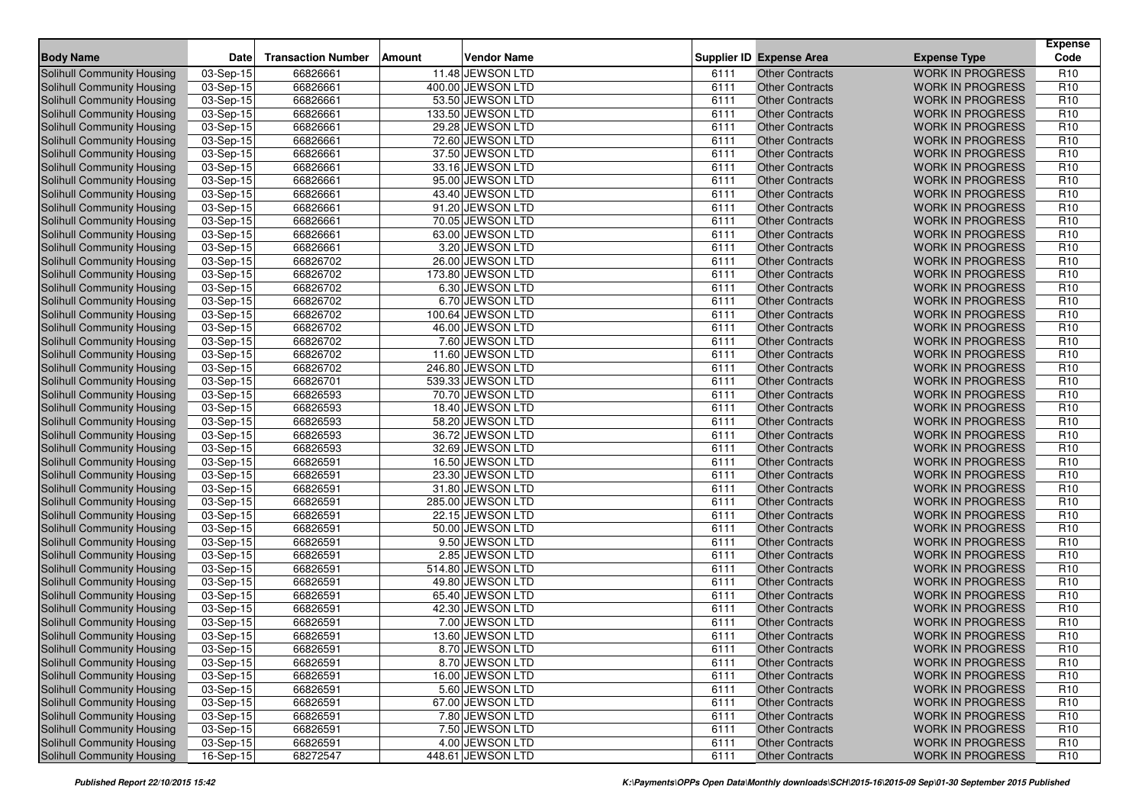| <b>Body Name</b>                  | <b>Date</b> | <b>Transaction Number</b> | Amount | <b>Vendor Name</b> |      | <b>Supplier ID Expense Area</b> | <b>Expense Type</b>     | <b>Expense</b><br>Code |
|-----------------------------------|-------------|---------------------------|--------|--------------------|------|---------------------------------|-------------------------|------------------------|
| Solihull Community Housing        | 03-Sep-15   | 66826661                  |        | 11.48 JEWSON LTD   | 6111 | Other Contracts                 | <b>WORK IN PROGRESS</b> | R <sub>10</sub>        |
| <b>Solihull Community Housing</b> | 03-Sep-15   | 66826661                  |        | 400.00 JEWSON LTD  | 6111 | <b>Other Contracts</b>          | <b>WORK IN PROGRESS</b> | R <sub>10</sub>        |
| <b>Solihull Community Housing</b> | $03-Sep-15$ | 66826661                  |        | 53.50 JEWSON LTD   | 6111 | <b>Other Contracts</b>          | <b>WORK IN PROGRESS</b> | R <sub>10</sub>        |
| Solihull Community Housing        | 03-Sep-15   | 66826661                  |        | 133.50 JEWSON LTD  | 6111 | <b>Other Contracts</b>          | <b>WORK IN PROGRESS</b> | R <sub>10</sub>        |
| Solihull Community Housing        | 03-Sep-15   | 66826661                  |        | 29.28 JEWSON LTD   | 6111 | <b>Other Contracts</b>          | <b>WORK IN PROGRESS</b> | R <sub>10</sub>        |
| Solihull Community Housing        | $03-Sep-15$ | 66826661                  |        | 72.60 JEWSON LTD   | 6111 | <b>Other Contracts</b>          | <b>WORK IN PROGRESS</b> | R <sub>10</sub>        |
| Solihull Community Housing        | 03-Sep-15   | 66826661                  |        | 37.50 JEWSON LTD   | 6111 | <b>Other Contracts</b>          | <b>WORK IN PROGRESS</b> | R <sub>10</sub>        |
| Solihull Community Housing        | 03-Sep-15   | 66826661                  |        | 33.16 JEWSON LTD   | 6111 | <b>Other Contracts</b>          | <b>WORK IN PROGRESS</b> | R <sub>10</sub>        |
| Solihull Community Housing        | 03-Sep-15   | 66826661                  |        | 95.00 JEWSON LTD   | 6111 | <b>Other Contracts</b>          | <b>WORK IN PROGRESS</b> | R <sub>10</sub>        |
| <b>Solihull Community Housing</b> | 03-Sep-15   | 66826661                  |        | 43.40 JEWSON LTD   | 6111 | <b>Other Contracts</b>          | <b>WORK IN PROGRESS</b> | R <sub>10</sub>        |
| Solihull Community Housing        | 03-Sep-15   | 66826661                  |        | 91.20 JEWSON LTD   | 6111 | <b>Other Contracts</b>          | <b>WORK IN PROGRESS</b> | R <sub>10</sub>        |
| Solihull Community Housing        | $03-Sep-15$ | 66826661                  |        | 70.05 JEWSON LTD   | 6111 | <b>Other Contracts</b>          | <b>WORK IN PROGRESS</b> | R <sub>10</sub>        |
| Solihull Community Housing        | 03-Sep-15   | 66826661                  |        | 63.00 JEWSON LTD   | 6111 | <b>Other Contracts</b>          | <b>WORK IN PROGRESS</b> | R <sub>10</sub>        |
| <b>Solihull Community Housing</b> | $03-Sep-15$ | 66826661                  |        | 3.20 JEWSON LTD    | 6111 | <b>Other Contracts</b>          | <b>WORK IN PROGRESS</b> | R <sub>10</sub>        |
| Solihull Community Housing        | 03-Sep-15   | 66826702                  |        | 26.00 JEWSON LTD   | 6111 | <b>Other Contracts</b>          | <b>WORK IN PROGRESS</b> | R <sub>10</sub>        |
| Solihull Community Housing        | 03-Sep-15   | 66826702                  |        | 173.80 JEWSON LTD  | 6111 | <b>Other Contracts</b>          | <b>WORK IN PROGRESS</b> | R <sub>10</sub>        |
| Solihull Community Housing        | 03-Sep-15   | 66826702                  |        | 6.30 JEWSON LTD    | 6111 | <b>Other Contracts</b>          | <b>WORK IN PROGRESS</b> | R <sub>10</sub>        |
| Solihull Community Housing        | 03-Sep-15   | 66826702                  |        | 6.70 JEWSON LTD    | 6111 | <b>Other Contracts</b>          | <b>WORK IN PROGRESS</b> | R <sub>10</sub>        |
| <b>Solihull Community Housing</b> | 03-Sep-15   | 66826702                  |        | 100.64 JEWSON LTD  | 6111 | <b>Other Contracts</b>          | <b>WORK IN PROGRESS</b> | R <sub>10</sub>        |
| Solihull Community Housing        | 03-Sep-15   | 66826702                  |        | 46.00 JEWSON LTD   | 6111 | <b>Other Contracts</b>          | <b>WORK IN PROGRESS</b> | R <sub>10</sub>        |
| <b>Solihull Community Housing</b> | 03-Sep-15   | 66826702                  |        | 7.60 JEWSON LTD    | 6111 | <b>Other Contracts</b>          | <b>WORK IN PROGRESS</b> | R <sub>10</sub>        |
| <b>Solihull Community Housing</b> | 03-Sep-15   | 66826702                  |        | 11.60 JEWSON LTD   | 6111 | <b>Other Contracts</b>          | <b>WORK IN PROGRESS</b> | R <sub>10</sub>        |
| Solihull Community Housing        | 03-Sep-15   | 66826702                  |        | 246.80 JEWSON LTD  | 6111 | <b>Other Contracts</b>          | <b>WORK IN PROGRESS</b> | R <sub>10</sub>        |
| <b>Solihull Community Housing</b> | 03-Sep-15   | 66826701                  |        | 539.33 JEWSON LTD  | 6111 | <b>Other Contracts</b>          | <b>WORK IN PROGRESS</b> | R <sub>10</sub>        |
| Solihull Community Housing        | 03-Sep-15   | 66826593                  |        | 70.70 JEWSON LTD   | 6111 | <b>Other Contracts</b>          | <b>WORK IN PROGRESS</b> | R <sub>10</sub>        |
| Solihull Community Housing        | 03-Sep-15   | 66826593                  |        | 18.40 JEWSON LTD   | 6111 | <b>Other Contracts</b>          | <b>WORK IN PROGRESS</b> | R <sub>10</sub>        |
| <b>Solihull Community Housing</b> | $03-Sep-15$ | 66826593                  |        | 58.20 JEWSON LTD   | 6111 | <b>Other Contracts</b>          | <b>WORK IN PROGRESS</b> | R <sub>10</sub>        |
| Solihull Community Housing        | 03-Sep-15   | 66826593                  |        | 36.72 JEWSON LTD   | 6111 | <b>Other Contracts</b>          | <b>WORK IN PROGRESS</b> | R <sub>10</sub>        |
| Solihull Community Housing        | 03-Sep-15   | 66826593                  |        | 32.69 JEWSON LTD   | 6111 | <b>Other Contracts</b>          | <b>WORK IN PROGRESS</b> | R <sub>10</sub>        |
| Solihull Community Housing        | 03-Sep-15   | 66826591                  |        | 16.50 JEWSON LTD   | 6111 | <b>Other Contracts</b>          | <b>WORK IN PROGRESS</b> | R <sub>10</sub>        |
| Solihull Community Housing        | 03-Sep-15   | 66826591                  |        | 23.30 JEWSON LTD   | 6111 | <b>Other Contracts</b>          | <b>WORK IN PROGRESS</b> | R <sub>10</sub>        |
| Solihull Community Housing        | 03-Sep-15   | 66826591                  |        | 31.80 JEWSON LTD   | 6111 | <b>Other Contracts</b>          | <b>WORK IN PROGRESS</b> | R <sub>10</sub>        |
| Solihull Community Housing        | 03-Sep-15   | 66826591                  |        | 285.00 JEWSON LTD  | 6111 | <b>Other Contracts</b>          | <b>WORK IN PROGRESS</b> | R <sub>10</sub>        |
| Solihull Community Housing        | 03-Sep-15   | 66826591                  |        | 22.15 JEWSON LTD   | 6111 | <b>Other Contracts</b>          | <b>WORK IN PROGRESS</b> | R <sub>10</sub>        |
| <b>Solihull Community Housing</b> | 03-Sep-15   | 66826591                  |        | 50.00 JEWSON LTD   | 6111 | <b>Other Contracts</b>          | <b>WORK IN PROGRESS</b> | R <sub>10</sub>        |
| Solihull Community Housing        | 03-Sep-15   | 66826591                  |        | 9.50 JEWSON LTD    | 6111 | <b>Other Contracts</b>          | <b>WORK IN PROGRESS</b> | R <sub>10</sub>        |
| Solihull Community Housing        | $03-Sep-15$ | 66826591                  |        | 2.85 JEWSON LTD    | 6111 | <b>Other Contracts</b>          | <b>WORK IN PROGRESS</b> | R <sub>10</sub>        |
| Solihull Community Housing        | 03-Sep-15   | 66826591                  |        | 514.80 JEWSON LTD  | 6111 | <b>Other Contracts</b>          | <b>WORK IN PROGRESS</b> | R <sub>10</sub>        |
| Solihull Community Housing        | 03-Sep-15   | 66826591                  |        | 49.80 JEWSON LTD   | 6111 | <b>Other Contracts</b>          | <b>WORK IN PROGRESS</b> | R <sub>10</sub>        |
| Solihull Community Housing        | 03-Sep-15   | 66826591                  |        | 65.40 JEWSON LTD   | 6111 | <b>Other Contracts</b>          | <b>WORK IN PROGRESS</b> | R <sub>10</sub>        |
| Solihull Community Housing        | 03-Sep-15   | 66826591                  |        | 42.30 JEWSON LTD   | 6111 | <b>Other Contracts</b>          | <b>WORK IN PROGRESS</b> | R <sub>10</sub>        |
| <b>Solihull Community Housing</b> | 03-Sep-15   | 66826591                  |        | 7.00 JEWSON LTD    | 6111 | <b>Other Contracts</b>          | <b>WORK IN PROGRESS</b> | R <sub>10</sub>        |
| Solihull Community Housing        | 03-Sep-15   | 66826591                  |        | 13.60 JEWSON LTD   | 6111 | <b>Other Contracts</b>          | <b>WORK IN PROGRESS</b> | R <sub>10</sub>        |
| Solihull Community Housing        | 03-Sep-15   | 66826591                  |        | 8.70 JEWSON LTD    | 6111 | Other Contracts                 | WORK IN PROGRESS        | R <sub>10</sub>        |
| Solihull Community Housing        | 03-Sep-15   | 66826591                  |        | 8.70 JEWSON LTD    | 6111 | <b>Other Contracts</b>          | <b>WORK IN PROGRESS</b> | R <sub>10</sub>        |
| Solihull Community Housing        | $03-Sep-15$ | 66826591                  |        | 16.00 JEWSON LTD   | 6111 | <b>Other Contracts</b>          | <b>WORK IN PROGRESS</b> | R <sub>10</sub>        |
| Solihull Community Housing        | 03-Sep-15   | 66826591                  |        | 5.60 JEWSON LTD    | 6111 | <b>Other Contracts</b>          | <b>WORK IN PROGRESS</b> | R <sub>10</sub>        |
| Solihull Community Housing        | 03-Sep-15   | 66826591                  |        | 67.00 JEWSON LTD   | 6111 | <b>Other Contracts</b>          | <b>WORK IN PROGRESS</b> | R <sub>10</sub>        |
| Solihull Community Housing        | 03-Sep-15   | 66826591                  |        | 7.80 JEWSON LTD    | 6111 | <b>Other Contracts</b>          | <b>WORK IN PROGRESS</b> | R <sub>10</sub>        |
| Solihull Community Housing        | 03-Sep-15   | 66826591                  |        | 7.50 JEWSON LTD    | 6111 | <b>Other Contracts</b>          | <b>WORK IN PROGRESS</b> | R <sub>10</sub>        |
| Solihull Community Housing        | $03-Sep-15$ | 66826591                  |        | 4.00 JEWSON LTD    | 6111 | <b>Other Contracts</b>          | <b>WORK IN PROGRESS</b> | R <sub>10</sub>        |
| Solihull Community Housing        | 16-Sep-15   | 68272547                  |        | 448.61 JEWSON LTD  | 6111 | <b>Other Contracts</b>          | WORK IN PROGRESS        | R <sub>10</sub>        |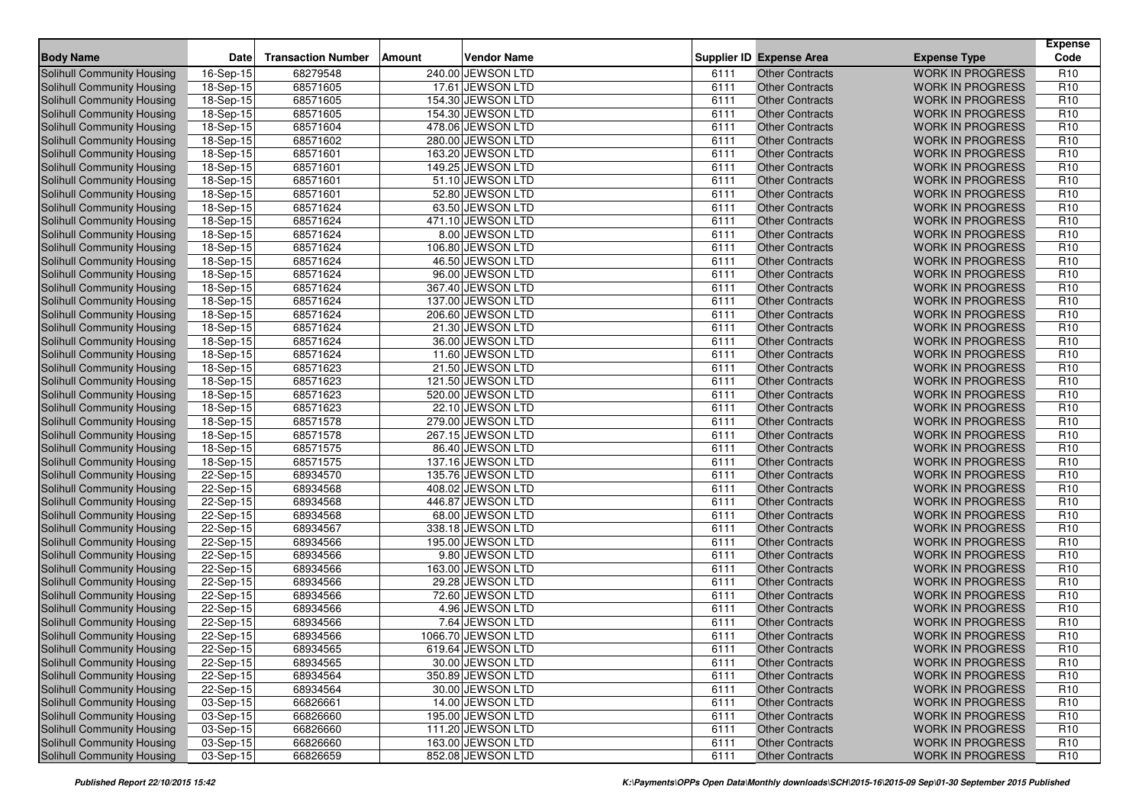| <b>Body Name</b>                  | <b>Date</b> | <b>Transaction Number</b> | <b>Amount</b> | <b>Vendor Name</b> |      | <b>Supplier ID Expense Area</b> | <b>Expense Type</b>     | <b>Expense</b><br>Code |
|-----------------------------------|-------------|---------------------------|---------------|--------------------|------|---------------------------------|-------------------------|------------------------|
| Solihull Community Housing        | 16-Sep-15   | 68279548                  |               | 240.00 JEWSON LTD  | 6111 | <b>Other Contracts</b>          | <b>WORK IN PROGRESS</b> | R <sub>10</sub>        |
| Solihull Community Housing        | 18-Sep-15   | 68571605                  |               | 17.61 JEWSON LTD   | 6111 | <b>Other Contracts</b>          | <b>WORK IN PROGRESS</b> | R <sub>10</sub>        |
| Solihull Community Housing        | 18-Sep-15   | 68571605                  |               | 154.30 JEWSON LTD  | 6111 | <b>Other Contracts</b>          | <b>WORK IN PROGRESS</b> | R <sub>10</sub>        |
| Solihull Community Housing        | 18-Sep-15   | 68571605                  |               | 154.30 JEWSON LTD  | 6111 | Other Contracts                 | <b>WORK IN PROGRESS</b> | R <sub>10</sub>        |
| Solihull Community Housing        | 18-Sep-15   | 68571604                  |               | 478.06 JEWSON LTD  | 6111 | <b>Other Contracts</b>          | <b>WORK IN PROGRESS</b> | R <sub>10</sub>        |
| Solihull Community Housing        | 18-Sep-15   | 68571602                  |               | 280.00 JEWSON LTD  | 6111 | <b>Other Contracts</b>          | <b>WORK IN PROGRESS</b> | R <sub>10</sub>        |
| <b>Solihull Community Housing</b> | 18-Sep-15   | 68571601                  |               | 163.20 JEWSON LTD  | 6111 | <b>Other Contracts</b>          | <b>WORK IN PROGRESS</b> | R <sub>10</sub>        |
| Solihull Community Housing        | 18-Sep-15   | 68571601                  |               | 149.25 JEWSON LTD  | 6111 | <b>Other Contracts</b>          | <b>WORK IN PROGRESS</b> | R <sub>10</sub>        |
| Solihull Community Housing        | 18-Sep-15   | 68571601                  |               | 51.10 JEWSON LTD   | 6111 | <b>Other Contracts</b>          | <b>WORK IN PROGRESS</b> | R <sub>10</sub>        |
| <b>Solihull Community Housing</b> | 18-Sep-15   | 68571601                  |               | 52.80 JEWSON LTD   | 6111 | <b>Other Contracts</b>          | <b>WORK IN PROGRESS</b> | R <sub>10</sub>        |
| <b>Solihull Community Housing</b> | 18-Sep-15   | 68571624                  |               | 63.50 JEWSON LTD   | 6111 | <b>Other Contracts</b>          | <b>WORK IN PROGRESS</b> | R <sub>10</sub>        |
| <b>Solihull Community Housing</b> | 18-Sep-15   | 68571624                  |               | 471.10 JEWSON LTD  | 6111 | <b>Other Contracts</b>          | <b>WORK IN PROGRESS</b> | R <sub>10</sub>        |
| Solihull Community Housing        | 18-Sep-15   | 68571624                  |               | 8.00 JEWSON LTD    | 6111 | <b>Other Contracts</b>          | <b>WORK IN PROGRESS</b> | R <sub>10</sub>        |
| Solihull Community Housing        | 18-Sep-15   | 68571624                  |               | 106.80 JEWSON LTD  | 6111 | <b>Other Contracts</b>          | <b>WORK IN PROGRESS</b> | R <sub>10</sub>        |
| Solihull Community Housing        | 18-Sep-15   | 68571624                  |               | 46.50 JEWSON LTD   | 6111 | <b>Other Contracts</b>          | <b>WORK IN PROGRESS</b> | R <sub>10</sub>        |
| Solihull Community Housing        | 18-Sep-15   | 68571624                  |               | 96.00 JEWSON LTD   | 6111 | <b>Other Contracts</b>          | <b>WORK IN PROGRESS</b> | R <sub>10</sub>        |
| Solihull Community Housing        | 18-Sep-15   | 68571624                  |               | 367.40 JEWSON LTD  | 6111 | <b>Other Contracts</b>          | <b>WORK IN PROGRESS</b> | R <sub>10</sub>        |
| Solihull Community Housing        | 18-Sep-15   | 68571624                  |               | 137.00 JEWSON LTD  | 6111 | <b>Other Contracts</b>          | <b>WORK IN PROGRESS</b> | R <sub>10</sub>        |
| Solihull Community Housing        | 18-Sep-15   | 68571624                  |               | 206.60 JEWSON LTD  | 6111 | <b>Other Contracts</b>          | <b>WORK IN PROGRESS</b> | R <sub>10</sub>        |
| Solihull Community Housing        | 18-Sep-15   | 68571624                  |               | 21.30 JEWSON LTD   | 6111 | <b>Other Contracts</b>          | <b>WORK IN PROGRESS</b> | R <sub>10</sub>        |
| Solihull Community Housing        | 18-Sep-15   | 68571624                  |               | 36.00 JEWSON LTD   | 6111 | <b>Other Contracts</b>          | <b>WORK IN PROGRESS</b> | R <sub>10</sub>        |
| Solihull Community Housing        | 18-Sep-15   | 68571624                  |               | 11.60 JEWSON LTD   | 6111 | <b>Other Contracts</b>          | <b>WORK IN PROGRESS</b> | R <sub>10</sub>        |
| Solihull Community Housing        | 18-Sep-15   | 68571623                  |               | 21.50 JEWSON LTD   | 6111 | <b>Other Contracts</b>          | <b>WORK IN PROGRESS</b> | R <sub>10</sub>        |
| Solihull Community Housing        | 18-Sep-15   | 68571623                  |               | 121.50 JEWSON LTD  | 6111 | <b>Other Contracts</b>          | <b>WORK IN PROGRESS</b> | R <sub>10</sub>        |
| Solihull Community Housing        | 18-Sep-15   | 68571623                  |               | 520.00 JEWSON LTD  | 6111 | <b>Other Contracts</b>          | <b>WORK IN PROGRESS</b> | R <sub>10</sub>        |
| <b>Solihull Community Housing</b> | $18-Sep-15$ | 68571623                  |               | 22.10 JEWSON LTD   | 6111 | <b>Other Contracts</b>          | <b>WORK IN PROGRESS</b> | R <sub>10</sub>        |
| Solihull Community Housing        | 18-Sep-15   | 68571578                  |               | 279.00 JEWSON LTD  | 6111 | <b>Other Contracts</b>          | <b>WORK IN PROGRESS</b> | R <sub>10</sub>        |
| Solihull Community Housing        | 18-Sep-15   | 68571578                  |               | 267.15 JEWSON LTD  | 6111 | <b>Other Contracts</b>          | <b>WORK IN PROGRESS</b> | R <sub>10</sub>        |
| <b>Solihull Community Housing</b> | 18-Sep-15   | 68571575                  |               | 86.40 JEWSON LTD   | 6111 | Other Contracts                 | <b>WORK IN PROGRESS</b> | R <sub>10</sub>        |
| Solihull Community Housing        | 18-Sep-15   | 68571575                  |               | 137.16 JEWSON LTD  | 6111 | <b>Other Contracts</b>          | <b>WORK IN PROGRESS</b> | R <sub>10</sub>        |
| Solihull Community Housing        | 22-Sep-15   | 68934570                  |               | 135.76 JEWSON LTD  | 6111 | <b>Other Contracts</b>          | <b>WORK IN PROGRESS</b> | R <sub>10</sub>        |
| Solihull Community Housing        | 22-Sep-15   | 68934568                  |               | 408.02 JEWSON LTD  | 6111 | <b>Other Contracts</b>          | <b>WORK IN PROGRESS</b> | R <sub>10</sub>        |
| Solihull Community Housing        | 22-Sep-15   | 68934568                  |               | 446.87 JEWSON LTD  | 6111 | <b>Other Contracts</b>          | <b>WORK IN PROGRESS</b> | R <sub>10</sub>        |
| Solihull Community Housing        | 22-Sep-15   | 68934568                  |               | 68.00 JEWSON LTD   | 6111 | <b>Other Contracts</b>          | <b>WORK IN PROGRESS</b> | R <sub>10</sub>        |
| <b>Solihull Community Housing</b> | 22-Sep-15   | 68934567                  |               | 338.18 JEWSON LTD  | 6111 | <b>Other Contracts</b>          | <b>WORK IN PROGRESS</b> | R <sub>10</sub>        |
| Solihull Community Housing        | 22-Sep-15   | 68934566                  |               | 195.00 JEWSON LTD  | 6111 | <b>Other Contracts</b>          | <b>WORK IN PROGRESS</b> | R <sub>10</sub>        |
| <b>Solihull Community Housing</b> | 22-Sep-15   | 68934566                  |               | 9.80 JEWSON LTD    | 6111 | <b>Other Contracts</b>          | <b>WORK IN PROGRESS</b> | R <sub>10</sub>        |
| Solihull Community Housing        | 22-Sep-15   | 68934566                  |               | 163.00 JEWSON LTD  | 6111 | <b>Other Contracts</b>          | <b>WORK IN PROGRESS</b> | R <sub>10</sub>        |
| <b>Solihull Community Housing</b> | 22-Sep-15   | 68934566                  |               | 29.28 JEWSON LTD   | 6111 | <b>Other Contracts</b>          | <b>WORK IN PROGRESS</b> | R <sub>10</sub>        |
| Solihull Community Housing        | $22-Sep-15$ | 68934566                  |               | 72.60 JEWSON LTD   | 6111 | <b>Other Contracts</b>          | <b>WORK IN PROGRESS</b> | R <sub>10</sub>        |
| Solihull Community Housing        | 22-Sep-15   | 68934566                  |               | 4.96 JEWSON LTD    | 6111 | <b>Other Contracts</b>          | <b>WORK IN PROGRESS</b> | R <sub>10</sub>        |
| <b>Solihull Community Housing</b> | 22-Sep-15   | 68934566                  |               | 7.64 JEWSON LTD    | 6111 | <b>Other Contracts</b>          | <b>WORK IN PROGRESS</b> | R <sub>10</sub>        |
| Solihull Community Housing        | 22-Sep-15   | 68934566                  |               | 1066.70 JEWSON LTD | 6111 | <b>Other Contracts</b>          | <b>WORK IN PROGRESS</b> | R <sub>10</sub>        |
| Solihull Community Housing        | 22-Sep-15   | 68934565                  |               | 619.64 JEWSON LTD  | 6111 | Other Contracts                 | <b>WORK IN PROGRESS</b> | R <sub>10</sub>        |
| <b>Solihull Community Housing</b> | 22-Sep-15   | 68934565                  |               | 30.00 JEWSON LTD   | 6111 | <b>Other Contracts</b>          | <b>WORK IN PROGRESS</b> | R <sub>10</sub>        |
| Solihull Community Housing        | 22-Sep-15   | 68934564                  |               | 350.89 JEWSON LTD  | 6111 | <b>Other Contracts</b>          | <b>WORK IN PROGRESS</b> | R <sub>10</sub>        |
| <b>Solihull Community Housing</b> | 22-Sep-15   | 68934564                  |               | 30.00 JEWSON LTD   | 6111 | <b>Other Contracts</b>          | <b>WORK IN PROGRESS</b> | R <sub>10</sub>        |
| Solihull Community Housing        | 03-Sep-15   | 66826661                  |               | 14.00 JEWSON LTD   | 6111 | <b>Other Contracts</b>          | <b>WORK IN PROGRESS</b> | R <sub>10</sub>        |
| <b>Solihull Community Housing</b> | 03-Sep-15   | 66826660                  |               | 195.00 JEWSON LTD  | 6111 | <b>Other Contracts</b>          | <b>WORK IN PROGRESS</b> | R <sub>10</sub>        |
| Solihull Community Housing        | 03-Sep-15   | 66826660                  |               | 111.20 JEWSON LTD  | 6111 | <b>Other Contracts</b>          | <b>WORK IN PROGRESS</b> | R <sub>10</sub>        |
| Solihull Community Housing        | 03-Sep-15   | 66826660                  |               | 163.00 JEWSON LTD  | 6111 | <b>Other Contracts</b>          | <b>WORK IN PROGRESS</b> | R <sub>10</sub>        |
| Solihull Community Housing        | 03-Sep-15   | 66826659                  |               | 852.08 JEWSON LTD  | 6111 | <b>Other Contracts</b>          | WORK IN PROGRESS        | R <sub>10</sub>        |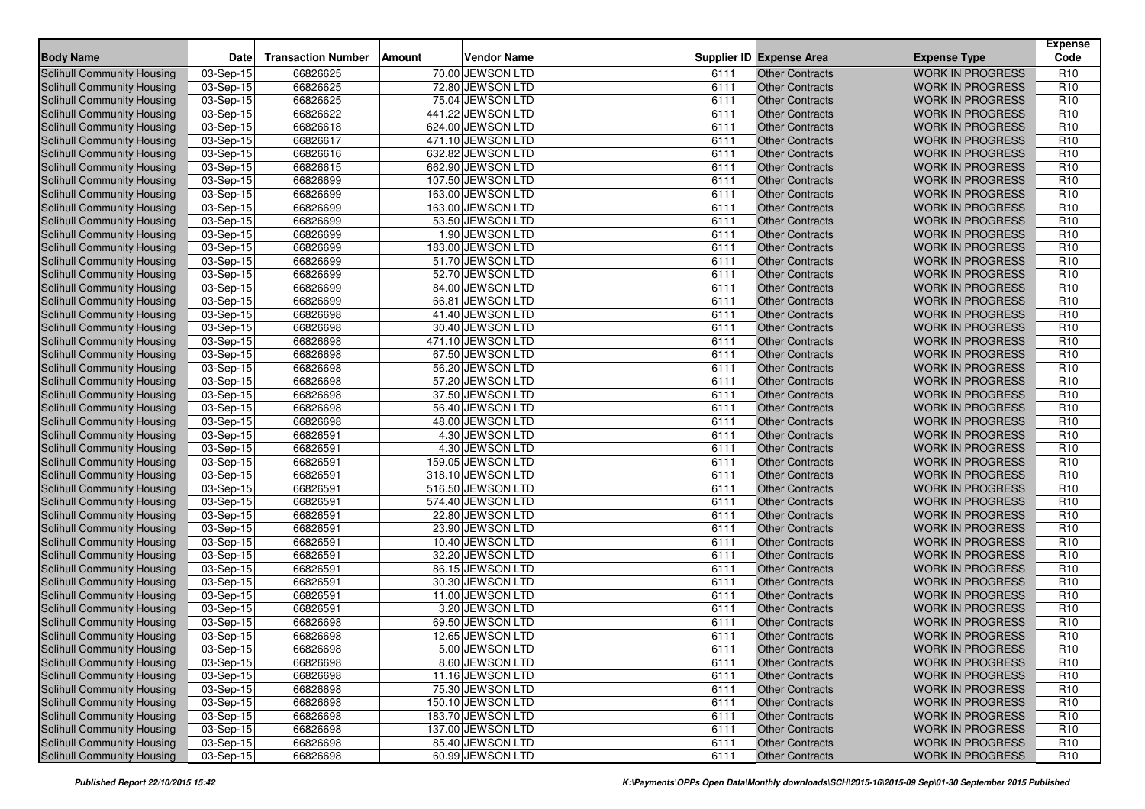| <b>Body Name</b>                  | <b>Date</b> | <b>Transaction Number</b> | Amount | <b>Vendor Name</b> |      | <b>Supplier ID Expense Area</b> | <b>Expense Type</b>     | <b>Expense</b><br>Code |
|-----------------------------------|-------------|---------------------------|--------|--------------------|------|---------------------------------|-------------------------|------------------------|
| Solihull Community Housing        | 03-Sep-15   | 66826625                  |        | 70.00 JEWSON LTD   | 6111 | Other Contracts                 | <b>WORK IN PROGRESS</b> | R <sub>10</sub>        |
| <b>Solihull Community Housing</b> | 03-Sep-15   | 66826625                  |        | 72.80 JEWSON LTD   | 6111 | <b>Other Contracts</b>          | <b>WORK IN PROGRESS</b> | R <sub>10</sub>        |
| <b>Solihull Community Housing</b> | $03-Sep-15$ | 66826625                  |        | 75.04 JEWSON LTD   | 6111 | <b>Other Contracts</b>          | <b>WORK IN PROGRESS</b> | R <sub>10</sub>        |
| Solihull Community Housing        | 03-Sep-15   | 66826622                  |        | 441.22 JEWSON LTD  | 6111 | <b>Other Contracts</b>          | <b>WORK IN PROGRESS</b> | R <sub>10</sub>        |
| Solihull Community Housing        | 03-Sep-15   | 66826618                  |        | 624.00 JEWSON LTD  | 6111 | <b>Other Contracts</b>          | <b>WORK IN PROGRESS</b> | R <sub>10</sub>        |
| Solihull Community Housing        | $03-Sep-15$ | 66826617                  |        | 471.10 JEWSON LTD  | 6111 | <b>Other Contracts</b>          | <b>WORK IN PROGRESS</b> | R <sub>10</sub>        |
| Solihull Community Housing        | 03-Sep-15   | 66826616                  |        | 632.82 JEWSON LTD  | 6111 | <b>Other Contracts</b>          | <b>WORK IN PROGRESS</b> | R <sub>10</sub>        |
| Solihull Community Housing        | 03-Sep-15   | 66826615                  |        | 662.90 JEWSON LTD  | 6111 | <b>Other Contracts</b>          | <b>WORK IN PROGRESS</b> | R <sub>10</sub>        |
| Solihull Community Housing        | 03-Sep-15   | 66826699                  |        | 107.50 JEWSON LTD  | 6111 | <b>Other Contracts</b>          | <b>WORK IN PROGRESS</b> | R <sub>10</sub>        |
| <b>Solihull Community Housing</b> | 03-Sep-15   | 66826699                  |        | 163.00 JEWSON LTD  | 6111 | <b>Other Contracts</b>          | <b>WORK IN PROGRESS</b> | R <sub>10</sub>        |
| Solihull Community Housing        | 03-Sep-15   | 66826699                  |        | 163.00 JEWSON LTD  | 6111 | <b>Other Contracts</b>          | <b>WORK IN PROGRESS</b> | R <sub>10</sub>        |
| Solihull Community Housing        | $03-Sep-15$ | 66826699                  |        | 53.50 JEWSON LTD   | 6111 | <b>Other Contracts</b>          | <b>WORK IN PROGRESS</b> | R <sub>10</sub>        |
| Solihull Community Housing        | 03-Sep-15   | 66826699                  |        | 1.90 JEWSON LTD    | 6111 | <b>Other Contracts</b>          | <b>WORK IN PROGRESS</b> | R <sub>10</sub>        |
| <b>Solihull Community Housing</b> | $03-Sep-15$ | 66826699                  |        | 183.00 JEWSON LTD  | 6111 | <b>Other Contracts</b>          | <b>WORK IN PROGRESS</b> | R <sub>10</sub>        |
| Solihull Community Housing        | 03-Sep-15   | 66826699                  |        | 51.70 JEWSON LTD   | 6111 | <b>Other Contracts</b>          | <b>WORK IN PROGRESS</b> | R <sub>10</sub>        |
| Solihull Community Housing        | 03-Sep-15   | 66826699                  |        | 52.70 JEWSON LTD   | 6111 | <b>Other Contracts</b>          | <b>WORK IN PROGRESS</b> | R <sub>10</sub>        |
| Solihull Community Housing        | 03-Sep-15   | 66826699                  |        | 84.00 JEWSON LTD   | 6111 | <b>Other Contracts</b>          | <b>WORK IN PROGRESS</b> | R <sub>10</sub>        |
| Solihull Community Housing        | 03-Sep-15   | 66826699                  |        | 66.81 JEWSON LTD   | 6111 | <b>Other Contracts</b>          | <b>WORK IN PROGRESS</b> | R <sub>10</sub>        |
| <b>Solihull Community Housing</b> | 03-Sep-15   | 66826698                  |        | 41.40 JEWSON LTD   | 6111 | <b>Other Contracts</b>          | <b>WORK IN PROGRESS</b> | R <sub>10</sub>        |
| Solihull Community Housing        | 03-Sep-15   | 66826698                  |        | 30.40 JEWSON LTD   | 6111 | <b>Other Contracts</b>          | <b>WORK IN PROGRESS</b> | R <sub>10</sub>        |
| <b>Solihull Community Housing</b> | 03-Sep-15   | 66826698                  |        | 471.10 JEWSON LTD  | 6111 | <b>Other Contracts</b>          | <b>WORK IN PROGRESS</b> | R <sub>10</sub>        |
| <b>Solihull Community Housing</b> | 03-Sep-15   | 66826698                  |        | 67.50 JEWSON LTD   | 6111 | <b>Other Contracts</b>          | <b>WORK IN PROGRESS</b> | R <sub>10</sub>        |
| Solihull Community Housing        | 03-Sep-15   | 66826698                  |        | 56.20 JEWSON LTD   | 6111 | <b>Other Contracts</b>          | <b>WORK IN PROGRESS</b> | R <sub>10</sub>        |
| <b>Solihull Community Housing</b> | 03-Sep-15   | 66826698                  |        | 57.20 JEWSON LTD   | 6111 | <b>Other Contracts</b>          | <b>WORK IN PROGRESS</b> | R <sub>10</sub>        |
| Solihull Community Housing        | 03-Sep-15   | 66826698                  |        | 37.50 JEWSON LTD   | 6111 | <b>Other Contracts</b>          | <b>WORK IN PROGRESS</b> | R <sub>10</sub>        |
| Solihull Community Housing        | 03-Sep-15   | 66826698                  |        | 56.40 JEWSON LTD   | 6111 | <b>Other Contracts</b>          | <b>WORK IN PROGRESS</b> | R <sub>10</sub>        |
| <b>Solihull Community Housing</b> | $03-Sep-15$ | 66826698                  |        | 48.00 JEWSON LTD   | 6111 | <b>Other Contracts</b>          | <b>WORK IN PROGRESS</b> | R <sub>10</sub>        |
| Solihull Community Housing        | 03-Sep-15   | 66826591                  |        | 4.30 JEWSON LTD    | 6111 | <b>Other Contracts</b>          | <b>WORK IN PROGRESS</b> | R <sub>10</sub>        |
| Solihull Community Housing        | 03-Sep-15   | 66826591                  |        | 4.30 JEWSON LTD    | 6111 | <b>Other Contracts</b>          | <b>WORK IN PROGRESS</b> | R <sub>10</sub>        |
| Solihull Community Housing        | 03-Sep-15   | 66826591                  |        | 159.05 JEWSON LTD  | 6111 | <b>Other Contracts</b>          | <b>WORK IN PROGRESS</b> | R <sub>10</sub>        |
| Solihull Community Housing        | $03-Sep-15$ | 66826591                  |        | 318.10 JEWSON LTD  | 6111 | <b>Other Contracts</b>          | <b>WORK IN PROGRESS</b> | R <sub>10</sub>        |
| Solihull Community Housing        | 03-Sep-15   | 66826591                  |        | 516.50 JEWSON LTD  | 6111 | <b>Other Contracts</b>          | <b>WORK IN PROGRESS</b> | R <sub>10</sub>        |
| Solihull Community Housing        | 03-Sep-15   | 66826591                  |        | 574.40 JEWSON LTD  | 6111 | <b>Other Contracts</b>          | <b>WORK IN PROGRESS</b> | R <sub>10</sub>        |
| Solihull Community Housing        | 03-Sep-15   | 66826591                  |        | 22.80 JEWSON LTD   | 6111 | <b>Other Contracts</b>          | <b>WORK IN PROGRESS</b> | R <sub>10</sub>        |
| <b>Solihull Community Housing</b> | 03-Sep-15   | 66826591                  |        | 23.90 JEWSON LTD   | 6111 | <b>Other Contracts</b>          | <b>WORK IN PROGRESS</b> | R <sub>10</sub>        |
| Solihull Community Housing        | 03-Sep-15   | 66826591                  |        | 10.40 JEWSON LTD   | 6111 | <b>Other Contracts</b>          | <b>WORK IN PROGRESS</b> | R <sub>10</sub>        |
| Solihull Community Housing        | $03-Sep-15$ | 66826591                  |        | 32.20 JEWSON LTD   | 6111 | <b>Other Contracts</b>          | <b>WORK IN PROGRESS</b> | R <sub>10</sub>        |
| Solihull Community Housing        | 03-Sep-15   | 66826591                  |        | 86.15 JEWSON LTD   | 6111 | <b>Other Contracts</b>          | <b>WORK IN PROGRESS</b> | R <sub>10</sub>        |
| Solihull Community Housing        | 03-Sep-15   | 66826591                  |        | 30.30 JEWSON LTD   | 6111 | <b>Other Contracts</b>          | <b>WORK IN PROGRESS</b> | R <sub>10</sub>        |
| Solihull Community Housing        | 03-Sep-15   | 66826591                  |        | 11.00 JEWSON LTD   | 6111 | <b>Other Contracts</b>          | <b>WORK IN PROGRESS</b> | R <sub>10</sub>        |
| Solihull Community Housing        | 03-Sep-15   | 66826591                  |        | 3.20 JEWSON LTD    | 6111 | <b>Other Contracts</b>          | <b>WORK IN PROGRESS</b> | R <sub>10</sub>        |
| <b>Solihull Community Housing</b> | 03-Sep-15   | 66826698                  |        | 69.50 JEWSON LTD   | 6111 | <b>Other Contracts</b>          | <b>WORK IN PROGRESS</b> | R <sub>10</sub>        |
| Solihull Community Housing        | 03-Sep-15   | 66826698                  |        | 12.65 JEWSON LTD   | 6111 | <b>Other Contracts</b>          | <b>WORK IN PROGRESS</b> | R <sub>10</sub>        |
| Solihull Community Housing        | 03-Sep-15   | 66826698                  |        | 5.00 JEWSON LTD    | 6111 | Other Contracts                 | WORK IN PROGRESS        | R <sub>10</sub>        |
| Solihull Community Housing        | 03-Sep-15   | 66826698                  |        | 8.60 JEWSON LTD    | 6111 | <b>Other Contracts</b>          | <b>WORK IN PROGRESS</b> | R <sub>10</sub>        |
| Solihull Community Housing        | $03-Sep-15$ | 66826698                  |        | 11.16 JEWSON LTD   | 6111 | <b>Other Contracts</b>          | <b>WORK IN PROGRESS</b> | R <sub>10</sub>        |
| Solihull Community Housing        | 03-Sep-15   | 66826698                  |        | 75.30 JEWSON LTD   | 6111 | <b>Other Contracts</b>          | <b>WORK IN PROGRESS</b> | R <sub>10</sub>        |
| Solihull Community Housing        | 03-Sep-15   | 66826698                  |        | 150.10 JEWSON LTD  | 6111 | <b>Other Contracts</b>          | <b>WORK IN PROGRESS</b> | R <sub>10</sub>        |
| Solihull Community Housing        | 03-Sep-15   | 66826698                  |        | 183.70 JEWSON LTD  | 6111 | <b>Other Contracts</b>          | <b>WORK IN PROGRESS</b> | R <sub>10</sub>        |
| Solihull Community Housing        | 03-Sep-15   | 66826698                  |        | 137.00 JEWSON LTD  | 6111 | <b>Other Contracts</b>          | <b>WORK IN PROGRESS</b> | R <sub>10</sub>        |
| Solihull Community Housing        | $03-Sep-15$ | 66826698                  |        | 85.40 JEWSON LTD   | 6111 | <b>Other Contracts</b>          | <b>WORK IN PROGRESS</b> | R <sub>10</sub>        |
| Solihull Community Housing        | 03-Sep-15   | 66826698                  |        | 60.99 JEWSON LTD   | 6111 | <b>Other Contracts</b>          | WORK IN PROGRESS        | R <sub>10</sub>        |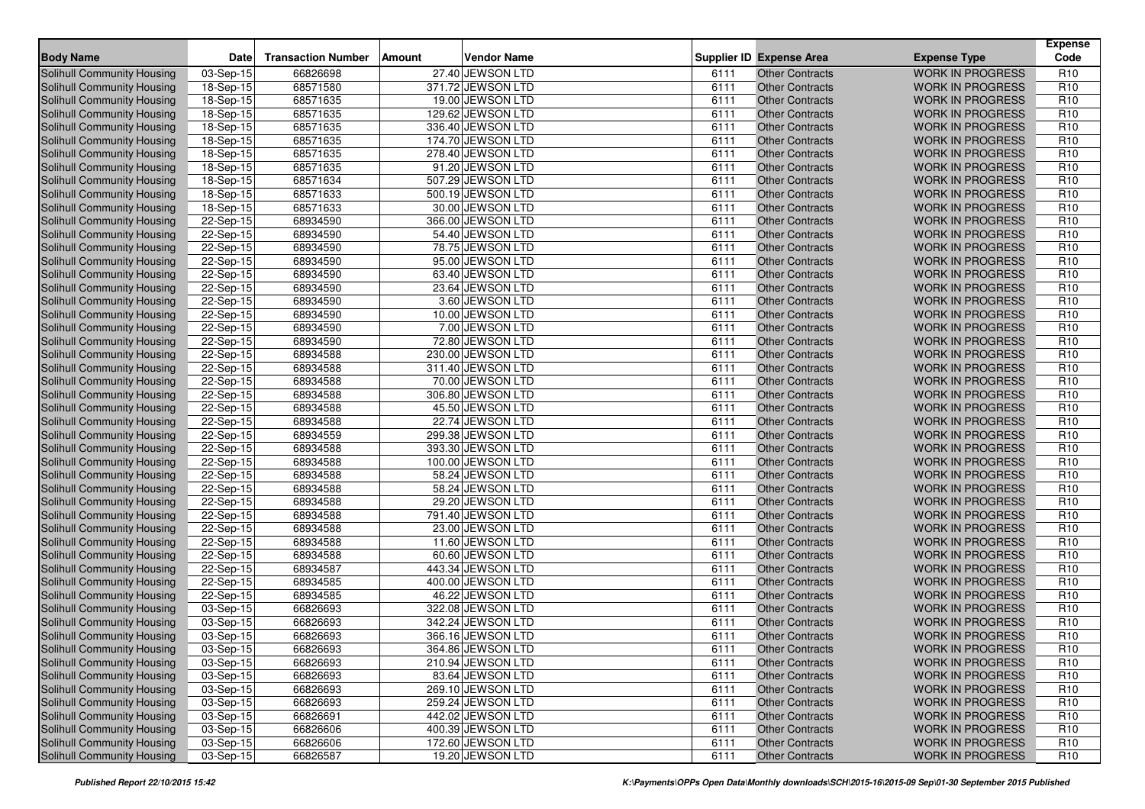| <b>Body Name</b>                  | Date                    | <b>Transaction Number</b> | Amount | <b>Vendor Name</b> |      | <b>Supplier ID Expense Area</b> | <b>Expense Type</b>     | <b>Expense</b><br>Code |
|-----------------------------------|-------------------------|---------------------------|--------|--------------------|------|---------------------------------|-------------------------|------------------------|
| Solihull Community Housing        | 03-Sep-15               | 66826698                  |        | 27.40 JEWSON LTD   | 6111 | <b>Other Contracts</b>          | <b>WORK IN PROGRESS</b> | R <sub>10</sub>        |
| <b>Solihull Community Housing</b> | 18-Sep-15               | 68571580                  |        | 371.72 JEWSON LTD  | 6111 | <b>Other Contracts</b>          | <b>WORK IN PROGRESS</b> | R <sub>10</sub>        |
| Solihull Community Housing        | 18-Sep-15               | 68571635                  |        | 19.00 JEWSON LTD   | 6111 | <b>Other Contracts</b>          | <b>WORK IN PROGRESS</b> | R <sub>10</sub>        |
| Solihull Community Housing        | 18-Sep-15               | 68571635                  |        | 129.62 JEWSON LTD  | 6111 | <b>Other Contracts</b>          | <b>WORK IN PROGRESS</b> | R <sub>10</sub>        |
| Solihull Community Housing        | 18-Sep-15               | 68571635                  |        | 336.40 JEWSON LTD  | 6111 | <b>Other Contracts</b>          | <b>WORK IN PROGRESS</b> | R <sub>10</sub>        |
| Solihull Community Housing        | 18-Sep-15               | 68571635                  |        | 174.70 JEWSON LTD  | 6111 | <b>Other Contracts</b>          | <b>WORK IN PROGRESS</b> | R <sub>10</sub>        |
| Solihull Community Housing        | 18-Sep-15               | 68571635                  |        | 278.40 JEWSON LTD  | 6111 | <b>Other Contracts</b>          | <b>WORK IN PROGRESS</b> | R <sub>10</sub>        |
| Solihull Community Housing        | 18-Sep-15               | 68571635                  |        | 91.20 JEWSON LTD   | 6111 | <b>Other Contracts</b>          | <b>WORK IN PROGRESS</b> | R <sub>10</sub>        |
| Solihull Community Housing        | 18-Sep-15               | 68571634                  |        | 507.29 JEWSON LTD  | 6111 | <b>Other Contracts</b>          | <b>WORK IN PROGRESS</b> | R <sub>10</sub>        |
| Solihull Community Housing        | 18-Sep-15               | 68571633                  |        | 500.19 JEWSON LTD  | 6111 | <b>Other Contracts</b>          | <b>WORK IN PROGRESS</b> | R <sub>10</sub>        |
| Solihull Community Housing        | 18-Sep-15               | 68571633                  |        | 30.00 JEWSON LTD   | 6111 | <b>Other Contracts</b>          | <b>WORK IN PROGRESS</b> | R <sub>10</sub>        |
| Solihull Community Housing        | 22-Sep-15               | 68934590                  |        | 366.00 JEWSON LTD  | 6111 | <b>Other Contracts</b>          | <b>WORK IN PROGRESS</b> | R <sub>10</sub>        |
| Solihull Community Housing        | 22-Sep-15               | 68934590                  |        | 54.40 JEWSON LTD   | 6111 | <b>Other Contracts</b>          | <b>WORK IN PROGRESS</b> | R <sub>10</sub>        |
| <b>Solihull Community Housing</b> | 22-Sep-15               | 68934590                  |        | 78.75 JEWSON LTD   | 6111 | <b>Other Contracts</b>          | <b>WORK IN PROGRESS</b> | R <sub>10</sub>        |
| Solihull Community Housing        | 22-Sep-15               | 68934590                  |        | 95.00 JEWSON LTD   | 6111 | <b>Other Contracts</b>          | <b>WORK IN PROGRESS</b> | R <sub>10</sub>        |
| Solihull Community Housing        | 22-Sep-15               | 68934590                  |        | 63.40 JEWSON LTD   | 6111 | <b>Other Contracts</b>          | <b>WORK IN PROGRESS</b> | R <sub>10</sub>        |
| Solihull Community Housing        | 22-Sep-15               | 68934590                  |        | 23.64 JEWSON LTD   | 6111 | <b>Other Contracts</b>          | <b>WORK IN PROGRESS</b> | R <sub>10</sub>        |
| Solihull Community Housing        | 22-Sep-15               | 68934590                  |        | 3.60 JEWSON LTD    | 6111 | <b>Other Contracts</b>          | <b>WORK IN PROGRESS</b> | R <sub>10</sub>        |
| <b>Solihull Community Housing</b> | 22-Sep-15               | 68934590                  |        | 10.00 JEWSON LTD   | 6111 | <b>Other Contracts</b>          | <b>WORK IN PROGRESS</b> | R <sub>10</sub>        |
| Solihull Community Housing        | 22-Sep-15               | 68934590                  |        | 7.00 JEWSON LTD    | 6111 | <b>Other Contracts</b>          | <b>WORK IN PROGRESS</b> | R <sub>10</sub>        |
| Solihull Community Housing        | 22-Sep-15               | 68934590                  |        | 72.80 JEWSON LTD   | 6111 | <b>Other Contracts</b>          | <b>WORK IN PROGRESS</b> | R <sub>10</sub>        |
| <b>Solihull Community Housing</b> | 22-Sep-15               | 68934588                  |        | 230.00 JEWSON LTD  | 6111 | <b>Other Contracts</b>          | <b>WORK IN PROGRESS</b> | R <sub>10</sub>        |
| Solihull Community Housing        | 22-Sep-15               | 68934588                  |        | 311.40 JEWSON LTD  | 6111 | <b>Other Contracts</b>          | <b>WORK IN PROGRESS</b> | R <sub>10</sub>        |
| <b>Solihull Community Housing</b> | 22-Sep-15               | 68934588                  |        | 70.00 JEWSON LTD   | 6111 | <b>Other Contracts</b>          | <b>WORK IN PROGRESS</b> | R <sub>10</sub>        |
| Solihull Community Housing        | 22-Sep-15               | 68934588                  |        | 306.80 JEWSON LTD  | 6111 | <b>Other Contracts</b>          | <b>WORK IN PROGRESS</b> | R <sub>10</sub>        |
| Solihull Community Housing        | 22-Sep-15               | 68934588                  |        | 45.50 JEWSON LTD   | 6111 | <b>Other Contracts</b>          | <b>WORK IN PROGRESS</b> | R <sub>10</sub>        |
| <b>Solihull Community Housing</b> | 22-Sep-15               | 68934588                  |        | 22.74 JEWSON LTD   | 6111 | <b>Other Contracts</b>          | <b>WORK IN PROGRESS</b> | R <sub>10</sub>        |
| Solihull Community Housing        | 22-Sep-15               | 68934559                  |        | 299.38 JEWSON LTD  | 6111 | <b>Other Contracts</b>          | <b>WORK IN PROGRESS</b> | R <sub>10</sub>        |
| Solihull Community Housing        | 22-Sep-15               | 68934588                  |        | 393.30 JEWSON LTD  | 6111 | <b>Other Contracts</b>          | <b>WORK IN PROGRESS</b> | R <sub>10</sub>        |
| Solihull Community Housing        | 22-Sep-15               | 68934588                  |        | 100.00 JEWSON LTD  | 6111 | <b>Other Contracts</b>          | <b>WORK IN PROGRESS</b> | R <sub>10</sub>        |
| <b>Solihull Community Housing</b> | 22-Sep-15               | 68934588                  |        | 58.24 JEWSON LTD   | 6111 | <b>Other Contracts</b>          | <b>WORK IN PROGRESS</b> | R <sub>10</sub>        |
| Solihull Community Housing        | $\overline{22}$ -Sep-15 | 68934588                  |        | 58.24 JEWSON LTD   | 6111 | <b>Other Contracts</b>          | <b>WORK IN PROGRESS</b> | R <sub>10</sub>        |
| Solihull Community Housing        | 22-Sep-15               | 68934588                  |        | 29.20 JEWSON LTD   | 6111 | <b>Other Contracts</b>          | <b>WORK IN PROGRESS</b> | R <sub>10</sub>        |
| Solihull Community Housing        | 22-Sep-15               | 68934588                  |        | 791.40 JEWSON LTD  | 6111 | <b>Other Contracts</b>          | <b>WORK IN PROGRESS</b> | R <sub>10</sub>        |
| Solihull Community Housing        | 22-Sep-15               | 68934588                  |        | 23.00 JEWSON LTD   | 6111 | <b>Other Contracts</b>          | <b>WORK IN PROGRESS</b> | R <sub>10</sub>        |
| <b>Solihull Community Housing</b> | 22-Sep-15               | 68934588                  |        | 11.60 JEWSON LTD   | 6111 | <b>Other Contracts</b>          | <b>WORK IN PROGRESS</b> | R <sub>10</sub>        |
| Solihull Community Housing        | 22-Sep-15               | 68934588                  |        | 60.60 JEWSON LTD   | 6111 | <b>Other Contracts</b>          | <b>WORK IN PROGRESS</b> | R <sub>10</sub>        |
| <b>Solihull Community Housing</b> | 22-Sep-15               | 68934587                  |        | 443.34 JEWSON LTD  | 6111 | <b>Other Contracts</b>          | <b>WORK IN PROGRESS</b> | R <sub>10</sub>        |
| <b>Solihull Community Housing</b> | 22-Sep-15               | 68934585                  |        | 400.00 JEWSON LTD  | 6111 | <b>Other Contracts</b>          | <b>WORK IN PROGRESS</b> | R <sub>10</sub>        |
| Solihull Community Housing        | 22-Sep-15               | 68934585                  |        | 46.22 JEWSON LTD   | 6111 | <b>Other Contracts</b>          | <b>WORK IN PROGRESS</b> | R <sub>10</sub>        |
| <b>Solihull Community Housing</b> | 03-Sep-15               | 66826693                  |        | 322.08 JEWSON LTD  | 6111 | <b>Other Contracts</b>          | <b>WORK IN PROGRESS</b> | R <sub>10</sub>        |
| Solihull Community Housing        | 03-Sep-15               | 66826693                  |        | 342.24 JEWSON LTD  | 6111 | <b>Other Contracts</b>          | <b>WORK IN PROGRESS</b> | R <sub>10</sub>        |
| Solihull Community Housing        | 03-Sep-15               | 66826693                  |        | 366.16 JEWSON LTD  | 6111 | <b>Other Contracts</b>          | <b>WORK IN PROGRESS</b> | R <sub>10</sub>        |
| Solihull Community Housing        | $\overline{03}$ -Sep-15 | 66826693                  |        | 364.86 JEWSON LTD  | 6111 | <b>Other Contracts</b>          | <b>WORK IN PROGRESS</b> | R <sub>10</sub>        |
| Solihull Community Housing        | 03-Sep-15               | 66826693                  |        | 210.94 JEWSON LTD  | 6111 | <b>Other Contracts</b>          | <b>WORK IN PROGRESS</b> | R <sub>10</sub>        |
| Solihull Community Housing        | 03-Sep-15               | 66826693                  |        | 83.64 JEWSON LTD   | 6111 | <b>Other Contracts</b>          | <b>WORK IN PROGRESS</b> | R <sub>10</sub>        |
| Solihull Community Housing        | 03-Sep-15               | 66826693                  |        | 269.10 JEWSON LTD  | 6111 | <b>Other Contracts</b>          | <b>WORK IN PROGRESS</b> | R <sub>10</sub>        |
| Solihull Community Housing        | 03-Sep-15               | 66826693                  |        | 259.24 JEWSON LTD  | 6111 | <b>Other Contracts</b>          | <b>WORK IN PROGRESS</b> | R <sub>10</sub>        |
| Solihull Community Housing        | 03-Sep-15               | 66826691                  |        | 442.02 JEWSON LTD  | 6111 | <b>Other Contracts</b>          | <b>WORK IN PROGRESS</b> | R <sub>10</sub>        |
| Solihull Community Housing        | 03-Sep-15               | 66826606                  |        | 400.39 JEWSON LTD  | 6111 | <b>Other Contracts</b>          | <b>WORK IN PROGRESS</b> | R <sub>10</sub>        |
| Solihull Community Housing        | 03-Sep-15               | 66826606                  |        | 172.60 JEWSON LTD  | 6111 | <b>Other Contracts</b>          | <b>WORK IN PROGRESS</b> | R <sub>10</sub>        |
| Solihull Community Housing        | 03-Sep-15               | 66826587                  |        | 19.20 JEWSON LTD   | 6111 | <b>Other Contracts</b>          | WORK IN PROGRESS        | R <sub>10</sub>        |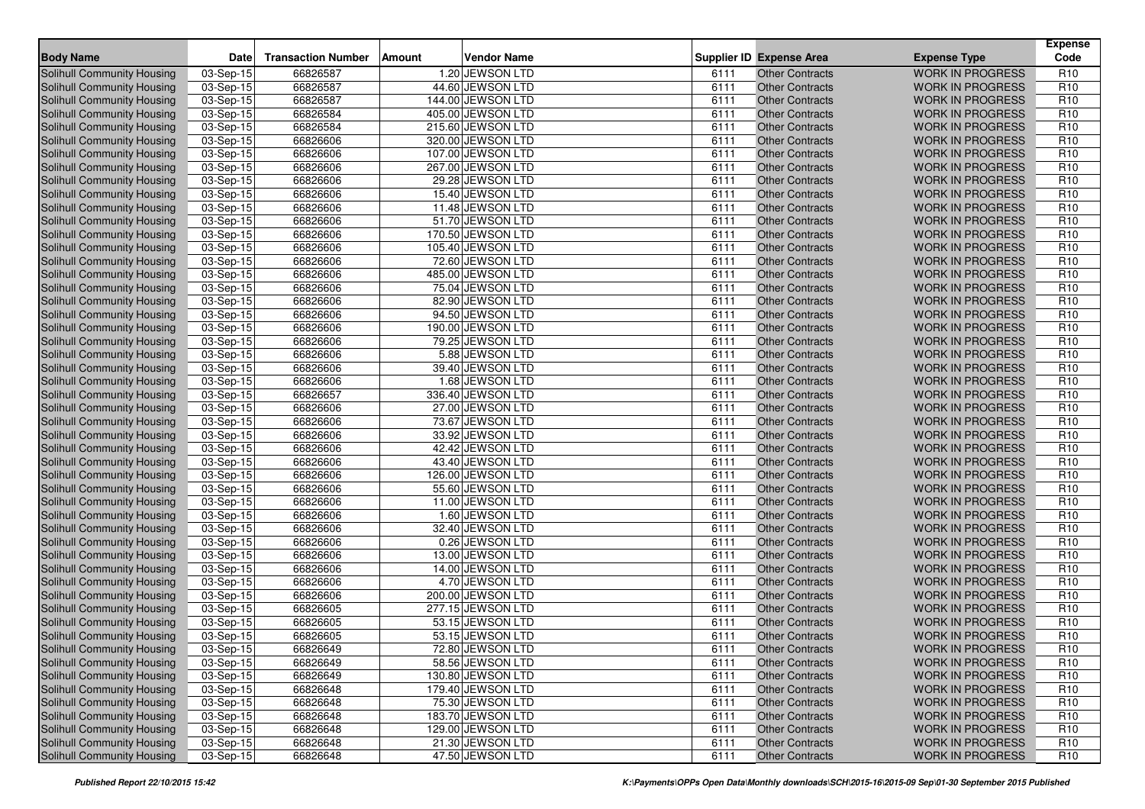| <b>Body Name</b>                  | Date        | <b>Transaction Number</b> | Amount | <b>Vendor Name</b> |      | <b>Supplier ID Expense Area</b> | <b>Expense Type</b>     | <b>Expense</b><br>Code |
|-----------------------------------|-------------|---------------------------|--------|--------------------|------|---------------------------------|-------------------------|------------------------|
| Solihull Community Housing        | 03-Sep-15   | 66826587                  |        | 1.20 JEWSON LTD    | 6111 | Other Contracts                 | <b>WORK IN PROGRESS</b> | R <sub>10</sub>        |
| <b>Solihull Community Housing</b> | 03-Sep-15   | 66826587                  |        | 44.60 JEWSON LTD   | 6111 | <b>Other Contracts</b>          | <b>WORK IN PROGRESS</b> | R <sub>10</sub>        |
| <b>Solihull Community Housing</b> | $03-Sep-15$ | 66826587                  |        | 144.00 JEWSON LTD  | 6111 | <b>Other Contracts</b>          | <b>WORK IN PROGRESS</b> | R <sub>10</sub>        |
| Solihull Community Housing        | 03-Sep-15   | 66826584                  |        | 405.00 JEWSON LTD  | 6111 | <b>Other Contracts</b>          | <b>WORK IN PROGRESS</b> | R <sub>10</sub>        |
| Solihull Community Housing        | 03-Sep-15   | 66826584                  |        | 215.60 JEWSON LTD  | 6111 | <b>Other Contracts</b>          | <b>WORK IN PROGRESS</b> | R <sub>10</sub>        |
| Solihull Community Housing        | $03-Sep-15$ | 66826606                  |        | 320.00 JEWSON LTD  | 6111 | <b>Other Contracts</b>          | <b>WORK IN PROGRESS</b> | R <sub>10</sub>        |
| Solihull Community Housing        | 03-Sep-15   | 66826606                  |        | 107.00 JEWSON LTD  | 6111 | <b>Other Contracts</b>          | <b>WORK IN PROGRESS</b> | R <sub>10</sub>        |
| <b>Solihull Community Housing</b> | 03-Sep-15   | 66826606                  |        | 267.00 JEWSON LTD  | 6111 | <b>Other Contracts</b>          | <b>WORK IN PROGRESS</b> | R <sub>10</sub>        |
| Solihull Community Housing        | 03-Sep-15   | 66826606                  |        | 29.28 JEWSON LTD   | 6111 | <b>Other Contracts</b>          | <b>WORK IN PROGRESS</b> | R <sub>10</sub>        |
| <b>Solihull Community Housing</b> | 03-Sep-15   | 66826606                  |        | 15.40 JEWSON LTD   | 6111 | <b>Other Contracts</b>          | <b>WORK IN PROGRESS</b> | R <sub>10</sub>        |
| Solihull Community Housing        | 03-Sep-15   | 66826606                  |        | 11.48 JEWSON LTD   | 6111 | <b>Other Contracts</b>          | <b>WORK IN PROGRESS</b> | R <sub>10</sub>        |
| Solihull Community Housing        | $03-Sep-15$ | 66826606                  |        | 51.70 JEWSON LTD   | 6111 | <b>Other Contracts</b>          | <b>WORK IN PROGRESS</b> | R <sub>10</sub>        |
| Solihull Community Housing        | 03-Sep-15   | 66826606                  |        | 170.50 JEWSON LTD  | 6111 | <b>Other Contracts</b>          | <b>WORK IN PROGRESS</b> | R <sub>10</sub>        |
| <b>Solihull Community Housing</b> | $03-Sep-15$ | 66826606                  |        | 105.40 JEWSON LTD  | 6111 | <b>Other Contracts</b>          | <b>WORK IN PROGRESS</b> | R <sub>10</sub>        |
| Solihull Community Housing        | 03-Sep-15   | 66826606                  |        | 72.60 JEWSON LTD   | 6111 | <b>Other Contracts</b>          | <b>WORK IN PROGRESS</b> | R <sub>10</sub>        |
| Solihull Community Housing        | 03-Sep-15   | 66826606                  |        | 485.00 JEWSON LTD  | 6111 | <b>Other Contracts</b>          | <b>WORK IN PROGRESS</b> | R <sub>10</sub>        |
| Solihull Community Housing        | 03-Sep-15   | 66826606                  |        | 75.04 JEWSON LTD   | 6111 | <b>Other Contracts</b>          | <b>WORK IN PROGRESS</b> | R <sub>10</sub>        |
| Solihull Community Housing        | 03-Sep-15   | 66826606                  |        | 82.90 JEWSON LTD   | 6111 | <b>Other Contracts</b>          | <b>WORK IN PROGRESS</b> | R <sub>10</sub>        |
| <b>Solihull Community Housing</b> | 03-Sep-15   | 66826606                  |        | 94.50 JEWSON LTD   | 6111 | <b>Other Contracts</b>          | <b>WORK IN PROGRESS</b> | R <sub>10</sub>        |
| Solihull Community Housing        | 03-Sep-15   | 66826606                  |        | 190.00 JEWSON LTD  | 6111 | <b>Other Contracts</b>          | <b>WORK IN PROGRESS</b> | R <sub>10</sub>        |
| <b>Solihull Community Housing</b> | 03-Sep-15   | 66826606                  |        | 79.25 JEWSON LTD   | 6111 | <b>Other Contracts</b>          | <b>WORK IN PROGRESS</b> | R <sub>10</sub>        |
| <b>Solihull Community Housing</b> | 03-Sep-15   | 66826606                  |        | 5.88 JEWSON LTD    | 6111 | <b>Other Contracts</b>          | <b>WORK IN PROGRESS</b> | R <sub>10</sub>        |
| Solihull Community Housing        | 03-Sep-15   | 66826606                  |        | 39.40 JEWSON LTD   | 6111 | <b>Other Contracts</b>          | <b>WORK IN PROGRESS</b> | R <sub>10</sub>        |
| <b>Solihull Community Housing</b> | 03-Sep-15   | 66826606                  |        | 1.68 JEWSON LTD    | 6111 | <b>Other Contracts</b>          | <b>WORK IN PROGRESS</b> | R <sub>10</sub>        |
| Solihull Community Housing        | 03-Sep-15   | 66826657                  |        | 336.40 JEWSON LTD  | 6111 | <b>Other Contracts</b>          | <b>WORK IN PROGRESS</b> | R <sub>10</sub>        |
| Solihull Community Housing        | 03-Sep-15   | 66826606                  |        | 27.00 JEWSON LTD   | 6111 | <b>Other Contracts</b>          | <b>WORK IN PROGRESS</b> | R <sub>10</sub>        |
| <b>Solihull Community Housing</b> | $03-Sep-15$ | 66826606                  |        | 73.67 JEWSON LTD   | 6111 | <b>Other Contracts</b>          | <b>WORK IN PROGRESS</b> | R <sub>10</sub>        |
| Solihull Community Housing        | 03-Sep-15   | 66826606                  |        | 33.92 JEWSON LTD   | 6111 | <b>Other Contracts</b>          | <b>WORK IN PROGRESS</b> | R <sub>10</sub>        |
| Solihull Community Housing        | 03-Sep-15   | 66826606                  |        | 42.42 JEWSON LTD   | 6111 | <b>Other Contracts</b>          | <b>WORK IN PROGRESS</b> | R <sub>10</sub>        |
| Solihull Community Housing        | 03-Sep-15   | 66826606                  |        | 43.40 JEWSON LTD   | 6111 | <b>Other Contracts</b>          | <b>WORK IN PROGRESS</b> | R <sub>10</sub>        |
| Solihull Community Housing        | $03-Sep-15$ | 66826606                  |        | 126.00 JEWSON LTD  | 6111 | <b>Other Contracts</b>          | <b>WORK IN PROGRESS</b> | R <sub>10</sub>        |
| Solihull Community Housing        | 03-Sep-15   | 66826606                  |        | 55.60 JEWSON LTD   | 6111 | <b>Other Contracts</b>          | <b>WORK IN PROGRESS</b> | R <sub>10</sub>        |
| Solihull Community Housing        | 03-Sep-15   | 66826606                  |        | 11.00 JEWSON LTD   | 6111 | <b>Other Contracts</b>          | <b>WORK IN PROGRESS</b> | R <sub>10</sub>        |
| Solihull Community Housing        | 03-Sep-15   | 66826606                  |        | 1.60 JEWSON LTD    | 6111 | <b>Other Contracts</b>          | <b>WORK IN PROGRESS</b> | R <sub>10</sub>        |
| <b>Solihull Community Housing</b> | 03-Sep-15   | 66826606                  |        | 32.40 JEWSON LTD   | 6111 | <b>Other Contracts</b>          | <b>WORK IN PROGRESS</b> | R <sub>10</sub>        |
| Solihull Community Housing        | 03-Sep-15   | 66826606                  |        | 0.26 JEWSON LTD    | 6111 | <b>Other Contracts</b>          | <b>WORK IN PROGRESS</b> | R <sub>10</sub>        |
| Solihull Community Housing        | $03-Sep-15$ | 66826606                  |        | 13.00 JEWSON LTD   | 6111 | <b>Other Contracts</b>          | <b>WORK IN PROGRESS</b> | R <sub>10</sub>        |
| Solihull Community Housing        | 03-Sep-15   | 66826606                  |        | 14.00 JEWSON LTD   | 6111 | <b>Other Contracts</b>          | <b>WORK IN PROGRESS</b> | R <sub>10</sub>        |
| Solihull Community Housing        | 03-Sep-15   | 66826606                  |        | 4.70 JEWSON LTD    | 6111 | <b>Other Contracts</b>          | <b>WORK IN PROGRESS</b> | R <sub>10</sub>        |
| Solihull Community Housing        | 03-Sep-15   | 66826606                  |        | 200.00 JEWSON LTD  | 6111 | <b>Other Contracts</b>          | <b>WORK IN PROGRESS</b> | R <sub>10</sub>        |
| Solihull Community Housing        | 03-Sep-15   | 66826605                  |        | 277.15 JEWSON LTD  | 6111 | <b>Other Contracts</b>          | <b>WORK IN PROGRESS</b> | R <sub>10</sub>        |
| <b>Solihull Community Housing</b> | 03-Sep-15   | 66826605                  |        | 53.15 JEWSON LTD   | 6111 | <b>Other Contracts</b>          | <b>WORK IN PROGRESS</b> | R <sub>10</sub>        |
| Solihull Community Housing        | 03-Sep-15   | 66826605                  |        | 53.15 JEWSON LTD   | 6111 | <b>Other Contracts</b>          | <b>WORK IN PROGRESS</b> | R <sub>10</sub>        |
| Solihull Community Housing        | 03-Sep-15   | 66826649                  |        | 72.80 JEWSON LTD   | 6111 | <b>Other Contracts</b>          | WORK IN PROGRESS        | R <sub>10</sub>        |
| Solihull Community Housing        | 03-Sep-15   | 66826649                  |        | 58.56 JEWSON LTD   | 6111 | <b>Other Contracts</b>          | <b>WORK IN PROGRESS</b> | R <sub>10</sub>        |
| Solihull Community Housing        | $03-Sep-15$ | 66826649                  |        | 130.80 JEWSON LTD  | 6111 | <b>Other Contracts</b>          | <b>WORK IN PROGRESS</b> | R <sub>10</sub>        |
| Solihull Community Housing        | 03-Sep-15   | 66826648                  |        | 179.40 JEWSON LTD  | 6111 | <b>Other Contracts</b>          | <b>WORK IN PROGRESS</b> | R <sub>10</sub>        |
| Solihull Community Housing        | 03-Sep-15   | 66826648                  |        | 75.30 JEWSON LTD   | 6111 | <b>Other Contracts</b>          | <b>WORK IN PROGRESS</b> | R <sub>10</sub>        |
| Solihull Community Housing        | 03-Sep-15   | 66826648                  |        | 183.70 JEWSON LTD  | 6111 | <b>Other Contracts</b>          | <b>WORK IN PROGRESS</b> | R <sub>10</sub>        |
| Solihull Community Housing        | 03-Sep-15   | 66826648                  |        | 129.00 JEWSON LTD  | 6111 | <b>Other Contracts</b>          | <b>WORK IN PROGRESS</b> | R <sub>10</sub>        |
| Solihull Community Housing        | $03-Sep-15$ | 66826648                  |        | 21.30 JEWSON LTD   | 6111 | <b>Other Contracts</b>          | <b>WORK IN PROGRESS</b> | R <sub>10</sub>        |
| Solihull Community Housing        | 03-Sep-15   | 66826648                  |        | 47.50 JEWSON LTD   | 6111 | <b>Other Contracts</b>          | WORK IN PROGRESS        | R <sub>10</sub>        |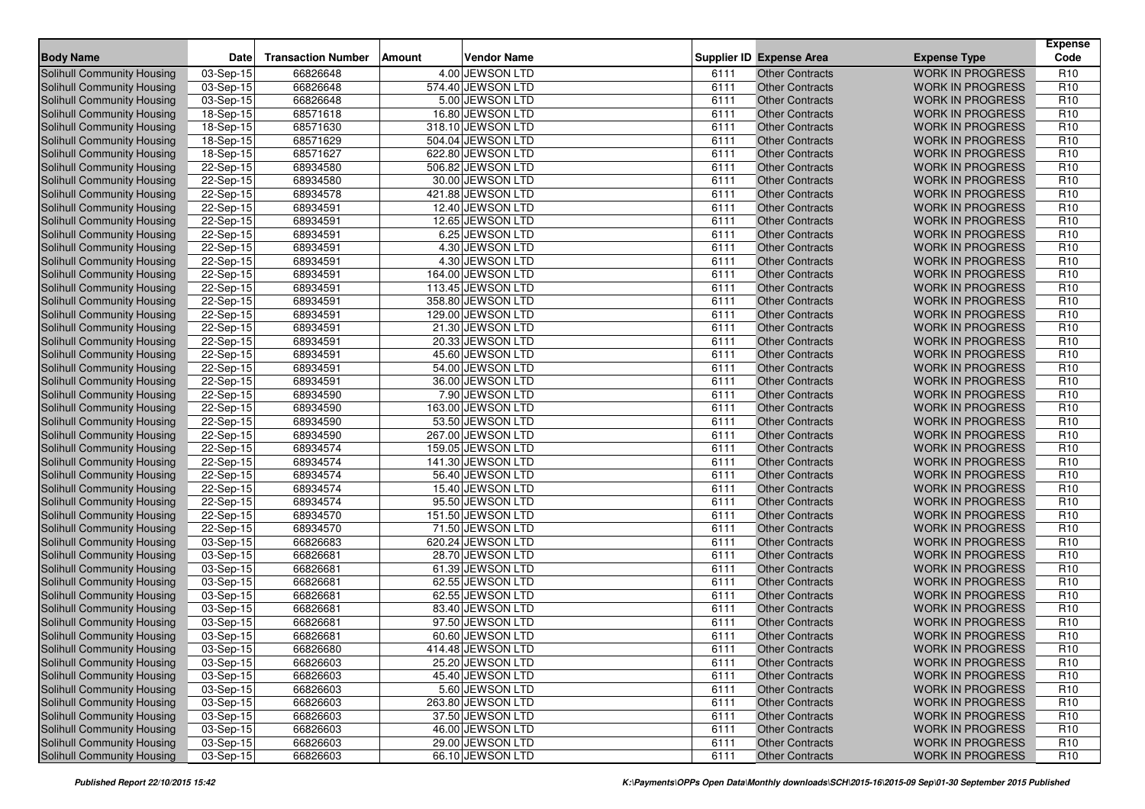| 4.00 JEWSON LTD<br><b>WORK IN PROGRESS</b><br>Solihull Community Housing<br>03-Sep-15<br>66826648<br><b>Other Contracts</b><br>R <sub>10</sub><br>6111<br>66826648<br>574.40 JEWSON LTD<br>R <sub>10</sub><br>03-Sep-15<br>6111<br><b>WORK IN PROGRESS</b><br>Solihull Community Housing<br><b>Other Contracts</b><br>66826648<br>5.00 JEWSON LTD<br>R <sub>10</sub><br><b>WORK IN PROGRESS</b><br>Solihull Community Housing<br>03-Sep-15<br>6111<br><b>Other Contracts</b><br>R <sub>10</sub><br>18-Sep-15<br>68571618<br>16.80 JEWSON LTD<br>6111<br><b>WORK IN PROGRESS</b><br>Solihull Community Housing<br><b>Other Contracts</b><br>R <sub>10</sub><br>18-Sep-15<br>68571630<br>318.10 JEWSON LTD<br>6111<br>Solihull Community Housing<br><b>Other Contracts</b><br><b>WORK IN PROGRESS</b><br>68571629<br>504.04 JEWSON LTD<br>R <sub>10</sub><br>Solihull Community Housing<br>18-Sep-15<br>6111<br><b>Other Contracts</b><br><b>WORK IN PROGRESS</b><br>68571627<br>R <sub>10</sub><br><b>Solihull Community Housing</b><br>18-Sep-15<br>622.80 JEWSON LTD<br><b>Other Contracts</b><br><b>WORK IN PROGRESS</b><br>6111<br>68934580<br>506.82 JEWSON LTD<br>6111<br><b>Other Contracts</b><br>R <sub>10</sub><br>Solihull Community Housing<br>22-Sep-15<br><b>WORK IN PROGRESS</b><br>68934580<br>30.00 JEWSON LTD<br>Solihull Community Housing<br>22-Sep-15<br><b>WORK IN PROGRESS</b><br>R <sub>10</sub><br>6111<br><b>Other Contracts</b><br>R <sub>10</sub><br><b>Solihull Community Housing</b><br>68934578<br>421.88 JEWSON LTD<br><b>Other Contracts</b><br>22-Sep-15<br>6111<br><b>WORK IN PROGRESS</b><br>12.40 JEWSON LTD<br>R <sub>10</sub><br><b>Solihull Community Housing</b><br>22-Sep-15<br>68934591<br><b>Other Contracts</b><br><b>WORK IN PROGRESS</b><br>6111<br>68934591<br>12.65 JEWSON LTD<br>R <sub>10</sub><br><b>Solihull Community Housing</b><br>22-Sep-15<br>6111<br><b>WORK IN PROGRESS</b><br><b>Other Contracts</b><br>R <sub>10</sub><br>22-Sep-15<br>68934591<br>6.25 JEWSON LTD<br>6111<br><b>WORK IN PROGRESS</b><br>Solihull Community Housing<br><b>Other Contracts</b><br>68934591<br>4.30 JEWSON LTD<br>R <sub>10</sub><br>Solihull Community Housing<br>22-Sep-15<br><b>Other Contracts</b><br><b>WORK IN PROGRESS</b><br>6111<br>Solihull Community Housing<br>$22-Sep-15$<br>68934591<br>4.30 JEWSON LTD<br>6111<br><b>Other Contracts</b><br><b>WORK IN PROGRESS</b><br>R <sub>10</sub><br>Solihull Community Housing<br>22-Sep-15<br>68934591<br>164.00 JEWSON LTD<br>6111<br>R <sub>10</sub><br><b>Other Contracts</b><br><b>WORK IN PROGRESS</b><br>68934591<br>113.45 JEWSON LTD<br><b>Other Contracts</b><br><b>WORK IN PROGRESS</b><br>R <sub>10</sub><br>Solihull Community Housing<br>22-Sep-15<br>6111<br>358.80 JEWSON LTD<br>R <sub>10</sub><br><b>Solihull Community Housing</b><br>22-Sep-15<br>68934591<br>6111<br><b>Other Contracts</b><br><b>WORK IN PROGRESS</b><br>129.00 JEWSON LTD<br>R <sub>10</sub><br>Solihull Community Housing<br>22-Sep-15<br>68934591<br>6111<br><b>Other Contracts</b><br><b>WORK IN PROGRESS</b><br>22-Sep-15<br>68934591<br>21.30 JEWSON LTD<br>6111<br><b>WORK IN PROGRESS</b><br>R <sub>10</sub><br>Solihull Community Housing<br><b>Other Contracts</b><br>R <sub>10</sub><br>68934591<br>20.33 JEWSON LTD<br>Solihull Community Housing<br>22-Sep-15<br>6111<br><b>Other Contracts</b><br><b>WORK IN PROGRESS</b><br>R <sub>10</sub><br>Solihull Community Housing<br>22-Sep-15<br>68934591<br>45.60 JEWSON LTD<br>6111<br><b>Other Contracts</b><br><b>WORK IN PROGRESS</b><br>68934591<br>54.00 JEWSON LTD<br>Solihull Community Housing<br>22-Sep-15<br>6111<br><b>WORK IN PROGRESS</b><br>R <sub>10</sub><br><b>Other Contracts</b><br>Solihull Community Housing<br>36.00 JEWSON LTD<br>R <sub>10</sub><br>22-Sep-15<br>68934591<br>6111<br><b>Other Contracts</b><br><b>WORK IN PROGRESS</b><br>R <sub>10</sub><br>22-Sep-15<br>68934590<br>7.90 JEWSON LTD<br><b>Other Contracts</b><br><b>WORK IN PROGRESS</b><br>Solihull Community Housing<br>6111<br>68934590<br>163.00 JEWSON LTD<br>R <sub>10</sub><br>22-Sep-15<br>6111<br><b>WORK IN PROGRESS</b><br><b>Solihull Community Housing</b><br><b>Other Contracts</b><br>68934590<br>53.50 JEWSON LTD<br>R <sub>10</sub><br>Solihull Community Housing<br>22-Sep-15<br>6111<br><b>Other Contracts</b><br><b>WORK IN PROGRESS</b><br>68934590<br>267.00 JEWSON LTD<br>R <sub>10</sub><br>22-Sep-15<br><b>Other Contracts</b><br><b>WORK IN PROGRESS</b><br>Solihull Community Housing<br>6111<br>159.05 JEWSON LTD<br>R <sub>10</sub><br><b>Solihull Community Housing</b><br>22-Sep-15<br>68934574<br>6111<br>Other Contracts<br><b>WORK IN PROGRESS</b><br>68934574<br>R <sub>10</sub><br>22-Sep-15<br>141.30 JEWSON LTD<br>6111<br>Solihull Community Housing<br><b>Other Contracts</b><br><b>WORK IN PROGRESS</b><br>R <sub>10</sub><br>Solihull Community Housing<br>22-Sep-15<br>68934574<br>56.40 JEWSON LTD<br><b>Other Contracts</b><br><b>WORK IN PROGRESS</b><br>6111<br>R <sub>10</sub><br>22-Sep-15<br>68934574<br>15.40 JEWSON LTD<br>6111<br><b>WORK IN PROGRESS</b><br>Solihull Community Housing<br><b>Other Contracts</b><br>22-Sep-15<br>68934574<br>95.50 JEWSON LTD<br>6111<br><b>Other Contracts</b><br><b>WORK IN PROGRESS</b><br>R <sub>10</sub><br>Solihull Community Housing<br>68934570<br>151.50 JEWSON LTD<br>22-Sep-15<br>6111<br><b>WORK IN PROGRESS</b><br>R <sub>10</sub><br>Solihull Community Housing<br><b>Other Contracts</b><br>R <sub>10</sub><br><b>Solihull Community Housing</b><br>22-Sep-15<br>68934570<br>71.50 JEWSON LTD<br>6111<br><b>Other Contracts</b><br><b>WORK IN PROGRESS</b><br>Solihull Community Housing<br>03-Sep-15<br>66826683<br>620.24 JEWSON LTD<br><b>WORK IN PROGRESS</b><br>R <sub>10</sub><br>6111<br><b>Other Contracts</b><br>66826681<br><b>Solihull Community Housing</b><br>03-Sep-15<br>28.70 JEWSON LTD<br>6111<br><b>WORK IN PROGRESS</b><br>R <sub>10</sub><br><b>Other Contracts</b><br>66826681<br>61.39 JEWSON LTD<br>6111<br><b>WORK IN PROGRESS</b><br>R <sub>10</sub><br>Solihull Community Housing<br>03-Sep-15<br><b>Other Contracts</b><br>66826681<br>62.55 JEWSON LTD<br>R <sub>10</sub><br><b>Solihull Community Housing</b><br>03-Sep-15<br><b>Other Contracts</b><br><b>WORK IN PROGRESS</b><br>6111<br>62.55 JEWSON LTD<br>Solihull Community Housing<br>03-Sep-15<br>66826681<br>6111<br><b>Other Contracts</b><br><b>WORK IN PROGRESS</b><br>R <sub>10</sub><br>Solihull Community Housing<br>66826681<br>83.40 JEWSON LTD<br>6111<br>R <sub>10</sub><br>03-Sep-15<br><b>Other Contracts</b><br><b>WORK IN PROGRESS</b><br>66826681<br>97.50 JEWSON LTD<br>R <sub>10</sub><br><b>Solihull Community Housing</b><br>03-Sep-15<br>6111<br><b>Other Contracts</b><br><b>WORK IN PROGRESS</b><br>66826681<br>R <sub>10</sub><br>Solihull Community Housing<br>60.60 JEWSON LTD<br>6111<br><b>WORK IN PROGRESS</b><br>03-Sep-15<br><b>Other Contracts</b><br>66826680<br>414.48 JEWSON LTD<br>6111<br>Other Contracts<br>R <sub>10</sub><br>03-Sep-15<br>Solihull Community Housing<br><b>WORK IN PROGRESS</b><br><b>Solihull Community Housing</b><br>03-Sep-15<br>66826603<br>25.20 JEWSON LTD<br><b>WORK IN PROGRESS</b><br>R <sub>10</sub><br>6111<br><b>Other Contracts</b><br><b>Solihull Community Housing</b><br>03-Sep-15<br>66826603<br>45.40 JEWSON LTD<br>6111<br><b>Other Contracts</b><br><b>WORK IN PROGRESS</b><br>R <sub>10</sub><br><b>Solihull Community Housing</b><br>66826603<br>5.60 JEWSON LTD<br><b>Other Contracts</b><br>03-Sep-15<br>6111<br><b>WORK IN PROGRESS</b><br>R <sub>10</sub><br><b>Solihull Community Housing</b><br>03-Sep-15<br>66826603<br>263.80 JEWSON LTD<br>6111<br><b>Other Contracts</b><br><b>WORK IN PROGRESS</b><br>R <sub>10</sub><br><b>Solihull Community Housing</b><br>03-Sep-15<br>66826603<br>37.50 JEWSON LTD<br><b>Other Contracts</b><br><b>WORK IN PROGRESS</b><br>R <sub>10</sub><br>6111<br>03-Sep-15<br>66826603<br>46.00 JEWSON LTD<br>R <sub>10</sub><br><b>Solihull Community Housing</b><br><b>Other Contracts</b><br><b>WORK IN PROGRESS</b><br>6111<br><b>Solihull Community Housing</b><br>03-Sep-15<br>66826603<br>29.00 JEWSON LTD<br><b>Other Contracts</b><br>6111<br><b>WORK IN PROGRESS</b><br>R <sub>10</sub><br>Solihull Community Housing<br>03-Sep-15<br>66826603<br>66.10 JEWSON LTD<br>6111<br><b>Other Contracts</b><br>WORK IN PROGRESS<br>R <sub>10</sub> | <b>Body Name</b> | <b>Date</b> | <b>Transaction Number</b> | <b>Amount</b> | <b>Vendor Name</b> |  | <b>Supplier ID Expense Area</b> | <b>Expense Type</b> | <b>Expense</b><br>Code |
|----------------------------------------------------------------------------------------------------------------------------------------------------------------------------------------------------------------------------------------------------------------------------------------------------------------------------------------------------------------------------------------------------------------------------------------------------------------------------------------------------------------------------------------------------------------------------------------------------------------------------------------------------------------------------------------------------------------------------------------------------------------------------------------------------------------------------------------------------------------------------------------------------------------------------------------------------------------------------------------------------------------------------------------------------------------------------------------------------------------------------------------------------------------------------------------------------------------------------------------------------------------------------------------------------------------------------------------------------------------------------------------------------------------------------------------------------------------------------------------------------------------------------------------------------------------------------------------------------------------------------------------------------------------------------------------------------------------------------------------------------------------------------------------------------------------------------------------------------------------------------------------------------------------------------------------------------------------------------------------------------------------------------------------------------------------------------------------------------------------------------------------------------------------------------------------------------------------------------------------------------------------------------------------------------------------------------------------------------------------------------------------------------------------------------------------------------------------------------------------------------------------------------------------------------------------------------------------------------------------------------------------------------------------------------------------------------------------------------------------------------------------------------------------------------------------------------------------------------------------------------------------------------------------------------------------------------------------------------------------------------------------------------------------------------------------------------------------------------------------------------------------------------------------------------------------------------------------------------------------------------------------------------------------------------------------------------------------------------------------------------------------------------------------------------------------------------------------------------------------------------------------------------------------------------------------------------------------------------------------------------------------------------------------------------------------------------------------------------------------------------------------------------------------------------------------------------------------------------------------------------------------------------------------------------------------------------------------------------------------------------------------------------------------------------------------------------------------------------------------------------------------------------------------------------------------------------------------------------------------------------------------------------------------------------------------------------------------------------------------------------------------------------------------------------------------------------------------------------------------------------------------------------------------------------------------------------------------------------------------------------------------------------------------------------------------------------------------------------------------------------------------------------------------------------------------------------------------------------------------------------------------------------------------------------------------------------------------------------------------------------------------------------------------------------------------------------------------------------------------------------------------------------------------------------------------------------------------------------------------------------------------------------------------------------------------------------------------------------------------------------------------------------------------------------------------------------------------------------------------------------------------------------------------------------------------------------------------------------------------------------------------------------------------------------------------------------------------------------------------------------------------------------------------------------------------------------------------------------------------------------------------------------------------------------------------------------------------------------------------------------------------------------------------------------------------------------------------------------------------------------------------------------------------------------------------------------------------------------------------------------------------------------------------------------------------------------------------------------------------------------------------------------------------------------------------------------------------------------------------------------------------------------------------------------------------------------------------------------------------------------------------------------------------------------------------------------------------------------------------------------------------------------------------------------------------------------------------------------------------------------------------------------------------------------------------------------------------------------------------------------------------------------------------------------------------------------------------------------------------------------------------------------------------------------------------------------------------------------------------------------------------------------------------------------------------------------------------------------------------------------------------------------------------------------------------------------------------------------------------------------------------------------------------------------------------------------------------------------------------------------------------------------------------------------------------------------------------------------------------------------------------------------------------------------------------------------------------------------------------------------------------------------------------------------------------------------------------------------------------------------------------------------------------------------------------------------------------------------------------------------------------------------------------------------------------------------------------------------------------------------------------------------------------------------------------------------------------------------------------------------------------------------------------------------------------------------------------------------------------------------------------|------------------|-------------|---------------------------|---------------|--------------------|--|---------------------------------|---------------------|------------------------|
|                                                                                                                                                                                                                                                                                                                                                                                                                                                                                                                                                                                                                                                                                                                                                                                                                                                                                                                                                                                                                                                                                                                                                                                                                                                                                                                                                                                                                                                                                                                                                                                                                                                                                                                                                                                                                                                                                                                                                                                                                                                                                                                                                                                                                                                                                                                                                                                                                                                                                                                                                                                                                                                                                                                                                                                                                                                                                                                                                                                                                                                                                                                                                                                                                                                                                                                                                                                                                                                                                                                                                                                                                                                                                                                                                                                                                                                                                                                                                                                                                                                                                                                                                                                                                                                                                                                                                                                                                                                                                                                                                                                                                                                                                                                                                                                                                                                                                                                                                                                                                                                                                                                                                                                                                                                                                                                                                                                                                                                                                                                                                                                                                                                                                                                                                                                                                                                                                                                                                                                                                                                                                                                                                                                                                                                                                                                                                                                                                                                                                                                                                                                                                                                                                                                                                                                                                                                                                                                                                                                                                                                                                                                                                                                                                                                                                                                                                                                                                                                                                                                                                                                                                                                                                                                                                                                                                                                                                                                                                                                                                                                                                                                                                                                                                                                                                                                                                                                                                                                                                                                |                  |             |                           |               |                    |  |                                 |                     |                        |
|                                                                                                                                                                                                                                                                                                                                                                                                                                                                                                                                                                                                                                                                                                                                                                                                                                                                                                                                                                                                                                                                                                                                                                                                                                                                                                                                                                                                                                                                                                                                                                                                                                                                                                                                                                                                                                                                                                                                                                                                                                                                                                                                                                                                                                                                                                                                                                                                                                                                                                                                                                                                                                                                                                                                                                                                                                                                                                                                                                                                                                                                                                                                                                                                                                                                                                                                                                                                                                                                                                                                                                                                                                                                                                                                                                                                                                                                                                                                                                                                                                                                                                                                                                                                                                                                                                                                                                                                                                                                                                                                                                                                                                                                                                                                                                                                                                                                                                                                                                                                                                                                                                                                                                                                                                                                                                                                                                                                                                                                                                                                                                                                                                                                                                                                                                                                                                                                                                                                                                                                                                                                                                                                                                                                                                                                                                                                                                                                                                                                                                                                                                                                                                                                                                                                                                                                                                                                                                                                                                                                                                                                                                                                                                                                                                                                                                                                                                                                                                                                                                                                                                                                                                                                                                                                                                                                                                                                                                                                                                                                                                                                                                                                                                                                                                                                                                                                                                                                                                                                                                                |                  |             |                           |               |                    |  |                                 |                     |                        |
|                                                                                                                                                                                                                                                                                                                                                                                                                                                                                                                                                                                                                                                                                                                                                                                                                                                                                                                                                                                                                                                                                                                                                                                                                                                                                                                                                                                                                                                                                                                                                                                                                                                                                                                                                                                                                                                                                                                                                                                                                                                                                                                                                                                                                                                                                                                                                                                                                                                                                                                                                                                                                                                                                                                                                                                                                                                                                                                                                                                                                                                                                                                                                                                                                                                                                                                                                                                                                                                                                                                                                                                                                                                                                                                                                                                                                                                                                                                                                                                                                                                                                                                                                                                                                                                                                                                                                                                                                                                                                                                                                                                                                                                                                                                                                                                                                                                                                                                                                                                                                                                                                                                                                                                                                                                                                                                                                                                                                                                                                                                                                                                                                                                                                                                                                                                                                                                                                                                                                                                                                                                                                                                                                                                                                                                                                                                                                                                                                                                                                                                                                                                                                                                                                                                                                                                                                                                                                                                                                                                                                                                                                                                                                                                                                                                                                                                                                                                                                                                                                                                                                                                                                                                                                                                                                                                                                                                                                                                                                                                                                                                                                                                                                                                                                                                                                                                                                                                                                                                                                                                |                  |             |                           |               |                    |  |                                 |                     |                        |
|                                                                                                                                                                                                                                                                                                                                                                                                                                                                                                                                                                                                                                                                                                                                                                                                                                                                                                                                                                                                                                                                                                                                                                                                                                                                                                                                                                                                                                                                                                                                                                                                                                                                                                                                                                                                                                                                                                                                                                                                                                                                                                                                                                                                                                                                                                                                                                                                                                                                                                                                                                                                                                                                                                                                                                                                                                                                                                                                                                                                                                                                                                                                                                                                                                                                                                                                                                                                                                                                                                                                                                                                                                                                                                                                                                                                                                                                                                                                                                                                                                                                                                                                                                                                                                                                                                                                                                                                                                                                                                                                                                                                                                                                                                                                                                                                                                                                                                                                                                                                                                                                                                                                                                                                                                                                                                                                                                                                                                                                                                                                                                                                                                                                                                                                                                                                                                                                                                                                                                                                                                                                                                                                                                                                                                                                                                                                                                                                                                                                                                                                                                                                                                                                                                                                                                                                                                                                                                                                                                                                                                                                                                                                                                                                                                                                                                                                                                                                                                                                                                                                                                                                                                                                                                                                                                                                                                                                                                                                                                                                                                                                                                                                                                                                                                                                                                                                                                                                                                                                                                                |                  |             |                           |               |                    |  |                                 |                     |                        |
|                                                                                                                                                                                                                                                                                                                                                                                                                                                                                                                                                                                                                                                                                                                                                                                                                                                                                                                                                                                                                                                                                                                                                                                                                                                                                                                                                                                                                                                                                                                                                                                                                                                                                                                                                                                                                                                                                                                                                                                                                                                                                                                                                                                                                                                                                                                                                                                                                                                                                                                                                                                                                                                                                                                                                                                                                                                                                                                                                                                                                                                                                                                                                                                                                                                                                                                                                                                                                                                                                                                                                                                                                                                                                                                                                                                                                                                                                                                                                                                                                                                                                                                                                                                                                                                                                                                                                                                                                                                                                                                                                                                                                                                                                                                                                                                                                                                                                                                                                                                                                                                                                                                                                                                                                                                                                                                                                                                                                                                                                                                                                                                                                                                                                                                                                                                                                                                                                                                                                                                                                                                                                                                                                                                                                                                                                                                                                                                                                                                                                                                                                                                                                                                                                                                                                                                                                                                                                                                                                                                                                                                                                                                                                                                                                                                                                                                                                                                                                                                                                                                                                                                                                                                                                                                                                                                                                                                                                                                                                                                                                                                                                                                                                                                                                                                                                                                                                                                                                                                                                                                |                  |             |                           |               |                    |  |                                 |                     |                        |
|                                                                                                                                                                                                                                                                                                                                                                                                                                                                                                                                                                                                                                                                                                                                                                                                                                                                                                                                                                                                                                                                                                                                                                                                                                                                                                                                                                                                                                                                                                                                                                                                                                                                                                                                                                                                                                                                                                                                                                                                                                                                                                                                                                                                                                                                                                                                                                                                                                                                                                                                                                                                                                                                                                                                                                                                                                                                                                                                                                                                                                                                                                                                                                                                                                                                                                                                                                                                                                                                                                                                                                                                                                                                                                                                                                                                                                                                                                                                                                                                                                                                                                                                                                                                                                                                                                                                                                                                                                                                                                                                                                                                                                                                                                                                                                                                                                                                                                                                                                                                                                                                                                                                                                                                                                                                                                                                                                                                                                                                                                                                                                                                                                                                                                                                                                                                                                                                                                                                                                                                                                                                                                                                                                                                                                                                                                                                                                                                                                                                                                                                                                                                                                                                                                                                                                                                                                                                                                                                                                                                                                                                                                                                                                                                                                                                                                                                                                                                                                                                                                                                                                                                                                                                                                                                                                                                                                                                                                                                                                                                                                                                                                                                                                                                                                                                                                                                                                                                                                                                                                                |                  |             |                           |               |                    |  |                                 |                     |                        |
|                                                                                                                                                                                                                                                                                                                                                                                                                                                                                                                                                                                                                                                                                                                                                                                                                                                                                                                                                                                                                                                                                                                                                                                                                                                                                                                                                                                                                                                                                                                                                                                                                                                                                                                                                                                                                                                                                                                                                                                                                                                                                                                                                                                                                                                                                                                                                                                                                                                                                                                                                                                                                                                                                                                                                                                                                                                                                                                                                                                                                                                                                                                                                                                                                                                                                                                                                                                                                                                                                                                                                                                                                                                                                                                                                                                                                                                                                                                                                                                                                                                                                                                                                                                                                                                                                                                                                                                                                                                                                                                                                                                                                                                                                                                                                                                                                                                                                                                                                                                                                                                                                                                                                                                                                                                                                                                                                                                                                                                                                                                                                                                                                                                                                                                                                                                                                                                                                                                                                                                                                                                                                                                                                                                                                                                                                                                                                                                                                                                                                                                                                                                                                                                                                                                                                                                                                                                                                                                                                                                                                                                                                                                                                                                                                                                                                                                                                                                                                                                                                                                                                                                                                                                                                                                                                                                                                                                                                                                                                                                                                                                                                                                                                                                                                                                                                                                                                                                                                                                                                                                |                  |             |                           |               |                    |  |                                 |                     |                        |
|                                                                                                                                                                                                                                                                                                                                                                                                                                                                                                                                                                                                                                                                                                                                                                                                                                                                                                                                                                                                                                                                                                                                                                                                                                                                                                                                                                                                                                                                                                                                                                                                                                                                                                                                                                                                                                                                                                                                                                                                                                                                                                                                                                                                                                                                                                                                                                                                                                                                                                                                                                                                                                                                                                                                                                                                                                                                                                                                                                                                                                                                                                                                                                                                                                                                                                                                                                                                                                                                                                                                                                                                                                                                                                                                                                                                                                                                                                                                                                                                                                                                                                                                                                                                                                                                                                                                                                                                                                                                                                                                                                                                                                                                                                                                                                                                                                                                                                                                                                                                                                                                                                                                                                                                                                                                                                                                                                                                                                                                                                                                                                                                                                                                                                                                                                                                                                                                                                                                                                                                                                                                                                                                                                                                                                                                                                                                                                                                                                                                                                                                                                                                                                                                                                                                                                                                                                                                                                                                                                                                                                                                                                                                                                                                                                                                                                                                                                                                                                                                                                                                                                                                                                                                                                                                                                                                                                                                                                                                                                                                                                                                                                                                                                                                                                                                                                                                                                                                                                                                                                                |                  |             |                           |               |                    |  |                                 |                     |                        |
|                                                                                                                                                                                                                                                                                                                                                                                                                                                                                                                                                                                                                                                                                                                                                                                                                                                                                                                                                                                                                                                                                                                                                                                                                                                                                                                                                                                                                                                                                                                                                                                                                                                                                                                                                                                                                                                                                                                                                                                                                                                                                                                                                                                                                                                                                                                                                                                                                                                                                                                                                                                                                                                                                                                                                                                                                                                                                                                                                                                                                                                                                                                                                                                                                                                                                                                                                                                                                                                                                                                                                                                                                                                                                                                                                                                                                                                                                                                                                                                                                                                                                                                                                                                                                                                                                                                                                                                                                                                                                                                                                                                                                                                                                                                                                                                                                                                                                                                                                                                                                                                                                                                                                                                                                                                                                                                                                                                                                                                                                                                                                                                                                                                                                                                                                                                                                                                                                                                                                                                                                                                                                                                                                                                                                                                                                                                                                                                                                                                                                                                                                                                                                                                                                                                                                                                                                                                                                                                                                                                                                                                                                                                                                                                                                                                                                                                                                                                                                                                                                                                                                                                                                                                                                                                                                                                                                                                                                                                                                                                                                                                                                                                                                                                                                                                                                                                                                                                                                                                                                                                |                  |             |                           |               |                    |  |                                 |                     |                        |
|                                                                                                                                                                                                                                                                                                                                                                                                                                                                                                                                                                                                                                                                                                                                                                                                                                                                                                                                                                                                                                                                                                                                                                                                                                                                                                                                                                                                                                                                                                                                                                                                                                                                                                                                                                                                                                                                                                                                                                                                                                                                                                                                                                                                                                                                                                                                                                                                                                                                                                                                                                                                                                                                                                                                                                                                                                                                                                                                                                                                                                                                                                                                                                                                                                                                                                                                                                                                                                                                                                                                                                                                                                                                                                                                                                                                                                                                                                                                                                                                                                                                                                                                                                                                                                                                                                                                                                                                                                                                                                                                                                                                                                                                                                                                                                                                                                                                                                                                                                                                                                                                                                                                                                                                                                                                                                                                                                                                                                                                                                                                                                                                                                                                                                                                                                                                                                                                                                                                                                                                                                                                                                                                                                                                                                                                                                                                                                                                                                                                                                                                                                                                                                                                                                                                                                                                                                                                                                                                                                                                                                                                                                                                                                                                                                                                                                                                                                                                                                                                                                                                                                                                                                                                                                                                                                                                                                                                                                                                                                                                                                                                                                                                                                                                                                                                                                                                                                                                                                                                                                                |                  |             |                           |               |                    |  |                                 |                     |                        |
|                                                                                                                                                                                                                                                                                                                                                                                                                                                                                                                                                                                                                                                                                                                                                                                                                                                                                                                                                                                                                                                                                                                                                                                                                                                                                                                                                                                                                                                                                                                                                                                                                                                                                                                                                                                                                                                                                                                                                                                                                                                                                                                                                                                                                                                                                                                                                                                                                                                                                                                                                                                                                                                                                                                                                                                                                                                                                                                                                                                                                                                                                                                                                                                                                                                                                                                                                                                                                                                                                                                                                                                                                                                                                                                                                                                                                                                                                                                                                                                                                                                                                                                                                                                                                                                                                                                                                                                                                                                                                                                                                                                                                                                                                                                                                                                                                                                                                                                                                                                                                                                                                                                                                                                                                                                                                                                                                                                                                                                                                                                                                                                                                                                                                                                                                                                                                                                                                                                                                                                                                                                                                                                                                                                                                                                                                                                                                                                                                                                                                                                                                                                                                                                                                                                                                                                                                                                                                                                                                                                                                                                                                                                                                                                                                                                                                                                                                                                                                                                                                                                                                                                                                                                                                                                                                                                                                                                                                                                                                                                                                                                                                                                                                                                                                                                                                                                                                                                                                                                                                                                |                  |             |                           |               |                    |  |                                 |                     |                        |
|                                                                                                                                                                                                                                                                                                                                                                                                                                                                                                                                                                                                                                                                                                                                                                                                                                                                                                                                                                                                                                                                                                                                                                                                                                                                                                                                                                                                                                                                                                                                                                                                                                                                                                                                                                                                                                                                                                                                                                                                                                                                                                                                                                                                                                                                                                                                                                                                                                                                                                                                                                                                                                                                                                                                                                                                                                                                                                                                                                                                                                                                                                                                                                                                                                                                                                                                                                                                                                                                                                                                                                                                                                                                                                                                                                                                                                                                                                                                                                                                                                                                                                                                                                                                                                                                                                                                                                                                                                                                                                                                                                                                                                                                                                                                                                                                                                                                                                                                                                                                                                                                                                                                                                                                                                                                                                                                                                                                                                                                                                                                                                                                                                                                                                                                                                                                                                                                                                                                                                                                                                                                                                                                                                                                                                                                                                                                                                                                                                                                                                                                                                                                                                                                                                                                                                                                                                                                                                                                                                                                                                                                                                                                                                                                                                                                                                                                                                                                                                                                                                                                                                                                                                                                                                                                                                                                                                                                                                                                                                                                                                                                                                                                                                                                                                                                                                                                                                                                                                                                                                                |                  |             |                           |               |                    |  |                                 |                     |                        |
|                                                                                                                                                                                                                                                                                                                                                                                                                                                                                                                                                                                                                                                                                                                                                                                                                                                                                                                                                                                                                                                                                                                                                                                                                                                                                                                                                                                                                                                                                                                                                                                                                                                                                                                                                                                                                                                                                                                                                                                                                                                                                                                                                                                                                                                                                                                                                                                                                                                                                                                                                                                                                                                                                                                                                                                                                                                                                                                                                                                                                                                                                                                                                                                                                                                                                                                                                                                                                                                                                                                                                                                                                                                                                                                                                                                                                                                                                                                                                                                                                                                                                                                                                                                                                                                                                                                                                                                                                                                                                                                                                                                                                                                                                                                                                                                                                                                                                                                                                                                                                                                                                                                                                                                                                                                                                                                                                                                                                                                                                                                                                                                                                                                                                                                                                                                                                                                                                                                                                                                                                                                                                                                                                                                                                                                                                                                                                                                                                                                                                                                                                                                                                                                                                                                                                                                                                                                                                                                                                                                                                                                                                                                                                                                                                                                                                                                                                                                                                                                                                                                                                                                                                                                                                                                                                                                                                                                                                                                                                                                                                                                                                                                                                                                                                                                                                                                                                                                                                                                                                                                |                  |             |                           |               |                    |  |                                 |                     |                        |
|                                                                                                                                                                                                                                                                                                                                                                                                                                                                                                                                                                                                                                                                                                                                                                                                                                                                                                                                                                                                                                                                                                                                                                                                                                                                                                                                                                                                                                                                                                                                                                                                                                                                                                                                                                                                                                                                                                                                                                                                                                                                                                                                                                                                                                                                                                                                                                                                                                                                                                                                                                                                                                                                                                                                                                                                                                                                                                                                                                                                                                                                                                                                                                                                                                                                                                                                                                                                                                                                                                                                                                                                                                                                                                                                                                                                                                                                                                                                                                                                                                                                                                                                                                                                                                                                                                                                                                                                                                                                                                                                                                                                                                                                                                                                                                                                                                                                                                                                                                                                                                                                                                                                                                                                                                                                                                                                                                                                                                                                                                                                                                                                                                                                                                                                                                                                                                                                                                                                                                                                                                                                                                                                                                                                                                                                                                                                                                                                                                                                                                                                                                                                                                                                                                                                                                                                                                                                                                                                                                                                                                                                                                                                                                                                                                                                                                                                                                                                                                                                                                                                                                                                                                                                                                                                                                                                                                                                                                                                                                                                                                                                                                                                                                                                                                                                                                                                                                                                                                                                                                                |                  |             |                           |               |                    |  |                                 |                     |                        |
|                                                                                                                                                                                                                                                                                                                                                                                                                                                                                                                                                                                                                                                                                                                                                                                                                                                                                                                                                                                                                                                                                                                                                                                                                                                                                                                                                                                                                                                                                                                                                                                                                                                                                                                                                                                                                                                                                                                                                                                                                                                                                                                                                                                                                                                                                                                                                                                                                                                                                                                                                                                                                                                                                                                                                                                                                                                                                                                                                                                                                                                                                                                                                                                                                                                                                                                                                                                                                                                                                                                                                                                                                                                                                                                                                                                                                                                                                                                                                                                                                                                                                                                                                                                                                                                                                                                                                                                                                                                                                                                                                                                                                                                                                                                                                                                                                                                                                                                                                                                                                                                                                                                                                                                                                                                                                                                                                                                                                                                                                                                                                                                                                                                                                                                                                                                                                                                                                                                                                                                                                                                                                                                                                                                                                                                                                                                                                                                                                                                                                                                                                                                                                                                                                                                                                                                                                                                                                                                                                                                                                                                                                                                                                                                                                                                                                                                                                                                                                                                                                                                                                                                                                                                                                                                                                                                                                                                                                                                                                                                                                                                                                                                                                                                                                                                                                                                                                                                                                                                                                                                |                  |             |                           |               |                    |  |                                 |                     |                        |
|                                                                                                                                                                                                                                                                                                                                                                                                                                                                                                                                                                                                                                                                                                                                                                                                                                                                                                                                                                                                                                                                                                                                                                                                                                                                                                                                                                                                                                                                                                                                                                                                                                                                                                                                                                                                                                                                                                                                                                                                                                                                                                                                                                                                                                                                                                                                                                                                                                                                                                                                                                                                                                                                                                                                                                                                                                                                                                                                                                                                                                                                                                                                                                                                                                                                                                                                                                                                                                                                                                                                                                                                                                                                                                                                                                                                                                                                                                                                                                                                                                                                                                                                                                                                                                                                                                                                                                                                                                                                                                                                                                                                                                                                                                                                                                                                                                                                                                                                                                                                                                                                                                                                                                                                                                                                                                                                                                                                                                                                                                                                                                                                                                                                                                                                                                                                                                                                                                                                                                                                                                                                                                                                                                                                                                                                                                                                                                                                                                                                                                                                                                                                                                                                                                                                                                                                                                                                                                                                                                                                                                                                                                                                                                                                                                                                                                                                                                                                                                                                                                                                                                                                                                                                                                                                                                                                                                                                                                                                                                                                                                                                                                                                                                                                                                                                                                                                                                                                                                                                                                                |                  |             |                           |               |                    |  |                                 |                     |                        |
|                                                                                                                                                                                                                                                                                                                                                                                                                                                                                                                                                                                                                                                                                                                                                                                                                                                                                                                                                                                                                                                                                                                                                                                                                                                                                                                                                                                                                                                                                                                                                                                                                                                                                                                                                                                                                                                                                                                                                                                                                                                                                                                                                                                                                                                                                                                                                                                                                                                                                                                                                                                                                                                                                                                                                                                                                                                                                                                                                                                                                                                                                                                                                                                                                                                                                                                                                                                                                                                                                                                                                                                                                                                                                                                                                                                                                                                                                                                                                                                                                                                                                                                                                                                                                                                                                                                                                                                                                                                                                                                                                                                                                                                                                                                                                                                                                                                                                                                                                                                                                                                                                                                                                                                                                                                                                                                                                                                                                                                                                                                                                                                                                                                                                                                                                                                                                                                                                                                                                                                                                                                                                                                                                                                                                                                                                                                                                                                                                                                                                                                                                                                                                                                                                                                                                                                                                                                                                                                                                                                                                                                                                                                                                                                                                                                                                                                                                                                                                                                                                                                                                                                                                                                                                                                                                                                                                                                                                                                                                                                                                                                                                                                                                                                                                                                                                                                                                                                                                                                                                                                |                  |             |                           |               |                    |  |                                 |                     |                        |
|                                                                                                                                                                                                                                                                                                                                                                                                                                                                                                                                                                                                                                                                                                                                                                                                                                                                                                                                                                                                                                                                                                                                                                                                                                                                                                                                                                                                                                                                                                                                                                                                                                                                                                                                                                                                                                                                                                                                                                                                                                                                                                                                                                                                                                                                                                                                                                                                                                                                                                                                                                                                                                                                                                                                                                                                                                                                                                                                                                                                                                                                                                                                                                                                                                                                                                                                                                                                                                                                                                                                                                                                                                                                                                                                                                                                                                                                                                                                                                                                                                                                                                                                                                                                                                                                                                                                                                                                                                                                                                                                                                                                                                                                                                                                                                                                                                                                                                                                                                                                                                                                                                                                                                                                                                                                                                                                                                                                                                                                                                                                                                                                                                                                                                                                                                                                                                                                                                                                                                                                                                                                                                                                                                                                                                                                                                                                                                                                                                                                                                                                                                                                                                                                                                                                                                                                                                                                                                                                                                                                                                                                                                                                                                                                                                                                                                                                                                                                                                                                                                                                                                                                                                                                                                                                                                                                                                                                                                                                                                                                                                                                                                                                                                                                                                                                                                                                                                                                                                                                                                                |                  |             |                           |               |                    |  |                                 |                     |                        |
|                                                                                                                                                                                                                                                                                                                                                                                                                                                                                                                                                                                                                                                                                                                                                                                                                                                                                                                                                                                                                                                                                                                                                                                                                                                                                                                                                                                                                                                                                                                                                                                                                                                                                                                                                                                                                                                                                                                                                                                                                                                                                                                                                                                                                                                                                                                                                                                                                                                                                                                                                                                                                                                                                                                                                                                                                                                                                                                                                                                                                                                                                                                                                                                                                                                                                                                                                                                                                                                                                                                                                                                                                                                                                                                                                                                                                                                                                                                                                                                                                                                                                                                                                                                                                                                                                                                                                                                                                                                                                                                                                                                                                                                                                                                                                                                                                                                                                                                                                                                                                                                                                                                                                                                                                                                                                                                                                                                                                                                                                                                                                                                                                                                                                                                                                                                                                                                                                                                                                                                                                                                                                                                                                                                                                                                                                                                                                                                                                                                                                                                                                                                                                                                                                                                                                                                                                                                                                                                                                                                                                                                                                                                                                                                                                                                                                                                                                                                                                                                                                                                                                                                                                                                                                                                                                                                                                                                                                                                                                                                                                                                                                                                                                                                                                                                                                                                                                                                                                                                                                                                |                  |             |                           |               |                    |  |                                 |                     |                        |
|                                                                                                                                                                                                                                                                                                                                                                                                                                                                                                                                                                                                                                                                                                                                                                                                                                                                                                                                                                                                                                                                                                                                                                                                                                                                                                                                                                                                                                                                                                                                                                                                                                                                                                                                                                                                                                                                                                                                                                                                                                                                                                                                                                                                                                                                                                                                                                                                                                                                                                                                                                                                                                                                                                                                                                                                                                                                                                                                                                                                                                                                                                                                                                                                                                                                                                                                                                                                                                                                                                                                                                                                                                                                                                                                                                                                                                                                                                                                                                                                                                                                                                                                                                                                                                                                                                                                                                                                                                                                                                                                                                                                                                                                                                                                                                                                                                                                                                                                                                                                                                                                                                                                                                                                                                                                                                                                                                                                                                                                                                                                                                                                                                                                                                                                                                                                                                                                                                                                                                                                                                                                                                                                                                                                                                                                                                                                                                                                                                                                                                                                                                                                                                                                                                                                                                                                                                                                                                                                                                                                                                                                                                                                                                                                                                                                                                                                                                                                                                                                                                                                                                                                                                                                                                                                                                                                                                                                                                                                                                                                                                                                                                                                                                                                                                                                                                                                                                                                                                                                                                                |                  |             |                           |               |                    |  |                                 |                     |                        |
|                                                                                                                                                                                                                                                                                                                                                                                                                                                                                                                                                                                                                                                                                                                                                                                                                                                                                                                                                                                                                                                                                                                                                                                                                                                                                                                                                                                                                                                                                                                                                                                                                                                                                                                                                                                                                                                                                                                                                                                                                                                                                                                                                                                                                                                                                                                                                                                                                                                                                                                                                                                                                                                                                                                                                                                                                                                                                                                                                                                                                                                                                                                                                                                                                                                                                                                                                                                                                                                                                                                                                                                                                                                                                                                                                                                                                                                                                                                                                                                                                                                                                                                                                                                                                                                                                                                                                                                                                                                                                                                                                                                                                                                                                                                                                                                                                                                                                                                                                                                                                                                                                                                                                                                                                                                                                                                                                                                                                                                                                                                                                                                                                                                                                                                                                                                                                                                                                                                                                                                                                                                                                                                                                                                                                                                                                                                                                                                                                                                                                                                                                                                                                                                                                                                                                                                                                                                                                                                                                                                                                                                                                                                                                                                                                                                                                                                                                                                                                                                                                                                                                                                                                                                                                                                                                                                                                                                                                                                                                                                                                                                                                                                                                                                                                                                                                                                                                                                                                                                                                                                |                  |             |                           |               |                    |  |                                 |                     |                        |
|                                                                                                                                                                                                                                                                                                                                                                                                                                                                                                                                                                                                                                                                                                                                                                                                                                                                                                                                                                                                                                                                                                                                                                                                                                                                                                                                                                                                                                                                                                                                                                                                                                                                                                                                                                                                                                                                                                                                                                                                                                                                                                                                                                                                                                                                                                                                                                                                                                                                                                                                                                                                                                                                                                                                                                                                                                                                                                                                                                                                                                                                                                                                                                                                                                                                                                                                                                                                                                                                                                                                                                                                                                                                                                                                                                                                                                                                                                                                                                                                                                                                                                                                                                                                                                                                                                                                                                                                                                                                                                                                                                                                                                                                                                                                                                                                                                                                                                                                                                                                                                                                                                                                                                                                                                                                                                                                                                                                                                                                                                                                                                                                                                                                                                                                                                                                                                                                                                                                                                                                                                                                                                                                                                                                                                                                                                                                                                                                                                                                                                                                                                                                                                                                                                                                                                                                                                                                                                                                                                                                                                                                                                                                                                                                                                                                                                                                                                                                                                                                                                                                                                                                                                                                                                                                                                                                                                                                                                                                                                                                                                                                                                                                                                                                                                                                                                                                                                                                                                                                                                                |                  |             |                           |               |                    |  |                                 |                     |                        |
|                                                                                                                                                                                                                                                                                                                                                                                                                                                                                                                                                                                                                                                                                                                                                                                                                                                                                                                                                                                                                                                                                                                                                                                                                                                                                                                                                                                                                                                                                                                                                                                                                                                                                                                                                                                                                                                                                                                                                                                                                                                                                                                                                                                                                                                                                                                                                                                                                                                                                                                                                                                                                                                                                                                                                                                                                                                                                                                                                                                                                                                                                                                                                                                                                                                                                                                                                                                                                                                                                                                                                                                                                                                                                                                                                                                                                                                                                                                                                                                                                                                                                                                                                                                                                                                                                                                                                                                                                                                                                                                                                                                                                                                                                                                                                                                                                                                                                                                                                                                                                                                                                                                                                                                                                                                                                                                                                                                                                                                                                                                                                                                                                                                                                                                                                                                                                                                                                                                                                                                                                                                                                                                                                                                                                                                                                                                                                                                                                                                                                                                                                                                                                                                                                                                                                                                                                                                                                                                                                                                                                                                                                                                                                                                                                                                                                                                                                                                                                                                                                                                                                                                                                                                                                                                                                                                                                                                                                                                                                                                                                                                                                                                                                                                                                                                                                                                                                                                                                                                                                                                |                  |             |                           |               |                    |  |                                 |                     |                        |
|                                                                                                                                                                                                                                                                                                                                                                                                                                                                                                                                                                                                                                                                                                                                                                                                                                                                                                                                                                                                                                                                                                                                                                                                                                                                                                                                                                                                                                                                                                                                                                                                                                                                                                                                                                                                                                                                                                                                                                                                                                                                                                                                                                                                                                                                                                                                                                                                                                                                                                                                                                                                                                                                                                                                                                                                                                                                                                                                                                                                                                                                                                                                                                                                                                                                                                                                                                                                                                                                                                                                                                                                                                                                                                                                                                                                                                                                                                                                                                                                                                                                                                                                                                                                                                                                                                                                                                                                                                                                                                                                                                                                                                                                                                                                                                                                                                                                                                                                                                                                                                                                                                                                                                                                                                                                                                                                                                                                                                                                                                                                                                                                                                                                                                                                                                                                                                                                                                                                                                                                                                                                                                                                                                                                                                                                                                                                                                                                                                                                                                                                                                                                                                                                                                                                                                                                                                                                                                                                                                                                                                                                                                                                                                                                                                                                                                                                                                                                                                                                                                                                                                                                                                                                                                                                                                                                                                                                                                                                                                                                                                                                                                                                                                                                                                                                                                                                                                                                                                                                                                                |                  |             |                           |               |                    |  |                                 |                     |                        |
|                                                                                                                                                                                                                                                                                                                                                                                                                                                                                                                                                                                                                                                                                                                                                                                                                                                                                                                                                                                                                                                                                                                                                                                                                                                                                                                                                                                                                                                                                                                                                                                                                                                                                                                                                                                                                                                                                                                                                                                                                                                                                                                                                                                                                                                                                                                                                                                                                                                                                                                                                                                                                                                                                                                                                                                                                                                                                                                                                                                                                                                                                                                                                                                                                                                                                                                                                                                                                                                                                                                                                                                                                                                                                                                                                                                                                                                                                                                                                                                                                                                                                                                                                                                                                                                                                                                                                                                                                                                                                                                                                                                                                                                                                                                                                                                                                                                                                                                                                                                                                                                                                                                                                                                                                                                                                                                                                                                                                                                                                                                                                                                                                                                                                                                                                                                                                                                                                                                                                                                                                                                                                                                                                                                                                                                                                                                                                                                                                                                                                                                                                                                                                                                                                                                                                                                                                                                                                                                                                                                                                                                                                                                                                                                                                                                                                                                                                                                                                                                                                                                                                                                                                                                                                                                                                                                                                                                                                                                                                                                                                                                                                                                                                                                                                                                                                                                                                                                                                                                                                                                |                  |             |                           |               |                    |  |                                 |                     |                        |
|                                                                                                                                                                                                                                                                                                                                                                                                                                                                                                                                                                                                                                                                                                                                                                                                                                                                                                                                                                                                                                                                                                                                                                                                                                                                                                                                                                                                                                                                                                                                                                                                                                                                                                                                                                                                                                                                                                                                                                                                                                                                                                                                                                                                                                                                                                                                                                                                                                                                                                                                                                                                                                                                                                                                                                                                                                                                                                                                                                                                                                                                                                                                                                                                                                                                                                                                                                                                                                                                                                                                                                                                                                                                                                                                                                                                                                                                                                                                                                                                                                                                                                                                                                                                                                                                                                                                                                                                                                                                                                                                                                                                                                                                                                                                                                                                                                                                                                                                                                                                                                                                                                                                                                                                                                                                                                                                                                                                                                                                                                                                                                                                                                                                                                                                                                                                                                                                                                                                                                                                                                                                                                                                                                                                                                                                                                                                                                                                                                                                                                                                                                                                                                                                                                                                                                                                                                                                                                                                                                                                                                                                                                                                                                                                                                                                                                                                                                                                                                                                                                                                                                                                                                                                                                                                                                                                                                                                                                                                                                                                                                                                                                                                                                                                                                                                                                                                                                                                                                                                                                                |                  |             |                           |               |                    |  |                                 |                     |                        |
|                                                                                                                                                                                                                                                                                                                                                                                                                                                                                                                                                                                                                                                                                                                                                                                                                                                                                                                                                                                                                                                                                                                                                                                                                                                                                                                                                                                                                                                                                                                                                                                                                                                                                                                                                                                                                                                                                                                                                                                                                                                                                                                                                                                                                                                                                                                                                                                                                                                                                                                                                                                                                                                                                                                                                                                                                                                                                                                                                                                                                                                                                                                                                                                                                                                                                                                                                                                                                                                                                                                                                                                                                                                                                                                                                                                                                                                                                                                                                                                                                                                                                                                                                                                                                                                                                                                                                                                                                                                                                                                                                                                                                                                                                                                                                                                                                                                                                                                                                                                                                                                                                                                                                                                                                                                                                                                                                                                                                                                                                                                                                                                                                                                                                                                                                                                                                                                                                                                                                                                                                                                                                                                                                                                                                                                                                                                                                                                                                                                                                                                                                                                                                                                                                                                                                                                                                                                                                                                                                                                                                                                                                                                                                                                                                                                                                                                                                                                                                                                                                                                                                                                                                                                                                                                                                                                                                                                                                                                                                                                                                                                                                                                                                                                                                                                                                                                                                                                                                                                                                                                |                  |             |                           |               |                    |  |                                 |                     |                        |
|                                                                                                                                                                                                                                                                                                                                                                                                                                                                                                                                                                                                                                                                                                                                                                                                                                                                                                                                                                                                                                                                                                                                                                                                                                                                                                                                                                                                                                                                                                                                                                                                                                                                                                                                                                                                                                                                                                                                                                                                                                                                                                                                                                                                                                                                                                                                                                                                                                                                                                                                                                                                                                                                                                                                                                                                                                                                                                                                                                                                                                                                                                                                                                                                                                                                                                                                                                                                                                                                                                                                                                                                                                                                                                                                                                                                                                                                                                                                                                                                                                                                                                                                                                                                                                                                                                                                                                                                                                                                                                                                                                                                                                                                                                                                                                                                                                                                                                                                                                                                                                                                                                                                                                                                                                                                                                                                                                                                                                                                                                                                                                                                                                                                                                                                                                                                                                                                                                                                                                                                                                                                                                                                                                                                                                                                                                                                                                                                                                                                                                                                                                                                                                                                                                                                                                                                                                                                                                                                                                                                                                                                                                                                                                                                                                                                                                                                                                                                                                                                                                                                                                                                                                                                                                                                                                                                                                                                                                                                                                                                                                                                                                                                                                                                                                                                                                                                                                                                                                                                                                                |                  |             |                           |               |                    |  |                                 |                     |                        |
|                                                                                                                                                                                                                                                                                                                                                                                                                                                                                                                                                                                                                                                                                                                                                                                                                                                                                                                                                                                                                                                                                                                                                                                                                                                                                                                                                                                                                                                                                                                                                                                                                                                                                                                                                                                                                                                                                                                                                                                                                                                                                                                                                                                                                                                                                                                                                                                                                                                                                                                                                                                                                                                                                                                                                                                                                                                                                                                                                                                                                                                                                                                                                                                                                                                                                                                                                                                                                                                                                                                                                                                                                                                                                                                                                                                                                                                                                                                                                                                                                                                                                                                                                                                                                                                                                                                                                                                                                                                                                                                                                                                                                                                                                                                                                                                                                                                                                                                                                                                                                                                                                                                                                                                                                                                                                                                                                                                                                                                                                                                                                                                                                                                                                                                                                                                                                                                                                                                                                                                                                                                                                                                                                                                                                                                                                                                                                                                                                                                                                                                                                                                                                                                                                                                                                                                                                                                                                                                                                                                                                                                                                                                                                                                                                                                                                                                                                                                                                                                                                                                                                                                                                                                                                                                                                                                                                                                                                                                                                                                                                                                                                                                                                                                                                                                                                                                                                                                                                                                                                                                |                  |             |                           |               |                    |  |                                 |                     |                        |
|                                                                                                                                                                                                                                                                                                                                                                                                                                                                                                                                                                                                                                                                                                                                                                                                                                                                                                                                                                                                                                                                                                                                                                                                                                                                                                                                                                                                                                                                                                                                                                                                                                                                                                                                                                                                                                                                                                                                                                                                                                                                                                                                                                                                                                                                                                                                                                                                                                                                                                                                                                                                                                                                                                                                                                                                                                                                                                                                                                                                                                                                                                                                                                                                                                                                                                                                                                                                                                                                                                                                                                                                                                                                                                                                                                                                                                                                                                                                                                                                                                                                                                                                                                                                                                                                                                                                                                                                                                                                                                                                                                                                                                                                                                                                                                                                                                                                                                                                                                                                                                                                                                                                                                                                                                                                                                                                                                                                                                                                                                                                                                                                                                                                                                                                                                                                                                                                                                                                                                                                                                                                                                                                                                                                                                                                                                                                                                                                                                                                                                                                                                                                                                                                                                                                                                                                                                                                                                                                                                                                                                                                                                                                                                                                                                                                                                                                                                                                                                                                                                                                                                                                                                                                                                                                                                                                                                                                                                                                                                                                                                                                                                                                                                                                                                                                                                                                                                                                                                                                                                                |                  |             |                           |               |                    |  |                                 |                     |                        |
|                                                                                                                                                                                                                                                                                                                                                                                                                                                                                                                                                                                                                                                                                                                                                                                                                                                                                                                                                                                                                                                                                                                                                                                                                                                                                                                                                                                                                                                                                                                                                                                                                                                                                                                                                                                                                                                                                                                                                                                                                                                                                                                                                                                                                                                                                                                                                                                                                                                                                                                                                                                                                                                                                                                                                                                                                                                                                                                                                                                                                                                                                                                                                                                                                                                                                                                                                                                                                                                                                                                                                                                                                                                                                                                                                                                                                                                                                                                                                                                                                                                                                                                                                                                                                                                                                                                                                                                                                                                                                                                                                                                                                                                                                                                                                                                                                                                                                                                                                                                                                                                                                                                                                                                                                                                                                                                                                                                                                                                                                                                                                                                                                                                                                                                                                                                                                                                                                                                                                                                                                                                                                                                                                                                                                                                                                                                                                                                                                                                                                                                                                                                                                                                                                                                                                                                                                                                                                                                                                                                                                                                                                                                                                                                                                                                                                                                                                                                                                                                                                                                                                                                                                                                                                                                                                                                                                                                                                                                                                                                                                                                                                                                                                                                                                                                                                                                                                                                                                                                                                                                |                  |             |                           |               |                    |  |                                 |                     |                        |
|                                                                                                                                                                                                                                                                                                                                                                                                                                                                                                                                                                                                                                                                                                                                                                                                                                                                                                                                                                                                                                                                                                                                                                                                                                                                                                                                                                                                                                                                                                                                                                                                                                                                                                                                                                                                                                                                                                                                                                                                                                                                                                                                                                                                                                                                                                                                                                                                                                                                                                                                                                                                                                                                                                                                                                                                                                                                                                                                                                                                                                                                                                                                                                                                                                                                                                                                                                                                                                                                                                                                                                                                                                                                                                                                                                                                                                                                                                                                                                                                                                                                                                                                                                                                                                                                                                                                                                                                                                                                                                                                                                                                                                                                                                                                                                                                                                                                                                                                                                                                                                                                                                                                                                                                                                                                                                                                                                                                                                                                                                                                                                                                                                                                                                                                                                                                                                                                                                                                                                                                                                                                                                                                                                                                                                                                                                                                                                                                                                                                                                                                                                                                                                                                                                                                                                                                                                                                                                                                                                                                                                                                                                                                                                                                                                                                                                                                                                                                                                                                                                                                                                                                                                                                                                                                                                                                                                                                                                                                                                                                                                                                                                                                                                                                                                                                                                                                                                                                                                                                                                                |                  |             |                           |               |                    |  |                                 |                     |                        |
|                                                                                                                                                                                                                                                                                                                                                                                                                                                                                                                                                                                                                                                                                                                                                                                                                                                                                                                                                                                                                                                                                                                                                                                                                                                                                                                                                                                                                                                                                                                                                                                                                                                                                                                                                                                                                                                                                                                                                                                                                                                                                                                                                                                                                                                                                                                                                                                                                                                                                                                                                                                                                                                                                                                                                                                                                                                                                                                                                                                                                                                                                                                                                                                                                                                                                                                                                                                                                                                                                                                                                                                                                                                                                                                                                                                                                                                                                                                                                                                                                                                                                                                                                                                                                                                                                                                                                                                                                                                                                                                                                                                                                                                                                                                                                                                                                                                                                                                                                                                                                                                                                                                                                                                                                                                                                                                                                                                                                                                                                                                                                                                                                                                                                                                                                                                                                                                                                                                                                                                                                                                                                                                                                                                                                                                                                                                                                                                                                                                                                                                                                                                                                                                                                                                                                                                                                                                                                                                                                                                                                                                                                                                                                                                                                                                                                                                                                                                                                                                                                                                                                                                                                                                                                                                                                                                                                                                                                                                                                                                                                                                                                                                                                                                                                                                                                                                                                                                                                                                                                                                |                  |             |                           |               |                    |  |                                 |                     |                        |
|                                                                                                                                                                                                                                                                                                                                                                                                                                                                                                                                                                                                                                                                                                                                                                                                                                                                                                                                                                                                                                                                                                                                                                                                                                                                                                                                                                                                                                                                                                                                                                                                                                                                                                                                                                                                                                                                                                                                                                                                                                                                                                                                                                                                                                                                                                                                                                                                                                                                                                                                                                                                                                                                                                                                                                                                                                                                                                                                                                                                                                                                                                                                                                                                                                                                                                                                                                                                                                                                                                                                                                                                                                                                                                                                                                                                                                                                                                                                                                                                                                                                                                                                                                                                                                                                                                                                                                                                                                                                                                                                                                                                                                                                                                                                                                                                                                                                                                                                                                                                                                                                                                                                                                                                                                                                                                                                                                                                                                                                                                                                                                                                                                                                                                                                                                                                                                                                                                                                                                                                                                                                                                                                                                                                                                                                                                                                                                                                                                                                                                                                                                                                                                                                                                                                                                                                                                                                                                                                                                                                                                                                                                                                                                                                                                                                                                                                                                                                                                                                                                                                                                                                                                                                                                                                                                                                                                                                                                                                                                                                                                                                                                                                                                                                                                                                                                                                                                                                                                                                                                                |                  |             |                           |               |                    |  |                                 |                     |                        |
|                                                                                                                                                                                                                                                                                                                                                                                                                                                                                                                                                                                                                                                                                                                                                                                                                                                                                                                                                                                                                                                                                                                                                                                                                                                                                                                                                                                                                                                                                                                                                                                                                                                                                                                                                                                                                                                                                                                                                                                                                                                                                                                                                                                                                                                                                                                                                                                                                                                                                                                                                                                                                                                                                                                                                                                                                                                                                                                                                                                                                                                                                                                                                                                                                                                                                                                                                                                                                                                                                                                                                                                                                                                                                                                                                                                                                                                                                                                                                                                                                                                                                                                                                                                                                                                                                                                                                                                                                                                                                                                                                                                                                                                                                                                                                                                                                                                                                                                                                                                                                                                                                                                                                                                                                                                                                                                                                                                                                                                                                                                                                                                                                                                                                                                                                                                                                                                                                                                                                                                                                                                                                                                                                                                                                                                                                                                                                                                                                                                                                                                                                                                                                                                                                                                                                                                                                                                                                                                                                                                                                                                                                                                                                                                                                                                                                                                                                                                                                                                                                                                                                                                                                                                                                                                                                                                                                                                                                                                                                                                                                                                                                                                                                                                                                                                                                                                                                                                                                                                                                                                |                  |             |                           |               |                    |  |                                 |                     |                        |
|                                                                                                                                                                                                                                                                                                                                                                                                                                                                                                                                                                                                                                                                                                                                                                                                                                                                                                                                                                                                                                                                                                                                                                                                                                                                                                                                                                                                                                                                                                                                                                                                                                                                                                                                                                                                                                                                                                                                                                                                                                                                                                                                                                                                                                                                                                                                                                                                                                                                                                                                                                                                                                                                                                                                                                                                                                                                                                                                                                                                                                                                                                                                                                                                                                                                                                                                                                                                                                                                                                                                                                                                                                                                                                                                                                                                                                                                                                                                                                                                                                                                                                                                                                                                                                                                                                                                                                                                                                                                                                                                                                                                                                                                                                                                                                                                                                                                                                                                                                                                                                                                                                                                                                                                                                                                                                                                                                                                                                                                                                                                                                                                                                                                                                                                                                                                                                                                                                                                                                                                                                                                                                                                                                                                                                                                                                                                                                                                                                                                                                                                                                                                                                                                                                                                                                                                                                                                                                                                                                                                                                                                                                                                                                                                                                                                                                                                                                                                                                                                                                                                                                                                                                                                                                                                                                                                                                                                                                                                                                                                                                                                                                                                                                                                                                                                                                                                                                                                                                                                                                                |                  |             |                           |               |                    |  |                                 |                     |                        |
|                                                                                                                                                                                                                                                                                                                                                                                                                                                                                                                                                                                                                                                                                                                                                                                                                                                                                                                                                                                                                                                                                                                                                                                                                                                                                                                                                                                                                                                                                                                                                                                                                                                                                                                                                                                                                                                                                                                                                                                                                                                                                                                                                                                                                                                                                                                                                                                                                                                                                                                                                                                                                                                                                                                                                                                                                                                                                                                                                                                                                                                                                                                                                                                                                                                                                                                                                                                                                                                                                                                                                                                                                                                                                                                                                                                                                                                                                                                                                                                                                                                                                                                                                                                                                                                                                                                                                                                                                                                                                                                                                                                                                                                                                                                                                                                                                                                                                                                                                                                                                                                                                                                                                                                                                                                                                                                                                                                                                                                                                                                                                                                                                                                                                                                                                                                                                                                                                                                                                                                                                                                                                                                                                                                                                                                                                                                                                                                                                                                                                                                                                                                                                                                                                                                                                                                                                                                                                                                                                                                                                                                                                                                                                                                                                                                                                                                                                                                                                                                                                                                                                                                                                                                                                                                                                                                                                                                                                                                                                                                                                                                                                                                                                                                                                                                                                                                                                                                                                                                                                                                |                  |             |                           |               |                    |  |                                 |                     |                        |
|                                                                                                                                                                                                                                                                                                                                                                                                                                                                                                                                                                                                                                                                                                                                                                                                                                                                                                                                                                                                                                                                                                                                                                                                                                                                                                                                                                                                                                                                                                                                                                                                                                                                                                                                                                                                                                                                                                                                                                                                                                                                                                                                                                                                                                                                                                                                                                                                                                                                                                                                                                                                                                                                                                                                                                                                                                                                                                                                                                                                                                                                                                                                                                                                                                                                                                                                                                                                                                                                                                                                                                                                                                                                                                                                                                                                                                                                                                                                                                                                                                                                                                                                                                                                                                                                                                                                                                                                                                                                                                                                                                                                                                                                                                                                                                                                                                                                                                                                                                                                                                                                                                                                                                                                                                                                                                                                                                                                                                                                                                                                                                                                                                                                                                                                                                                                                                                                                                                                                                                                                                                                                                                                                                                                                                                                                                                                                                                                                                                                                                                                                                                                                                                                                                                                                                                                                                                                                                                                                                                                                                                                                                                                                                                                                                                                                                                                                                                                                                                                                                                                                                                                                                                                                                                                                                                                                                                                                                                                                                                                                                                                                                                                                                                                                                                                                                                                                                                                                                                                                                                |                  |             |                           |               |                    |  |                                 |                     |                        |
|                                                                                                                                                                                                                                                                                                                                                                                                                                                                                                                                                                                                                                                                                                                                                                                                                                                                                                                                                                                                                                                                                                                                                                                                                                                                                                                                                                                                                                                                                                                                                                                                                                                                                                                                                                                                                                                                                                                                                                                                                                                                                                                                                                                                                                                                                                                                                                                                                                                                                                                                                                                                                                                                                                                                                                                                                                                                                                                                                                                                                                                                                                                                                                                                                                                                                                                                                                                                                                                                                                                                                                                                                                                                                                                                                                                                                                                                                                                                                                                                                                                                                                                                                                                                                                                                                                                                                                                                                                                                                                                                                                                                                                                                                                                                                                                                                                                                                                                                                                                                                                                                                                                                                                                                                                                                                                                                                                                                                                                                                                                                                                                                                                                                                                                                                                                                                                                                                                                                                                                                                                                                                                                                                                                                                                                                                                                                                                                                                                                                                                                                                                                                                                                                                                                                                                                                                                                                                                                                                                                                                                                                                                                                                                                                                                                                                                                                                                                                                                                                                                                                                                                                                                                                                                                                                                                                                                                                                                                                                                                                                                                                                                                                                                                                                                                                                                                                                                                                                                                                                                                |                  |             |                           |               |                    |  |                                 |                     |                        |
|                                                                                                                                                                                                                                                                                                                                                                                                                                                                                                                                                                                                                                                                                                                                                                                                                                                                                                                                                                                                                                                                                                                                                                                                                                                                                                                                                                                                                                                                                                                                                                                                                                                                                                                                                                                                                                                                                                                                                                                                                                                                                                                                                                                                                                                                                                                                                                                                                                                                                                                                                                                                                                                                                                                                                                                                                                                                                                                                                                                                                                                                                                                                                                                                                                                                                                                                                                                                                                                                                                                                                                                                                                                                                                                                                                                                                                                                                                                                                                                                                                                                                                                                                                                                                                                                                                                                                                                                                                                                                                                                                                                                                                                                                                                                                                                                                                                                                                                                                                                                                                                                                                                                                                                                                                                                                                                                                                                                                                                                                                                                                                                                                                                                                                                                                                                                                                                                                                                                                                                                                                                                                                                                                                                                                                                                                                                                                                                                                                                                                                                                                                                                                                                                                                                                                                                                                                                                                                                                                                                                                                                                                                                                                                                                                                                                                                                                                                                                                                                                                                                                                                                                                                                                                                                                                                                                                                                                                                                                                                                                                                                                                                                                                                                                                                                                                                                                                                                                                                                                                                                |                  |             |                           |               |                    |  |                                 |                     |                        |
|                                                                                                                                                                                                                                                                                                                                                                                                                                                                                                                                                                                                                                                                                                                                                                                                                                                                                                                                                                                                                                                                                                                                                                                                                                                                                                                                                                                                                                                                                                                                                                                                                                                                                                                                                                                                                                                                                                                                                                                                                                                                                                                                                                                                                                                                                                                                                                                                                                                                                                                                                                                                                                                                                                                                                                                                                                                                                                                                                                                                                                                                                                                                                                                                                                                                                                                                                                                                                                                                                                                                                                                                                                                                                                                                                                                                                                                                                                                                                                                                                                                                                                                                                                                                                                                                                                                                                                                                                                                                                                                                                                                                                                                                                                                                                                                                                                                                                                                                                                                                                                                                                                                                                                                                                                                                                                                                                                                                                                                                                                                                                                                                                                                                                                                                                                                                                                                                                                                                                                                                                                                                                                                                                                                                                                                                                                                                                                                                                                                                                                                                                                                                                                                                                                                                                                                                                                                                                                                                                                                                                                                                                                                                                                                                                                                                                                                                                                                                                                                                                                                                                                                                                                                                                                                                                                                                                                                                                                                                                                                                                                                                                                                                                                                                                                                                                                                                                                                                                                                                                                                |                  |             |                           |               |                    |  |                                 |                     |                        |
|                                                                                                                                                                                                                                                                                                                                                                                                                                                                                                                                                                                                                                                                                                                                                                                                                                                                                                                                                                                                                                                                                                                                                                                                                                                                                                                                                                                                                                                                                                                                                                                                                                                                                                                                                                                                                                                                                                                                                                                                                                                                                                                                                                                                                                                                                                                                                                                                                                                                                                                                                                                                                                                                                                                                                                                                                                                                                                                                                                                                                                                                                                                                                                                                                                                                                                                                                                                                                                                                                                                                                                                                                                                                                                                                                                                                                                                                                                                                                                                                                                                                                                                                                                                                                                                                                                                                                                                                                                                                                                                                                                                                                                                                                                                                                                                                                                                                                                                                                                                                                                                                                                                                                                                                                                                                                                                                                                                                                                                                                                                                                                                                                                                                                                                                                                                                                                                                                                                                                                                                                                                                                                                                                                                                                                                                                                                                                                                                                                                                                                                                                                                                                                                                                                                                                                                                                                                                                                                                                                                                                                                                                                                                                                                                                                                                                                                                                                                                                                                                                                                                                                                                                                                                                                                                                                                                                                                                                                                                                                                                                                                                                                                                                                                                                                                                                                                                                                                                                                                                                                                |                  |             |                           |               |                    |  |                                 |                     |                        |
|                                                                                                                                                                                                                                                                                                                                                                                                                                                                                                                                                                                                                                                                                                                                                                                                                                                                                                                                                                                                                                                                                                                                                                                                                                                                                                                                                                                                                                                                                                                                                                                                                                                                                                                                                                                                                                                                                                                                                                                                                                                                                                                                                                                                                                                                                                                                                                                                                                                                                                                                                                                                                                                                                                                                                                                                                                                                                                                                                                                                                                                                                                                                                                                                                                                                                                                                                                                                                                                                                                                                                                                                                                                                                                                                                                                                                                                                                                                                                                                                                                                                                                                                                                                                                                                                                                                                                                                                                                                                                                                                                                                                                                                                                                                                                                                                                                                                                                                                                                                                                                                                                                                                                                                                                                                                                                                                                                                                                                                                                                                                                                                                                                                                                                                                                                                                                                                                                                                                                                                                                                                                                                                                                                                                                                                                                                                                                                                                                                                                                                                                                                                                                                                                                                                                                                                                                                                                                                                                                                                                                                                                                                                                                                                                                                                                                                                                                                                                                                                                                                                                                                                                                                                                                                                                                                                                                                                                                                                                                                                                                                                                                                                                                                                                                                                                                                                                                                                                                                                                                                                |                  |             |                           |               |                    |  |                                 |                     |                        |
|                                                                                                                                                                                                                                                                                                                                                                                                                                                                                                                                                                                                                                                                                                                                                                                                                                                                                                                                                                                                                                                                                                                                                                                                                                                                                                                                                                                                                                                                                                                                                                                                                                                                                                                                                                                                                                                                                                                                                                                                                                                                                                                                                                                                                                                                                                                                                                                                                                                                                                                                                                                                                                                                                                                                                                                                                                                                                                                                                                                                                                                                                                                                                                                                                                                                                                                                                                                                                                                                                                                                                                                                                                                                                                                                                                                                                                                                                                                                                                                                                                                                                                                                                                                                                                                                                                                                                                                                                                                                                                                                                                                                                                                                                                                                                                                                                                                                                                                                                                                                                                                                                                                                                                                                                                                                                                                                                                                                                                                                                                                                                                                                                                                                                                                                                                                                                                                                                                                                                                                                                                                                                                                                                                                                                                                                                                                                                                                                                                                                                                                                                                                                                                                                                                                                                                                                                                                                                                                                                                                                                                                                                                                                                                                                                                                                                                                                                                                                                                                                                                                                                                                                                                                                                                                                                                                                                                                                                                                                                                                                                                                                                                                                                                                                                                                                                                                                                                                                                                                                                                                |                  |             |                           |               |                    |  |                                 |                     |                        |
|                                                                                                                                                                                                                                                                                                                                                                                                                                                                                                                                                                                                                                                                                                                                                                                                                                                                                                                                                                                                                                                                                                                                                                                                                                                                                                                                                                                                                                                                                                                                                                                                                                                                                                                                                                                                                                                                                                                                                                                                                                                                                                                                                                                                                                                                                                                                                                                                                                                                                                                                                                                                                                                                                                                                                                                                                                                                                                                                                                                                                                                                                                                                                                                                                                                                                                                                                                                                                                                                                                                                                                                                                                                                                                                                                                                                                                                                                                                                                                                                                                                                                                                                                                                                                                                                                                                                                                                                                                                                                                                                                                                                                                                                                                                                                                                                                                                                                                                                                                                                                                                                                                                                                                                                                                                                                                                                                                                                                                                                                                                                                                                                                                                                                                                                                                                                                                                                                                                                                                                                                                                                                                                                                                                                                                                                                                                                                                                                                                                                                                                                                                                                                                                                                                                                                                                                                                                                                                                                                                                                                                                                                                                                                                                                                                                                                                                                                                                                                                                                                                                                                                                                                                                                                                                                                                                                                                                                                                                                                                                                                                                                                                                                                                                                                                                                                                                                                                                                                                                                                                                |                  |             |                           |               |                    |  |                                 |                     |                        |
|                                                                                                                                                                                                                                                                                                                                                                                                                                                                                                                                                                                                                                                                                                                                                                                                                                                                                                                                                                                                                                                                                                                                                                                                                                                                                                                                                                                                                                                                                                                                                                                                                                                                                                                                                                                                                                                                                                                                                                                                                                                                                                                                                                                                                                                                                                                                                                                                                                                                                                                                                                                                                                                                                                                                                                                                                                                                                                                                                                                                                                                                                                                                                                                                                                                                                                                                                                                                                                                                                                                                                                                                                                                                                                                                                                                                                                                                                                                                                                                                                                                                                                                                                                                                                                                                                                                                                                                                                                                                                                                                                                                                                                                                                                                                                                                                                                                                                                                                                                                                                                                                                                                                                                                                                                                                                                                                                                                                                                                                                                                                                                                                                                                                                                                                                                                                                                                                                                                                                                                                                                                                                                                                                                                                                                                                                                                                                                                                                                                                                                                                                                                                                                                                                                                                                                                                                                                                                                                                                                                                                                                                                                                                                                                                                                                                                                                                                                                                                                                                                                                                                                                                                                                                                                                                                                                                                                                                                                                                                                                                                                                                                                                                                                                                                                                                                                                                                                                                                                                                                                                |                  |             |                           |               |                    |  |                                 |                     |                        |
|                                                                                                                                                                                                                                                                                                                                                                                                                                                                                                                                                                                                                                                                                                                                                                                                                                                                                                                                                                                                                                                                                                                                                                                                                                                                                                                                                                                                                                                                                                                                                                                                                                                                                                                                                                                                                                                                                                                                                                                                                                                                                                                                                                                                                                                                                                                                                                                                                                                                                                                                                                                                                                                                                                                                                                                                                                                                                                                                                                                                                                                                                                                                                                                                                                                                                                                                                                                                                                                                                                                                                                                                                                                                                                                                                                                                                                                                                                                                                                                                                                                                                                                                                                                                                                                                                                                                                                                                                                                                                                                                                                                                                                                                                                                                                                                                                                                                                                                                                                                                                                                                                                                                                                                                                                                                                                                                                                                                                                                                                                                                                                                                                                                                                                                                                                                                                                                                                                                                                                                                                                                                                                                                                                                                                                                                                                                                                                                                                                                                                                                                                                                                                                                                                                                                                                                                                                                                                                                                                                                                                                                                                                                                                                                                                                                                                                                                                                                                                                                                                                                                                                                                                                                                                                                                                                                                                                                                                                                                                                                                                                                                                                                                                                                                                                                                                                                                                                                                                                                                                                                |                  |             |                           |               |                    |  |                                 |                     |                        |
|                                                                                                                                                                                                                                                                                                                                                                                                                                                                                                                                                                                                                                                                                                                                                                                                                                                                                                                                                                                                                                                                                                                                                                                                                                                                                                                                                                                                                                                                                                                                                                                                                                                                                                                                                                                                                                                                                                                                                                                                                                                                                                                                                                                                                                                                                                                                                                                                                                                                                                                                                                                                                                                                                                                                                                                                                                                                                                                                                                                                                                                                                                                                                                                                                                                                                                                                                                                                                                                                                                                                                                                                                                                                                                                                                                                                                                                                                                                                                                                                                                                                                                                                                                                                                                                                                                                                                                                                                                                                                                                                                                                                                                                                                                                                                                                                                                                                                                                                                                                                                                                                                                                                                                                                                                                                                                                                                                                                                                                                                                                                                                                                                                                                                                                                                                                                                                                                                                                                                                                                                                                                                                                                                                                                                                                                                                                                                                                                                                                                                                                                                                                                                                                                                                                                                                                                                                                                                                                                                                                                                                                                                                                                                                                                                                                                                                                                                                                                                                                                                                                                                                                                                                                                                                                                                                                                                                                                                                                                                                                                                                                                                                                                                                                                                                                                                                                                                                                                                                                                                                                |                  |             |                           |               |                    |  |                                 |                     |                        |
|                                                                                                                                                                                                                                                                                                                                                                                                                                                                                                                                                                                                                                                                                                                                                                                                                                                                                                                                                                                                                                                                                                                                                                                                                                                                                                                                                                                                                                                                                                                                                                                                                                                                                                                                                                                                                                                                                                                                                                                                                                                                                                                                                                                                                                                                                                                                                                                                                                                                                                                                                                                                                                                                                                                                                                                                                                                                                                                                                                                                                                                                                                                                                                                                                                                                                                                                                                                                                                                                                                                                                                                                                                                                                                                                                                                                                                                                                                                                                                                                                                                                                                                                                                                                                                                                                                                                                                                                                                                                                                                                                                                                                                                                                                                                                                                                                                                                                                                                                                                                                                                                                                                                                                                                                                                                                                                                                                                                                                                                                                                                                                                                                                                                                                                                                                                                                                                                                                                                                                                                                                                                                                                                                                                                                                                                                                                                                                                                                                                                                                                                                                                                                                                                                                                                                                                                                                                                                                                                                                                                                                                                                                                                                                                                                                                                                                                                                                                                                                                                                                                                                                                                                                                                                                                                                                                                                                                                                                                                                                                                                                                                                                                                                                                                                                                                                                                                                                                                                                                                                                                |                  |             |                           |               |                    |  |                                 |                     |                        |
|                                                                                                                                                                                                                                                                                                                                                                                                                                                                                                                                                                                                                                                                                                                                                                                                                                                                                                                                                                                                                                                                                                                                                                                                                                                                                                                                                                                                                                                                                                                                                                                                                                                                                                                                                                                                                                                                                                                                                                                                                                                                                                                                                                                                                                                                                                                                                                                                                                                                                                                                                                                                                                                                                                                                                                                                                                                                                                                                                                                                                                                                                                                                                                                                                                                                                                                                                                                                                                                                                                                                                                                                                                                                                                                                                                                                                                                                                                                                                                                                                                                                                                                                                                                                                                                                                                                                                                                                                                                                                                                                                                                                                                                                                                                                                                                                                                                                                                                                                                                                                                                                                                                                                                                                                                                                                                                                                                                                                                                                                                                                                                                                                                                                                                                                                                                                                                                                                                                                                                                                                                                                                                                                                                                                                                                                                                                                                                                                                                                                                                                                                                                                                                                                                                                                                                                                                                                                                                                                                                                                                                                                                                                                                                                                                                                                                                                                                                                                                                                                                                                                                                                                                                                                                                                                                                                                                                                                                                                                                                                                                                                                                                                                                                                                                                                                                                                                                                                                                                                                                                                |                  |             |                           |               |                    |  |                                 |                     |                        |
|                                                                                                                                                                                                                                                                                                                                                                                                                                                                                                                                                                                                                                                                                                                                                                                                                                                                                                                                                                                                                                                                                                                                                                                                                                                                                                                                                                                                                                                                                                                                                                                                                                                                                                                                                                                                                                                                                                                                                                                                                                                                                                                                                                                                                                                                                                                                                                                                                                                                                                                                                                                                                                                                                                                                                                                                                                                                                                                                                                                                                                                                                                                                                                                                                                                                                                                                                                                                                                                                                                                                                                                                                                                                                                                                                                                                                                                                                                                                                                                                                                                                                                                                                                                                                                                                                                                                                                                                                                                                                                                                                                                                                                                                                                                                                                                                                                                                                                                                                                                                                                                                                                                                                                                                                                                                                                                                                                                                                                                                                                                                                                                                                                                                                                                                                                                                                                                                                                                                                                                                                                                                                                                                                                                                                                                                                                                                                                                                                                                                                                                                                                                                                                                                                                                                                                                                                                                                                                                                                                                                                                                                                                                                                                                                                                                                                                                                                                                                                                                                                                                                                                                                                                                                                                                                                                                                                                                                                                                                                                                                                                                                                                                                                                                                                                                                                                                                                                                                                                                                                                                |                  |             |                           |               |                    |  |                                 |                     |                        |
|                                                                                                                                                                                                                                                                                                                                                                                                                                                                                                                                                                                                                                                                                                                                                                                                                                                                                                                                                                                                                                                                                                                                                                                                                                                                                                                                                                                                                                                                                                                                                                                                                                                                                                                                                                                                                                                                                                                                                                                                                                                                                                                                                                                                                                                                                                                                                                                                                                                                                                                                                                                                                                                                                                                                                                                                                                                                                                                                                                                                                                                                                                                                                                                                                                                                                                                                                                                                                                                                                                                                                                                                                                                                                                                                                                                                                                                                                                                                                                                                                                                                                                                                                                                                                                                                                                                                                                                                                                                                                                                                                                                                                                                                                                                                                                                                                                                                                                                                                                                                                                                                                                                                                                                                                                                                                                                                                                                                                                                                                                                                                                                                                                                                                                                                                                                                                                                                                                                                                                                                                                                                                                                                                                                                                                                                                                                                                                                                                                                                                                                                                                                                                                                                                                                                                                                                                                                                                                                                                                                                                                                                                                                                                                                                                                                                                                                                                                                                                                                                                                                                                                                                                                                                                                                                                                                                                                                                                                                                                                                                                                                                                                                                                                                                                                                                                                                                                                                                                                                                                                                |                  |             |                           |               |                    |  |                                 |                     |                        |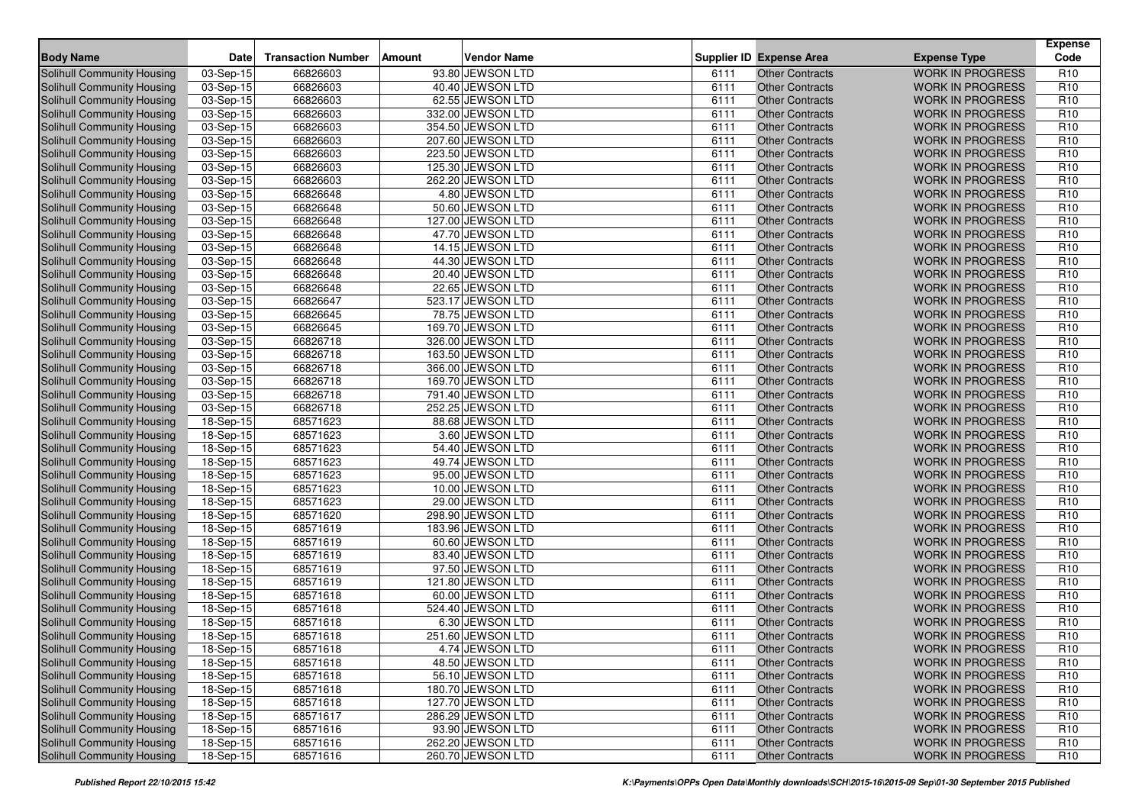| <b>Body Name</b>                  | Date        | <b>Transaction Number</b> | Amount | <b>Vendor Name</b> |      | <b>Supplier ID Expense Area</b> | <b>Expense Type</b>     | <b>Expense</b><br>Code |
|-----------------------------------|-------------|---------------------------|--------|--------------------|------|---------------------------------|-------------------------|------------------------|
| Solihull Community Housing        | 03-Sep-15   | 66826603                  |        | 93.80 JEWSON LTD   | 6111 | Other Contracts                 | <b>WORK IN PROGRESS</b> | R <sub>10</sub>        |
| <b>Solihull Community Housing</b> | 03-Sep-15   | 66826603                  |        | 40.40 JEWSON LTD   | 6111 | <b>Other Contracts</b>          | <b>WORK IN PROGRESS</b> | R <sub>10</sub>        |
| <b>Solihull Community Housing</b> | $03-Sep-15$ | 66826603                  |        | 62.55 JEWSON LTD   | 6111 | <b>Other Contracts</b>          | <b>WORK IN PROGRESS</b> | R <sub>10</sub>        |
| Solihull Community Housing        | 03-Sep-15   | 66826603                  |        | 332.00 JEWSON LTD  | 6111 | <b>Other Contracts</b>          | <b>WORK IN PROGRESS</b> | R <sub>10</sub>        |
| Solihull Community Housing        | 03-Sep-15   | 66826603                  |        | 354.50 JEWSON LTD  | 6111 | <b>Other Contracts</b>          | <b>WORK IN PROGRESS</b> | R <sub>10</sub>        |
| Solihull Community Housing        | $03-Sep-15$ | 66826603                  |        | 207.60 JEWSON LTD  | 6111 | <b>Other Contracts</b>          | <b>WORK IN PROGRESS</b> | R <sub>10</sub>        |
| Solihull Community Housing        | 03-Sep-15   | 66826603                  |        | 223.50 JEWSON LTD  | 6111 | <b>Other Contracts</b>          | <b>WORK IN PROGRESS</b> | R <sub>10</sub>        |
| Solihull Community Housing        | 03-Sep-15   | 66826603                  |        | 125.30 JEWSON LTD  | 6111 | <b>Other Contracts</b>          | <b>WORK IN PROGRESS</b> | R <sub>10</sub>        |
| Solihull Community Housing        | 03-Sep-15   | 66826603                  |        | 262.20 JEWSON LTD  | 6111 | <b>Other Contracts</b>          | <b>WORK IN PROGRESS</b> | R <sub>10</sub>        |
| <b>Solihull Community Housing</b> | 03-Sep-15   | 66826648                  |        | 4.80 JEWSON LTD    | 6111 | <b>Other Contracts</b>          | <b>WORK IN PROGRESS</b> | R <sub>10</sub>        |
| Solihull Community Housing        | 03-Sep-15   | 66826648                  |        | 50.60 JEWSON LTD   | 6111 | <b>Other Contracts</b>          | <b>WORK IN PROGRESS</b> | R <sub>10</sub>        |
| Solihull Community Housing        | $03-Sep-15$ | 66826648                  |        | 127.00 JEWSON LTD  | 6111 | <b>Other Contracts</b>          | <b>WORK IN PROGRESS</b> | R <sub>10</sub>        |
| Solihull Community Housing        | 03-Sep-15   | 66826648                  |        | 47.70 JEWSON LTD   | 6111 | <b>Other Contracts</b>          | <b>WORK IN PROGRESS</b> | R <sub>10</sub>        |
| <b>Solihull Community Housing</b> | $03-Sep-15$ | 66826648                  |        | 14.15 JEWSON LTD   | 6111 | <b>Other Contracts</b>          | <b>WORK IN PROGRESS</b> | R <sub>10</sub>        |
| Solihull Community Housing        | 03-Sep-15   | 66826648                  |        | 44.30 JEWSON LTD   | 6111 | <b>Other Contracts</b>          | <b>WORK IN PROGRESS</b> | R <sub>10</sub>        |
| Solihull Community Housing        | 03-Sep-15   | 66826648                  |        | 20.40 JEWSON LTD   | 6111 | <b>Other Contracts</b>          | <b>WORK IN PROGRESS</b> | R <sub>10</sub>        |
| Solihull Community Housing        | 03-Sep-15   | 66826648                  |        | 22.65 JEWSON LTD   | 6111 | <b>Other Contracts</b>          | <b>WORK IN PROGRESS</b> | R <sub>10</sub>        |
| Solihull Community Housing        | 03-Sep-15   | 66826647                  |        | 523.17 JEWSON LTD  | 6111 | <b>Other Contracts</b>          | <b>WORK IN PROGRESS</b> | R <sub>10</sub>        |
| Solihull Community Housing        | 03-Sep-15   | 66826645                  |        | 78.75 JEWSON LTD   | 6111 | <b>Other Contracts</b>          | <b>WORK IN PROGRESS</b> | R <sub>10</sub>        |
| Solihull Community Housing        | 03-Sep-15   | 66826645                  |        | 169.70 JEWSON LTD  | 6111 | <b>Other Contracts</b>          | <b>WORK IN PROGRESS</b> | R <sub>10</sub>        |
| <b>Solihull Community Housing</b> | 03-Sep-15   | 66826718                  |        | 326.00 JEWSON LTD  | 6111 | <b>Other Contracts</b>          | <b>WORK IN PROGRESS</b> | R <sub>10</sub>        |
| <b>Solihull Community Housing</b> | 03-Sep-15   | 66826718                  |        | 163.50 JEWSON LTD  | 6111 | <b>Other Contracts</b>          | <b>WORK IN PROGRESS</b> | R <sub>10</sub>        |
| Solihull Community Housing        | 03-Sep-15   | 66826718                  |        | 366.00 JEWSON LTD  | 6111 | <b>Other Contracts</b>          | <b>WORK IN PROGRESS</b> | R <sub>10</sub>        |
| <b>Solihull Community Housing</b> | 03-Sep-15   | 66826718                  |        | 169.70 JEWSON LTD  | 6111 | <b>Other Contracts</b>          | <b>WORK IN PROGRESS</b> | R <sub>10</sub>        |
| Solihull Community Housing        | 03-Sep-15   | 66826718                  |        | 791.40 JEWSON LTD  | 6111 | <b>Other Contracts</b>          | <b>WORK IN PROGRESS</b> | R <sub>10</sub>        |
| Solihull Community Housing        | 03-Sep-15   | 66826718                  |        | 252.25 JEWSON LTD  | 6111 | <b>Other Contracts</b>          | <b>WORK IN PROGRESS</b> | R <sub>10</sub>        |
| <b>Solihull Community Housing</b> | $18-Sep-15$ | 68571623                  |        | 88.68 JEWSON LTD   | 6111 | <b>Other Contracts</b>          | <b>WORK IN PROGRESS</b> | R <sub>10</sub>        |
| Solihull Community Housing        | $18-Sep-15$ | 68571623                  |        | 3.60 JEWSON LTD    | 6111 | <b>Other Contracts</b>          | <b>WORK IN PROGRESS</b> | R <sub>10</sub>        |
| Solihull Community Housing        | 18-Sep-15   | 68571623                  |        | 54.40 JEWSON LTD   | 6111 | <b>Other Contracts</b>          | <b>WORK IN PROGRESS</b> | R <sub>10</sub>        |
| Solihull Community Housing        | 18-Sep-15   | 68571623                  |        | 49.74 JEWSON LTD   | 6111 | <b>Other Contracts</b>          | <b>WORK IN PROGRESS</b> | R <sub>10</sub>        |
| Solihull Community Housing        | 18-Sep-15   | 68571623                  |        | 95.00 JEWSON LTD   | 6111 | <b>Other Contracts</b>          | <b>WORK IN PROGRESS</b> | R <sub>10</sub>        |
| Solihull Community Housing        | 18-Sep-15   | 68571623                  |        | 10.00 JEWSON LTD   | 6111 | <b>Other Contracts</b>          | <b>WORK IN PROGRESS</b> | R <sub>10</sub>        |
| Solihull Community Housing        | 18-Sep-15   | 68571623                  |        | 29.00 JEWSON LTD   | 6111 | <b>Other Contracts</b>          | <b>WORK IN PROGRESS</b> | R <sub>10</sub>        |
| Solihull Community Housing        | 18-Sep-15   | 68571620                  |        | 298.90 JEWSON LTD  | 6111 | <b>Other Contracts</b>          | <b>WORK IN PROGRESS</b> | R <sub>10</sub>        |
| <b>Solihull Community Housing</b> | 18-Sep-15   | 68571619                  |        | 183.96 JEWSON LTD  | 6111 | <b>Other Contracts</b>          | <b>WORK IN PROGRESS</b> | R <sub>10</sub>        |
| Solihull Community Housing        | 18-Sep-15   | 68571619                  |        | 60.60 JEWSON LTD   | 6111 | <b>Other Contracts</b>          | <b>WORK IN PROGRESS</b> | R <sub>10</sub>        |
| Solihull Community Housing        | 18-Sep-15   | 68571619                  |        | 83.40 JEWSON LTD   | 6111 | <b>Other Contracts</b>          | <b>WORK IN PROGRESS</b> | R <sub>10</sub>        |
| Solihull Community Housing        | 18-Sep-15   | 68571619                  |        | 97.50 JEWSON LTD   | 6111 | <b>Other Contracts</b>          | <b>WORK IN PROGRESS</b> | R <sub>10</sub>        |
| Solihull Community Housing        | 18-Sep-15   | 68571619                  |        | 121.80 JEWSON LTD  | 6111 | <b>Other Contracts</b>          | <b>WORK IN PROGRESS</b> | R <sub>10</sub>        |
| Solihull Community Housing        | 18-Sep-15   | 68571618                  |        | 60.00 JEWSON LTD   | 6111 | <b>Other Contracts</b>          | <b>WORK IN PROGRESS</b> | R <sub>10</sub>        |
| Solihull Community Housing        | 18-Sep-15   | 68571618                  |        | 524.40 JEWSON LTD  | 6111 | <b>Other Contracts</b>          | <b>WORK IN PROGRESS</b> | R <sub>10</sub>        |
| <b>Solihull Community Housing</b> | 18-Sep-15   | 68571618                  |        | 6.30 JEWSON LTD    | 6111 | <b>Other Contracts</b>          | <b>WORK IN PROGRESS</b> | R <sub>10</sub>        |
| Solihull Community Housing        | 18-Sep-15   | 68571618                  |        | 251.60 JEWSON LTD  | 6111 | <b>Other Contracts</b>          | <b>WORK IN PROGRESS</b> | R <sub>10</sub>        |
| Solihull Community Housing        | 18-Sep-15   | 68571618                  |        | 4.74 JEWSON LTD    | 6111 | Other Contracts                 | WORK IN PROGRESS        | R <sub>10</sub>        |
| Solihull Community Housing        | 18-Sep-15   | 68571618                  |        | 48.50 JEWSON LTD   | 6111 | <b>Other Contracts</b>          | <b>WORK IN PROGRESS</b> | R <sub>10</sub>        |
| Solihull Community Housing        | 18-Sep-15   | 68571618                  |        | 56.10 JEWSON LTD   | 6111 | <b>Other Contracts</b>          | <b>WORK IN PROGRESS</b> | R <sub>10</sub>        |
| Solihull Community Housing        | 18-Sep-15   | 68571618                  |        | 180.70 JEWSON LTD  | 6111 | <b>Other Contracts</b>          | <b>WORK IN PROGRESS</b> | R <sub>10</sub>        |
| Solihull Community Housing        | $18-Sep-15$ | 68571618                  |        | 127.70 JEWSON LTD  | 6111 | <b>Other Contracts</b>          | <b>WORK IN PROGRESS</b> | R <sub>10</sub>        |
| Solihull Community Housing        | 18-Sep-15   | 68571617                  |        | 286.29 JEWSON LTD  | 6111 | <b>Other Contracts</b>          | <b>WORK IN PROGRESS</b> | R <sub>10</sub>        |
| Solihull Community Housing        | 18-Sep-15   | 68571616                  |        | 93.90 JEWSON LTD   | 6111 | <b>Other Contracts</b>          | <b>WORK IN PROGRESS</b> | R <sub>10</sub>        |
| Solihull Community Housing        | $18-Sep-15$ | 68571616                  |        | 262.20 JEWSON LTD  | 6111 | <b>Other Contracts</b>          | <b>WORK IN PROGRESS</b> | R <sub>10</sub>        |
| Solihull Community Housing        | 18-Sep-15   | 68571616                  |        | 260.70 JEWSON LTD  | 6111 | <b>Other Contracts</b>          | WORK IN PROGRESS        | R <sub>10</sub>        |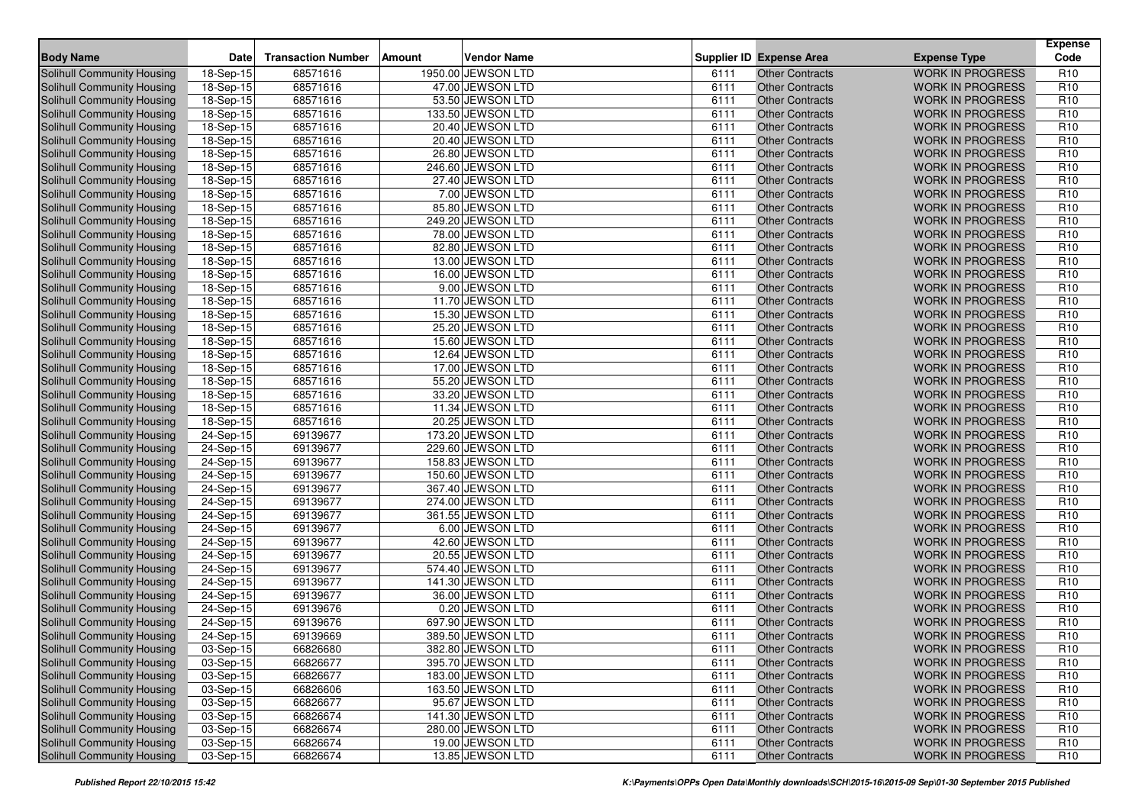| <b>Body Name</b>                  | <b>Date</b> | <b>Transaction Number</b> | Amount | <b>Vendor Name</b> |      | <b>Supplier ID Expense Area</b> | <b>Expense Type</b>     | <b>Expense</b><br>Code |
|-----------------------------------|-------------|---------------------------|--------|--------------------|------|---------------------------------|-------------------------|------------------------|
| Solihull Community Housing        | 18-Sep-15   | 68571616                  |        | 1950.00 JEWSON LTD | 6111 | <b>Other Contracts</b>          | <b>WORK IN PROGRESS</b> | R <sub>10</sub>        |
| Solihull Community Housing        | 18-Sep-15   | 68571616                  |        | 47.00 JEWSON LTD   | 6111 | <b>Other Contracts</b>          | <b>WORK IN PROGRESS</b> | R <sub>10</sub>        |
| Solihull Community Housing        | 18-Sep-15   | 68571616                  |        | 53.50 JEWSON LTD   | 6111 | <b>Other Contracts</b>          | <b>WORK IN PROGRESS</b> | R <sub>10</sub>        |
| <b>Solihull Community Housing</b> | 18-Sep-15   | 68571616                  |        | 133.50 JEWSON LTD  | 6111 | Other Contracts                 | <b>WORK IN PROGRESS</b> | R <sub>10</sub>        |
| Solihull Community Housing        | 18-Sep-15   | 68571616                  |        | 20.40 JEWSON LTD   | 6111 | <b>Other Contracts</b>          | <b>WORK IN PROGRESS</b> | R <sub>10</sub>        |
| Solihull Community Housing        | 18-Sep-15   | 68571616                  |        | 20.40 JEWSON LTD   | 6111 | <b>Other Contracts</b>          | <b>WORK IN PROGRESS</b> | R <sub>10</sub>        |
| <b>Solihull Community Housing</b> | 18-Sep-15   | 68571616                  |        | 26.80 JEWSON LTD   | 6111 | <b>Other Contracts</b>          | <b>WORK IN PROGRESS</b> | R <sub>10</sub>        |
| Solihull Community Housing        | 18-Sep-15   | 68571616                  |        | 246.60 JEWSON LTD  | 6111 | <b>Other Contracts</b>          | <b>WORK IN PROGRESS</b> | R <sub>10</sub>        |
| Solihull Community Housing        | 18-Sep-15   | 68571616                  |        | 27.40 JEWSON LTD   | 6111 | <b>Other Contracts</b>          | <b>WORK IN PROGRESS</b> | R <sub>10</sub>        |
| <b>Solihull Community Housing</b> | 18-Sep-15   | 68571616                  |        | 7.00 JEWSON LTD    | 6111 | <b>Other Contracts</b>          | <b>WORK IN PROGRESS</b> | R <sub>10</sub>        |
| <b>Solihull Community Housing</b> | 18-Sep-15   | 68571616                  |        | 85.80 JEWSON LTD   | 6111 | <b>Other Contracts</b>          | <b>WORK IN PROGRESS</b> | R <sub>10</sub>        |
| <b>Solihull Community Housing</b> | 18-Sep-15   | 68571616                  |        | 249.20 JEWSON LTD  | 6111 | <b>Other Contracts</b>          | <b>WORK IN PROGRESS</b> | R <sub>10</sub>        |
| Solihull Community Housing        | 18-Sep-15   | 68571616                  |        | 78.00 JEWSON LTD   | 6111 | <b>Other Contracts</b>          | <b>WORK IN PROGRESS</b> | R <sub>10</sub>        |
| Solihull Community Housing        | 18-Sep-15   | 68571616                  |        | 82.80 JEWSON LTD   | 6111 | <b>Other Contracts</b>          | <b>WORK IN PROGRESS</b> | R <sub>10</sub>        |
| Solihull Community Housing        | 18-Sep-15   | 68571616                  |        | 13.00 JEWSON LTD   | 6111 | <b>Other Contracts</b>          | <b>WORK IN PROGRESS</b> | R <sub>10</sub>        |
| Solihull Community Housing        | 18-Sep-15   | 68571616                  |        | 16.00 JEWSON LTD   | 6111 | <b>Other Contracts</b>          | <b>WORK IN PROGRESS</b> | R <sub>10</sub>        |
| Solihull Community Housing        | 18-Sep-15   | 68571616                  |        | 9.00 JEWSON LTD    | 6111 | <b>Other Contracts</b>          | <b>WORK IN PROGRESS</b> | R <sub>10</sub>        |
| <b>Solihull Community Housing</b> | 18-Sep-15   | 68571616                  |        | 11.70 JEWSON LTD   | 6111 | <b>Other Contracts</b>          | <b>WORK IN PROGRESS</b> | R <sub>10</sub>        |
| Solihull Community Housing        | 18-Sep-15   | 68571616                  |        | 15.30 JEWSON LTD   | 6111 | <b>Other Contracts</b>          | <b>WORK IN PROGRESS</b> | R <sub>10</sub>        |
| Solihull Community Housing        | 18-Sep-15   | 68571616                  |        | 25.20 JEWSON LTD   | 6111 | <b>Other Contracts</b>          | <b>WORK IN PROGRESS</b> | R <sub>10</sub>        |
| Solihull Community Housing        | 18-Sep-15   | 68571616                  |        | 15.60 JEWSON LTD   | 6111 | <b>Other Contracts</b>          | <b>WORK IN PROGRESS</b> | R <sub>10</sub>        |
| Solihull Community Housing        | 18-Sep-15   | 68571616                  |        | 12.64 JEWSON LTD   | 6111 | <b>Other Contracts</b>          | <b>WORK IN PROGRESS</b> | R <sub>10</sub>        |
| Solihull Community Housing        | 18-Sep-15   | 68571616                  |        | 17.00 JEWSON LTD   | 6111 | <b>Other Contracts</b>          | <b>WORK IN PROGRESS</b> | R <sub>10</sub>        |
| Solihull Community Housing        | 18-Sep-15   | 68571616                  |        | 55.20 JEWSON LTD   | 6111 | <b>Other Contracts</b>          | <b>WORK IN PROGRESS</b> | R <sub>10</sub>        |
| Solihull Community Housing        | 18-Sep-15   | 68571616                  |        | 33.20 JEWSON LTD   | 6111 | <b>Other Contracts</b>          | <b>WORK IN PROGRESS</b> | R <sub>10</sub>        |
| Solihull Community Housing        | $18-Sep-15$ | 68571616                  |        | 11.34 JEWSON LTD   | 6111 | <b>Other Contracts</b>          | <b>WORK IN PROGRESS</b> | R <sub>10</sub>        |
| Solihull Community Housing        | 18-Sep-15   | 68571616                  |        | 20.25 JEWSON LTD   | 6111 | <b>Other Contracts</b>          | <b>WORK IN PROGRESS</b> | R <sub>10</sub>        |
| Solihull Community Housing        | 24-Sep-15   | 69139677                  |        | 173.20 JEWSON LTD  | 6111 | <b>Other Contracts</b>          | <b>WORK IN PROGRESS</b> | R <sub>10</sub>        |
| <b>Solihull Community Housing</b> | 24-Sep-15   | 69139677                  |        | 229.60 JEWSON LTD  | 6111 | Other Contracts                 | <b>WORK IN PROGRESS</b> | R <sub>10</sub>        |
| Solihull Community Housing        | 24-Sep-15   | 69139677                  |        | 158.83 JEWSON LTD  | 6111 | <b>Other Contracts</b>          | <b>WORK IN PROGRESS</b> | R <sub>10</sub>        |
| Solihull Community Housing        | 24-Sep-15   | 69139677                  |        | 150.60 JEWSON LTD  | 6111 | <b>Other Contracts</b>          | <b>WORK IN PROGRESS</b> | R <sub>10</sub>        |
| Solihull Community Housing        | 24-Sep-15   | 69139677                  |        | 367.40 JEWSON LTD  | 6111 | <b>Other Contracts</b>          | <b>WORK IN PROGRESS</b> | R <sub>10</sub>        |
| Solihull Community Housing        | 24-Sep-15   | 69139677                  |        | 274.00 JEWSON LTD  | 6111 | <b>Other Contracts</b>          | <b>WORK IN PROGRESS</b> | R <sub>10</sub>        |
| Solihull Community Housing        | 24-Sep-15   | 69139677                  |        | 361.55 JEWSON LTD  | 6111 | <b>Other Contracts</b>          | <b>WORK IN PROGRESS</b> | R <sub>10</sub>        |
| <b>Solihull Community Housing</b> | 24-Sep-15   | 69139677                  |        | 6.00 JEWSON LTD    | 6111 | <b>Other Contracts</b>          | <b>WORK IN PROGRESS</b> | R <sub>10</sub>        |
| Solihull Community Housing        | 24-Sep-15   | 69139677                  |        | 42.60 JEWSON LTD   | 6111 | <b>Other Contracts</b>          | <b>WORK IN PROGRESS</b> | R <sub>10</sub>        |
| <b>Solihull Community Housing</b> | 24-Sep-15   | 69139677                  |        | 20.55 JEWSON LTD   | 6111 | <b>Other Contracts</b>          | <b>WORK IN PROGRESS</b> | R <sub>10</sub>        |
| Solihull Community Housing        | 24-Sep-15   | 69139677                  |        | 574.40 JEWSON LTD  | 6111 | <b>Other Contracts</b>          | <b>WORK IN PROGRESS</b> | R <sub>10</sub>        |
| <b>Solihull Community Housing</b> | 24-Sep-15   | 69139677                  |        | 141.30 JEWSON LTD  | 6111 | <b>Other Contracts</b>          | <b>WORK IN PROGRESS</b> | R <sub>10</sub>        |
| Solihull Community Housing        | 24-Sep-15   | 69139677                  |        | 36.00 JEWSON LTD   | 6111 | <b>Other Contracts</b>          | <b>WORK IN PROGRESS</b> | R <sub>10</sub>        |
| Solihull Community Housing        | 24-Sep-15   | 69139676                  |        | 0.20 JEWSON LTD    | 6111 | <b>Other Contracts</b>          | <b>WORK IN PROGRESS</b> | R <sub>10</sub>        |
| <b>Solihull Community Housing</b> | 24-Sep-15   | 69139676                  |        | 697.90 JEWSON LTD  | 6111 | <b>Other Contracts</b>          | <b>WORK IN PROGRESS</b> | R <sub>10</sub>        |
| Solihull Community Housing        | 24-Sep-15   | 69139669                  |        | 389.50 JEWSON LTD  | 6111 | <b>Other Contracts</b>          | <b>WORK IN PROGRESS</b> | R <sub>10</sub>        |
| Solihull Community Housing        | 03-Sep-15   | 66826680                  |        | 382.80 JEWSON LTD  | 6111 | Other Contracts                 | <b>WORK IN PROGRESS</b> | R <sub>10</sub>        |
| <b>Solihull Community Housing</b> | 03-Sep-15   | 66826677                  |        | 395.70 JEWSON LTD  | 6111 | <b>Other Contracts</b>          | <b>WORK IN PROGRESS</b> | R <sub>10</sub>        |
| <b>Solihull Community Housing</b> | 03-Sep-15   | 66826677                  |        | 183.00 JEWSON LTD  | 6111 | <b>Other Contracts</b>          | <b>WORK IN PROGRESS</b> | R <sub>10</sub>        |
| <b>Solihull Community Housing</b> | 03-Sep-15   | 66826606                  |        | 163.50 JEWSON LTD  | 6111 | <b>Other Contracts</b>          | <b>WORK IN PROGRESS</b> | R <sub>10</sub>        |
| <b>Solihull Community Housing</b> | 03-Sep-15   | 66826677                  |        | 95.67 JEWSON LTD   | 6111 | <b>Other Contracts</b>          | <b>WORK IN PROGRESS</b> | R <sub>10</sub>        |
| <b>Solihull Community Housing</b> | 03-Sep-15   | 66826674                  |        | 141.30 JEWSON LTD  | 6111 | <b>Other Contracts</b>          | <b>WORK IN PROGRESS</b> | R <sub>10</sub>        |
| <b>Solihull Community Housing</b> | 03-Sep-15   | 66826674                  |        | 280.00 JEWSON LTD  | 6111 | <b>Other Contracts</b>          | <b>WORK IN PROGRESS</b> | R <sub>10</sub>        |
| <b>Solihull Community Housing</b> | 03-Sep-15   | 66826674                  |        | 19.00 JEWSON LTD   | 6111 | <b>Other Contracts</b>          | <b>WORK IN PROGRESS</b> | R <sub>10</sub>        |
| Solihull Community Housing        | 03-Sep-15   | 66826674                  |        | 13.85 JEWSON LTD   | 6111 | <b>Other Contracts</b>          | WORK IN PROGRESS        | R <sub>10</sub>        |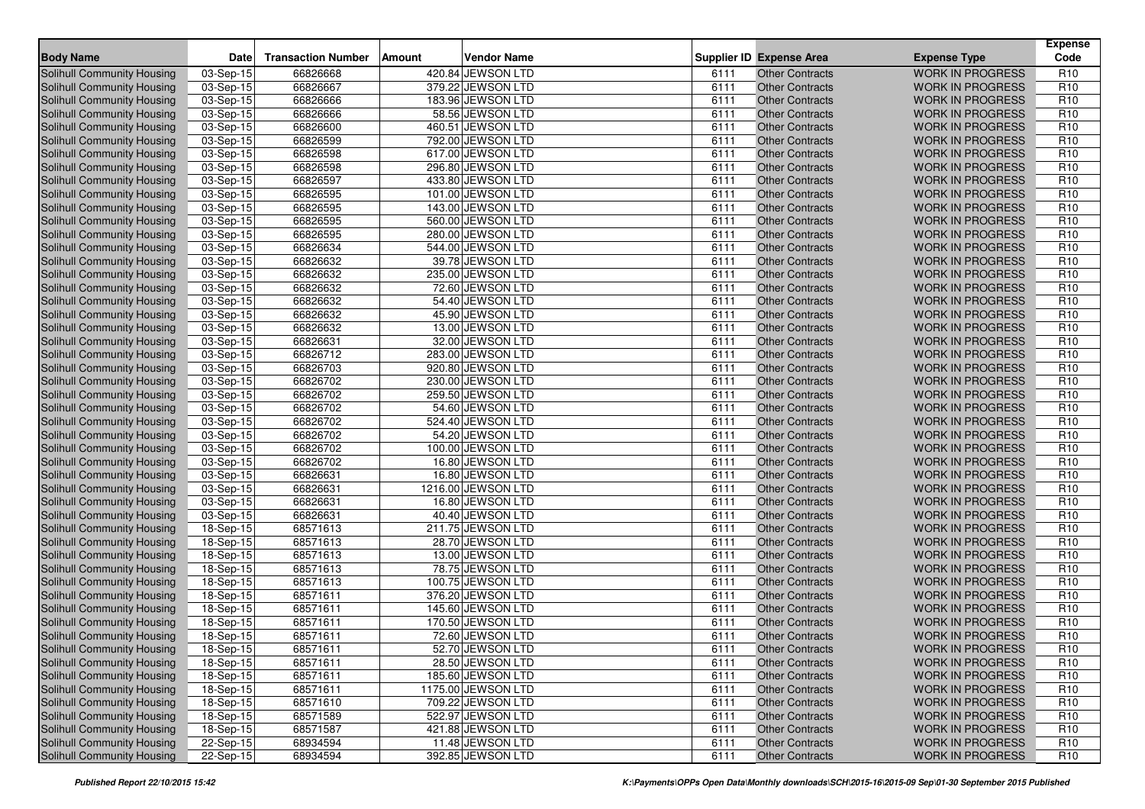| <b>Body Name</b>                  | <b>Date</b> | <b>Transaction Number</b> | Amount | <b>Vendor Name</b> |      | <b>Supplier ID Expense Area</b> | <b>Expense Type</b>     | <b>Expense</b><br>Code |
|-----------------------------------|-------------|---------------------------|--------|--------------------|------|---------------------------------|-------------------------|------------------------|
| Solihull Community Housing        | 03-Sep-15   | 66826668                  |        | 420.84 JEWSON LTD  | 6111 | Other Contracts                 | <b>WORK IN PROGRESS</b> | R <sub>10</sub>        |
| <b>Solihull Community Housing</b> | 03-Sep-15   | 66826667                  |        | 379.22 JEWSON LTD  | 6111 | <b>Other Contracts</b>          | <b>WORK IN PROGRESS</b> | R <sub>10</sub>        |
| <b>Solihull Community Housing</b> | $03-Sep-15$ | 66826666                  |        | 183.96 JEWSON LTD  | 6111 | <b>Other Contracts</b>          | <b>WORK IN PROGRESS</b> | R <sub>10</sub>        |
| Solihull Community Housing        | 03-Sep-15   | 66826666                  |        | 58.56 JEWSON LTD   | 6111 | <b>Other Contracts</b>          | <b>WORK IN PROGRESS</b> | R <sub>10</sub>        |
| Solihull Community Housing        | 03-Sep-15   | 66826600                  |        | 460.51 JEWSON LTD  | 6111 | <b>Other Contracts</b>          | <b>WORK IN PROGRESS</b> | R <sub>10</sub>        |
| Solihull Community Housing        | $03-Sep-15$ | 66826599                  |        | 792.00 JEWSON LTD  | 6111 | <b>Other Contracts</b>          | <b>WORK IN PROGRESS</b> | R <sub>10</sub>        |
| Solihull Community Housing        | 03-Sep-15   | 66826598                  |        | 617.00 JEWSON LTD  | 6111 | <b>Other Contracts</b>          | <b>WORK IN PROGRESS</b> | R <sub>10</sub>        |
| <b>Solihull Community Housing</b> | 03-Sep-15   | 66826598                  |        | 296.80 JEWSON LTD  | 6111 | <b>Other Contracts</b>          | <b>WORK IN PROGRESS</b> | R <sub>10</sub>        |
| Solihull Community Housing        | 03-Sep-15   | 66826597                  |        | 433.80 JEWSON LTD  | 6111 | <b>Other Contracts</b>          | <b>WORK IN PROGRESS</b> | R <sub>10</sub>        |
| <b>Solihull Community Housing</b> | 03-Sep-15   | 66826595                  |        | 101.00 JEWSON LTD  | 6111 | <b>Other Contracts</b>          | <b>WORK IN PROGRESS</b> | R <sub>10</sub>        |
| Solihull Community Housing        | 03-Sep-15   | 66826595                  |        | 143.00 JEWSON LTD  | 6111 | <b>Other Contracts</b>          | <b>WORK IN PROGRESS</b> | R <sub>10</sub>        |
| Solihull Community Housing        | $03-Sep-15$ | 66826595                  |        | 560.00 JEWSON LTD  | 6111 | <b>Other Contracts</b>          | <b>WORK IN PROGRESS</b> | R <sub>10</sub>        |
| Solihull Community Housing        | 03-Sep-15   | 66826595                  |        | 280.00 JEWSON LTD  | 6111 | <b>Other Contracts</b>          | <b>WORK IN PROGRESS</b> | R <sub>10</sub>        |
| <b>Solihull Community Housing</b> | $03-Sep-15$ | 66826634                  |        | 544.00 JEWSON LTD  | 6111 | <b>Other Contracts</b>          | <b>WORK IN PROGRESS</b> | R <sub>10</sub>        |
| Solihull Community Housing        | 03-Sep-15   | 66826632                  |        | 39.78 JEWSON LTD   | 6111 | <b>Other Contracts</b>          | <b>WORK IN PROGRESS</b> | R <sub>10</sub>        |
| Solihull Community Housing        | 03-Sep-15   | 66826632                  |        | 235.00 JEWSON LTD  | 6111 | <b>Other Contracts</b>          | <b>WORK IN PROGRESS</b> | R <sub>10</sub>        |
| Solihull Community Housing        | 03-Sep-15   | 66826632                  |        | 72.60 JEWSON LTD   | 6111 | <b>Other Contracts</b>          | <b>WORK IN PROGRESS</b> | R <sub>10</sub>        |
| Solihull Community Housing        | 03-Sep-15   | 66826632                  |        | 54.40 JEWSON LTD   | 6111 | <b>Other Contracts</b>          | <b>WORK IN PROGRESS</b> | R <sub>10</sub>        |
| <b>Solihull Community Housing</b> | 03-Sep-15   | 66826632                  |        | 45.90 JEWSON LTD   | 6111 | <b>Other Contracts</b>          | <b>WORK IN PROGRESS</b> | R <sub>10</sub>        |
| Solihull Community Housing        | 03-Sep-15   | 66826632                  |        | 13.00 JEWSON LTD   | 6111 | <b>Other Contracts</b>          | <b>WORK IN PROGRESS</b> | R <sub>10</sub>        |
| <b>Solihull Community Housing</b> | 03-Sep-15   | 66826631                  |        | 32.00 JEWSON LTD   | 6111 | <b>Other Contracts</b>          | <b>WORK IN PROGRESS</b> | R <sub>10</sub>        |
| <b>Solihull Community Housing</b> | 03-Sep-15   | 66826712                  |        | 283.00 JEWSON LTD  | 6111 | <b>Other Contracts</b>          | <b>WORK IN PROGRESS</b> | R <sub>10</sub>        |
| Solihull Community Housing        | 03-Sep-15   | 66826703                  |        | 920.80 JEWSON LTD  | 6111 | <b>Other Contracts</b>          | <b>WORK IN PROGRESS</b> | R <sub>10</sub>        |
| <b>Solihull Community Housing</b> | 03-Sep-15   | 66826702                  |        | 230.00 JEWSON LTD  | 6111 | <b>Other Contracts</b>          | <b>WORK IN PROGRESS</b> | R <sub>10</sub>        |
| Solihull Community Housing        | 03-Sep-15   | 66826702                  |        | 259.50 JEWSON LTD  | 6111 | <b>Other Contracts</b>          | <b>WORK IN PROGRESS</b> | R <sub>10</sub>        |
| Solihull Community Housing        | 03-Sep-15   | 66826702                  |        | 54.60 JEWSON LTD   | 6111 | <b>Other Contracts</b>          | <b>WORK IN PROGRESS</b> | R <sub>10</sub>        |
| <b>Solihull Community Housing</b> | $03-Sep-15$ | 66826702                  |        | 524.40 JEWSON LTD  | 6111 | <b>Other Contracts</b>          | <b>WORK IN PROGRESS</b> | R <sub>10</sub>        |
| Solihull Community Housing        | 03-Sep-15   | 66826702                  |        | 54.20 JEWSON LTD   | 6111 | <b>Other Contracts</b>          | <b>WORK IN PROGRESS</b> | R <sub>10</sub>        |
| Solihull Community Housing        | 03-Sep-15   | 66826702                  |        | 100.00 JEWSON LTD  | 6111 | <b>Other Contracts</b>          | <b>WORK IN PROGRESS</b> | R <sub>10</sub>        |
| Solihull Community Housing        | 03-Sep-15   | 66826702                  |        | 16.80 JEWSON LTD   | 6111 | <b>Other Contracts</b>          | <b>WORK IN PROGRESS</b> | R <sub>10</sub>        |
| Solihull Community Housing        | $03-Sep-15$ | 66826631                  |        | 16.80 JEWSON LTD   | 6111 | <b>Other Contracts</b>          | <b>WORK IN PROGRESS</b> | R <sub>10</sub>        |
| Solihull Community Housing        | 03-Sep-15   | 66826631                  |        | 1216.00 JEWSON LTD | 6111 | <b>Other Contracts</b>          | <b>WORK IN PROGRESS</b> | R <sub>10</sub>        |
| Solihull Community Housing        | 03-Sep-15   | 66826631                  |        | 16.80 JEWSON LTD   | 6111 | <b>Other Contracts</b>          | <b>WORK IN PROGRESS</b> | R <sub>10</sub>        |
| Solihull Community Housing        | 03-Sep-15   | 66826631                  |        | 40.40 JEWSON LTD   | 6111 | <b>Other Contracts</b>          | <b>WORK IN PROGRESS</b> | R <sub>10</sub>        |
| <b>Solihull Community Housing</b> | 18-Sep-15   | 68571613                  |        | 211.75 JEWSON LTD  | 6111 | <b>Other Contracts</b>          | <b>WORK IN PROGRESS</b> | R <sub>10</sub>        |
| Solihull Community Housing        | 18-Sep-15   | 68571613                  |        | 28.70 JEWSON LTD   | 6111 | <b>Other Contracts</b>          | <b>WORK IN PROGRESS</b> | R <sub>10</sub>        |
| Solihull Community Housing        | 18-Sep-15   | 68571613                  |        | 13.00 JEWSON LTD   | 6111 | <b>Other Contracts</b>          | <b>WORK IN PROGRESS</b> | R <sub>10</sub>        |
| Solihull Community Housing        | 18-Sep-15   | 68571613                  |        | 78.75 JEWSON LTD   | 6111 | <b>Other Contracts</b>          | <b>WORK IN PROGRESS</b> | R <sub>10</sub>        |
| Solihull Community Housing        | 18-Sep-15   | 68571613                  |        | 100.75 JEWSON LTD  | 6111 | <b>Other Contracts</b>          | <b>WORK IN PROGRESS</b> | R <sub>10</sub>        |
| Solihull Community Housing        | 18-Sep-15   | 68571611                  |        | 376.20 JEWSON LTD  | 6111 | <b>Other Contracts</b>          | <b>WORK IN PROGRESS</b> | R <sub>10</sub>        |
| Solihull Community Housing        | 18-Sep-15   | 68571611                  |        | 145.60 JEWSON LTD  | 6111 | <b>Other Contracts</b>          | <b>WORK IN PROGRESS</b> | R <sub>10</sub>        |
| <b>Solihull Community Housing</b> | 18-Sep-15   | 68571611                  |        | 170.50 JEWSON LTD  | 6111 | <b>Other Contracts</b>          | <b>WORK IN PROGRESS</b> | R <sub>10</sub>        |
| Solihull Community Housing        | 18-Sep-15   | 68571611                  |        | 72.60 JEWSON LTD   | 6111 | <b>Other Contracts</b>          | <b>WORK IN PROGRESS</b> | R <sub>10</sub>        |
| Solihull Community Housing        | 18-Sep-15   | 68571611                  |        | 52.70 JEWSON LTD   | 6111 | Other Contracts                 | WORK IN PROGRESS        | R <sub>10</sub>        |
| Solihull Community Housing        | 18-Sep-15   | 68571611                  |        | 28.50 JEWSON LTD   | 6111 | <b>Other Contracts</b>          | <b>WORK IN PROGRESS</b> | R <sub>10</sub>        |
| Solihull Community Housing        | 18-Sep-15   | 68571611                  |        | 185.60 JEWSON LTD  | 6111 | <b>Other Contracts</b>          | <b>WORK IN PROGRESS</b> | R <sub>10</sub>        |
| Solihull Community Housing        | 18-Sep-15   | 68571611                  |        | 1175.00 JEWSON LTD | 6111 | <b>Other Contracts</b>          | <b>WORK IN PROGRESS</b> | R <sub>10</sub>        |
| Solihull Community Housing        | $18-Sep-15$ | 68571610                  |        | 709.22 JEWSON LTD  | 6111 | <b>Other Contracts</b>          | <b>WORK IN PROGRESS</b> | R <sub>10</sub>        |
| Solihull Community Housing        | 18-Sep-15   | 68571589                  |        | 522.97 JEWSON LTD  | 6111 | <b>Other Contracts</b>          | <b>WORK IN PROGRESS</b> | R <sub>10</sub>        |
| Solihull Community Housing        | 18-Sep-15   | 68571587                  |        | 421.88 JEWSON LTD  | 6111 | <b>Other Contracts</b>          | <b>WORK IN PROGRESS</b> | R <sub>10</sub>        |
| Solihull Community Housing        | $22-Sep-15$ | 68934594                  |        | 11.48 JEWSON LTD   | 6111 | <b>Other Contracts</b>          | <b>WORK IN PROGRESS</b> | R <sub>10</sub>        |
| Solihull Community Housing        | 22-Sep-15   | 68934594                  |        | 392.85 JEWSON LTD  | 6111 | <b>Other Contracts</b>          | WORK IN PROGRESS        | R <sub>10</sub>        |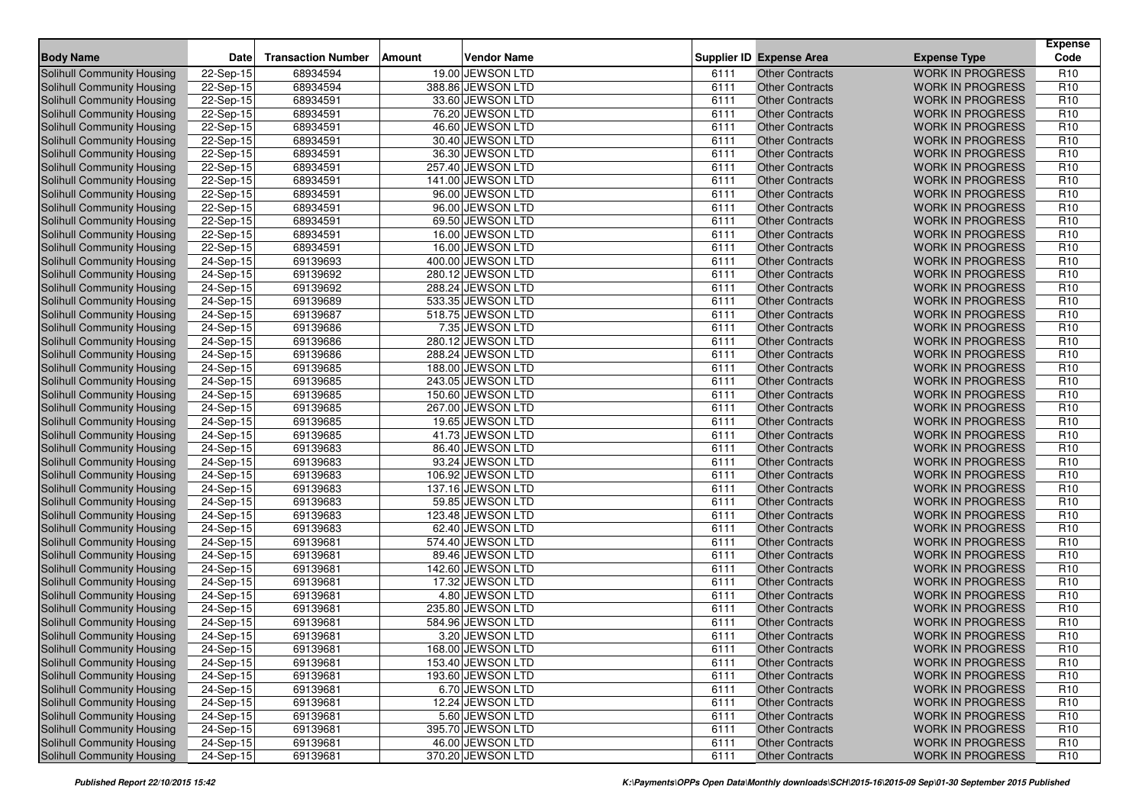| <b>Body Name</b>                  | Date                    | <b>Transaction Number</b> | <b>Amount</b> | <b>Vendor Name</b> |      | <b>Supplier ID Expense Area</b> | <b>Expense Type</b>                                | <b>Expense</b><br>Code |
|-----------------------------------|-------------------------|---------------------------|---------------|--------------------|------|---------------------------------|----------------------------------------------------|------------------------|
| Solihull Community Housing        | 22-Sep-15               | 68934594                  |               | 19.00 JEWSON LTD   | 6111 | <b>Other Contracts</b>          | <b>WORK IN PROGRESS</b>                            | R <sub>10</sub>        |
| Solihull Community Housing        | 22-Sep-15               | 68934594                  |               | 388.86 JEWSON LTD  | 6111 | <b>Other Contracts</b>          | <b>WORK IN PROGRESS</b>                            | R <sub>10</sub>        |
| Solihull Community Housing        | 22-Sep-15               | 68934591                  |               | 33.60 JEWSON LTD   | 6111 | <b>Other Contracts</b>          | <b>WORK IN PROGRESS</b>                            | R <sub>10</sub>        |
| Solihull Community Housing        | 22-Sep-15               | 68934591                  |               | 76.20 JEWSON LTD   | 6111 | <b>Other Contracts</b>          | <b>WORK IN PROGRESS</b>                            | R <sub>10</sub>        |
| Solihull Community Housing        | 22-Sep-15               | 68934591                  |               | 46.60 JEWSON LTD   | 6111 | <b>Other Contracts</b>          | <b>WORK IN PROGRESS</b>                            | R <sub>10</sub>        |
| Solihull Community Housing        | 22-Sep-15               | 68934591                  |               | 30.40 JEWSON LTD   | 6111 | <b>Other Contracts</b>          | <b>WORK IN PROGRESS</b>                            | R <sub>10</sub>        |
| Solihull Community Housing        | 22-Sep-15               | 68934591                  |               | 36.30 JEWSON LTD   | 6111 | <b>Other Contracts</b>          | <b>WORK IN PROGRESS</b>                            | R <sub>10</sub>        |
| Solihull Community Housing        | 22-Sep-15               | 68934591                  |               | 257.40 JEWSON LTD  | 6111 | <b>Other Contracts</b>          | <b>WORK IN PROGRESS</b>                            | R <sub>10</sub>        |
| Solihull Community Housing        | 22-Sep-15               | 68934591                  |               | 141.00 JEWSON LTD  | 6111 | <b>Other Contracts</b>          | <b>WORK IN PROGRESS</b>                            | R <sub>10</sub>        |
| Solihull Community Housing        | 22-Sep-15               | 68934591                  |               | 96.00 JEWSON LTD   | 6111 | <b>Other Contracts</b>          | <b>WORK IN PROGRESS</b>                            | R <sub>10</sub>        |
| Solihull Community Housing        | 22-Sep-15               | 68934591                  |               | 96.00 JEWSON LTD   | 6111 | Other Contracts                 | <b>WORK IN PROGRESS</b>                            | R <sub>10</sub>        |
| <b>Solihull Community Housing</b> | $\overline{22}$ -Sep-15 | 68934591                  |               | 69.50 JEWSON LTD   | 6111 | <b>Other Contracts</b>          | <b>WORK IN PROGRESS</b>                            | R <sub>10</sub>        |
| Solihull Community Housing        | 22-Sep-15               | 68934591                  |               | 16.00 JEWSON LTD   | 6111 | <b>Other Contracts</b>          | <b>WORK IN PROGRESS</b>                            | R <sub>10</sub>        |
| Solihull Community Housing        | 22-Sep-15               | 68934591                  |               | 16.00 JEWSON LTD   | 6111 | <b>Other Contracts</b>          | <b>WORK IN PROGRESS</b>                            | R <sub>10</sub>        |
| <b>Solihull Community Housing</b> | 24-Sep-15               | 69139693                  |               | 400.00 JEWSON LTD  | 6111 | <b>Other Contracts</b>          | <b>WORK IN PROGRESS</b>                            | R <sub>10</sub>        |
| Solihull Community Housing        | 24-Sep-15               | 69139692                  |               | 280.12 JEWSON LTD  | 6111 | <b>Other Contracts</b>          | <b>WORK IN PROGRESS</b>                            | R <sub>10</sub>        |
| Solihull Community Housing        | 24-Sep-15               | 69139692                  |               | 288.24 JEWSON LTD  | 6111 | <b>Other Contracts</b>          | <b>WORK IN PROGRESS</b>                            | R <sub>10</sub>        |
| <b>Solihull Community Housing</b> | 24-Sep-15               | 69139689                  |               | 533.35 JEWSON LTD  | 6111 | <b>Other Contracts</b>          | <b>WORK IN PROGRESS</b>                            | R <sub>10</sub>        |
| Solihull Community Housing        | 24-Sep-15               | 69139687                  |               | 518.75 JEWSON LTD  | 6111 | <b>Other Contracts</b>          | <b>WORK IN PROGRESS</b>                            | R <sub>10</sub>        |
| Solihull Community Housing        | 24-Sep-15               | 69139686                  |               | 7.35 JEWSON LTD    | 6111 | <b>Other Contracts</b>          | <b>WORK IN PROGRESS</b>                            | R <sub>10</sub>        |
| Solihull Community Housing        | 24-Sep-15               | 69139686                  |               | 280.12 JEWSON LTD  | 6111 | <b>Other Contracts</b>          | <b>WORK IN PROGRESS</b>                            | R <sub>10</sub>        |
| Solihull Community Housing        | 24-Sep-15               | 69139686                  |               | 288.24 JEWSON LTD  | 6111 | <b>Other Contracts</b>          | <b>WORK IN PROGRESS</b>                            | R <sub>10</sub>        |
| Solihull Community Housing        | 24-Sep-15               | 69139685                  |               | 188.00 JEWSON LTD  | 6111 | <b>Other Contracts</b>          | <b>WORK IN PROGRESS</b>                            | R <sub>10</sub>        |
| Solihull Community Housing        | 24-Sep-15               | 69139685                  |               | 243.05 JEWSON LTD  | 6111 | <b>Other Contracts</b>          | <b>WORK IN PROGRESS</b>                            | R <sub>10</sub>        |
| Solihull Community Housing        | 24-Sep-15               | 69139685                  |               | 150.60 JEWSON LTD  | 6111 | <b>Other Contracts</b>          | <b>WORK IN PROGRESS</b>                            | R <sub>10</sub>        |
| Solihull Community Housing        | 24-Sep-15               | 69139685                  |               | 267.00 JEWSON LTD  | 6111 | <b>Other Contracts</b>          | <b>WORK IN PROGRESS</b>                            | R <sub>10</sub>        |
| Solihull Community Housing        | $24-Sep-15$             | 69139685                  |               | 19.65 JEWSON LTD   | 6111 | <b>Other Contracts</b>          | <b>WORK IN PROGRESS</b>                            | R <sub>10</sub>        |
| Solihull Community Housing        | 24-Sep-15               | 69139685                  |               | 41.73 JEWSON LTD   | 6111 | <b>Other Contracts</b>          | <b>WORK IN PROGRESS</b>                            | R <sub>10</sub>        |
| Solihull Community Housing        | 24-Sep-15               | 69139683                  |               | 86.40 JEWSON LTD   | 6111 | <b>Other Contracts</b>          | <b>WORK IN PROGRESS</b>                            | R <sub>10</sub>        |
| Solihull Community Housing        | 24-Sep-15               | 69139683                  |               | 93.24 JEWSON LTD   | 6111 | <b>Other Contracts</b>          | <b>WORK IN PROGRESS</b>                            | R <sub>10</sub>        |
| Solihull Community Housing        | 24-Sep-15               | 69139683                  |               | 106.92 JEWSON LTD  | 6111 | <b>Other Contracts</b>          | <b>WORK IN PROGRESS</b>                            | R <sub>10</sub>        |
| Solihull Community Housing        | 24-Sep-15               | 69139683                  |               | 137.16 JEWSON LTD  | 6111 | <b>Other Contracts</b>          | <b>WORK IN PROGRESS</b>                            | R <sub>10</sub>        |
| Solihull Community Housing        | 24-Sep-15               | 69139683                  |               | 59.85 JEWSON LTD   | 6111 | <b>Other Contracts</b>          | <b>WORK IN PROGRESS</b>                            | R <sub>10</sub>        |
| Solihull Community Housing        | 24-Sep-15               | 69139683                  |               | 123.48 JEWSON LTD  | 6111 | <b>Other Contracts</b>          | <b>WORK IN PROGRESS</b>                            | R <sub>10</sub>        |
| Solihull Community Housing        | 24-Sep-15               | 69139683                  |               | 62.40 JEWSON LTD   | 6111 | <b>Other Contracts</b>          | <b>WORK IN PROGRESS</b>                            | R <sub>10</sub>        |
| Solihull Community Housing        | 24-Sep-15               | 69139681                  |               | 574.40 JEWSON LTD  | 6111 | <b>Other Contracts</b>          | <b>WORK IN PROGRESS</b>                            | R <sub>10</sub>        |
| <b>Solihull Community Housing</b> | 24-Sep-15               | 69139681                  |               | 89.46 JEWSON LTD   | 6111 | <b>Other Contracts</b>          | <b>WORK IN PROGRESS</b>                            | R <sub>10</sub>        |
| Solihull Community Housing        | 24-Sep-15               | 69139681                  |               | 142.60 JEWSON LTD  | 6111 | <b>Other Contracts</b>          | <b>WORK IN PROGRESS</b>                            | R <sub>10</sub>        |
| Solihull Community Housing        | 24-Sep-15               | 69139681                  |               | 17.32 JEWSON LTD   | 6111 | <b>Other Contracts</b>          | <b>WORK IN PROGRESS</b>                            | R <sub>10</sub>        |
| <b>Solihull Community Housing</b> | 24-Sep-15               | 69139681                  |               | 4.80 JEWSON LTD    | 6111 | <b>Other Contracts</b>          | <b>WORK IN PROGRESS</b>                            | R <sub>10</sub>        |
| Solihull Community Housing        | 24-Sep-15               | 69139681                  |               | 235.80 JEWSON LTD  | 6111 | <b>Other Contracts</b>          | <b>WORK IN PROGRESS</b>                            | R <sub>10</sub>        |
| Solihull Community Housing        | 24-Sep-15               | 69139681                  |               | 584.96 JEWSON LTD  | 6111 | <b>Other Contracts</b>          | <b>WORK IN PROGRESS</b>                            | R <sub>10</sub>        |
| Solihull Community Housing        | 24-Sep-15               | 69139681                  |               | 3.20 JEWSON LTD    | 6111 | <b>Other Contracts</b>          | <b>WORK IN PROGRESS</b>                            | R <sub>10</sub>        |
| Solihull Community Housing        | 24-Sep-15               | 69139681                  |               | 168.00 JEWSON LTD  | 6111 | Other Contracts                 | <b>WORK IN PROGRESS</b>                            | R <sub>10</sub>        |
| Solihull Community Housing        | 24-Sep-15               | 69139681                  |               | 153.40 JEWSON LTD  | 6111 | <b>Other Contracts</b>          | <b>WORK IN PROGRESS</b>                            | R <sub>10</sub>        |
| <b>Solihull Community Housing</b> | 24-Sep-15               | 69139681                  |               | 193.60 JEWSON LTD  | 6111 | <b>Other Contracts</b>          | <b>WORK IN PROGRESS</b>                            | R <sub>10</sub>        |
| <b>Solihull Community Housing</b> | 24-Sep-15               | 69139681                  |               | 6.70 JEWSON LTD    | 6111 | <b>Other Contracts</b>          | <b>WORK IN PROGRESS</b>                            | R <sub>10</sub>        |
| <b>Solihull Community Housing</b> | 24-Sep-15               | 69139681                  |               | 12.24 JEWSON LTD   | 6111 | <b>Other Contracts</b>          | <b>WORK IN PROGRESS</b>                            | R <sub>10</sub>        |
| Solihull Community Housing        | 24-Sep-15               | 69139681                  |               | 5.60 JEWSON LTD    | 6111 | <b>Other Contracts</b>          | <b>WORK IN PROGRESS</b><br><b>WORK IN PROGRESS</b> | R <sub>10</sub>        |
| Solihull Community Housing        | 24-Sep-15               | 69139681                  |               | 395.70 JEWSON LTD  | 6111 | <b>Other Contracts</b>          |                                                    | R <sub>10</sub>        |
| Solihull Community Housing        | 24-Sep-15               | 69139681                  |               | 46.00 JEWSON LTD   | 6111 | <b>Other Contracts</b>          | <b>WORK IN PROGRESS</b>                            | R <sub>10</sub>        |
| Solihull Community Housing        | 24-Sep-15               | 69139681                  |               | 370.20 JEWSON LTD  | 6111 | <b>Other Contracts</b>          | <b>WORK IN PROGRESS</b>                            | R <sub>10</sub>        |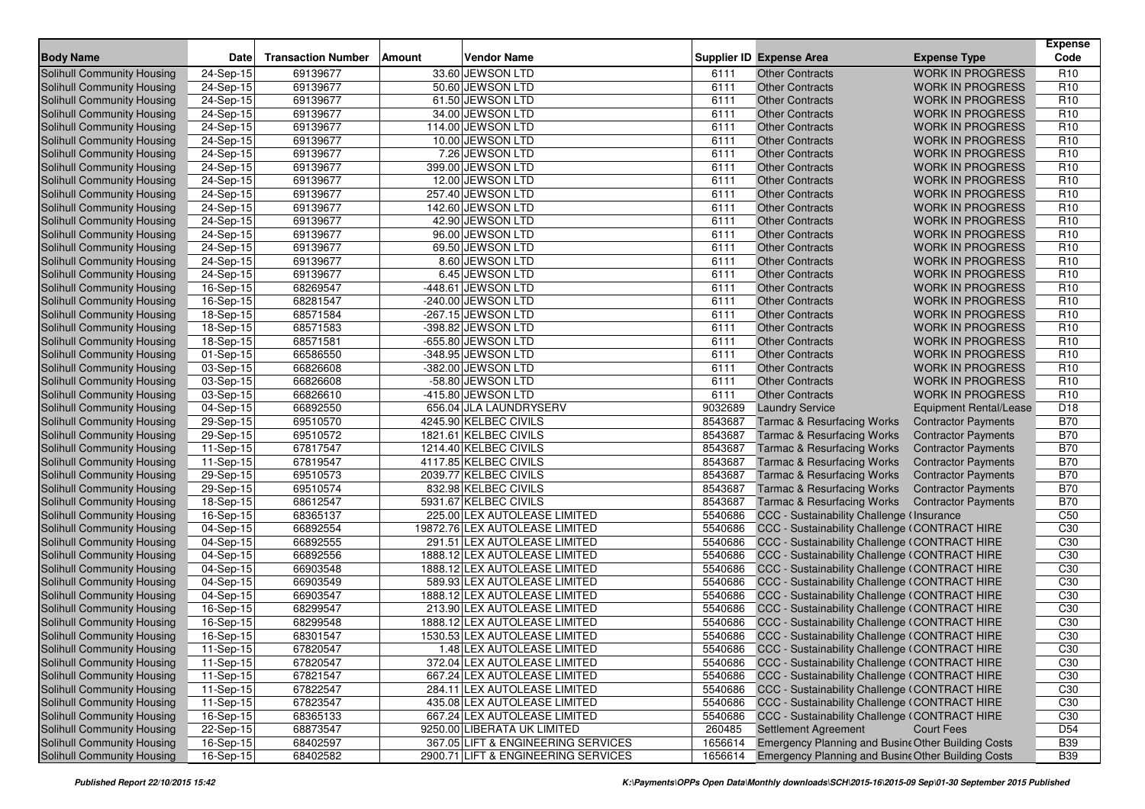| <b>Body Name</b>                                                | <b>Date</b>             | <b>Transaction Number</b> | <b>Amount</b> | <b>Vendor Name</b>                                            |                    | <b>Supplier ID Expense Area</b>                                                                | <b>Expense Type</b>        | <b>Expense</b><br>Code             |
|-----------------------------------------------------------------|-------------------------|---------------------------|---------------|---------------------------------------------------------------|--------------------|------------------------------------------------------------------------------------------------|----------------------------|------------------------------------|
| <b>Solihull Community Housing</b>                               | 24-Sep-15               | 69139677                  |               | 33.60 JEWSON LTD                                              | 6111               | <b>Other Contracts</b>                                                                         | <b>WORK IN PROGRESS</b>    | R <sub>10</sub>                    |
| Solihull Community Housing                                      | 24-Sep-15               | 69139677                  |               | 50.60 JEWSON LTD                                              | 6111               | <b>Other Contracts</b>                                                                         | <b>WORK IN PROGRESS</b>    | R <sub>10</sub>                    |
| Solihull Community Housing                                      | 24-Sep-15               | 69139677                  |               | 61.50 JEWSON LTD                                              | 6111               | <b>Other Contracts</b>                                                                         | <b>WORK IN PROGRESS</b>    | R <sub>10</sub>                    |
| Solihull Community Housing                                      | 24-Sep-15               | 69139677                  |               | 34.00 JEWSON LTD                                              | 6111               | <b>Other Contracts</b>                                                                         | <b>WORK IN PROGRESS</b>    | R <sub>10</sub>                    |
| Solihull Community Housing                                      | 24-Sep-15               | 69139677                  |               | 114.00 JEWSON LTD                                             | 6111               | <b>Other Contracts</b>                                                                         | <b>WORK IN PROGRESS</b>    | R <sub>10</sub>                    |
| Solihull Community Housing                                      | 24-Sep-15               | 69139677                  |               | 10.00 JEWSON LTD                                              | 6111               | <b>Other Contracts</b>                                                                         | <b>WORK IN PROGRESS</b>    | R <sub>10</sub>                    |
| Solihull Community Housing                                      | 24-Sep-15               | 69139677                  |               | 7.26 JEWSON LTD                                               | 6111               | <b>Other Contracts</b>                                                                         | <b>WORK IN PROGRESS</b>    | R <sub>10</sub>                    |
| Solihull Community Housing                                      | 24-Sep-15               | 69139677                  |               | 399.00 JEWSON LTD                                             | 6111               | <b>Other Contracts</b>                                                                         | <b>WORK IN PROGRESS</b>    | R <sub>10</sub>                    |
| Solihull Community Housing                                      | 24-Sep-15               | 69139677                  |               | 12.00 JEWSON LTD                                              | 6111               | <b>Other Contracts</b>                                                                         | <b>WORK IN PROGRESS</b>    | R <sub>10</sub>                    |
| <b>Solihull Community Housing</b>                               | 24-Sep-15               | 69139677                  |               | 257.40 JEWSON LTD                                             | 6111               | <b>Other Contracts</b>                                                                         | <b>WORK IN PROGRESS</b>    | R <sub>10</sub>                    |
| Solihull Community Housing                                      | 24-Sep-15               | 69139677                  |               | 142.60 JEWSON LTD                                             | 6111               | <b>Other Contracts</b>                                                                         | <b>WORK IN PROGRESS</b>    | R <sub>10</sub>                    |
| <b>Solihull Community Housing</b>                               | $\overline{24}$ -Sep-15 | 69139677                  |               | 42.90 JEWSON LTD                                              | 6111               | <b>Other Contracts</b>                                                                         | <b>WORK IN PROGRESS</b>    | R <sub>10</sub>                    |
| Solihull Community Housing                                      | 24-Sep-15               | 69139677                  |               | 96.00 JEWSON LTD                                              | 6111               | <b>Other Contracts</b>                                                                         | <b>WORK IN PROGRESS</b>    | R <sub>10</sub>                    |
| Solihull Community Housing                                      | 24-Sep-15               | 69139677                  |               | 69.50 JEWSON LTD                                              | 6111               | <b>Other Contracts</b>                                                                         | <b>WORK IN PROGRESS</b>    | R <sub>10</sub>                    |
| <b>Solihull Community Housing</b>                               | 24-Sep-15               | 69139677                  |               | 8.60 JEWSON LTD                                               | 6111               | <b>Other Contracts</b>                                                                         | <b>WORK IN PROGRESS</b>    | R <sub>10</sub>                    |
| Solihull Community Housing                                      | 24-Sep-15               | 69139677                  |               | 6.45 JEWSON LTD                                               | 6111               | <b>Other Contracts</b>                                                                         | <b>WORK IN PROGRESS</b>    | R <sub>10</sub>                    |
| Solihull Community Housing                                      | 16-Sep-15               | 68269547                  |               | -448.61 JEWSON LTD                                            | 6111               | <b>Other Contracts</b>                                                                         | <b>WORK IN PROGRESS</b>    | R <sub>10</sub>                    |
| <b>Solihull Community Housing</b>                               | 16-Sep-15               | 68281547                  |               | -240.00 JEWSON LTD                                            | 6111               | <b>Other Contracts</b>                                                                         | <b>WORK IN PROGRESS</b>    | R <sub>10</sub>                    |
| Solihull Community Housing                                      | 18-Sep-15               | 68571584                  |               | $-267.15$ JEWSON LTD                                          | 6111               | <b>Other Contracts</b>                                                                         | <b>WORK IN PROGRESS</b>    | R <sub>10</sub>                    |
| Solihull Community Housing                                      | 18-Sep-15               | 68571583                  |               | -398.82 JEWSON LTD                                            | 6111               | <b>Other Contracts</b>                                                                         | <b>WORK IN PROGRESS</b>    | R <sub>10</sub>                    |
| <b>Solihull Community Housing</b>                               | 18-Sep-15               | 68571581                  |               | -655.80 JEWSON LTD                                            | 6111               | <b>Other Contracts</b>                                                                         | <b>WORK IN PROGRESS</b>    | R <sub>10</sub>                    |
| Solihull Community Housing                                      | 01-Sep-15               | 66586550                  |               | -348.95 JEWSON LTD                                            | 6111               | <b>Other Contracts</b>                                                                         | <b>WORK IN PROGRESS</b>    | R <sub>10</sub>                    |
| Solihull Community Housing                                      | $\overline{03}$ -Sep-15 | 66826608                  |               | -382.00 JEWSON LTD                                            | 6111               | <b>Other Contracts</b>                                                                         | <b>WORK IN PROGRESS</b>    | R <sub>10</sub>                    |
| Solihull Community Housing                                      | 03-Sep-15               | 66826608                  |               | -58.80 JEWSON LTD                                             | 6111               | <b>Other Contracts</b>                                                                         | <b>WORK IN PROGRESS</b>    | R <sub>10</sub>                    |
| Solihull Community Housing                                      | 03-Sep-15               | 66826610                  |               | -415.80 JEWSON LTD                                            | 6111               | <b>Other Contracts</b>                                                                         | <b>WORK IN PROGRESS</b>    | R <sub>10</sub>                    |
| Solihull Community Housing                                      | 04-Sep-15               | 66892550                  |               | 656.04 JLA LAUNDRYSERV                                        | 9032689            | <b>Laundry Service</b>                                                                         | Equipment Rental/Lease     | D18                                |
| Solihull Community Housing                                      | $29-Sep-15$             | 69510570                  |               | 4245.90 KELBEC CIVILS                                         | 8543687            | <b>Tarmac &amp; Resurfacing Works</b>                                                          | <b>Contractor Payments</b> | <b>B70</b>                         |
| Solihull Community Housing                                      | 29-Sep-15               | 69510572                  |               | 1821.61 KELBEC CIVILS                                         | 8543687            | <b>Tarmac &amp; Resurfacing Works</b>                                                          | <b>Contractor Payments</b> | <b>B70</b>                         |
| Solihull Community Housing                                      | 11-Sep-15               | 67817547                  |               | 1214.40 KELBEC CIVILS                                         | 8543687            | <b>Tarmac &amp; Resurfacing Works</b>                                                          | <b>Contractor Payments</b> | <b>B70</b>                         |
| Solihull Community Housing                                      | 11-Sep-15               | 67819547                  |               | 4117.85 KELBEC CIVILS                                         | 8543687            | <b>Tarmac &amp; Resurfacing Works</b>                                                          | <b>Contractor Payments</b> | <b>B70</b>                         |
| Solihull Community Housing                                      | 29-Sep-15               | 69510573                  |               | 2039.77 KELBEC CIVILS                                         | 8543687            | <b>Tarmac &amp; Resurfacing Works</b>                                                          | <b>Contractor Payments</b> | <b>B70</b>                         |
| Solihull Community Housing                                      | 29-Sep-15               | 69510574                  |               | 832.98 KELBEC CIVILS                                          | 8543687            | <b>Tarmac &amp; Resurfacing Works</b>                                                          | <b>Contractor Payments</b> | <b>B70</b>                         |
| Solihull Community Housing                                      | 18-Sep-15               | 68612547                  |               | 5931.67 KELBEC CIVILS                                         | 8543687            | <b>Tarmac &amp; Resurfacing Works</b>                                                          | <b>Contractor Payments</b> | <b>B70</b>                         |
| Solihull Community Housing                                      | $16-Sep-15$             | 68365137                  |               | 225.00 LEX AUTOLEASE LIMITED                                  | 5540686            | CCC - Sustainability Challenge (Insurance                                                      |                            | C50                                |
| Solihull Community Housing                                      | 04-Sep-15               | 66892554                  |               | 19872.76 LEX AUTOLEASE LIMITED                                | 5540686            | CCC - Sustainability Challenge (CONTRACT HIRE                                                  |                            | C <sub>30</sub>                    |
| Solihull Community Housing                                      | 04-Sep-15               | 66892555                  |               | 291.51 LEX AUTOLEASE LIMITED                                  | 5540686            | CCC - Sustainability Challenge (CONTRACT HIRE                                                  |                            | C <sub>30</sub>                    |
| <b>Solihull Community Housing</b>                               | 04-Sep-15               | 66892556                  |               | 1888.12 LEX AUTOLEASE LIMITED                                 | 5540686            | CCC - Sustainability Challenge (CONTRACT HIRE                                                  |                            | C <sub>30</sub>                    |
| Solihull Community Housing                                      | 04-Sep-15               | 66903548                  |               | 1888.12 LEX AUTOLEASE LIMITED<br>589.93 LEX AUTOLEASE LIMITED | 5540686<br>5540686 | CCC - Sustainability Challenge (CONTRACT HIRE                                                  |                            | C <sub>30</sub><br>C <sub>30</sub> |
| Solihull Community Housing<br><b>Solihull Community Housing</b> | 04-Sep-15               | 66903549                  |               |                                                               |                    | CCC - Sustainability Challenge (CONTRACT HIRE                                                  |                            |                                    |
|                                                                 | 04-Sep-15               | 66903547<br>68299547      |               | 1888.12 LEX AUTOLEASE LIMITED<br>213.90 LEX AUTOLEASE LIMITED | 5540686<br>5540686 | CCC - Sustainability Challenge (CONTRACT HIRE<br>CCC - Sustainability Challenge (CONTRACT HIRE |                            | C <sub>30</sub><br>C <sub>30</sub> |
| Solihull Community Housing<br><b>Solihull Community Housing</b> | 16-Sep-15<br>16-Sep-15  | 68299548                  |               | 1888.12 LEX AUTOLEASE LIMITED                                 | 5540686            | CCC - Sustainability Challenge (CONTRACT HIRE                                                  |                            | C30                                |
| <b>Solihull Community Housing</b>                               | 16-Sep-15               | 68301547                  |               | 1530.53 LEX AUTOLEASE LIMITED                                 | 5540686            | CCC - Sustainability Challenge (CONTRACT HIRE                                                  |                            | C <sub>30</sub>                    |
| Solihull Community Housing                                      | 11-Sep-15               | 67820547                  |               | 1.48 LEX AUTOLEASE LIMITED                                    |                    | 5540686 CCC - Sustainability Challenge (CONTRACT HIRE                                          |                            | C30                                |
| Solihull Community Housing                                      | 11-Sep-15               | 67820547                  |               | 372.04 LEX AUTOLEASE LIMITED                                  |                    | 5540686 CCC - Sustainability Challenge (CONTRACT HIRE                                          |                            | C <sub>30</sub>                    |
| Solihull Community Housing                                      | 11-Sep-15               | 67821547                  |               | 667.24 LEX AUTOLEASE LIMITED                                  | 5540686            | CCC - Sustainability Challenge (CONTRACT HIRE                                                  |                            | C <sub>30</sub>                    |
| Solihull Community Housing                                      | 11-Sep-15               | 67822547                  |               | 284.11 LEX AUTOLEASE LIMITED                                  | 5540686            | CCC - Sustainability Challenge (CONTRACT HIRE                                                  |                            | C <sub>30</sub>                    |
| <b>Solihull Community Housing</b>                               | 11-Sep-15               | 67823547                  |               | 435.08 LEX AUTOLEASE LIMITED                                  | 5540686            | CCC - Sustainability Challenge (CONTRACT HIRE                                                  |                            | C30                                |
| Solihull Community Housing                                      | 16-Sep-15               | 68365133                  |               | 667.24 LEX AUTOLEASE LIMITED                                  | 5540686            | CCC - Sustainability Challenge (CONTRACT HIRE                                                  |                            | C30                                |
| Solihull Community Housing                                      | 22-Sep-15               | 68873547                  |               | 9250.00 LIBERATA UK LIMITED                                   | 260485             | Settlement Agreement                                                                           | <b>Court Fees</b>          | D <sub>54</sub>                    |
| Solihull Community Housing                                      | $16-Sep-15$             | 68402597                  |               | 367.05 LIFT & ENGINEERING SERVICES                            | 1656614            | Emergency Planning and Busine Other Building Costs                                             |                            | <b>B39</b>                         |
| <b>Solihull Community Housing</b>                               | $16-Sep-15$             | 68402582                  |               | 2900.71 LIFT & ENGINEERING SERVICES                           | 1656614            | <b>Emergency Planning and Busine Other Building Costs</b>                                      |                            | <b>B39</b>                         |
|                                                                 |                         |                           |               |                                                               |                    |                                                                                                |                            |                                    |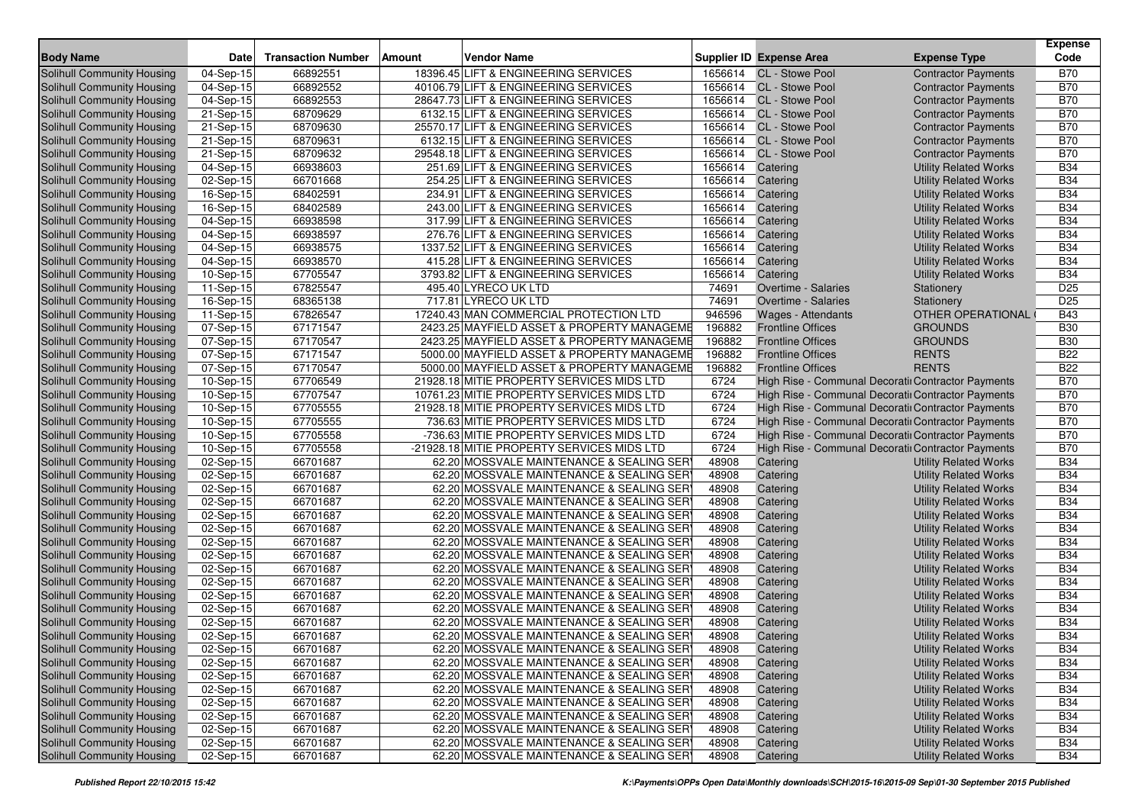| <b>Body Name</b>                                                | <b>Date</b>                                        | <b>Transaction Number</b> | <b>Amount</b> | <b>Vendor Name</b>                                                                    |                | <b>Supplier ID Expense Area</b><br><b>Expense Type</b>                               | <b>Expense</b><br>Code   |
|-----------------------------------------------------------------|----------------------------------------------------|---------------------------|---------------|---------------------------------------------------------------------------------------|----------------|--------------------------------------------------------------------------------------|--------------------------|
|                                                                 |                                                    |                           |               |                                                                                       |                |                                                                                      |                          |
| Solihull Community Housing                                      | 04-Sep-15                                          | 66892551                  |               | 18396.45 LIFT & ENGINEERING SERVICES                                                  |                | 1656614 CL - Stowe Pool<br><b>Contractor Payments</b>                                | <b>B70</b>               |
| Solihull Community Housing                                      | 04-Sep-15                                          | 66892552                  |               | 40106.79 LIFT & ENGINEERING SERVICES                                                  |                | 1656614 CL - Stowe Pool<br><b>Contractor Payments</b>                                | <b>B70</b>               |
| Solihull Community Housing                                      | 04-Sep-15                                          | 66892553                  |               | 28647.73 LIFT & ENGINEERING SERVICES                                                  |                | 1656614 CL - Stowe Pool<br><b>Contractor Payments</b>                                | <b>B70</b>               |
| Solihull Community Housing                                      | 21-Sep-15                                          | 68709629                  |               | 6132.15 LIFT & ENGINEERING SERVICES                                                   | 1656614        | <b>CL</b> - Stowe Pool<br><b>Contractor Payments</b>                                 | <b>B70</b>               |
| Solihull Community Housing                                      | 21-Sep-15                                          | 68709630                  |               | 25570.17 LIFT & ENGINEERING SERVICES                                                  | 1656614        | <b>CL</b> - Stowe Pool<br><b>Contractor Payments</b>                                 | <b>B70</b>               |
| Solihull Community Housing                                      | 21-Sep-15                                          | 68709631                  |               | 6132.15 LIFT & ENGINEERING SERVICES                                                   |                | 1656614 CL - Stowe Pool<br><b>Contractor Payments</b>                                | <b>B70</b>               |
| Solihull Community Housing                                      | 21-Sep-15                                          | 68709632                  |               | 29548.18 LIFT & ENGINEERING SERVICES                                                  | 1656614        | <b>CL</b> - Stowe Pool<br><b>Contractor Payments</b>                                 | <b>B70</b>               |
| Solihull Community Housing                                      | 04-Sep-15                                          | 66938603                  |               | 251.69 LIFT & ENGINEERING SERVICES                                                    | 1656614        | Catering<br><b>Utility Related Works</b>                                             | <b>B34</b>               |
| Solihull Community Housing                                      | 02-Sep-15                                          | 66701668                  |               | 254.25 LIFT & ENGINEERING SERVICES                                                    | 1656614        | Catering<br><b>Utility Related Works</b>                                             | <b>B34</b>               |
| Solihull Community Housing                                      | 16-Sep-15                                          | 68402591                  |               | 234.91 LIFT & ENGINEERING SERVICES                                                    | 1656614        | Catering<br><b>Utility Related Works</b>                                             | <b>B34</b>               |
| Solihull Community Housing                                      | 16-Sep-15                                          | 68402589                  |               | 243.00 LIFT & ENGINEERING SERVICES                                                    | 1656614        | Catering<br><b>Utility Related Works</b>                                             | <b>B34</b>               |
| Solihull Community Housing                                      | 04-Sep-15                                          | 66938598                  |               | 317.99 LIFT & ENGINEERING SERVICES                                                    | 1656614        | <b>Utility Related Works</b><br>Catering                                             | <b>B34</b>               |
| Solihull Community Housing                                      | 04-Sep-15                                          | 66938597                  |               | 276.76 LIFT & ENGINEERING SERVICES                                                    | 1656614        | Catering<br><b>Utility Related Works</b>                                             | <b>B34</b>               |
| Solihull Community Housing                                      | 04-Sep-15                                          | 66938575                  |               | 1337.52 LIFT & ENGINEERING SERVICES                                                   | 1656614        | Catering<br><b>Utility Related Works</b>                                             | <b>B34</b>               |
| Solihull Community Housing                                      | $\overline{0}$ 4-Sep-15                            | 66938570                  |               | 415.28 LIFT & ENGINEERING SERVICES                                                    | 1656614        | Catering<br><b>Utility Related Works</b>                                             | <b>B34</b>               |
| Solihull Community Housing                                      | 10-Sep-15                                          | 67705547                  |               | 3793.82 LIFT & ENGINEERING SERVICES                                                   | 1656614        | Catering<br><b>Utility Related Works</b>                                             | <b>B34</b>               |
| Solihull Community Housing                                      | 11-Sep-15                                          | 67825547                  |               | 495.40 LYRECO UK LTD                                                                  | 74691          | Overtime - Salaries<br>Stationery                                                    | D <sub>25</sub>          |
| Solihull Community Housing                                      | 16-Sep-15                                          | 68365138                  |               | 717.81 LYRECO UK LTD                                                                  | 74691          | <b>Overtime - Salaries</b><br>Stationery                                             | D <sub>25</sub>          |
| Solihull Community Housing                                      | 11-Sep-15                                          | 67826547                  |               | 17240.43 MAN COMMERCIAL PROTECTION LTD                                                | 946596         | OTHER OPERATIONAL<br>Wages - Attendants                                              | <b>B43</b>               |
| Solihull Community Housing                                      | $\overline{07}$ -Sep-15                            | 67171547                  |               | 2423.25 MAYFIELD ASSET & PROPERTY MANAGEME                                            | 196882         | <b>Frontline Offices</b><br><b>GROUNDS</b>                                           | <b>B30</b>               |
| Solihull Community Housing                                      | $\overline{0}$ 7-Sep-15                            | 67170547                  |               | 2423.25 MAYFIELD ASSET & PROPERTY MANAGEME                                            | 196882         | <b>Frontline Offices</b><br><b>GROUNDS</b>                                           | <b>B30</b>               |
| Solihull Community Housing                                      | 07-Sep-15                                          | 67171547                  |               | 5000.00 MAYFIELD ASSET & PROPERTY MANAGEME                                            | 196882         | <b>Frontline Offices</b><br><b>RENTS</b>                                             | <b>B22</b>               |
| Solihull Community Housing                                      | 07-Sep-15                                          | 67170547                  |               | 5000.00 MAYFIELD ASSET & PROPERTY MANAGEME                                            | 196882         | <b>RENTS</b><br><b>Frontline Offices</b>                                             | <b>B22</b>               |
| Solihull Community Housing                                      | 10-Sep-15                                          | 67706549                  |               | 21928.18 MITIE PROPERTY SERVICES MIDS LTD                                             | 6724           | High Rise - Communal Decoratir Contractor Payments                                   | <b>B70</b>               |
| Solihull Community Housing                                      | 10-Sep-15                                          | 67707547                  |               | 10761.23 MITIE PROPERTY SERVICES MIDS LTD                                             | 6724           | High Rise - Communal Decoratir Contractor Payments                                   | <b>B70</b>               |
| Solihull Community Housing                                      | $10-Sep-15$                                        | 67705555                  |               | 21928.18 MITIE PROPERTY SERVICES MIDS LTD                                             | 6724           | High Rise - Communal Decoratii Contractor Payments                                   | <b>B70</b>               |
| Solihull Community Housing                                      | 10-Sep-15                                          | 67705555                  |               | 736.63 MITIE PROPERTY SERVICES MIDS LTD                                               | 6724           | High Rise - Communal Decoratiı Contractor Payments                                   | <b>B70</b>               |
| Solihull Community Housing                                      | $10-Sep-15$                                        | 67705558                  |               | -736.63 MITIE PROPERTY SERVICES MIDS LTD                                              | 6724           | High Rise - Communal Decoratii Contractor Payments                                   | <b>B70</b>               |
| Solihull Community Housing                                      | 10-Sep-15                                          | 67705558                  |               | -21928.18 MITIE PROPERTY SERVICES MIDS LTD                                            | 6724           | High Rise - Communal Decoratii Contractor Payments                                   | <b>B70</b><br><b>B34</b> |
| Solihull Community Housing                                      | $02-Sep-15$                                        | 66701687                  |               | 62.20 MOSSVALE MAINTENANCE & SEALING SER                                              | 48908          | Catering<br><b>Utility Related Works</b>                                             |                          |
| Solihull Community Housing                                      | 02-Sep-15                                          | 66701687                  |               | 62.20 MOSSVALE MAINTENANCE & SEALING SER<br>62.20 MOSSVALE MAINTENANCE & SEALING SER  | 48908          | Catering<br><b>Utility Related Works</b>                                             | <b>B34</b><br><b>B34</b> |
| Solihull Community Housing                                      | $\overline{0}$ 2-Sep-15<br>$\overline{0}$ 2-Sep-15 | 66701687                  |               |                                                                                       | 48908          | Catering<br><b>Utility Related Works</b>                                             |                          |
| Solihull Community Housing                                      |                                                    | 66701687<br>66701687      |               | 62.20 MOSSVALE MAINTENANCE & SEALING SER<br>62.20 MOSSVALE MAINTENANCE & SEALING SERY | 48908<br>48908 | Catering<br><b>Utility Related Works</b>                                             | <b>B34</b><br><b>B34</b> |
| Solihull Community Housing<br><b>Solihull Community Housing</b> | 02-Sep-15<br>02-Sep-15                             | 66701687                  |               | 62.20 MOSSVALE MAINTENANCE & SEALING SER                                              | 48908          | <b>Utility Related Works</b><br>Catering                                             | <b>B34</b>               |
| Solihull Community Housing                                      | 02-Sep-15                                          | 66701687                  |               | 62.20 MOSSVALE MAINTENANCE & SEALING SER                                              | 48908          | <b>Utility Related Works</b><br>Catering                                             | <b>B34</b>               |
| <b>Solihull Community Housing</b>                               | 02-Sep-15                                          | 66701687                  |               | 62.20 MOSSVALE MAINTENANCE & SEALING SER                                              | 48908          | <b>Utility Related Works</b><br>Catering<br><b>Utility Related Works</b><br>Catering | <b>B34</b>               |
| Solihull Community Housing                                      | 02-Sep-15                                          | 66701687                  |               | 62.20 MOSSVALE MAINTENANCE & SEALING SER                                              | 48908          | <b>Utility Related Works</b><br>Catering                                             | <b>B34</b>               |
| Solihull Community Housing                                      | 02-Sep-15                                          | 66701687                  |               | 62.20 MOSSVALE MAINTENANCE & SEALING SER                                              | 48908          | Catering<br><b>Utility Related Works</b>                                             | <b>B34</b>               |
| Solihull Community Housing                                      | 02-Sep-15                                          | 66701687                  |               | 62.20 MOSSVALE MAINTENANCE & SEALING SER                                              | 48908          | <b>Utility Related Works</b><br>Catering                                             | <b>B34</b>               |
| Solihull Community Housing                                      | 02-Sep-15                                          | 66701687                  |               | 62.20 MOSSVALE MAINTENANCE & SEALING SERY                                             | 48908          | <b>Utility Related Works</b><br>Catering                                             | <b>B34</b>               |
| <b>Solihull Community Housing</b>                               | 02-Sep-15                                          | 66701687                  |               | 62.20 MOSSVALE MAINTENANCE & SEALING SER                                              | 48908          | Catering<br><b>Utility Related Works</b>                                             | <b>B34</b>               |
| Solihull Community Housing                                      | 02-Sep-15                                          | 66701687                  |               | 62.20 MOSSVALE MAINTENANCE & SEALING SER                                              | 48908          | <b>Utility Related Works</b><br>Catering                                             | <b>B34</b>               |
| <b>Solihull Community Housing</b>                               | $\overline{02}$ -Sep-15                            | 66701687                  |               | 62.20 MOSSVALE MAINTENANCE & SEALING SER                                              | 48908          | Catering<br><b>Utility Related Works</b>                                             | <b>B34</b>               |
| Solihull Community Housing                                      | 02-Sep-15                                          | 66701687                  |               | 62.20 MOSSVALE MAINTENANCE & SEALING SERY                                             | 48908          | Catering<br><b>Utility Related Works</b>                                             | <b>B34</b>               |
| Solihull Community Housing                                      | 02-Sep-15                                          | 66701687                  |               | 62.20 MOSSVALE MAINTENANCE & SEALING SER                                              | 48908          | Catering<br><b>Utility Related Works</b>                                             | <b>B34</b>               |
| Solihull Community Housing                                      | 02-Sep-15                                          | 66701687                  |               | 62.20 MOSSVALE MAINTENANCE & SEALING SERY                                             | 48908          | Catering<br><b>Utility Related Works</b>                                             | <b>B34</b>               |
| Solihull Community Housing                                      | 02-Sep-15                                          | 66701687                  |               | 62.20 MOSSVALE MAINTENANCE & SEALING SER                                              | 48908          | <b>Utility Related Works</b><br>Catering                                             | <b>B34</b>               |
| Solihull Community Housing                                      | 02-Sep-15                                          | 66701687                  |               | 62.20 MOSSVALE MAINTENANCE & SEALING SERY                                             | 48908          | <b>Utility Related Works</b><br>Catering                                             | <b>B34</b>               |
| Solihull Community Housing                                      | 02-Sep-15                                          | 66701687                  |               | 62.20 MOSSVALE MAINTENANCE & SEALING SER                                              | 48908          | <b>Utility Related Works</b><br>Catering                                             | <b>B34</b>               |
| <b>Solihull Community Housing</b>                               | 02-Sep-15                                          | 66701687                  |               | 62.20 MOSSVALE MAINTENANCE & SEALING SER)                                             | 48908          | <b>Utility Related Works</b><br>Catering                                             | <b>B34</b>               |
| Solihull Community Housing                                      | 02-Sep-15                                          | 66701687                  |               | 62.20 MOSSVALE MAINTENANCE & SEALING SER                                              | 48908          | <b>Utility Related Works</b><br>Catering                                             | <b>B34</b>               |
|                                                                 |                                                    |                           |               |                                                                                       |                |                                                                                      |                          |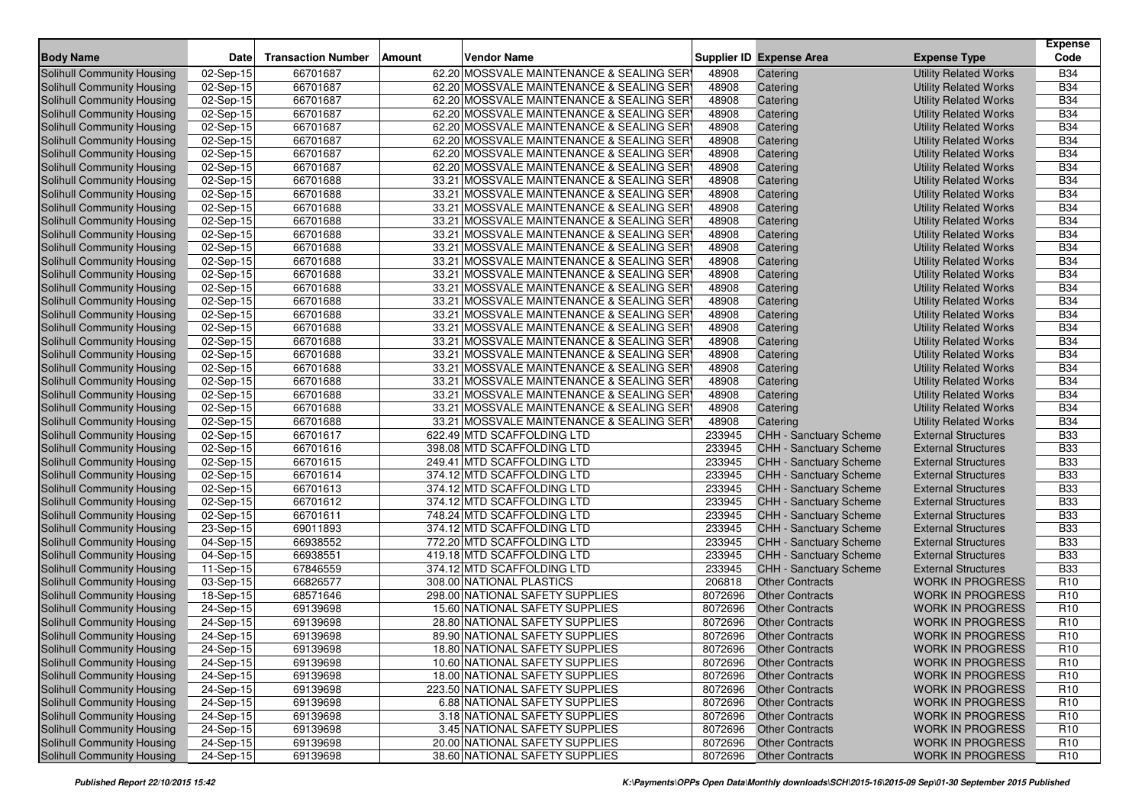| <b>Body Name</b>                                         | <b>Date</b>             | <b>Transaction Number</b> | Amount<br>Vendor Name                                             |                    | Supplier ID Expense Area                         | <b>Expense Type</b>                                | <b>Expense</b><br>Code             |
|----------------------------------------------------------|-------------------------|---------------------------|-------------------------------------------------------------------|--------------------|--------------------------------------------------|----------------------------------------------------|------------------------------------|
| Solihull Community Housing                               | 02-Sep-15               | 66701687                  | 62.20 MOSSVALE MAINTENANCE & SEALING SER                          | 48908              | Catering                                         | <b>Utility Related Works</b>                       | <b>B34</b>                         |
| Solihull Community Housing                               | 02-Sep-15               | 66701687                  | 62.20 MOSSVALE MAINTENANCE & SEALING SER                          | 48908              | Catering                                         | <b>Utility Related Works</b>                       | <b>B34</b>                         |
| Solihull Community Housing                               | $\overline{0}$ 2-Sep-15 | 66701687                  | 62.20 MOSSVALE MAINTENANCE & SEALING SER                          | 48908              | Catering                                         | <b>Utility Related Works</b>                       | <b>B34</b>                         |
| Solihull Community Housing                               | 02-Sep-15               | 66701687                  | 62.20 MOSSVALE MAINTENANCE & SEALING SER                          | 48908              | Catering                                         | <b>Utility Related Works</b>                       | <b>B34</b>                         |
| Solihull Community Housing                               | 02-Sep-15               | 66701687                  | 62.20 MOSSVALE MAINTENANCE & SEALING SER                          | 48908              | Catering                                         | <b>Utility Related Works</b>                       | <b>B34</b>                         |
| Solihull Community Housing                               | $02-Sep-15$             | 66701687                  | 62.20 MOSSVALE MAINTENANCE & SEALING SER                          | 48908              | Catering                                         | <b>Utility Related Works</b>                       | <b>B34</b>                         |
| Solihull Community Housing                               | 02-Sep-15               | 66701687                  | 62.20 MOSSVALE MAINTENANCE & SEALING SER                          | 48908              | Catering                                         | <b>Utility Related Works</b>                       | <b>B34</b>                         |
| Solihull Community Housing                               | 02-Sep-15               | 66701687                  | 62.20 MOSSVALE MAINTENANCE & SEALING SER                          | 48908              | Catering                                         | <b>Utility Related Works</b>                       | <b>B34</b>                         |
| Solihull Community Housing                               | 02-Sep-15               | 66701688                  | 33.21 MOSSVALE MAINTENANCE & SEALING SER                          | 48908              | Catering                                         | <b>Utility Related Works</b>                       | <b>B34</b>                         |
| Solihull Community Housing                               | 02-Sep-15               | 66701688                  | 33.21 MOSSVALE MAINTENANCE & SEALING SER                          | 48908              | Catering                                         | <b>Utility Related Works</b>                       | <b>B34</b>                         |
| <b>Solihull Community Housing</b>                        | 02-Sep-15               | 66701688                  | 33.21 MOSSVALE MAINTENANCE & SEALING SER                          | 48908              | Catering                                         | <b>Utility Related Works</b>                       | <b>B34</b>                         |
| Solihull Community Housing                               | 02-Sep-15               | 66701688                  | 33.21 MOSSVALE MAINTENANCE & SEALING SER                          | 48908              | Catering                                         | <b>Utility Related Works</b>                       | <b>B34</b>                         |
| Solihull Community Housing                               | 02-Sep-15               | 66701688                  | 33.21 MOSSVALE MAINTENANCE & SEALING SER                          | 48908              | Catering                                         | <b>Utility Related Works</b>                       | <b>B34</b>                         |
| Solihull Community Housing                               | 02-Sep-15               | 66701688                  | 33.21 MOSSVALE MAINTENANCE & SEALING SER                          | 48908              | Catering                                         | <b>Utility Related Works</b>                       | <b>B34</b>                         |
| Solihull Community Housing                               | $\overline{0}$ 2-Sep-15 | 66701688                  | 33.21 MOSSVALE MAINTENANCE & SEALING SER                          | 48908              | Catering                                         | <b>Utility Related Works</b>                       | <b>B34</b>                         |
| Solihull Community Housing                               | $\overline{02}$ -Sep-15 | 66701688                  | 33.21 MOSSVALE MAINTENANCE & SEALING SER                          | 48908              | Catering                                         | <b>Utility Related Works</b>                       | <b>B34</b>                         |
| Solihull Community Housing                               | 02-Sep-15               | 66701688                  | 33.21 MOSSVALE MAINTENANCE & SEALING SER                          | 48908              | Catering                                         | <b>Utility Related Works</b>                       | <b>B34</b>                         |
| Solihull Community Housing                               | 02-Sep-15               | 66701688                  | 33.21 MOSSVALE MAINTENANCE & SEALING SER                          | 48908              | Catering                                         | <b>Utility Related Works</b>                       | <b>B34</b>                         |
| Solihull Community Housing                               | 02-Sep-15               | 66701688                  | 33.21 MOSSVALE MAINTENANCE & SEALING SER                          | 48908              | Catering                                         | <b>Utility Related Works</b>                       | <b>B34</b>                         |
| Solihull Community Housing                               | 02-Sep-15               | 66701688                  | 33.21 MOSSVALE MAINTENANCE & SEALING SER                          | 48908              | Catering                                         | <b>Utility Related Works</b>                       | <b>B34</b>                         |
| Solihull Community Housing                               | 02-Sep-15               | 66701688                  | 33.21 MOSSVALE MAINTENANCE & SEALING SER                          | 48908              | Catering                                         | <b>Utility Related Works</b>                       | <b>B34</b>                         |
| Solihull Community Housing                               | 02-Sep-15               | 66701688                  | 33.21 MOSSVALE MAINTENANCE & SEALING SER                          | 48908              | Catering                                         | <b>Utility Related Works</b>                       | <b>B34</b>                         |
| Solihull Community Housing                               | 02-Sep-15               | 66701688                  | 33.21 MOSSVALE MAINTENANCE & SEALING SER                          | 48908              | Catering                                         | <b>Utility Related Works</b>                       | <b>B34</b>                         |
| Solihull Community Housing                               | 02-Sep-15               | 66701688                  | 33.21 MOSSVALE MAINTENANCE & SEALING SER                          | 48908              | Catering                                         | <b>Utility Related Works</b>                       | <b>B34</b>                         |
| Solihull Community Housing                               | $\overline{0}$ 2-Sep-15 | 66701688                  | 33.21 MOSSVALE MAINTENANCE & SEALING SER                          | 48908              | Catering                                         | <b>Utility Related Works</b>                       | <b>B34</b>                         |
| Solihull Community Housing                               | $\overline{02}$ -Sep-15 | 66701688                  | 33.21 MOSSVALE MAINTENANCE & SEALING SER                          | 48908              | Catering                                         | <b>Utility Related Works</b>                       | <b>B34</b>                         |
| Solihull Community Housing                               | 02-Sep-15               | 66701688                  | 33.21 MOSSVALE MAINTENANCE & SEALING SER                          | 48908              | Catering                                         | <b>Utility Related Works</b>                       | <b>B34</b>                         |
| Solihull Community Housing                               | $\overline{0}$ 2-Sep-15 | 66701617                  | 622.49 MTD SCAFFOLDING LTD                                        | 233945             | <b>CHH - Sanctuary Scheme</b>                    | <b>External Structures</b>                         | <b>B33</b>                         |
| Solihull Community Housing                               | 02-Sep-15               | 66701616                  | 398.08 MTD SCAFFOLDING LTD                                        | 233945             | CHH - Sanctuary Scheme                           | <b>External Structures</b>                         | <b>B33</b>                         |
| Solihull Community Housing                               | 02-Sep-15               | 66701615                  | 249.41 MTD SCAFFOLDING LTD                                        | 233945             | CHH - Sanctuary Scheme                           | <b>External Structures</b>                         | <b>B33</b>                         |
| Solihull Community Housing                               | $02-Sep-15$             | 66701614                  | 374.12 MTD SCAFFOLDING LTD                                        | 233945             | CHH - Sanctuary Scheme                           | <b>External Structures</b>                         | <b>B33</b>                         |
| Solihull Community Housing                               | 02-Sep-15               | 66701613                  | 374.12 MTD SCAFFOLDING LTD                                        | 233945             | CHH - Sanctuary Scheme                           | <b>External Structures</b>                         | <b>B33</b>                         |
| Solihull Community Housing                               | 02-Sep-15               | 66701612                  | 374.12 MTD SCAFFOLDING LTD                                        | 233945             | CHH - Sanctuary Scheme                           | <b>External Structures</b>                         | <b>B33</b>                         |
| Solihull Community Housing                               | 02-Sep-15               | 66701611                  | 748.24 MTD SCAFFOLDING LTD                                        | 233945             | CHH - Sanctuary Scheme                           | <b>External Structures</b>                         | <b>B33</b>                         |
| Solihull Community Housing                               | 23-Sep-15               | 69011893                  | 374.12 MTD SCAFFOLDING LTD                                        | 233945             | CHH - Sanctuary Scheme                           | <b>External Structures</b>                         | <b>B33</b>                         |
| Solihull Community Housing                               | 04-Sep-15               | 66938552                  | 772.20 MTD SCAFFOLDING LTD                                        | 233945             | CHH - Sanctuary Scheme                           | <b>External Structures</b>                         | <b>B33</b>                         |
| Solihull Community Housing                               | 04-Sep-15               | 66938551                  | 419.18 MTD SCAFFOLDING LTD                                        | 233945             | <b>CHH - Sanctuary Scheme</b>                    | <b>External Structures</b>                         | <b>B33</b>                         |
| Solihull Community Housing                               | 11-Sep-15               | 67846559                  | 374.12 MTD SCAFFOLDING LTD<br>308.00 NATIONAL PLASTICS            | 233945             | <b>CHH - Sanctuary Scheme</b>                    | <b>External Structures</b>                         | <b>B33</b>                         |
| Solihull Community Housing                               | 03-Sep-15               | 66826577                  |                                                                   | 206818             | <b>Other Contracts</b>                           | <b>WORK IN PROGRESS</b>                            | R <sub>10</sub>                    |
| Solihull Community Housing<br>Solihull Community Housing | 18-Sep-15               | 68571646                  | 298.00 NATIONAL SAFETY SUPPLIES<br>15.60 NATIONAL SAFETY SUPPLIES | 8072696<br>8072696 | <b>Other Contracts</b>                           | <b>WORK IN PROGRESS</b>                            | R <sub>10</sub>                    |
| <b>Solihull Community Housing</b>                        | 24-Sep-15               | 69139698<br>69139698      | 28.80 NATIONAL SAFETY SUPPLIES                                    | 8072696            | <b>Other Contracts</b><br><b>Other Contracts</b> | <b>WORK IN PROGRESS</b><br><b>WORK IN PROGRESS</b> | R <sub>10</sub><br>R <sub>10</sub> |
| Solihull Community Housing                               | 24-Sep-15               | 69139698                  | 89.90 NATIONAL SAFETY SUPPLIES                                    | 8072696            | <b>Other Contracts</b>                           | <b>WORK IN PROGRESS</b>                            | R <sub>10</sub>                    |
| Solihull Community Housing                               | 24-Sep-15<br>24-Sep-15  | 69139698                  | 18.80 NATIONAL SAFETY SUPPLIES                                    |                    | 8072696 Other Contracts                          | WORK IN PROGRESS                                   | R <sub>10</sub>                    |
| Solihull Community Housing                               | 24-Sep-15               | 69139698                  | 10.60 NATIONAL SAFETY SUPPLIES                                    | 8072696            | <b>Other Contracts</b>                           | <b>WORK IN PROGRESS</b>                            | R <sub>10</sub>                    |
| Solihull Community Housing                               | 24-Sep-15               | 69139698                  | 18.00 NATIONAL SAFETY SUPPLIES                                    | 8072696            | <b>Other Contracts</b>                           | <b>WORK IN PROGRESS</b>                            | R <sub>10</sub>                    |
| Solihull Community Housing                               | 24-Sep-15               | 69139698                  | 223.50 NATIONAL SAFETY SUPPLIES                                   | 8072696            | <b>Other Contracts</b>                           | <b>WORK IN PROGRESS</b>                            | R <sub>10</sub>                    |
| Solihull Community Housing                               | 24-Sep-15               | 69139698                  | 6.88 NATIONAL SAFETY SUPPLIES                                     | 8072696            | <b>Other Contracts</b>                           | <b>WORK IN PROGRESS</b>                            | R <sub>10</sub>                    |
| Solihull Community Housing                               | 24-Sep-15               | 69139698                  | 3.18 NATIONAL SAFETY SUPPLIES                                     | 8072696            | <b>Other Contracts</b>                           | <b>WORK IN PROGRESS</b>                            | R <sub>10</sub>                    |
| Solihull Community Housing                               | 24-Sep-15               | 69139698                  | 3.45 NATIONAL SAFETY SUPPLIES                                     | 8072696            | <b>Other Contracts</b>                           | <b>WORK IN PROGRESS</b>                            | R <sub>10</sub>                    |
| Solihull Community Housing                               | 24-Sep-15               | 69139698                  | 20.00 NATIONAL SAFETY SUPPLIES                                    | 8072696            | <b>Other Contracts</b>                           | <b>WORK IN PROGRESS</b>                            | R <sub>10</sub>                    |
| Solihull Community Housing                               | 24-Sep-15               | 69139698                  | 38.60 NATIONAL SAFETY SUPPLIES                                    | 8072696            | <b>Other Contracts</b>                           | <b>WORK IN PROGRESS</b>                            | R <sub>10</sub>                    |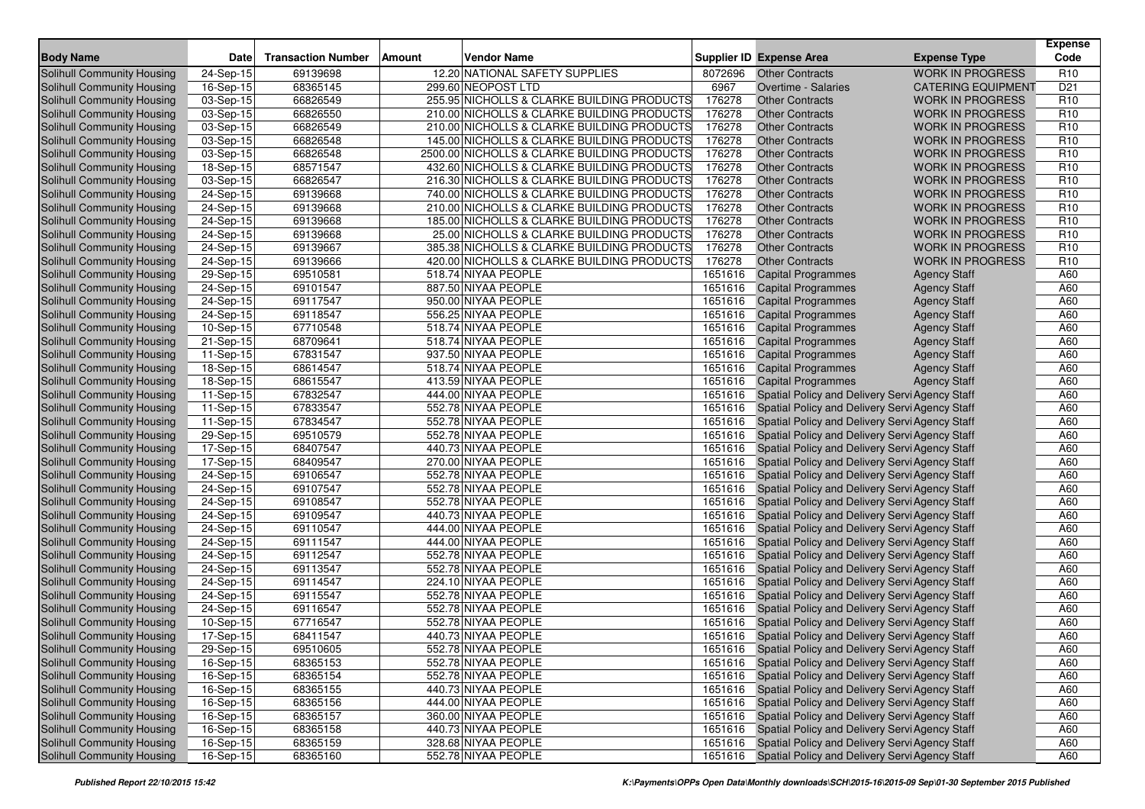| <b>WORK IN PROGRESS</b><br>Solihull Community Housing<br>24-Sep-15<br>69139698<br>12.20 NATIONAL SAFETY SUPPLIES<br><b>Other Contracts</b><br>R <sub>10</sub><br>8072696<br>16-Sep-15<br>68365145<br>299.60 NEOPOST LTD<br>6967<br>D <sub>21</sub><br><b>Solihull Community Housing</b><br>Overtime - Salaries<br><b>CATERING EQUIPMENT</b><br>255.95 NICHOLLS & CLARKE BUILDING PRODUCTS<br>66826549<br>176278<br>R <sub>10</sub><br>Solihull Community Housing<br>03-Sep-15<br><b>Other Contracts</b><br><b>WORK IN PROGRESS</b><br>66826550<br>210.00 NICHOLLS & CLARKE BUILDING PRODUCTS<br>176278<br><b>WORK IN PROGRESS</b><br>R <sub>10</sub><br>Solihull Community Housing<br>03-Sep-15<br><b>Other Contracts</b><br>66826549<br>176278<br>R <sub>10</sub><br>Solihull Community Housing<br>03-Sep-15<br>210.00 NICHOLLS & CLARKE BUILDING PRODUCTS<br><b>Other Contracts</b><br><b>WORK IN PROGRESS</b><br>176278<br>Solihull Community Housing<br>03-Sep-15<br>66826548<br>145.00 NICHOLLS & CLARKE BUILDING PRODUCTS<br><b>WORK IN PROGRESS</b><br>R <sub>10</sub><br><b>Other Contracts</b><br>66826548<br>2500.00 NICHOLLS & CLARKE BUILDING PRODUCTS<br>176278<br>R <sub>10</sub><br>Solihull Community Housing<br>03-Sep-15<br><b>Other Contracts</b><br><b>WORK IN PROGRESS</b><br>68571547<br>432.60 NICHOLLS & CLARKE BUILDING PRODUCTS<br>176278<br>R <sub>10</sub><br>Solihull Community Housing<br>18-Sep-15<br><b>Other Contracts</b><br><b>WORK IN PROGRESS</b><br>66826547<br>216.30 NICHOLLS & CLARKE BUILDING PRODUCTS<br>176278<br>R <sub>10</sub><br>Solihull Community Housing<br>03-Sep-15<br><b>Other Contracts</b><br><b>WORK IN PROGRESS</b><br>Solihull Community Housing<br>176278<br>R <sub>10</sub><br>24-Sep-15<br>69139668<br>740.00 NICHOLLS & CLARKE BUILDING PRODUCTS<br><b>Other Contracts</b><br><b>WORK IN PROGRESS</b><br>69139668<br>210.00 NICHOLLS & CLARKE BUILDING PRODUCTS<br>176278<br><b>WORK IN PROGRESS</b><br>R <sub>10</sub><br>Solihull Community Housing<br>24-Sep-15<br><b>Other Contracts</b><br>$24-Sep-15$<br>69139668<br>185.00 NICHOLLS & CLARKE BUILDING PRODUCTS<br>176278<br>R <sub>10</sub><br>Solihull Community Housing<br><b>Other Contracts</b><br><b>WORK IN PROGRESS</b><br>24-Sep-15<br>69139668<br>176278<br>R <sub>10</sub><br>Solihull Community Housing<br>25.00 NICHOLLS & CLARKE BUILDING PRODUCTS<br><b>Other Contracts</b><br><b>WORK IN PROGRESS</b><br>24-Sep-15<br>69139667<br>176278<br><b>WORK IN PROGRESS</b><br>R <sub>10</sub><br>Solihull Community Housing<br>385.38 NICHOLLS & CLARKE BUILDING PRODUCTS<br><b>Other Contracts</b><br>176278<br>$\overline{24}$ -Sep-15<br>69139666<br>420.00 NICHOLLS & CLARKE BUILDING PRODUCTS<br>R <sub>10</sub><br>Solihull Community Housing<br><b>Other Contracts</b><br><b>WORK IN PROGRESS</b><br>1651616<br>Solihull Community Housing<br>29-Sep-15<br>69510581<br>518.74 NIYAA PEOPLE<br><b>Capital Programmes</b><br><b>Agency Staff</b><br>A60<br>24-Sep-15<br>69101547<br>887.50 NIYAA PEOPLE<br>A60<br>Solihull Community Housing<br>1651616<br><b>Capital Programmes</b><br><b>Agency Staff</b><br>69117547<br>950.00 NIYAA PEOPLE<br>1651616<br><b>Agency Staff</b><br>A60<br>Solihull Community Housing<br>24-Sep-15<br><b>Capital Programmes</b><br>Solihull Community Housing<br>24-Sep-15<br>69118547<br>556.25 NIYAA PEOPLE<br>1651616<br><b>Capital Programmes</b><br><b>Agency Staff</b><br>A60<br>10-Sep-15<br>67710548<br>518.74 NIYAA PEOPLE<br>1651616<br>A60<br>Solihull Community Housing<br><b>Capital Programmes</b><br><b>Agency Staff</b><br>Solihull Community Housing<br>21-Sep-15<br>68709641<br>518.74 NIYAA PEOPLE<br>1651616<br><b>Capital Programmes</b><br><b>Agency Staff</b><br>A60<br>67831547<br>Solihull Community Housing<br>11-Sep-15<br>937.50 NIYAA PEOPLE<br>1651616<br>A60<br><b>Capital Programmes</b><br><b>Agency Staff</b><br>Solihull Community Housing<br>$18-Sep-15$<br>68614547<br>518.74 NIYAA PEOPLE<br>1651616<br><b>Capital Programmes</b><br><b>Agency Staff</b><br>A60<br>68615547<br>A60<br><b>Solihull Community Housing</b><br>18-Sep-15<br>413.59 NIYAA PEOPLE<br>1651616<br><b>Capital Programmes</b><br><b>Agency Staff</b><br>67832547<br>444.00 NIYAA PEOPLE<br>1651616<br>Spatial Policy and Delivery Servi Agency Staff<br>A60<br>Solihull Community Housing<br>11-Sep-15<br>67833547<br>A60<br>Solihull Community Housing<br>11-Sep-15<br>552.78 NIYAA PEOPLE<br>1651616<br>Spatial Policy and Delivery Servi Agency Staff<br>Solihull Community Housing<br>11-Sep-15<br>67834547<br>552.78 NIYAA PEOPLE<br>1651616<br>Spatial Policy and Delivery Servi Agency Staff<br>A60<br>69510579<br>552.78 NIYAA PEOPLE<br>Spatial Policy and Delivery Servi Agency Staff<br>Solihull Community Housing<br>29-Sep-15<br>1651616<br>A60<br>68407547<br>440.73 NIYAA PEOPLE<br>Solihull Community Housing<br>17-Sep-15<br>1651616<br>Spatial Policy and Delivery Servi Agency Staff<br>A60<br>68409547<br>1651616<br>Spatial Policy and Delivery Servi Agency Staff<br>A60<br>Solihull Community Housing<br>17-Sep-15<br>270.00 NIYAA PEOPLE<br>Solihull Community Housing<br>24-Sep-15<br>69106547<br>552.78 NIYAA PEOPLE<br>1651616<br>Spatial Policy and Delivery Servi Agency Staff<br>A60<br>69107547<br>Solihull Community Housing<br>24-Sep-15<br>552.78 NIYAA PEOPLE<br>1651616<br>Spatial Policy and Delivery Servi Agency Staff<br>A60<br>69108547<br>A60<br>Solihull Community Housing<br>24-Sep-15<br>552.78 NIYAA PEOPLE<br>1651616<br>Spatial Policy and Delivery Servi Agency Staff<br>24-Sep-15<br>69109547<br>440.73 NIYAA PEOPLE<br>1651616<br>A60<br>Solihull Community Housing<br>Spatial Policy and Delivery Servi Agency Staff<br>69110547<br>444.00 NIYAA PEOPLE<br>1651616<br>Spatial Policy and Delivery Servi Agency Staff<br>A60<br>Solihull Community Housing<br>24-Sep-15<br>69111547<br>A60<br>Solihull Community Housing<br>24-Sep-15<br>444.00 NIYAA PEOPLE<br>1651616<br>Spatial Policy and Delivery Servi Agency Staff<br>Solihull Community Housing<br>24-Sep-15<br>69112547<br>552.78 NIYAA PEOPLE<br>1651616<br>Spatial Policy and Delivery Servi Agency Staff<br>A60<br>69113547<br>552.78 NIYAA PEOPLE<br>1651616<br>A60<br>Solihull Community Housing<br>24-Sep-15<br>Spatial Policy and Delivery Servi Agency Staff<br>24-Sep-15<br>69114547<br>224.10 NIYAA PEOPLE<br>1651616<br>Spatial Policy and Delivery Servi Agency Staff<br>A60<br>Solihull Community Housing<br>24-Sep-15<br>69115547<br>552.78 NIYAA PEOPLE<br>1651616<br>Spatial Policy and Delivery Servi Agency Staff<br>A60<br>Solihull Community Housing<br>69116547<br>552.78 NIYAA PEOPLE<br>1651616<br>Solihull Community Housing<br>24-Sep-15<br>Spatial Policy and Delivery Servi Agency Staff<br>A60<br>67716547<br>552.78 NIYAA PEOPLE<br>A60<br>Solihull Community Housing<br>10-Sep-15<br>1651616<br>Spatial Policy and Delivery Servi Agency Staff<br>68411547<br>440.73 NIYAA PEOPLE<br>Spatial Policy and Delivery Servi Agency Staff<br>Solihull Community Housing<br>17-Sep-15<br>1651616<br>A60<br>29-Sep-15<br>69510605<br>552.78 NIYAA PEOPLE<br>1651616 Spatial Policy and Delivery Servi Agency Staff<br>A60<br>Solihull Community Housing<br>A60<br>Solihull Community Housing<br>16-Sep-15<br>68365153<br>552.78 NIYAA PEOPLE<br>1651616 Spatial Policy and Delivery Servi Agency Staff<br>Solihull Community Housing<br>1651616 Spatial Policy and Delivery Servi Agency Staff<br>16-Sep-15<br>68365154<br>552.78 NIYAA PEOPLE<br>A60<br>Solihull Community Housing<br>16-Sep-15<br>68365155<br>440.73 NIYAA PEOPLE<br>1651616 Spatial Policy and Delivery Servi Agency Staff<br>A60<br>Solihull Community Housing<br>$16-Sep-15$<br>68365156<br>444.00 NIYAA PEOPLE<br>1651616 Spatial Policy and Delivery Servi Agency Staff<br>A60<br>Solihull Community Housing<br>16-Sep-15<br>68365157<br>360.00 NIYAA PEOPLE<br>1651616 Spatial Policy and Delivery Servi Agency Staff<br>A60<br>16-Sep-15<br>68365158<br>440.73 NIYAA PEOPLE<br>Solihull Community Housing<br>1651616 Spatial Policy and Delivery Servi Agency Staff<br>A60<br>Solihull Community Housing<br>$16-Sep-15$<br>328.68 NIYAA PEOPLE<br>1651616 Spatial Policy and Delivery Servi Agency Staff<br>68365159<br>A60<br>Solihull Community Housing<br>16-Sep-15<br>68365160<br>552.78 NIYAA PEOPLE<br>1651616 Spatial Policy and Delivery Servi Agency Staff<br>A60 | <b>Body Name</b> | <b>Date</b> | <b>Transaction Number</b> | Amount | <b>Vendor Name</b> | <b>Supplier ID Expense Area</b> | <b>Expense Type</b> | <b>Expense</b><br>Code |
|----------------------------------------------------------------------------------------------------------------------------------------------------------------------------------------------------------------------------------------------------------------------------------------------------------------------------------------------------------------------------------------------------------------------------------------------------------------------------------------------------------------------------------------------------------------------------------------------------------------------------------------------------------------------------------------------------------------------------------------------------------------------------------------------------------------------------------------------------------------------------------------------------------------------------------------------------------------------------------------------------------------------------------------------------------------------------------------------------------------------------------------------------------------------------------------------------------------------------------------------------------------------------------------------------------------------------------------------------------------------------------------------------------------------------------------------------------------------------------------------------------------------------------------------------------------------------------------------------------------------------------------------------------------------------------------------------------------------------------------------------------------------------------------------------------------------------------------------------------------------------------------------------------------------------------------------------------------------------------------------------------------------------------------------------------------------------------------------------------------------------------------------------------------------------------------------------------------------------------------------------------------------------------------------------------------------------------------------------------------------------------------------------------------------------------------------------------------------------------------------------------------------------------------------------------------------------------------------------------------------------------------------------------------------------------------------------------------------------------------------------------------------------------------------------------------------------------------------------------------------------------------------------------------------------------------------------------------------------------------------------------------------------------------------------------------------------------------------------------------------------------------------------------------------------------------------------------------------------------------------------------------------------------------------------------------------------------------------------------------------------------------------------------------------------------------------------------------------------------------------------------------------------------------------------------------------------------------------------------------------------------------------------------------------------------------------------------------------------------------------------------------------------------------------------------------------------------------------------------------------------------------------------------------------------------------------------------------------------------------------------------------------------------------------------------------------------------------------------------------------------------------------------------------------------------------------------------------------------------------------------------------------------------------------------------------------------------------------------------------------------------------------------------------------------------------------------------------------------------------------------------------------------------------------------------------------------------------------------------------------------------------------------------------------------------------------------------------------------------------------------------------------------------------------------------------------------------------------------------------------------------------------------------------------------------------------------------------------------------------------------------------------------------------------------------------------------------------------------------------------------------------------------------------------------------------------------------------------------------------------------------------------------------------------------------------------------------------------------------------------------------------------------------------------------------------------------------------------------------------------------------------------------------------------------------------------------------------------------------------------------------------------------------------------------------------------------------------------------------------------------------------------------------------------------------------------------------------------------------------------------------------------------------------------------------------------------------------------------------------------------------------------------------------------------------------------------------------------------------------------------------------------------------------------------------------------------------------------------------------------------------------------------------------------------------------------------------------------------------------------------------------------------------------------------------------------------------------------------------------------------------------------------------------------------------------------------------------------------------------------------------------------------------------------------------------------------------------------------------------------------------------------------------------------------------------------------------------------------------------------------------------------------------------------------------------------------------------------------------------------------------------------------------------------------------------------------------------------------------------------------------------------------------------------------------------------------------------------------------------------------------------------------------------------------------------------------------------------------------------------------------------------------------------------------------------------------------------------------------------------------------------------------------------------------------------------------------------------------------------------------------------------------------------------------------------------------------------------------------------------------------------------------------------------------------------------------------------------------------------------------------------------------------------------------------------------------------------------------------------------------------------------------------------------------------------------------------------------------------------------------------------------------------------------------------------------------------------------------------------------------------------------------------------------------------------------------------------------------------------------------------------------------------------------------------------------------------------------|------------------|-------------|---------------------------|--------|--------------------|---------------------------------|---------------------|------------------------|
|                                                                                                                                                                                                                                                                                                                                                                                                                                                                                                                                                                                                                                                                                                                                                                                                                                                                                                                                                                                                                                                                                                                                                                                                                                                                                                                                                                                                                                                                                                                                                                                                                                                                                                                                                                                                                                                                                                                                                                                                                                                                                                                                                                                                                                                                                                                                                                                                                                                                                                                                                                                                                                                                                                                                                                                                                                                                                                                                                                                                                                                                                                                                                                                                                                                                                                                                                                                                                                                                                                                                                                                                                                                                                                                                                                                                                                                                                                                                                                                                                                                                                                                                                                                                                                                                                                                                                                                                                                                                                                                                                                                                                                                                                                                                                                                                                                                                                                                                                                                                                                                                                                                                                                                                                                                                                                                                                                                                                                                                                                                                                                                                                                                                                                                                                                                                                                                                                                                                                                                                                                                                                                                                                                                                                                                                                                                                                                                                                                                                                                                                                                                                                                                                                                                                                                                                                                                                                                                                                                                                                                                                                                                                                                                                                                                                                                                                                                                                                                                                                                                                                                                                                                                                                                                                                                                                                                                                                                                                                                                                                                                                                                                                                                                                                                                                                                                                                                                                                                                                      |                  |             |                           |        |                    |                                 |                     |                        |
|                                                                                                                                                                                                                                                                                                                                                                                                                                                                                                                                                                                                                                                                                                                                                                                                                                                                                                                                                                                                                                                                                                                                                                                                                                                                                                                                                                                                                                                                                                                                                                                                                                                                                                                                                                                                                                                                                                                                                                                                                                                                                                                                                                                                                                                                                                                                                                                                                                                                                                                                                                                                                                                                                                                                                                                                                                                                                                                                                                                                                                                                                                                                                                                                                                                                                                                                                                                                                                                                                                                                                                                                                                                                                                                                                                                                                                                                                                                                                                                                                                                                                                                                                                                                                                                                                                                                                                                                                                                                                                                                                                                                                                                                                                                                                                                                                                                                                                                                                                                                                                                                                                                                                                                                                                                                                                                                                                                                                                                                                                                                                                                                                                                                                                                                                                                                                                                                                                                                                                                                                                                                                                                                                                                                                                                                                                                                                                                                                                                                                                                                                                                                                                                                                                                                                                                                                                                                                                                                                                                                                                                                                                                                                                                                                                                                                                                                                                                                                                                                                                                                                                                                                                                                                                                                                                                                                                                                                                                                                                                                                                                                                                                                                                                                                                                                                                                                                                                                                                                                      |                  |             |                           |        |                    |                                 |                     |                        |
|                                                                                                                                                                                                                                                                                                                                                                                                                                                                                                                                                                                                                                                                                                                                                                                                                                                                                                                                                                                                                                                                                                                                                                                                                                                                                                                                                                                                                                                                                                                                                                                                                                                                                                                                                                                                                                                                                                                                                                                                                                                                                                                                                                                                                                                                                                                                                                                                                                                                                                                                                                                                                                                                                                                                                                                                                                                                                                                                                                                                                                                                                                                                                                                                                                                                                                                                                                                                                                                                                                                                                                                                                                                                                                                                                                                                                                                                                                                                                                                                                                                                                                                                                                                                                                                                                                                                                                                                                                                                                                                                                                                                                                                                                                                                                                                                                                                                                                                                                                                                                                                                                                                                                                                                                                                                                                                                                                                                                                                                                                                                                                                                                                                                                                                                                                                                                                                                                                                                                                                                                                                                                                                                                                                                                                                                                                                                                                                                                                                                                                                                                                                                                                                                                                                                                                                                                                                                                                                                                                                                                                                                                                                                                                                                                                                                                                                                                                                                                                                                                                                                                                                                                                                                                                                                                                                                                                                                                                                                                                                                                                                                                                                                                                                                                                                                                                                                                                                                                                                                      |                  |             |                           |        |                    |                                 |                     |                        |
|                                                                                                                                                                                                                                                                                                                                                                                                                                                                                                                                                                                                                                                                                                                                                                                                                                                                                                                                                                                                                                                                                                                                                                                                                                                                                                                                                                                                                                                                                                                                                                                                                                                                                                                                                                                                                                                                                                                                                                                                                                                                                                                                                                                                                                                                                                                                                                                                                                                                                                                                                                                                                                                                                                                                                                                                                                                                                                                                                                                                                                                                                                                                                                                                                                                                                                                                                                                                                                                                                                                                                                                                                                                                                                                                                                                                                                                                                                                                                                                                                                                                                                                                                                                                                                                                                                                                                                                                                                                                                                                                                                                                                                                                                                                                                                                                                                                                                                                                                                                                                                                                                                                                                                                                                                                                                                                                                                                                                                                                                                                                                                                                                                                                                                                                                                                                                                                                                                                                                                                                                                                                                                                                                                                                                                                                                                                                                                                                                                                                                                                                                                                                                                                                                                                                                                                                                                                                                                                                                                                                                                                                                                                                                                                                                                                                                                                                                                                                                                                                                                                                                                                                                                                                                                                                                                                                                                                                                                                                                                                                                                                                                                                                                                                                                                                                                                                                                                                                                                                                      |                  |             |                           |        |                    |                                 |                     |                        |
|                                                                                                                                                                                                                                                                                                                                                                                                                                                                                                                                                                                                                                                                                                                                                                                                                                                                                                                                                                                                                                                                                                                                                                                                                                                                                                                                                                                                                                                                                                                                                                                                                                                                                                                                                                                                                                                                                                                                                                                                                                                                                                                                                                                                                                                                                                                                                                                                                                                                                                                                                                                                                                                                                                                                                                                                                                                                                                                                                                                                                                                                                                                                                                                                                                                                                                                                                                                                                                                                                                                                                                                                                                                                                                                                                                                                                                                                                                                                                                                                                                                                                                                                                                                                                                                                                                                                                                                                                                                                                                                                                                                                                                                                                                                                                                                                                                                                                                                                                                                                                                                                                                                                                                                                                                                                                                                                                                                                                                                                                                                                                                                                                                                                                                                                                                                                                                                                                                                                                                                                                                                                                                                                                                                                                                                                                                                                                                                                                                                                                                                                                                                                                                                                                                                                                                                                                                                                                                                                                                                                                                                                                                                                                                                                                                                                                                                                                                                                                                                                                                                                                                                                                                                                                                                                                                                                                                                                                                                                                                                                                                                                                                                                                                                                                                                                                                                                                                                                                                                                      |                  |             |                           |        |                    |                                 |                     |                        |
|                                                                                                                                                                                                                                                                                                                                                                                                                                                                                                                                                                                                                                                                                                                                                                                                                                                                                                                                                                                                                                                                                                                                                                                                                                                                                                                                                                                                                                                                                                                                                                                                                                                                                                                                                                                                                                                                                                                                                                                                                                                                                                                                                                                                                                                                                                                                                                                                                                                                                                                                                                                                                                                                                                                                                                                                                                                                                                                                                                                                                                                                                                                                                                                                                                                                                                                                                                                                                                                                                                                                                                                                                                                                                                                                                                                                                                                                                                                                                                                                                                                                                                                                                                                                                                                                                                                                                                                                                                                                                                                                                                                                                                                                                                                                                                                                                                                                                                                                                                                                                                                                                                                                                                                                                                                                                                                                                                                                                                                                                                                                                                                                                                                                                                                                                                                                                                                                                                                                                                                                                                                                                                                                                                                                                                                                                                                                                                                                                                                                                                                                                                                                                                                                                                                                                                                                                                                                                                                                                                                                                                                                                                                                                                                                                                                                                                                                                                                                                                                                                                                                                                                                                                                                                                                                                                                                                                                                                                                                                                                                                                                                                                                                                                                                                                                                                                                                                                                                                                                                      |                  |             |                           |        |                    |                                 |                     |                        |
|                                                                                                                                                                                                                                                                                                                                                                                                                                                                                                                                                                                                                                                                                                                                                                                                                                                                                                                                                                                                                                                                                                                                                                                                                                                                                                                                                                                                                                                                                                                                                                                                                                                                                                                                                                                                                                                                                                                                                                                                                                                                                                                                                                                                                                                                                                                                                                                                                                                                                                                                                                                                                                                                                                                                                                                                                                                                                                                                                                                                                                                                                                                                                                                                                                                                                                                                                                                                                                                                                                                                                                                                                                                                                                                                                                                                                                                                                                                                                                                                                                                                                                                                                                                                                                                                                                                                                                                                                                                                                                                                                                                                                                                                                                                                                                                                                                                                                                                                                                                                                                                                                                                                                                                                                                                                                                                                                                                                                                                                                                                                                                                                                                                                                                                                                                                                                                                                                                                                                                                                                                                                                                                                                                                                                                                                                                                                                                                                                                                                                                                                                                                                                                                                                                                                                                                                                                                                                                                                                                                                                                                                                                                                                                                                                                                                                                                                                                                                                                                                                                                                                                                                                                                                                                                                                                                                                                                                                                                                                                                                                                                                                                                                                                                                                                                                                                                                                                                                                                                                      |                  |             |                           |        |                    |                                 |                     |                        |
|                                                                                                                                                                                                                                                                                                                                                                                                                                                                                                                                                                                                                                                                                                                                                                                                                                                                                                                                                                                                                                                                                                                                                                                                                                                                                                                                                                                                                                                                                                                                                                                                                                                                                                                                                                                                                                                                                                                                                                                                                                                                                                                                                                                                                                                                                                                                                                                                                                                                                                                                                                                                                                                                                                                                                                                                                                                                                                                                                                                                                                                                                                                                                                                                                                                                                                                                                                                                                                                                                                                                                                                                                                                                                                                                                                                                                                                                                                                                                                                                                                                                                                                                                                                                                                                                                                                                                                                                                                                                                                                                                                                                                                                                                                                                                                                                                                                                                                                                                                                                                                                                                                                                                                                                                                                                                                                                                                                                                                                                                                                                                                                                                                                                                                                                                                                                                                                                                                                                                                                                                                                                                                                                                                                                                                                                                                                                                                                                                                                                                                                                                                                                                                                                                                                                                                                                                                                                                                                                                                                                                                                                                                                                                                                                                                                                                                                                                                                                                                                                                                                                                                                                                                                                                                                                                                                                                                                                                                                                                                                                                                                                                                                                                                                                                                                                                                                                                                                                                                                                      |                  |             |                           |        |                    |                                 |                     |                        |
|                                                                                                                                                                                                                                                                                                                                                                                                                                                                                                                                                                                                                                                                                                                                                                                                                                                                                                                                                                                                                                                                                                                                                                                                                                                                                                                                                                                                                                                                                                                                                                                                                                                                                                                                                                                                                                                                                                                                                                                                                                                                                                                                                                                                                                                                                                                                                                                                                                                                                                                                                                                                                                                                                                                                                                                                                                                                                                                                                                                                                                                                                                                                                                                                                                                                                                                                                                                                                                                                                                                                                                                                                                                                                                                                                                                                                                                                                                                                                                                                                                                                                                                                                                                                                                                                                                                                                                                                                                                                                                                                                                                                                                                                                                                                                                                                                                                                                                                                                                                                                                                                                                                                                                                                                                                                                                                                                                                                                                                                                                                                                                                                                                                                                                                                                                                                                                                                                                                                                                                                                                                                                                                                                                                                                                                                                                                                                                                                                                                                                                                                                                                                                                                                                                                                                                                                                                                                                                                                                                                                                                                                                                                                                                                                                                                                                                                                                                                                                                                                                                                                                                                                                                                                                                                                                                                                                                                                                                                                                                                                                                                                                                                                                                                                                                                                                                                                                                                                                                                                      |                  |             |                           |        |                    |                                 |                     |                        |
|                                                                                                                                                                                                                                                                                                                                                                                                                                                                                                                                                                                                                                                                                                                                                                                                                                                                                                                                                                                                                                                                                                                                                                                                                                                                                                                                                                                                                                                                                                                                                                                                                                                                                                                                                                                                                                                                                                                                                                                                                                                                                                                                                                                                                                                                                                                                                                                                                                                                                                                                                                                                                                                                                                                                                                                                                                                                                                                                                                                                                                                                                                                                                                                                                                                                                                                                                                                                                                                                                                                                                                                                                                                                                                                                                                                                                                                                                                                                                                                                                                                                                                                                                                                                                                                                                                                                                                                                                                                                                                                                                                                                                                                                                                                                                                                                                                                                                                                                                                                                                                                                                                                                                                                                                                                                                                                                                                                                                                                                                                                                                                                                                                                                                                                                                                                                                                                                                                                                                                                                                                                                                                                                                                                                                                                                                                                                                                                                                                                                                                                                                                                                                                                                                                                                                                                                                                                                                                                                                                                                                                                                                                                                                                                                                                                                                                                                                                                                                                                                                                                                                                                                                                                                                                                                                                                                                                                                                                                                                                                                                                                                                                                                                                                                                                                                                                                                                                                                                                                                      |                  |             |                           |        |                    |                                 |                     |                        |
|                                                                                                                                                                                                                                                                                                                                                                                                                                                                                                                                                                                                                                                                                                                                                                                                                                                                                                                                                                                                                                                                                                                                                                                                                                                                                                                                                                                                                                                                                                                                                                                                                                                                                                                                                                                                                                                                                                                                                                                                                                                                                                                                                                                                                                                                                                                                                                                                                                                                                                                                                                                                                                                                                                                                                                                                                                                                                                                                                                                                                                                                                                                                                                                                                                                                                                                                                                                                                                                                                                                                                                                                                                                                                                                                                                                                                                                                                                                                                                                                                                                                                                                                                                                                                                                                                                                                                                                                                                                                                                                                                                                                                                                                                                                                                                                                                                                                                                                                                                                                                                                                                                                                                                                                                                                                                                                                                                                                                                                                                                                                                                                                                                                                                                                                                                                                                                                                                                                                                                                                                                                                                                                                                                                                                                                                                                                                                                                                                                                                                                                                                                                                                                                                                                                                                                                                                                                                                                                                                                                                                                                                                                                                                                                                                                                                                                                                                                                                                                                                                                                                                                                                                                                                                                                                                                                                                                                                                                                                                                                                                                                                                                                                                                                                                                                                                                                                                                                                                                                                      |                  |             |                           |        |                    |                                 |                     |                        |
|                                                                                                                                                                                                                                                                                                                                                                                                                                                                                                                                                                                                                                                                                                                                                                                                                                                                                                                                                                                                                                                                                                                                                                                                                                                                                                                                                                                                                                                                                                                                                                                                                                                                                                                                                                                                                                                                                                                                                                                                                                                                                                                                                                                                                                                                                                                                                                                                                                                                                                                                                                                                                                                                                                                                                                                                                                                                                                                                                                                                                                                                                                                                                                                                                                                                                                                                                                                                                                                                                                                                                                                                                                                                                                                                                                                                                                                                                                                                                                                                                                                                                                                                                                                                                                                                                                                                                                                                                                                                                                                                                                                                                                                                                                                                                                                                                                                                                                                                                                                                                                                                                                                                                                                                                                                                                                                                                                                                                                                                                                                                                                                                                                                                                                                                                                                                                                                                                                                                                                                                                                                                                                                                                                                                                                                                                                                                                                                                                                                                                                                                                                                                                                                                                                                                                                                                                                                                                                                                                                                                                                                                                                                                                                                                                                                                                                                                                                                                                                                                                                                                                                                                                                                                                                                                                                                                                                                                                                                                                                                                                                                                                                                                                                                                                                                                                                                                                                                                                                                                      |                  |             |                           |        |                    |                                 |                     |                        |
|                                                                                                                                                                                                                                                                                                                                                                                                                                                                                                                                                                                                                                                                                                                                                                                                                                                                                                                                                                                                                                                                                                                                                                                                                                                                                                                                                                                                                                                                                                                                                                                                                                                                                                                                                                                                                                                                                                                                                                                                                                                                                                                                                                                                                                                                                                                                                                                                                                                                                                                                                                                                                                                                                                                                                                                                                                                                                                                                                                                                                                                                                                                                                                                                                                                                                                                                                                                                                                                                                                                                                                                                                                                                                                                                                                                                                                                                                                                                                                                                                                                                                                                                                                                                                                                                                                                                                                                                                                                                                                                                                                                                                                                                                                                                                                                                                                                                                                                                                                                                                                                                                                                                                                                                                                                                                                                                                                                                                                                                                                                                                                                                                                                                                                                                                                                                                                                                                                                                                                                                                                                                                                                                                                                                                                                                                                                                                                                                                                                                                                                                                                                                                                                                                                                                                                                                                                                                                                                                                                                                                                                                                                                                                                                                                                                                                                                                                                                                                                                                                                                                                                                                                                                                                                                                                                                                                                                                                                                                                                                                                                                                                                                                                                                                                                                                                                                                                                                                                                                                      |                  |             |                           |        |                    |                                 |                     |                        |
|                                                                                                                                                                                                                                                                                                                                                                                                                                                                                                                                                                                                                                                                                                                                                                                                                                                                                                                                                                                                                                                                                                                                                                                                                                                                                                                                                                                                                                                                                                                                                                                                                                                                                                                                                                                                                                                                                                                                                                                                                                                                                                                                                                                                                                                                                                                                                                                                                                                                                                                                                                                                                                                                                                                                                                                                                                                                                                                                                                                                                                                                                                                                                                                                                                                                                                                                                                                                                                                                                                                                                                                                                                                                                                                                                                                                                                                                                                                                                                                                                                                                                                                                                                                                                                                                                                                                                                                                                                                                                                                                                                                                                                                                                                                                                                                                                                                                                                                                                                                                                                                                                                                                                                                                                                                                                                                                                                                                                                                                                                                                                                                                                                                                                                                                                                                                                                                                                                                                                                                                                                                                                                                                                                                                                                                                                                                                                                                                                                                                                                                                                                                                                                                                                                                                                                                                                                                                                                                                                                                                                                                                                                                                                                                                                                                                                                                                                                                                                                                                                                                                                                                                                                                                                                                                                                                                                                                                                                                                                                                                                                                                                                                                                                                                                                                                                                                                                                                                                                                                      |                  |             |                           |        |                    |                                 |                     |                        |
|                                                                                                                                                                                                                                                                                                                                                                                                                                                                                                                                                                                                                                                                                                                                                                                                                                                                                                                                                                                                                                                                                                                                                                                                                                                                                                                                                                                                                                                                                                                                                                                                                                                                                                                                                                                                                                                                                                                                                                                                                                                                                                                                                                                                                                                                                                                                                                                                                                                                                                                                                                                                                                                                                                                                                                                                                                                                                                                                                                                                                                                                                                                                                                                                                                                                                                                                                                                                                                                                                                                                                                                                                                                                                                                                                                                                                                                                                                                                                                                                                                                                                                                                                                                                                                                                                                                                                                                                                                                                                                                                                                                                                                                                                                                                                                                                                                                                                                                                                                                                                                                                                                                                                                                                                                                                                                                                                                                                                                                                                                                                                                                                                                                                                                                                                                                                                                                                                                                                                                                                                                                                                                                                                                                                                                                                                                                                                                                                                                                                                                                                                                                                                                                                                                                                                                                                                                                                                                                                                                                                                                                                                                                                                                                                                                                                                                                                                                                                                                                                                                                                                                                                                                                                                                                                                                                                                                                                                                                                                                                                                                                                                                                                                                                                                                                                                                                                                                                                                                                                      |                  |             |                           |        |                    |                                 |                     |                        |
|                                                                                                                                                                                                                                                                                                                                                                                                                                                                                                                                                                                                                                                                                                                                                                                                                                                                                                                                                                                                                                                                                                                                                                                                                                                                                                                                                                                                                                                                                                                                                                                                                                                                                                                                                                                                                                                                                                                                                                                                                                                                                                                                                                                                                                                                                                                                                                                                                                                                                                                                                                                                                                                                                                                                                                                                                                                                                                                                                                                                                                                                                                                                                                                                                                                                                                                                                                                                                                                                                                                                                                                                                                                                                                                                                                                                                                                                                                                                                                                                                                                                                                                                                                                                                                                                                                                                                                                                                                                                                                                                                                                                                                                                                                                                                                                                                                                                                                                                                                                                                                                                                                                                                                                                                                                                                                                                                                                                                                                                                                                                                                                                                                                                                                                                                                                                                                                                                                                                                                                                                                                                                                                                                                                                                                                                                                                                                                                                                                                                                                                                                                                                                                                                                                                                                                                                                                                                                                                                                                                                                                                                                                                                                                                                                                                                                                                                                                                                                                                                                                                                                                                                                                                                                                                                                                                                                                                                                                                                                                                                                                                                                                                                                                                                                                                                                                                                                                                                                                                                      |                  |             |                           |        |                    |                                 |                     |                        |
|                                                                                                                                                                                                                                                                                                                                                                                                                                                                                                                                                                                                                                                                                                                                                                                                                                                                                                                                                                                                                                                                                                                                                                                                                                                                                                                                                                                                                                                                                                                                                                                                                                                                                                                                                                                                                                                                                                                                                                                                                                                                                                                                                                                                                                                                                                                                                                                                                                                                                                                                                                                                                                                                                                                                                                                                                                                                                                                                                                                                                                                                                                                                                                                                                                                                                                                                                                                                                                                                                                                                                                                                                                                                                                                                                                                                                                                                                                                                                                                                                                                                                                                                                                                                                                                                                                                                                                                                                                                                                                                                                                                                                                                                                                                                                                                                                                                                                                                                                                                                                                                                                                                                                                                                                                                                                                                                                                                                                                                                                                                                                                                                                                                                                                                                                                                                                                                                                                                                                                                                                                                                                                                                                                                                                                                                                                                                                                                                                                                                                                                                                                                                                                                                                                                                                                                                                                                                                                                                                                                                                                                                                                                                                                                                                                                                                                                                                                                                                                                                                                                                                                                                                                                                                                                                                                                                                                                                                                                                                                                                                                                                                                                                                                                                                                                                                                                                                                                                                                                                      |                  |             |                           |        |                    |                                 |                     |                        |
|                                                                                                                                                                                                                                                                                                                                                                                                                                                                                                                                                                                                                                                                                                                                                                                                                                                                                                                                                                                                                                                                                                                                                                                                                                                                                                                                                                                                                                                                                                                                                                                                                                                                                                                                                                                                                                                                                                                                                                                                                                                                                                                                                                                                                                                                                                                                                                                                                                                                                                                                                                                                                                                                                                                                                                                                                                                                                                                                                                                                                                                                                                                                                                                                                                                                                                                                                                                                                                                                                                                                                                                                                                                                                                                                                                                                                                                                                                                                                                                                                                                                                                                                                                                                                                                                                                                                                                                                                                                                                                                                                                                                                                                                                                                                                                                                                                                                                                                                                                                                                                                                                                                                                                                                                                                                                                                                                                                                                                                                                                                                                                                                                                                                                                                                                                                                                                                                                                                                                                                                                                                                                                                                                                                                                                                                                                                                                                                                                                                                                                                                                                                                                                                                                                                                                                                                                                                                                                                                                                                                                                                                                                                                                                                                                                                                                                                                                                                                                                                                                                                                                                                                                                                                                                                                                                                                                                                                                                                                                                                                                                                                                                                                                                                                                                                                                                                                                                                                                                                                      |                  |             |                           |        |                    |                                 |                     |                        |
|                                                                                                                                                                                                                                                                                                                                                                                                                                                                                                                                                                                                                                                                                                                                                                                                                                                                                                                                                                                                                                                                                                                                                                                                                                                                                                                                                                                                                                                                                                                                                                                                                                                                                                                                                                                                                                                                                                                                                                                                                                                                                                                                                                                                                                                                                                                                                                                                                                                                                                                                                                                                                                                                                                                                                                                                                                                                                                                                                                                                                                                                                                                                                                                                                                                                                                                                                                                                                                                                                                                                                                                                                                                                                                                                                                                                                                                                                                                                                                                                                                                                                                                                                                                                                                                                                                                                                                                                                                                                                                                                                                                                                                                                                                                                                                                                                                                                                                                                                                                                                                                                                                                                                                                                                                                                                                                                                                                                                                                                                                                                                                                                                                                                                                                                                                                                                                                                                                                                                                                                                                                                                                                                                                                                                                                                                                                                                                                                                                                                                                                                                                                                                                                                                                                                                                                                                                                                                                                                                                                                                                                                                                                                                                                                                                                                                                                                                                                                                                                                                                                                                                                                                                                                                                                                                                                                                                                                                                                                                                                                                                                                                                                                                                                                                                                                                                                                                                                                                                                                      |                  |             |                           |        |                    |                                 |                     |                        |
|                                                                                                                                                                                                                                                                                                                                                                                                                                                                                                                                                                                                                                                                                                                                                                                                                                                                                                                                                                                                                                                                                                                                                                                                                                                                                                                                                                                                                                                                                                                                                                                                                                                                                                                                                                                                                                                                                                                                                                                                                                                                                                                                                                                                                                                                                                                                                                                                                                                                                                                                                                                                                                                                                                                                                                                                                                                                                                                                                                                                                                                                                                                                                                                                                                                                                                                                                                                                                                                                                                                                                                                                                                                                                                                                                                                                                                                                                                                                                                                                                                                                                                                                                                                                                                                                                                                                                                                                                                                                                                                                                                                                                                                                                                                                                                                                                                                                                                                                                                                                                                                                                                                                                                                                                                                                                                                                                                                                                                                                                                                                                                                                                                                                                                                                                                                                                                                                                                                                                                                                                                                                                                                                                                                                                                                                                                                                                                                                                                                                                                                                                                                                                                                                                                                                                                                                                                                                                                                                                                                                                                                                                                                                                                                                                                                                                                                                                                                                                                                                                                                                                                                                                                                                                                                                                                                                                                                                                                                                                                                                                                                                                                                                                                                                                                                                                                                                                                                                                                                                      |                  |             |                           |        |                    |                                 |                     |                        |
|                                                                                                                                                                                                                                                                                                                                                                                                                                                                                                                                                                                                                                                                                                                                                                                                                                                                                                                                                                                                                                                                                                                                                                                                                                                                                                                                                                                                                                                                                                                                                                                                                                                                                                                                                                                                                                                                                                                                                                                                                                                                                                                                                                                                                                                                                                                                                                                                                                                                                                                                                                                                                                                                                                                                                                                                                                                                                                                                                                                                                                                                                                                                                                                                                                                                                                                                                                                                                                                                                                                                                                                                                                                                                                                                                                                                                                                                                                                                                                                                                                                                                                                                                                                                                                                                                                                                                                                                                                                                                                                                                                                                                                                                                                                                                                                                                                                                                                                                                                                                                                                                                                                                                                                                                                                                                                                                                                                                                                                                                                                                                                                                                                                                                                                                                                                                                                                                                                                                                                                                                                                                                                                                                                                                                                                                                                                                                                                                                                                                                                                                                                                                                                                                                                                                                                                                                                                                                                                                                                                                                                                                                                                                                                                                                                                                                                                                                                                                                                                                                                                                                                                                                                                                                                                                                                                                                                                                                                                                                                                                                                                                                                                                                                                                                                                                                                                                                                                                                                                                      |                  |             |                           |        |                    |                                 |                     |                        |
|                                                                                                                                                                                                                                                                                                                                                                                                                                                                                                                                                                                                                                                                                                                                                                                                                                                                                                                                                                                                                                                                                                                                                                                                                                                                                                                                                                                                                                                                                                                                                                                                                                                                                                                                                                                                                                                                                                                                                                                                                                                                                                                                                                                                                                                                                                                                                                                                                                                                                                                                                                                                                                                                                                                                                                                                                                                                                                                                                                                                                                                                                                                                                                                                                                                                                                                                                                                                                                                                                                                                                                                                                                                                                                                                                                                                                                                                                                                                                                                                                                                                                                                                                                                                                                                                                                                                                                                                                                                                                                                                                                                                                                                                                                                                                                                                                                                                                                                                                                                                                                                                                                                                                                                                                                                                                                                                                                                                                                                                                                                                                                                                                                                                                                                                                                                                                                                                                                                                                                                                                                                                                                                                                                                                                                                                                                                                                                                                                                                                                                                                                                                                                                                                                                                                                                                                                                                                                                                                                                                                                                                                                                                                                                                                                                                                                                                                                                                                                                                                                                                                                                                                                                                                                                                                                                                                                                                                                                                                                                                                                                                                                                                                                                                                                                                                                                                                                                                                                                                                      |                  |             |                           |        |                    |                                 |                     |                        |
|                                                                                                                                                                                                                                                                                                                                                                                                                                                                                                                                                                                                                                                                                                                                                                                                                                                                                                                                                                                                                                                                                                                                                                                                                                                                                                                                                                                                                                                                                                                                                                                                                                                                                                                                                                                                                                                                                                                                                                                                                                                                                                                                                                                                                                                                                                                                                                                                                                                                                                                                                                                                                                                                                                                                                                                                                                                                                                                                                                                                                                                                                                                                                                                                                                                                                                                                                                                                                                                                                                                                                                                                                                                                                                                                                                                                                                                                                                                                                                                                                                                                                                                                                                                                                                                                                                                                                                                                                                                                                                                                                                                                                                                                                                                                                                                                                                                                                                                                                                                                                                                                                                                                                                                                                                                                                                                                                                                                                                                                                                                                                                                                                                                                                                                                                                                                                                                                                                                                                                                                                                                                                                                                                                                                                                                                                                                                                                                                                                                                                                                                                                                                                                                                                                                                                                                                                                                                                                                                                                                                                                                                                                                                                                                                                                                                                                                                                                                                                                                                                                                                                                                                                                                                                                                                                                                                                                                                                                                                                                                                                                                                                                                                                                                                                                                                                                                                                                                                                                                                      |                  |             |                           |        |                    |                                 |                     |                        |
|                                                                                                                                                                                                                                                                                                                                                                                                                                                                                                                                                                                                                                                                                                                                                                                                                                                                                                                                                                                                                                                                                                                                                                                                                                                                                                                                                                                                                                                                                                                                                                                                                                                                                                                                                                                                                                                                                                                                                                                                                                                                                                                                                                                                                                                                                                                                                                                                                                                                                                                                                                                                                                                                                                                                                                                                                                                                                                                                                                                                                                                                                                                                                                                                                                                                                                                                                                                                                                                                                                                                                                                                                                                                                                                                                                                                                                                                                                                                                                                                                                                                                                                                                                                                                                                                                                                                                                                                                                                                                                                                                                                                                                                                                                                                                                                                                                                                                                                                                                                                                                                                                                                                                                                                                                                                                                                                                                                                                                                                                                                                                                                                                                                                                                                                                                                                                                                                                                                                                                                                                                                                                                                                                                                                                                                                                                                                                                                                                                                                                                                                                                                                                                                                                                                                                                                                                                                                                                                                                                                                                                                                                                                                                                                                                                                                                                                                                                                                                                                                                                                                                                                                                                                                                                                                                                                                                                                                                                                                                                                                                                                                                                                                                                                                                                                                                                                                                                                                                                                                      |                  |             |                           |        |                    |                                 |                     |                        |
|                                                                                                                                                                                                                                                                                                                                                                                                                                                                                                                                                                                                                                                                                                                                                                                                                                                                                                                                                                                                                                                                                                                                                                                                                                                                                                                                                                                                                                                                                                                                                                                                                                                                                                                                                                                                                                                                                                                                                                                                                                                                                                                                                                                                                                                                                                                                                                                                                                                                                                                                                                                                                                                                                                                                                                                                                                                                                                                                                                                                                                                                                                                                                                                                                                                                                                                                                                                                                                                                                                                                                                                                                                                                                                                                                                                                                                                                                                                                                                                                                                                                                                                                                                                                                                                                                                                                                                                                                                                                                                                                                                                                                                                                                                                                                                                                                                                                                                                                                                                                                                                                                                                                                                                                                                                                                                                                                                                                                                                                                                                                                                                                                                                                                                                                                                                                                                                                                                                                                                                                                                                                                                                                                                                                                                                                                                                                                                                                                                                                                                                                                                                                                                                                                                                                                                                                                                                                                                                                                                                                                                                                                                                                                                                                                                                                                                                                                                                                                                                                                                                                                                                                                                                                                                                                                                                                                                                                                                                                                                                                                                                                                                                                                                                                                                                                                                                                                                                                                                                                      |                  |             |                           |        |                    |                                 |                     |                        |
|                                                                                                                                                                                                                                                                                                                                                                                                                                                                                                                                                                                                                                                                                                                                                                                                                                                                                                                                                                                                                                                                                                                                                                                                                                                                                                                                                                                                                                                                                                                                                                                                                                                                                                                                                                                                                                                                                                                                                                                                                                                                                                                                                                                                                                                                                                                                                                                                                                                                                                                                                                                                                                                                                                                                                                                                                                                                                                                                                                                                                                                                                                                                                                                                                                                                                                                                                                                                                                                                                                                                                                                                                                                                                                                                                                                                                                                                                                                                                                                                                                                                                                                                                                                                                                                                                                                                                                                                                                                                                                                                                                                                                                                                                                                                                                                                                                                                                                                                                                                                                                                                                                                                                                                                                                                                                                                                                                                                                                                                                                                                                                                                                                                                                                                                                                                                                                                                                                                                                                                                                                                                                                                                                                                                                                                                                                                                                                                                                                                                                                                                                                                                                                                                                                                                                                                                                                                                                                                                                                                                                                                                                                                                                                                                                                                                                                                                                                                                                                                                                                                                                                                                                                                                                                                                                                                                                                                                                                                                                                                                                                                                                                                                                                                                                                                                                                                                                                                                                                                                      |                  |             |                           |        |                    |                                 |                     |                        |
|                                                                                                                                                                                                                                                                                                                                                                                                                                                                                                                                                                                                                                                                                                                                                                                                                                                                                                                                                                                                                                                                                                                                                                                                                                                                                                                                                                                                                                                                                                                                                                                                                                                                                                                                                                                                                                                                                                                                                                                                                                                                                                                                                                                                                                                                                                                                                                                                                                                                                                                                                                                                                                                                                                                                                                                                                                                                                                                                                                                                                                                                                                                                                                                                                                                                                                                                                                                                                                                                                                                                                                                                                                                                                                                                                                                                                                                                                                                                                                                                                                                                                                                                                                                                                                                                                                                                                                                                                                                                                                                                                                                                                                                                                                                                                                                                                                                                                                                                                                                                                                                                                                                                                                                                                                                                                                                                                                                                                                                                                                                                                                                                                                                                                                                                                                                                                                                                                                                                                                                                                                                                                                                                                                                                                                                                                                                                                                                                                                                                                                                                                                                                                                                                                                                                                                                                                                                                                                                                                                                                                                                                                                                                                                                                                                                                                                                                                                                                                                                                                                                                                                                                                                                                                                                                                                                                                                                                                                                                                                                                                                                                                                                                                                                                                                                                                                                                                                                                                                                                      |                  |             |                           |        |                    |                                 |                     |                        |
|                                                                                                                                                                                                                                                                                                                                                                                                                                                                                                                                                                                                                                                                                                                                                                                                                                                                                                                                                                                                                                                                                                                                                                                                                                                                                                                                                                                                                                                                                                                                                                                                                                                                                                                                                                                                                                                                                                                                                                                                                                                                                                                                                                                                                                                                                                                                                                                                                                                                                                                                                                                                                                                                                                                                                                                                                                                                                                                                                                                                                                                                                                                                                                                                                                                                                                                                                                                                                                                                                                                                                                                                                                                                                                                                                                                                                                                                                                                                                                                                                                                                                                                                                                                                                                                                                                                                                                                                                                                                                                                                                                                                                                                                                                                                                                                                                                                                                                                                                                                                                                                                                                                                                                                                                                                                                                                                                                                                                                                                                                                                                                                                                                                                                                                                                                                                                                                                                                                                                                                                                                                                                                                                                                                                                                                                                                                                                                                                                                                                                                                                                                                                                                                                                                                                                                                                                                                                                                                                                                                                                                                                                                                                                                                                                                                                                                                                                                                                                                                                                                                                                                                                                                                                                                                                                                                                                                                                                                                                                                                                                                                                                                                                                                                                                                                                                                                                                                                                                                                                      |                  |             |                           |        |                    |                                 |                     |                        |
|                                                                                                                                                                                                                                                                                                                                                                                                                                                                                                                                                                                                                                                                                                                                                                                                                                                                                                                                                                                                                                                                                                                                                                                                                                                                                                                                                                                                                                                                                                                                                                                                                                                                                                                                                                                                                                                                                                                                                                                                                                                                                                                                                                                                                                                                                                                                                                                                                                                                                                                                                                                                                                                                                                                                                                                                                                                                                                                                                                                                                                                                                                                                                                                                                                                                                                                                                                                                                                                                                                                                                                                                                                                                                                                                                                                                                                                                                                                                                                                                                                                                                                                                                                                                                                                                                                                                                                                                                                                                                                                                                                                                                                                                                                                                                                                                                                                                                                                                                                                                                                                                                                                                                                                                                                                                                                                                                                                                                                                                                                                                                                                                                                                                                                                                                                                                                                                                                                                                                                                                                                                                                                                                                                                                                                                                                                                                                                                                                                                                                                                                                                                                                                                                                                                                                                                                                                                                                                                                                                                                                                                                                                                                                                                                                                                                                                                                                                                                                                                                                                                                                                                                                                                                                                                                                                                                                                                                                                                                                                                                                                                                                                                                                                                                                                                                                                                                                                                                                                                                      |                  |             |                           |        |                    |                                 |                     |                        |
|                                                                                                                                                                                                                                                                                                                                                                                                                                                                                                                                                                                                                                                                                                                                                                                                                                                                                                                                                                                                                                                                                                                                                                                                                                                                                                                                                                                                                                                                                                                                                                                                                                                                                                                                                                                                                                                                                                                                                                                                                                                                                                                                                                                                                                                                                                                                                                                                                                                                                                                                                                                                                                                                                                                                                                                                                                                                                                                                                                                                                                                                                                                                                                                                                                                                                                                                                                                                                                                                                                                                                                                                                                                                                                                                                                                                                                                                                                                                                                                                                                                                                                                                                                                                                                                                                                                                                                                                                                                                                                                                                                                                                                                                                                                                                                                                                                                                                                                                                                                                                                                                                                                                                                                                                                                                                                                                                                                                                                                                                                                                                                                                                                                                                                                                                                                                                                                                                                                                                                                                                                                                                                                                                                                                                                                                                                                                                                                                                                                                                                                                                                                                                                                                                                                                                                                                                                                                                                                                                                                                                                                                                                                                                                                                                                                                                                                                                                                                                                                                                                                                                                                                                                                                                                                                                                                                                                                                                                                                                                                                                                                                                                                                                                                                                                                                                                                                                                                                                                                                      |                  |             |                           |        |                    |                                 |                     |                        |
|                                                                                                                                                                                                                                                                                                                                                                                                                                                                                                                                                                                                                                                                                                                                                                                                                                                                                                                                                                                                                                                                                                                                                                                                                                                                                                                                                                                                                                                                                                                                                                                                                                                                                                                                                                                                                                                                                                                                                                                                                                                                                                                                                                                                                                                                                                                                                                                                                                                                                                                                                                                                                                                                                                                                                                                                                                                                                                                                                                                                                                                                                                                                                                                                                                                                                                                                                                                                                                                                                                                                                                                                                                                                                                                                                                                                                                                                                                                                                                                                                                                                                                                                                                                                                                                                                                                                                                                                                                                                                                                                                                                                                                                                                                                                                                                                                                                                                                                                                                                                                                                                                                                                                                                                                                                                                                                                                                                                                                                                                                                                                                                                                                                                                                                                                                                                                                                                                                                                                                                                                                                                                                                                                                                                                                                                                                                                                                                                                                                                                                                                                                                                                                                                                                                                                                                                                                                                                                                                                                                                                                                                                                                                                                                                                                                                                                                                                                                                                                                                                                                                                                                                                                                                                                                                                                                                                                                                                                                                                                                                                                                                                                                                                                                                                                                                                                                                                                                                                                                                      |                  |             |                           |        |                    |                                 |                     |                        |
|                                                                                                                                                                                                                                                                                                                                                                                                                                                                                                                                                                                                                                                                                                                                                                                                                                                                                                                                                                                                                                                                                                                                                                                                                                                                                                                                                                                                                                                                                                                                                                                                                                                                                                                                                                                                                                                                                                                                                                                                                                                                                                                                                                                                                                                                                                                                                                                                                                                                                                                                                                                                                                                                                                                                                                                                                                                                                                                                                                                                                                                                                                                                                                                                                                                                                                                                                                                                                                                                                                                                                                                                                                                                                                                                                                                                                                                                                                                                                                                                                                                                                                                                                                                                                                                                                                                                                                                                                                                                                                                                                                                                                                                                                                                                                                                                                                                                                                                                                                                                                                                                                                                                                                                                                                                                                                                                                                                                                                                                                                                                                                                                                                                                                                                                                                                                                                                                                                                                                                                                                                                                                                                                                                                                                                                                                                                                                                                                                                                                                                                                                                                                                                                                                                                                                                                                                                                                                                                                                                                                                                                                                                                                                                                                                                                                                                                                                                                                                                                                                                                                                                                                                                                                                                                                                                                                                                                                                                                                                                                                                                                                                                                                                                                                                                                                                                                                                                                                                                                                      |                  |             |                           |        |                    |                                 |                     |                        |
|                                                                                                                                                                                                                                                                                                                                                                                                                                                                                                                                                                                                                                                                                                                                                                                                                                                                                                                                                                                                                                                                                                                                                                                                                                                                                                                                                                                                                                                                                                                                                                                                                                                                                                                                                                                                                                                                                                                                                                                                                                                                                                                                                                                                                                                                                                                                                                                                                                                                                                                                                                                                                                                                                                                                                                                                                                                                                                                                                                                                                                                                                                                                                                                                                                                                                                                                                                                                                                                                                                                                                                                                                                                                                                                                                                                                                                                                                                                                                                                                                                                                                                                                                                                                                                                                                                                                                                                                                                                                                                                                                                                                                                                                                                                                                                                                                                                                                                                                                                                                                                                                                                                                                                                                                                                                                                                                                                                                                                                                                                                                                                                                                                                                                                                                                                                                                                                                                                                                                                                                                                                                                                                                                                                                                                                                                                                                                                                                                                                                                                                                                                                                                                                                                                                                                                                                                                                                                                                                                                                                                                                                                                                                                                                                                                                                                                                                                                                                                                                                                                                                                                                                                                                                                                                                                                                                                                                                                                                                                                                                                                                                                                                                                                                                                                                                                                                                                                                                                                                                      |                  |             |                           |        |                    |                                 |                     |                        |
|                                                                                                                                                                                                                                                                                                                                                                                                                                                                                                                                                                                                                                                                                                                                                                                                                                                                                                                                                                                                                                                                                                                                                                                                                                                                                                                                                                                                                                                                                                                                                                                                                                                                                                                                                                                                                                                                                                                                                                                                                                                                                                                                                                                                                                                                                                                                                                                                                                                                                                                                                                                                                                                                                                                                                                                                                                                                                                                                                                                                                                                                                                                                                                                                                                                                                                                                                                                                                                                                                                                                                                                                                                                                                                                                                                                                                                                                                                                                                                                                                                                                                                                                                                                                                                                                                                                                                                                                                                                                                                                                                                                                                                                                                                                                                                                                                                                                                                                                                                                                                                                                                                                                                                                                                                                                                                                                                                                                                                                                                                                                                                                                                                                                                                                                                                                                                                                                                                                                                                                                                                                                                                                                                                                                                                                                                                                                                                                                                                                                                                                                                                                                                                                                                                                                                                                                                                                                                                                                                                                                                                                                                                                                                                                                                                                                                                                                                                                                                                                                                                                                                                                                                                                                                                                                                                                                                                                                                                                                                                                                                                                                                                                                                                                                                                                                                                                                                                                                                                                                      |                  |             |                           |        |                    |                                 |                     |                        |
|                                                                                                                                                                                                                                                                                                                                                                                                                                                                                                                                                                                                                                                                                                                                                                                                                                                                                                                                                                                                                                                                                                                                                                                                                                                                                                                                                                                                                                                                                                                                                                                                                                                                                                                                                                                                                                                                                                                                                                                                                                                                                                                                                                                                                                                                                                                                                                                                                                                                                                                                                                                                                                                                                                                                                                                                                                                                                                                                                                                                                                                                                                                                                                                                                                                                                                                                                                                                                                                                                                                                                                                                                                                                                                                                                                                                                                                                                                                                                                                                                                                                                                                                                                                                                                                                                                                                                                                                                                                                                                                                                                                                                                                                                                                                                                                                                                                                                                                                                                                                                                                                                                                                                                                                                                                                                                                                                                                                                                                                                                                                                                                                                                                                                                                                                                                                                                                                                                                                                                                                                                                                                                                                                                                                                                                                                                                                                                                                                                                                                                                                                                                                                                                                                                                                                                                                                                                                                                                                                                                                                                                                                                                                                                                                                                                                                                                                                                                                                                                                                                                                                                                                                                                                                                                                                                                                                                                                                                                                                                                                                                                                                                                                                                                                                                                                                                                                                                                                                                                                      |                  |             |                           |        |                    |                                 |                     |                        |
|                                                                                                                                                                                                                                                                                                                                                                                                                                                                                                                                                                                                                                                                                                                                                                                                                                                                                                                                                                                                                                                                                                                                                                                                                                                                                                                                                                                                                                                                                                                                                                                                                                                                                                                                                                                                                                                                                                                                                                                                                                                                                                                                                                                                                                                                                                                                                                                                                                                                                                                                                                                                                                                                                                                                                                                                                                                                                                                                                                                                                                                                                                                                                                                                                                                                                                                                                                                                                                                                                                                                                                                                                                                                                                                                                                                                                                                                                                                                                                                                                                                                                                                                                                                                                                                                                                                                                                                                                                                                                                                                                                                                                                                                                                                                                                                                                                                                                                                                                                                                                                                                                                                                                                                                                                                                                                                                                                                                                                                                                                                                                                                                                                                                                                                                                                                                                                                                                                                                                                                                                                                                                                                                                                                                                                                                                                                                                                                                                                                                                                                                                                                                                                                                                                                                                                                                                                                                                                                                                                                                                                                                                                                                                                                                                                                                                                                                                                                                                                                                                                                                                                                                                                                                                                                                                                                                                                                                                                                                                                                                                                                                                                                                                                                                                                                                                                                                                                                                                                                                      |                  |             |                           |        |                    |                                 |                     |                        |
|                                                                                                                                                                                                                                                                                                                                                                                                                                                                                                                                                                                                                                                                                                                                                                                                                                                                                                                                                                                                                                                                                                                                                                                                                                                                                                                                                                                                                                                                                                                                                                                                                                                                                                                                                                                                                                                                                                                                                                                                                                                                                                                                                                                                                                                                                                                                                                                                                                                                                                                                                                                                                                                                                                                                                                                                                                                                                                                                                                                                                                                                                                                                                                                                                                                                                                                                                                                                                                                                                                                                                                                                                                                                                                                                                                                                                                                                                                                                                                                                                                                                                                                                                                                                                                                                                                                                                                                                                                                                                                                                                                                                                                                                                                                                                                                                                                                                                                                                                                                                                                                                                                                                                                                                                                                                                                                                                                                                                                                                                                                                                                                                                                                                                                                                                                                                                                                                                                                                                                                                                                                                                                                                                                                                                                                                                                                                                                                                                                                                                                                                                                                                                                                                                                                                                                                                                                                                                                                                                                                                                                                                                                                                                                                                                                                                                                                                                                                                                                                                                                                                                                                                                                                                                                                                                                                                                                                                                                                                                                                                                                                                                                                                                                                                                                                                                                                                                                                                                                                                      |                  |             |                           |        |                    |                                 |                     |                        |
|                                                                                                                                                                                                                                                                                                                                                                                                                                                                                                                                                                                                                                                                                                                                                                                                                                                                                                                                                                                                                                                                                                                                                                                                                                                                                                                                                                                                                                                                                                                                                                                                                                                                                                                                                                                                                                                                                                                                                                                                                                                                                                                                                                                                                                                                                                                                                                                                                                                                                                                                                                                                                                                                                                                                                                                                                                                                                                                                                                                                                                                                                                                                                                                                                                                                                                                                                                                                                                                                                                                                                                                                                                                                                                                                                                                                                                                                                                                                                                                                                                                                                                                                                                                                                                                                                                                                                                                                                                                                                                                                                                                                                                                                                                                                                                                                                                                                                                                                                                                                                                                                                                                                                                                                                                                                                                                                                                                                                                                                                                                                                                                                                                                                                                                                                                                                                                                                                                                                                                                                                                                                                                                                                                                                                                                                                                                                                                                                                                                                                                                                                                                                                                                                                                                                                                                                                                                                                                                                                                                                                                                                                                                                                                                                                                                                                                                                                                                                                                                                                                                                                                                                                                                                                                                                                                                                                                                                                                                                                                                                                                                                                                                                                                                                                                                                                                                                                                                                                                                                      |                  |             |                           |        |                    |                                 |                     |                        |
|                                                                                                                                                                                                                                                                                                                                                                                                                                                                                                                                                                                                                                                                                                                                                                                                                                                                                                                                                                                                                                                                                                                                                                                                                                                                                                                                                                                                                                                                                                                                                                                                                                                                                                                                                                                                                                                                                                                                                                                                                                                                                                                                                                                                                                                                                                                                                                                                                                                                                                                                                                                                                                                                                                                                                                                                                                                                                                                                                                                                                                                                                                                                                                                                                                                                                                                                                                                                                                                                                                                                                                                                                                                                                                                                                                                                                                                                                                                                                                                                                                                                                                                                                                                                                                                                                                                                                                                                                                                                                                                                                                                                                                                                                                                                                                                                                                                                                                                                                                                                                                                                                                                                                                                                                                                                                                                                                                                                                                                                                                                                                                                                                                                                                                                                                                                                                                                                                                                                                                                                                                                                                                                                                                                                                                                                                                                                                                                                                                                                                                                                                                                                                                                                                                                                                                                                                                                                                                                                                                                                                                                                                                                                                                                                                                                                                                                                                                                                                                                                                                                                                                                                                                                                                                                                                                                                                                                                                                                                                                                                                                                                                                                                                                                                                                                                                                                                                                                                                                                                      |                  |             |                           |        |                    |                                 |                     |                        |
|                                                                                                                                                                                                                                                                                                                                                                                                                                                                                                                                                                                                                                                                                                                                                                                                                                                                                                                                                                                                                                                                                                                                                                                                                                                                                                                                                                                                                                                                                                                                                                                                                                                                                                                                                                                                                                                                                                                                                                                                                                                                                                                                                                                                                                                                                                                                                                                                                                                                                                                                                                                                                                                                                                                                                                                                                                                                                                                                                                                                                                                                                                                                                                                                                                                                                                                                                                                                                                                                                                                                                                                                                                                                                                                                                                                                                                                                                                                                                                                                                                                                                                                                                                                                                                                                                                                                                                                                                                                                                                                                                                                                                                                                                                                                                                                                                                                                                                                                                                                                                                                                                                                                                                                                                                                                                                                                                                                                                                                                                                                                                                                                                                                                                                                                                                                                                                                                                                                                                                                                                                                                                                                                                                                                                                                                                                                                                                                                                                                                                                                                                                                                                                                                                                                                                                                                                                                                                                                                                                                                                                                                                                                                                                                                                                                                                                                                                                                                                                                                                                                                                                                                                                                                                                                                                                                                                                                                                                                                                                                                                                                                                                                                                                                                                                                                                                                                                                                                                                                                      |                  |             |                           |        |                    |                                 |                     |                        |
|                                                                                                                                                                                                                                                                                                                                                                                                                                                                                                                                                                                                                                                                                                                                                                                                                                                                                                                                                                                                                                                                                                                                                                                                                                                                                                                                                                                                                                                                                                                                                                                                                                                                                                                                                                                                                                                                                                                                                                                                                                                                                                                                                                                                                                                                                                                                                                                                                                                                                                                                                                                                                                                                                                                                                                                                                                                                                                                                                                                                                                                                                                                                                                                                                                                                                                                                                                                                                                                                                                                                                                                                                                                                                                                                                                                                                                                                                                                                                                                                                                                                                                                                                                                                                                                                                                                                                                                                                                                                                                                                                                                                                                                                                                                                                                                                                                                                                                                                                                                                                                                                                                                                                                                                                                                                                                                                                                                                                                                                                                                                                                                                                                                                                                                                                                                                                                                                                                                                                                                                                                                                                                                                                                                                                                                                                                                                                                                                                                                                                                                                                                                                                                                                                                                                                                                                                                                                                                                                                                                                                                                                                                                                                                                                                                                                                                                                                                                                                                                                                                                                                                                                                                                                                                                                                                                                                                                                                                                                                                                                                                                                                                                                                                                                                                                                                                                                                                                                                                                                      |                  |             |                           |        |                    |                                 |                     |                        |
|                                                                                                                                                                                                                                                                                                                                                                                                                                                                                                                                                                                                                                                                                                                                                                                                                                                                                                                                                                                                                                                                                                                                                                                                                                                                                                                                                                                                                                                                                                                                                                                                                                                                                                                                                                                                                                                                                                                                                                                                                                                                                                                                                                                                                                                                                                                                                                                                                                                                                                                                                                                                                                                                                                                                                                                                                                                                                                                                                                                                                                                                                                                                                                                                                                                                                                                                                                                                                                                                                                                                                                                                                                                                                                                                                                                                                                                                                                                                                                                                                                                                                                                                                                                                                                                                                                                                                                                                                                                                                                                                                                                                                                                                                                                                                                                                                                                                                                                                                                                                                                                                                                                                                                                                                                                                                                                                                                                                                                                                                                                                                                                                                                                                                                                                                                                                                                                                                                                                                                                                                                                                                                                                                                                                                                                                                                                                                                                                                                                                                                                                                                                                                                                                                                                                                                                                                                                                                                                                                                                                                                                                                                                                                                                                                                                                                                                                                                                                                                                                                                                                                                                                                                                                                                                                                                                                                                                                                                                                                                                                                                                                                                                                                                                                                                                                                                                                                                                                                                                                      |                  |             |                           |        |                    |                                 |                     |                        |
|                                                                                                                                                                                                                                                                                                                                                                                                                                                                                                                                                                                                                                                                                                                                                                                                                                                                                                                                                                                                                                                                                                                                                                                                                                                                                                                                                                                                                                                                                                                                                                                                                                                                                                                                                                                                                                                                                                                                                                                                                                                                                                                                                                                                                                                                                                                                                                                                                                                                                                                                                                                                                                                                                                                                                                                                                                                                                                                                                                                                                                                                                                                                                                                                                                                                                                                                                                                                                                                                                                                                                                                                                                                                                                                                                                                                                                                                                                                                                                                                                                                                                                                                                                                                                                                                                                                                                                                                                                                                                                                                                                                                                                                                                                                                                                                                                                                                                                                                                                                                                                                                                                                                                                                                                                                                                                                                                                                                                                                                                                                                                                                                                                                                                                                                                                                                                                                                                                                                                                                                                                                                                                                                                                                                                                                                                                                                                                                                                                                                                                                                                                                                                                                                                                                                                                                                                                                                                                                                                                                                                                                                                                                                                                                                                                                                                                                                                                                                                                                                                                                                                                                                                                                                                                                                                                                                                                                                                                                                                                                                                                                                                                                                                                                                                                                                                                                                                                                                                                                                      |                  |             |                           |        |                    |                                 |                     |                        |
|                                                                                                                                                                                                                                                                                                                                                                                                                                                                                                                                                                                                                                                                                                                                                                                                                                                                                                                                                                                                                                                                                                                                                                                                                                                                                                                                                                                                                                                                                                                                                                                                                                                                                                                                                                                                                                                                                                                                                                                                                                                                                                                                                                                                                                                                                                                                                                                                                                                                                                                                                                                                                                                                                                                                                                                                                                                                                                                                                                                                                                                                                                                                                                                                                                                                                                                                                                                                                                                                                                                                                                                                                                                                                                                                                                                                                                                                                                                                                                                                                                                                                                                                                                                                                                                                                                                                                                                                                                                                                                                                                                                                                                                                                                                                                                                                                                                                                                                                                                                                                                                                                                                                                                                                                                                                                                                                                                                                                                                                                                                                                                                                                                                                                                                                                                                                                                                                                                                                                                                                                                                                                                                                                                                                                                                                                                                                                                                                                                                                                                                                                                                                                                                                                                                                                                                                                                                                                                                                                                                                                                                                                                                                                                                                                                                                                                                                                                                                                                                                                                                                                                                                                                                                                                                                                                                                                                                                                                                                                                                                                                                                                                                                                                                                                                                                                                                                                                                                                                                                      |                  |             |                           |        |                    |                                 |                     |                        |
|                                                                                                                                                                                                                                                                                                                                                                                                                                                                                                                                                                                                                                                                                                                                                                                                                                                                                                                                                                                                                                                                                                                                                                                                                                                                                                                                                                                                                                                                                                                                                                                                                                                                                                                                                                                                                                                                                                                                                                                                                                                                                                                                                                                                                                                                                                                                                                                                                                                                                                                                                                                                                                                                                                                                                                                                                                                                                                                                                                                                                                                                                                                                                                                                                                                                                                                                                                                                                                                                                                                                                                                                                                                                                                                                                                                                                                                                                                                                                                                                                                                                                                                                                                                                                                                                                                                                                                                                                                                                                                                                                                                                                                                                                                                                                                                                                                                                                                                                                                                                                                                                                                                                                                                                                                                                                                                                                                                                                                                                                                                                                                                                                                                                                                                                                                                                                                                                                                                                                                                                                                                                                                                                                                                                                                                                                                                                                                                                                                                                                                                                                                                                                                                                                                                                                                                                                                                                                                                                                                                                                                                                                                                                                                                                                                                                                                                                                                                                                                                                                                                                                                                                                                                                                                                                                                                                                                                                                                                                                                                                                                                                                                                                                                                                                                                                                                                                                                                                                                                                      |                  |             |                           |        |                    |                                 |                     |                        |
|                                                                                                                                                                                                                                                                                                                                                                                                                                                                                                                                                                                                                                                                                                                                                                                                                                                                                                                                                                                                                                                                                                                                                                                                                                                                                                                                                                                                                                                                                                                                                                                                                                                                                                                                                                                                                                                                                                                                                                                                                                                                                                                                                                                                                                                                                                                                                                                                                                                                                                                                                                                                                                                                                                                                                                                                                                                                                                                                                                                                                                                                                                                                                                                                                                                                                                                                                                                                                                                                                                                                                                                                                                                                                                                                                                                                                                                                                                                                                                                                                                                                                                                                                                                                                                                                                                                                                                                                                                                                                                                                                                                                                                                                                                                                                                                                                                                                                                                                                                                                                                                                                                                                                                                                                                                                                                                                                                                                                                                                                                                                                                                                                                                                                                                                                                                                                                                                                                                                                                                                                                                                                                                                                                                                                                                                                                                                                                                                                                                                                                                                                                                                                                                                                                                                                                                                                                                                                                                                                                                                                                                                                                                                                                                                                                                                                                                                                                                                                                                                                                                                                                                                                                                                                                                                                                                                                                                                                                                                                                                                                                                                                                                                                                                                                                                                                                                                                                                                                                                                      |                  |             |                           |        |                    |                                 |                     |                        |
|                                                                                                                                                                                                                                                                                                                                                                                                                                                                                                                                                                                                                                                                                                                                                                                                                                                                                                                                                                                                                                                                                                                                                                                                                                                                                                                                                                                                                                                                                                                                                                                                                                                                                                                                                                                                                                                                                                                                                                                                                                                                                                                                                                                                                                                                                                                                                                                                                                                                                                                                                                                                                                                                                                                                                                                                                                                                                                                                                                                                                                                                                                                                                                                                                                                                                                                                                                                                                                                                                                                                                                                                                                                                                                                                                                                                                                                                                                                                                                                                                                                                                                                                                                                                                                                                                                                                                                                                                                                                                                                                                                                                                                                                                                                                                                                                                                                                                                                                                                                                                                                                                                                                                                                                                                                                                                                                                                                                                                                                                                                                                                                                                                                                                                                                                                                                                                                                                                                                                                                                                                                                                                                                                                                                                                                                                                                                                                                                                                                                                                                                                                                                                                                                                                                                                                                                                                                                                                                                                                                                                                                                                                                                                                                                                                                                                                                                                                                                                                                                                                                                                                                                                                                                                                                                                                                                                                                                                                                                                                                                                                                                                                                                                                                                                                                                                                                                                                                                                                                                      |                  |             |                           |        |                    |                                 |                     |                        |
|                                                                                                                                                                                                                                                                                                                                                                                                                                                                                                                                                                                                                                                                                                                                                                                                                                                                                                                                                                                                                                                                                                                                                                                                                                                                                                                                                                                                                                                                                                                                                                                                                                                                                                                                                                                                                                                                                                                                                                                                                                                                                                                                                                                                                                                                                                                                                                                                                                                                                                                                                                                                                                                                                                                                                                                                                                                                                                                                                                                                                                                                                                                                                                                                                                                                                                                                                                                                                                                                                                                                                                                                                                                                                                                                                                                                                                                                                                                                                                                                                                                                                                                                                                                                                                                                                                                                                                                                                                                                                                                                                                                                                                                                                                                                                                                                                                                                                                                                                                                                                                                                                                                                                                                                                                                                                                                                                                                                                                                                                                                                                                                                                                                                                                                                                                                                                                                                                                                                                                                                                                                                                                                                                                                                                                                                                                                                                                                                                                                                                                                                                                                                                                                                                                                                                                                                                                                                                                                                                                                                                                                                                                                                                                                                                                                                                                                                                                                                                                                                                                                                                                                                                                                                                                                                                                                                                                                                                                                                                                                                                                                                                                                                                                                                                                                                                                                                                                                                                                                                      |                  |             |                           |        |                    |                                 |                     |                        |
|                                                                                                                                                                                                                                                                                                                                                                                                                                                                                                                                                                                                                                                                                                                                                                                                                                                                                                                                                                                                                                                                                                                                                                                                                                                                                                                                                                                                                                                                                                                                                                                                                                                                                                                                                                                                                                                                                                                                                                                                                                                                                                                                                                                                                                                                                                                                                                                                                                                                                                                                                                                                                                                                                                                                                                                                                                                                                                                                                                                                                                                                                                                                                                                                                                                                                                                                                                                                                                                                                                                                                                                                                                                                                                                                                                                                                                                                                                                                                                                                                                                                                                                                                                                                                                                                                                                                                                                                                                                                                                                                                                                                                                                                                                                                                                                                                                                                                                                                                                                                                                                                                                                                                                                                                                                                                                                                                                                                                                                                                                                                                                                                                                                                                                                                                                                                                                                                                                                                                                                                                                                                                                                                                                                                                                                                                                                                                                                                                                                                                                                                                                                                                                                                                                                                                                                                                                                                                                                                                                                                                                                                                                                                                                                                                                                                                                                                                                                                                                                                                                                                                                                                                                                                                                                                                                                                                                                                                                                                                                                                                                                                                                                                                                                                                                                                                                                                                                                                                                                                      |                  |             |                           |        |                    |                                 |                     |                        |
|                                                                                                                                                                                                                                                                                                                                                                                                                                                                                                                                                                                                                                                                                                                                                                                                                                                                                                                                                                                                                                                                                                                                                                                                                                                                                                                                                                                                                                                                                                                                                                                                                                                                                                                                                                                                                                                                                                                                                                                                                                                                                                                                                                                                                                                                                                                                                                                                                                                                                                                                                                                                                                                                                                                                                                                                                                                                                                                                                                                                                                                                                                                                                                                                                                                                                                                                                                                                                                                                                                                                                                                                                                                                                                                                                                                                                                                                                                                                                                                                                                                                                                                                                                                                                                                                                                                                                                                                                                                                                                                                                                                                                                                                                                                                                                                                                                                                                                                                                                                                                                                                                                                                                                                                                                                                                                                                                                                                                                                                                                                                                                                                                                                                                                                                                                                                                                                                                                                                                                                                                                                                                                                                                                                                                                                                                                                                                                                                                                                                                                                                                                                                                                                                                                                                                                                                                                                                                                                                                                                                                                                                                                                                                                                                                                                                                                                                                                                                                                                                                                                                                                                                                                                                                                                                                                                                                                                                                                                                                                                                                                                                                                                                                                                                                                                                                                                                                                                                                                                                      |                  |             |                           |        |                    |                                 |                     |                        |
|                                                                                                                                                                                                                                                                                                                                                                                                                                                                                                                                                                                                                                                                                                                                                                                                                                                                                                                                                                                                                                                                                                                                                                                                                                                                                                                                                                                                                                                                                                                                                                                                                                                                                                                                                                                                                                                                                                                                                                                                                                                                                                                                                                                                                                                                                                                                                                                                                                                                                                                                                                                                                                                                                                                                                                                                                                                                                                                                                                                                                                                                                                                                                                                                                                                                                                                                                                                                                                                                                                                                                                                                                                                                                                                                                                                                                                                                                                                                                                                                                                                                                                                                                                                                                                                                                                                                                                                                                                                                                                                                                                                                                                                                                                                                                                                                                                                                                                                                                                                                                                                                                                                                                                                                                                                                                                                                                                                                                                                                                                                                                                                                                                                                                                                                                                                                                                                                                                                                                                                                                                                                                                                                                                                                                                                                                                                                                                                                                                                                                                                                                                                                                                                                                                                                                                                                                                                                                                                                                                                                                                                                                                                                                                                                                                                                                                                                                                                                                                                                                                                                                                                                                                                                                                                                                                                                                                                                                                                                                                                                                                                                                                                                                                                                                                                                                                                                                                                                                                                                      |                  |             |                           |        |                    |                                 |                     |                        |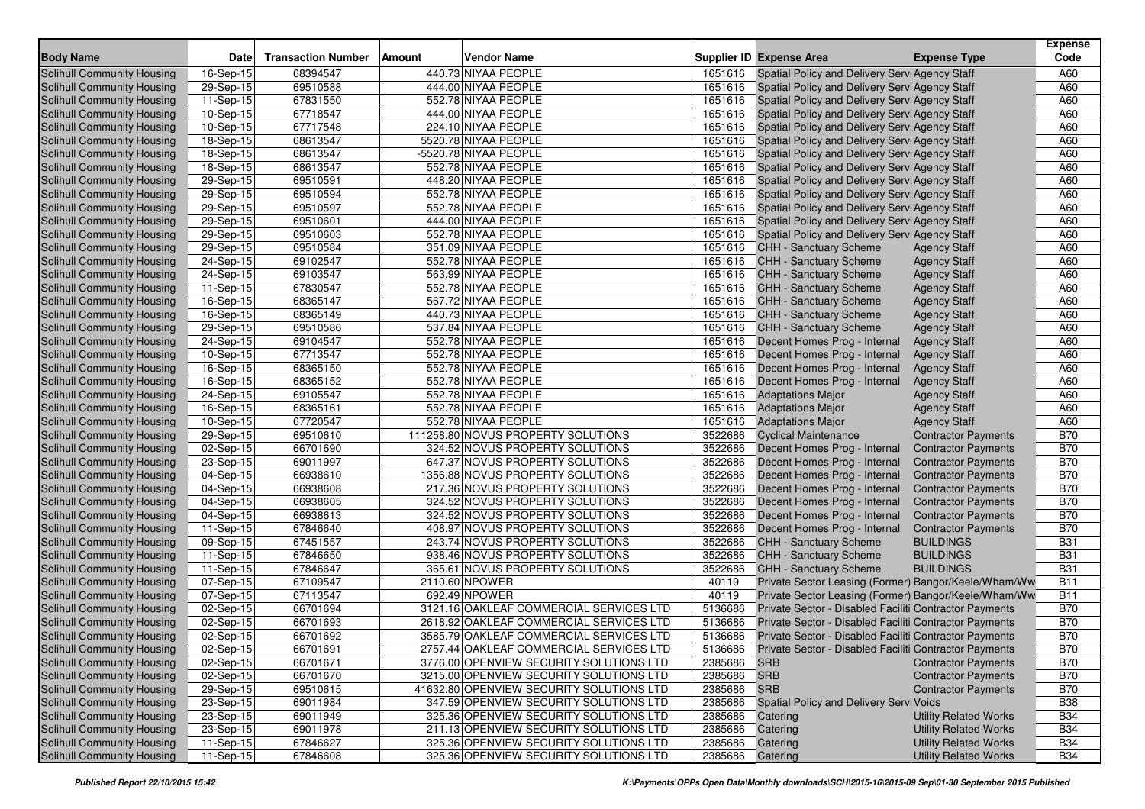| <b>Body Name</b>                  | Date                    | <b>Transaction Number</b> | Vendor Name<br>Amount                    |         | <b>Supplier ID Expense Area</b>                        | <b>Expense Type</b>          | <b>Expense</b><br>Code |
|-----------------------------------|-------------------------|---------------------------|------------------------------------------|---------|--------------------------------------------------------|------------------------------|------------------------|
| <b>Solihull Community Housing</b> | 16-Sep-15               | 68394547                  | 440.73 NIYAA PEOPLE                      | 1651616 | Spatial Policy and Delivery Servi Agency Staff         |                              | A60                    |
| Solihull Community Housing        | 29-Sep-15               | 69510588                  | 444.00 NIYAA PEOPLE                      | 1651616 | Spatial Policy and Delivery Servi Agency Staff         |                              | A60                    |
| Solihull Community Housing        | 11-Sep-15               | 67831550                  | 552.78 NIYAA PEOPLE                      | 1651616 | Spatial Policy and Delivery Servi Agency Staff         |                              | A60                    |
| <b>Solihull Community Housing</b> | 10-Sep-15               | 67718547                  | 444.00 NIYAA PEOPLE                      | 1651616 | Spatial Policy and Delivery Servi Agency Staff         |                              | A60                    |
| Solihull Community Housing        | 10-Sep-15               | 67717548                  | 224.10 NIYAA PEOPLE                      | 1651616 | Spatial Policy and Delivery Servi Agency Staff         |                              | A60                    |
| Solihull Community Housing        | 18-Sep-15               | 68613547                  | 5520.78 NIYAA PEOPLE                     | 1651616 | Spatial Policy and Delivery Servi Agency Staff         |                              | A60                    |
| Solihull Community Housing        | 18-Sep-15               | 68613547                  | -5520.78 NIYAA PEOPLE                    | 1651616 | Spatial Policy and Delivery Servi Agency Staff         |                              | A60                    |
| Solihull Community Housing        | 18-Sep-15               | 68613547                  | 552.78 NIYAA PEOPLE                      | 1651616 | Spatial Policy and Delivery Servi Agency Staff         |                              | A60                    |
| Solihull Community Housing        | 29-Sep-15               | 69510591                  | 448.20 NIYAA PEOPLE                      | 1651616 | Spatial Policy and Delivery Servi Agency Staff         |                              | A60                    |
| <b>Solihull Community Housing</b> | 29-Sep-15               | 69510594                  | 552.78 NIYAA PEOPLE                      | 1651616 | Spatial Policy and Delivery Servi Agency Staff         |                              | A60                    |
| Solihull Community Housing        | 29-Sep- $\overline{15}$ | 69510597                  | 552.78 NIYAA PEOPLE                      | 1651616 | Spatial Policy and Delivery Servi Agency Staff         |                              | A60                    |
| <b>Solihull Community Housing</b> | $\overline{29}$ -Sep-15 | 69510601                  | 444.00 NIYAA PEOPLE                      | 1651616 | Spatial Policy and Delivery Servi Agency Staff         |                              | A60                    |
| Solihull Community Housing        | 29-Sep-15               | 69510603                  | 552.78 NIYAA PEOPLE                      | 1651616 | Spatial Policy and Delivery Servi Agency Staff         |                              | A60                    |
| Solihull Community Housing        | 29-Sep-15               | 69510584                  | 351.09 NIYAA PEOPLE                      | 1651616 | <b>CHH - Sanctuary Scheme</b>                          | <b>Agency Staff</b>          | A60                    |
| <b>Solihull Community Housing</b> | 24-Sep-15               | 69102547                  | 552.78 NIYAA PEOPLE                      | 1651616 | <b>CHH - Sanctuary Scheme</b>                          | <b>Agency Staff</b>          | A60                    |
| Solihull Community Housing        | 24-Sep-15               | 69103547                  | 563.99 NIYAA PEOPLE                      | 1651616 | <b>CHH - Sanctuary Scheme</b>                          | <b>Agency Staff</b>          | A60                    |
| <b>Solihull Community Housing</b> | 11-Sep-15               | 67830547                  | 552.78 NIYAA PEOPLE                      | 1651616 | <b>CHH - Sanctuary Scheme</b>                          | <b>Agency Staff</b>          | A60                    |
| Solihull Community Housing        | 16-Sep-15               | 68365147                  | 567.72 NIYAA PEOPLE                      |         | 1651616 CHH - Sanctuary Scheme                         | <b>Agency Staff</b>          | A60                    |
| Solihull Community Housing        | 16-Sep-15               | 68365149                  | 440.73 NIYAA PEOPLE                      | 1651616 | <b>CHH - Sanctuary Scheme</b>                          | <b>Agency Staff</b>          | A60                    |
| Solihull Community Housing        | 29-Sep-15               | 69510586                  | 537.84 NIYAA PEOPLE                      | 1651616 | <b>CHH - Sanctuary Scheme</b>                          | <b>Agency Staff</b>          | A60                    |
| <b>Solihull Community Housing</b> | 24-Sep-15               | 69104547                  | 552.78 NIYAA PEOPLE                      | 1651616 | Decent Homes Prog - Internal                           | <b>Agency Staff</b>          | A60                    |
| <b>Solihull Community Housing</b> | 10-Sep-15               | 67713547                  | 552.78 NIYAA PEOPLE                      | 1651616 | Decent Homes Prog - Internal                           | <b>Agency Staff</b>          | A60                    |
| Solihull Community Housing        | $16-Sep-15$             | 68365150                  | 552.78 NIYAA PEOPLE                      | 1651616 | Decent Homes Prog - Internal                           | <b>Agency Staff</b>          | A60                    |
| Solihull Community Housing        | 16-Sep-15               | 68365152                  | 552.78 NIYAA PEOPLE                      | 1651616 | Decent Homes Prog - Internal                           | <b>Agency Staff</b>          | A60                    |
| Solihull Community Housing        | 24-Sep-15               | 69105547                  | 552.78 NIYAA PEOPLE                      | 1651616 | <b>Adaptations Major</b>                               | <b>Agency Staff</b>          | A60                    |
| Solihull Community Housing        | 16-Sep-15               | 68365161                  | 552.78 NIYAA PEOPLE                      | 1651616 | <b>Adaptations Major</b>                               | <b>Agency Staff</b>          | A60                    |
| Solihull Community Housing        | 10-Sep-15               | 67720547                  | 552.78 NIYAA PEOPLE                      | 1651616 | <b>Adaptations Major</b>                               | <b>Agency Staff</b>          | A60                    |
| Solihull Community Housing        | 29-Sep-15               | 69510610                  | 111258.80 NOVUS PROPERTY SOLUTIONS       | 3522686 | <b>Cyclical Maintenance</b>                            | <b>Contractor Payments</b>   | <b>B70</b>             |
| Solihull Community Housing        | 02-Sep-15               | 66701690                  | 324.52 NOVUS PROPERTY SOLUTIONS          | 3522686 | Decent Homes Prog - Internal                           | <b>Contractor Payments</b>   | <b>B70</b>             |
| Solihull Community Housing        | 23-Sep-15               | 69011997                  | 647.37 NOVUS PROPERTY SOLUTIONS          | 3522686 | Decent Homes Prog - Internal                           | <b>Contractor Payments</b>   | <b>B70</b>             |
| <b>Solihull Community Housing</b> | 04-Sep-15               | 66938610                  | 1356.88 NOVUS PROPERTY SOLUTIONS         | 3522686 | Decent Homes Prog - Internal                           | <b>Contractor Payments</b>   | <b>B70</b>             |
| <b>Solihull Community Housing</b> | 04-Sep-15               | 66938608                  | 217.36 NOVUS PROPERTY SOLUTIONS          | 3522686 | Decent Homes Prog - Internal                           | <b>Contractor Payments</b>   | <b>B70</b>             |
| Solihull Community Housing        | 04-Sep-15               | 66938605                  | 324.52 NOVUS PROPERTY SOLUTIONS          | 3522686 | Decent Homes Prog - Internal                           | <b>Contractor Payments</b>   | <b>B70</b>             |
| Solihull Community Housing        | 04-Sep-15               | 66938613                  | 324.52 NOVUS PROPERTY SOLUTIONS          | 3522686 | Decent Homes Prog - Internal                           | <b>Contractor Payments</b>   | <b>B70</b>             |
| Solihull Community Housing        | 11-Sep-15               | 67846640                  | 408.97 NOVUS PROPERTY SOLUTIONS          | 3522686 | Decent Homes Prog - Internal                           | <b>Contractor Payments</b>   | <b>B70</b>             |
| Solihull Community Housing        | 09-Sep-15               | 67451557                  | 243.74 NOVUS PROPERTY SOLUTIONS          | 3522686 | <b>CHH - Sanctuary Scheme</b>                          | <b>BUILDINGS</b>             | <b>B31</b>             |
| <b>Solihull Community Housing</b> | 11-Sep-15               | 67846650                  | 938.46 NOVUS PROPERTY SOLUTIONS          | 3522686 | <b>CHH - Sanctuary Scheme</b>                          | <b>BUILDINGS</b>             | <b>B31</b>             |
| Solihull Community Housing        | 11-Sep-15               | 67846647                  | 365.61 NOVUS PROPERTY SOLUTIONS          | 3522686 | CHH - Sanctuary Scheme                                 | <b>BUILDINGS</b>             | <b>B31</b>             |
| Solihull Community Housing        | 07-Sep-15               | 67109547                  | 2110.60 NPOWER                           | 40119   | Private Sector Leasing (Former) Bangor/Keele/Wham/Ww   |                              | <b>B11</b>             |
| Solihull Community Housing        | 07-Sep-15               | 67113547                  | 692.49 NPOWER                            | 40119   | Private Sector Leasing (Former) Bangor/Keele/Wham/Ww   |                              | <b>B11</b>             |
| Solihull Community Housing        | 02-Sep-15               | 66701694                  | 3121.16 OAKLEAF COMMERCIAL SERVICES LTD  | 5136686 | Private Sector - Disabled Faciliti Contractor Payments |                              | <b>B70</b>             |
| Solihull Community Housing        | 02-Sep-15               | 66701693                  | 2618.92 OAKLEAF COMMERCIAL SERVICES LTD  | 5136686 | Private Sector - Disabled Faciliti Contractor Payments |                              | <b>B70</b>             |
| <b>Solihull Community Housing</b> | 02-Sep-15               | 66701692                  | 3585.79 OAKLEAF COMMERCIAL SERVICES LTD  | 5136686 | Private Sector - Disabled Faciliti Contractor Payments |                              | <b>B70</b>             |
| Solihull Community Housing        | 02-Sep-15               | 66701691                  | 2757.44 OAKLEAF COMMERCIAL SERVICES LTD  | 5136686 | Private Sector - Disabled Faciliti Contractor Payments |                              | <b>B70</b>             |
| Solihull Community Housing        | 02-Sep-15               | 66701671                  | 3776.00 OPENVIEW SECURITY SOLUTIONS LTD  | 2385686 | <b>SRB</b>                                             | <b>Contractor Payments</b>   | <b>B70</b>             |
| Solihull Community Housing        | 02-Sep-15               | 66701670                  | 3215.00 OPENVIEW SECURITY SOLUTIONS LTD  | 2385686 | <b>SRB</b>                                             | <b>Contractor Payments</b>   | <b>B70</b>             |
| <b>Solihull Community Housing</b> | 29-Sep-15               | 69510615                  | 41632.80 OPENVIEW SECURITY SOLUTIONS LTD | 2385686 | <b>SRB</b>                                             | <b>Contractor Payments</b>   | <b>B70</b>             |
| Solihull Community Housing        | 23-Sep-15               | 69011984                  | 347.59 OPENVIEW SECURITY SOLUTIONS LTD   | 2385686 | <b>Spatial Policy and Delivery Servi Voids</b>         |                              | <b>B38</b>             |
| Solihull Community Housing        | 23-Sep-15               | 69011949                  | 325.36 OPENVIEW SECURITY SOLUTIONS LTD   | 2385686 | Catering                                               | <b>Utility Related Works</b> | <b>B34</b>             |
| Solihull Community Housing        | 23-Sep-15               | 69011978                  | 211.13 OPENVIEW SECURITY SOLUTIONS LTD   | 2385686 | Catering                                               | <b>Utility Related Works</b> | <b>B34</b>             |
| Solihull Community Housing        | 11-Sep-15               | 67846627                  | 325.36 OPENVIEW SECURITY SOLUTIONS LTD   | 2385686 | Catering                                               | <b>Utility Related Works</b> | <b>B34</b>             |
| Solihull Community Housing        | 11-Sep-15               | 67846608                  | 325.36 OPENVIEW SECURITY SOLUTIONS LTD   | 2385686 | Catering                                               | <b>Utility Related Works</b> | <b>B34</b>             |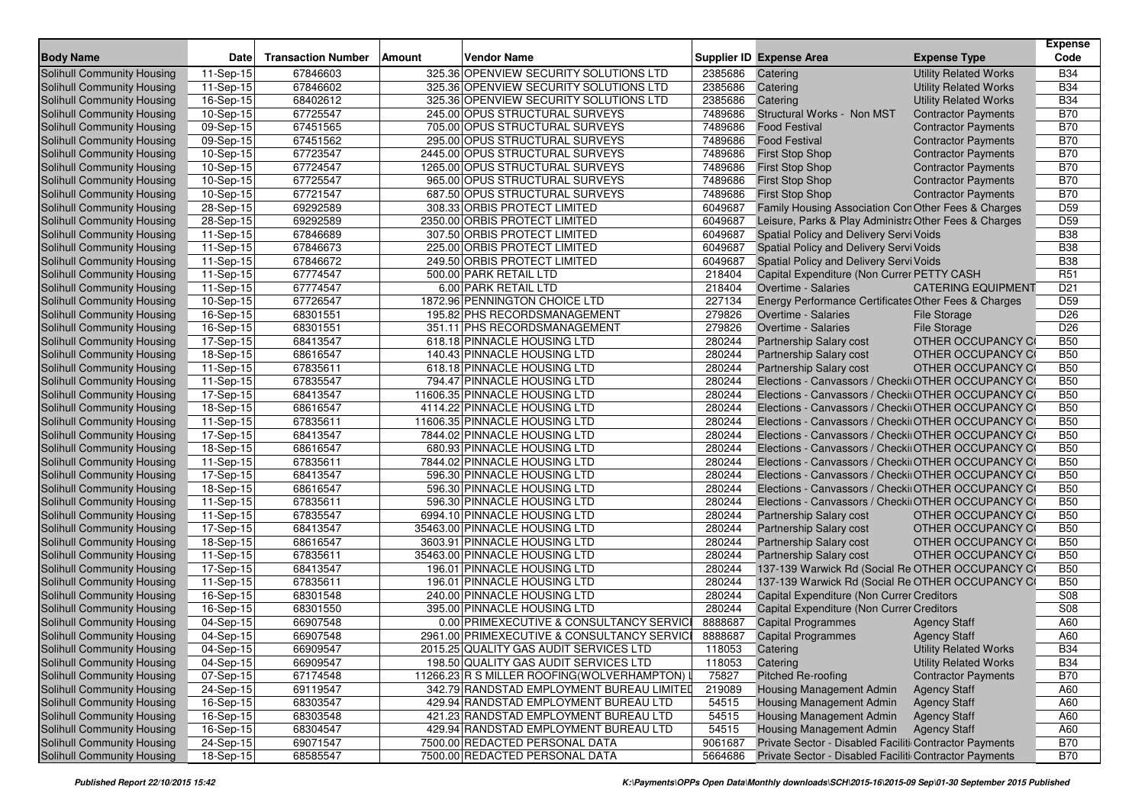| 11-Sep-15<br>67846603<br>325.36 OPENVIEW SECURITY SOLUTIONS LTD<br><b>Utility Related Works</b><br><b>B34</b><br>Solihull Community Housing<br>2385686<br>Catering<br>67846602<br>325.36 OPENVIEW SECURITY SOLUTIONS LTD<br>2385686<br><b>B34</b><br><b>Solihull Community Housing</b><br>11-Sep-15<br>Catering<br><b>Utility Related Works</b><br><b>B34</b><br>Solihull Community Housing<br>16-Sep-15<br>68402612<br>325.36 OPENVIEW SECURITY SOLUTIONS LTD<br>2385686<br>Catering<br><b>Utility Related Works</b><br>67725547<br><b>B70</b><br>Solihull Community Housing<br>10-Sep-15<br>245.00 OPUS STRUCTURAL SURVEYS<br>7489686<br>Structural Works - Non MST<br><b>Contractor Payments</b><br><b>B70</b><br>67451565<br>7489686<br>Solihull Community Housing<br>$\overline{09}$ -Sep-15<br>705.00 OPUS STRUCTURAL SURVEYS<br><b>Food Festival</b><br><b>Contractor Payments</b><br><b>B70</b><br>Solihull Community Housing<br>09-Sep-15<br>67451562<br>295.00 OPUS STRUCTURAL SURVEYS<br>7489686<br><b>Food Festival</b><br><b>Contractor Payments</b><br><b>B70</b><br>67723547<br>Solihull Community Housing<br>10-Sep-15<br>2445.00 OPUS STRUCTURAL SURVEYS<br>7489686<br><b>First Stop Shop</b><br><b>Contractor Payments</b><br><b>B70</b><br>67724547<br>7489686<br>Solihull Community Housing<br>10-Sep-15<br>1265.00 OPUS STRUCTURAL SURVEYS<br><b>First Stop Shop</b><br><b>Contractor Payments</b><br>67725547<br><b>B70</b><br>7489686<br>Solihull Community Housing<br>10-Sep-15<br>965.00 OPUS STRUCTURAL SURVEYS<br><b>First Stop Shop</b><br><b>Contractor Payments</b><br><b>B70</b><br>Solihull Community Housing<br>10-Sep-15<br>67721547<br>687.50 OPUS STRUCTURAL SURVEYS<br>7489686<br><b>First Stop Shop</b><br><b>Contractor Payments</b><br>D <sub>59</sub><br>69292589<br>308.33 ORBIS PROTECT LIMITED<br>6049687<br>Solihull Community Housing<br>28-Sep-15<br>Family Housing Association Con Other Fees & Charges<br>69292589<br>2350.00 ORBIS PROTECT LIMITED<br>Leisure, Parks & Play Administra Other Fees & Charges<br>D59<br>Solihull Community Housing<br>$28-Sep-15$<br>6049687<br>67846689<br>307.50 ORBIS PROTECT LIMITED<br>6049687<br><b>B38</b><br>Solihull Community Housing<br>11-Sep-15<br>Spatial Policy and Delivery Servi Voids<br><b>B38</b><br>67846673<br>6049687<br>Solihull Community Housing<br>11-Sep-15<br>225.00 ORBIS PROTECT LIMITED<br>Spatial Policy and Delivery Servi Voids<br>67846672<br>249.50 ORBIS PROTECT LIMITED<br><b>B38</b><br>Solihull Community Housing<br>11-Sep-15<br>6049687<br><b>Spatial Policy and Delivery Servi Voids</b><br>67774547<br>218404<br><b>R51</b><br>Solihull Community Housing<br>11-Sep-15<br>500.00 PARK RETAIL LTD<br>Capital Expenditure (Non Currer PETTY CASH<br>67774547<br>6.00 PARK RETAIL LTD<br>218404<br>D <sub>21</sub><br>Solihull Community Housing<br>11-Sep-15<br>Overtime - Salaries<br><b>CATERING EQUIPMENT</b><br>67726547<br>1872.96 PENNINGTON CHOICE LTD<br>227134<br>D <sub>59</sub><br>Solihull Community Housing<br>10-Sep-15<br>Energy Performance Certificates Other Fees & Charges<br>Solihull Community Housing<br>16-Sep-15<br>68301551<br>195.82 PHS RECORDSMANAGEMENT<br>279826<br>Overtime - Salaries<br>D <sub>26</sub><br><b>File Storage</b><br>68301551<br>279826<br>D <sub>26</sub><br>Solihull Community Housing<br>16-Sep-15<br>351.11 PHS RECORDSMANAGEMENT<br>Overtime - Salaries<br><b>File Storage</b><br><b>B50</b><br>Solihull Community Housing<br>68413547<br>618.18 PINNACLE HOUSING LTD<br>280244<br>Partnership Salary cost<br>OTHER OCCUPANCY CO<br>17-Sep-15 |
|-----------------------------------------------------------------------------------------------------------------------------------------------------------------------------------------------------------------------------------------------------------------------------------------------------------------------------------------------------------------------------------------------------------------------------------------------------------------------------------------------------------------------------------------------------------------------------------------------------------------------------------------------------------------------------------------------------------------------------------------------------------------------------------------------------------------------------------------------------------------------------------------------------------------------------------------------------------------------------------------------------------------------------------------------------------------------------------------------------------------------------------------------------------------------------------------------------------------------------------------------------------------------------------------------------------------------------------------------------------------------------------------------------------------------------------------------------------------------------------------------------------------------------------------------------------------------------------------------------------------------------------------------------------------------------------------------------------------------------------------------------------------------------------------------------------------------------------------------------------------------------------------------------------------------------------------------------------------------------------------------------------------------------------------------------------------------------------------------------------------------------------------------------------------------------------------------------------------------------------------------------------------------------------------------------------------------------------------------------------------------------------------------------------------------------------------------------------------------------------------------------------------------------------------------------------------------------------------------------------------------------------------------------------------------------------------------------------------------------------------------------------------------------------------------------------------------------------------------------------------------------------------------------------------------------------------------------------------------------------------------------------------------------------------------------------------------------------------------------------------------------------------------------------------------------------------------------------------------------------------------------------------------------------------------------------------------------------------------------------------------------------------------------------------------------------------------------------------------------------------------------------------------------------------------------------------------------------------------------------------------------|
|                                                                                                                                                                                                                                                                                                                                                                                                                                                                                                                                                                                                                                                                                                                                                                                                                                                                                                                                                                                                                                                                                                                                                                                                                                                                                                                                                                                                                                                                                                                                                                                                                                                                                                                                                                                                                                                                                                                                                                                                                                                                                                                                                                                                                                                                                                                                                                                                                                                                                                                                                                                                                                                                                                                                                                                                                                                                                                                                                                                                                                                                                                                                                                                                                                                                                                                                                                                                                                                                                                                                                                                                                             |
|                                                                                                                                                                                                                                                                                                                                                                                                                                                                                                                                                                                                                                                                                                                                                                                                                                                                                                                                                                                                                                                                                                                                                                                                                                                                                                                                                                                                                                                                                                                                                                                                                                                                                                                                                                                                                                                                                                                                                                                                                                                                                                                                                                                                                                                                                                                                                                                                                                                                                                                                                                                                                                                                                                                                                                                                                                                                                                                                                                                                                                                                                                                                                                                                                                                                                                                                                                                                                                                                                                                                                                                                                             |
|                                                                                                                                                                                                                                                                                                                                                                                                                                                                                                                                                                                                                                                                                                                                                                                                                                                                                                                                                                                                                                                                                                                                                                                                                                                                                                                                                                                                                                                                                                                                                                                                                                                                                                                                                                                                                                                                                                                                                                                                                                                                                                                                                                                                                                                                                                                                                                                                                                                                                                                                                                                                                                                                                                                                                                                                                                                                                                                                                                                                                                                                                                                                                                                                                                                                                                                                                                                                                                                                                                                                                                                                                             |
|                                                                                                                                                                                                                                                                                                                                                                                                                                                                                                                                                                                                                                                                                                                                                                                                                                                                                                                                                                                                                                                                                                                                                                                                                                                                                                                                                                                                                                                                                                                                                                                                                                                                                                                                                                                                                                                                                                                                                                                                                                                                                                                                                                                                                                                                                                                                                                                                                                                                                                                                                                                                                                                                                                                                                                                                                                                                                                                                                                                                                                                                                                                                                                                                                                                                                                                                                                                                                                                                                                                                                                                                                             |
|                                                                                                                                                                                                                                                                                                                                                                                                                                                                                                                                                                                                                                                                                                                                                                                                                                                                                                                                                                                                                                                                                                                                                                                                                                                                                                                                                                                                                                                                                                                                                                                                                                                                                                                                                                                                                                                                                                                                                                                                                                                                                                                                                                                                                                                                                                                                                                                                                                                                                                                                                                                                                                                                                                                                                                                                                                                                                                                                                                                                                                                                                                                                                                                                                                                                                                                                                                                                                                                                                                                                                                                                                             |
|                                                                                                                                                                                                                                                                                                                                                                                                                                                                                                                                                                                                                                                                                                                                                                                                                                                                                                                                                                                                                                                                                                                                                                                                                                                                                                                                                                                                                                                                                                                                                                                                                                                                                                                                                                                                                                                                                                                                                                                                                                                                                                                                                                                                                                                                                                                                                                                                                                                                                                                                                                                                                                                                                                                                                                                                                                                                                                                                                                                                                                                                                                                                                                                                                                                                                                                                                                                                                                                                                                                                                                                                                             |
|                                                                                                                                                                                                                                                                                                                                                                                                                                                                                                                                                                                                                                                                                                                                                                                                                                                                                                                                                                                                                                                                                                                                                                                                                                                                                                                                                                                                                                                                                                                                                                                                                                                                                                                                                                                                                                                                                                                                                                                                                                                                                                                                                                                                                                                                                                                                                                                                                                                                                                                                                                                                                                                                                                                                                                                                                                                                                                                                                                                                                                                                                                                                                                                                                                                                                                                                                                                                                                                                                                                                                                                                                             |
|                                                                                                                                                                                                                                                                                                                                                                                                                                                                                                                                                                                                                                                                                                                                                                                                                                                                                                                                                                                                                                                                                                                                                                                                                                                                                                                                                                                                                                                                                                                                                                                                                                                                                                                                                                                                                                                                                                                                                                                                                                                                                                                                                                                                                                                                                                                                                                                                                                                                                                                                                                                                                                                                                                                                                                                                                                                                                                                                                                                                                                                                                                                                                                                                                                                                                                                                                                                                                                                                                                                                                                                                                             |
|                                                                                                                                                                                                                                                                                                                                                                                                                                                                                                                                                                                                                                                                                                                                                                                                                                                                                                                                                                                                                                                                                                                                                                                                                                                                                                                                                                                                                                                                                                                                                                                                                                                                                                                                                                                                                                                                                                                                                                                                                                                                                                                                                                                                                                                                                                                                                                                                                                                                                                                                                                                                                                                                                                                                                                                                                                                                                                                                                                                                                                                                                                                                                                                                                                                                                                                                                                                                                                                                                                                                                                                                                             |
|                                                                                                                                                                                                                                                                                                                                                                                                                                                                                                                                                                                                                                                                                                                                                                                                                                                                                                                                                                                                                                                                                                                                                                                                                                                                                                                                                                                                                                                                                                                                                                                                                                                                                                                                                                                                                                                                                                                                                                                                                                                                                                                                                                                                                                                                                                                                                                                                                                                                                                                                                                                                                                                                                                                                                                                                                                                                                                                                                                                                                                                                                                                                                                                                                                                                                                                                                                                                                                                                                                                                                                                                                             |
|                                                                                                                                                                                                                                                                                                                                                                                                                                                                                                                                                                                                                                                                                                                                                                                                                                                                                                                                                                                                                                                                                                                                                                                                                                                                                                                                                                                                                                                                                                                                                                                                                                                                                                                                                                                                                                                                                                                                                                                                                                                                                                                                                                                                                                                                                                                                                                                                                                                                                                                                                                                                                                                                                                                                                                                                                                                                                                                                                                                                                                                                                                                                                                                                                                                                                                                                                                                                                                                                                                                                                                                                                             |
|                                                                                                                                                                                                                                                                                                                                                                                                                                                                                                                                                                                                                                                                                                                                                                                                                                                                                                                                                                                                                                                                                                                                                                                                                                                                                                                                                                                                                                                                                                                                                                                                                                                                                                                                                                                                                                                                                                                                                                                                                                                                                                                                                                                                                                                                                                                                                                                                                                                                                                                                                                                                                                                                                                                                                                                                                                                                                                                                                                                                                                                                                                                                                                                                                                                                                                                                                                                                                                                                                                                                                                                                                             |
|                                                                                                                                                                                                                                                                                                                                                                                                                                                                                                                                                                                                                                                                                                                                                                                                                                                                                                                                                                                                                                                                                                                                                                                                                                                                                                                                                                                                                                                                                                                                                                                                                                                                                                                                                                                                                                                                                                                                                                                                                                                                                                                                                                                                                                                                                                                                                                                                                                                                                                                                                                                                                                                                                                                                                                                                                                                                                                                                                                                                                                                                                                                                                                                                                                                                                                                                                                                                                                                                                                                                                                                                                             |
|                                                                                                                                                                                                                                                                                                                                                                                                                                                                                                                                                                                                                                                                                                                                                                                                                                                                                                                                                                                                                                                                                                                                                                                                                                                                                                                                                                                                                                                                                                                                                                                                                                                                                                                                                                                                                                                                                                                                                                                                                                                                                                                                                                                                                                                                                                                                                                                                                                                                                                                                                                                                                                                                                                                                                                                                                                                                                                                                                                                                                                                                                                                                                                                                                                                                                                                                                                                                                                                                                                                                                                                                                             |
|                                                                                                                                                                                                                                                                                                                                                                                                                                                                                                                                                                                                                                                                                                                                                                                                                                                                                                                                                                                                                                                                                                                                                                                                                                                                                                                                                                                                                                                                                                                                                                                                                                                                                                                                                                                                                                                                                                                                                                                                                                                                                                                                                                                                                                                                                                                                                                                                                                                                                                                                                                                                                                                                                                                                                                                                                                                                                                                                                                                                                                                                                                                                                                                                                                                                                                                                                                                                                                                                                                                                                                                                                             |
|                                                                                                                                                                                                                                                                                                                                                                                                                                                                                                                                                                                                                                                                                                                                                                                                                                                                                                                                                                                                                                                                                                                                                                                                                                                                                                                                                                                                                                                                                                                                                                                                                                                                                                                                                                                                                                                                                                                                                                                                                                                                                                                                                                                                                                                                                                                                                                                                                                                                                                                                                                                                                                                                                                                                                                                                                                                                                                                                                                                                                                                                                                                                                                                                                                                                                                                                                                                                                                                                                                                                                                                                                             |
|                                                                                                                                                                                                                                                                                                                                                                                                                                                                                                                                                                                                                                                                                                                                                                                                                                                                                                                                                                                                                                                                                                                                                                                                                                                                                                                                                                                                                                                                                                                                                                                                                                                                                                                                                                                                                                                                                                                                                                                                                                                                                                                                                                                                                                                                                                                                                                                                                                                                                                                                                                                                                                                                                                                                                                                                                                                                                                                                                                                                                                                                                                                                                                                                                                                                                                                                                                                                                                                                                                                                                                                                                             |
|                                                                                                                                                                                                                                                                                                                                                                                                                                                                                                                                                                                                                                                                                                                                                                                                                                                                                                                                                                                                                                                                                                                                                                                                                                                                                                                                                                                                                                                                                                                                                                                                                                                                                                                                                                                                                                                                                                                                                                                                                                                                                                                                                                                                                                                                                                                                                                                                                                                                                                                                                                                                                                                                                                                                                                                                                                                                                                                                                                                                                                                                                                                                                                                                                                                                                                                                                                                                                                                                                                                                                                                                                             |
|                                                                                                                                                                                                                                                                                                                                                                                                                                                                                                                                                                                                                                                                                                                                                                                                                                                                                                                                                                                                                                                                                                                                                                                                                                                                                                                                                                                                                                                                                                                                                                                                                                                                                                                                                                                                                                                                                                                                                                                                                                                                                                                                                                                                                                                                                                                                                                                                                                                                                                                                                                                                                                                                                                                                                                                                                                                                                                                                                                                                                                                                                                                                                                                                                                                                                                                                                                                                                                                                                                                                                                                                                             |
|                                                                                                                                                                                                                                                                                                                                                                                                                                                                                                                                                                                                                                                                                                                                                                                                                                                                                                                                                                                                                                                                                                                                                                                                                                                                                                                                                                                                                                                                                                                                                                                                                                                                                                                                                                                                                                                                                                                                                                                                                                                                                                                                                                                                                                                                                                                                                                                                                                                                                                                                                                                                                                                                                                                                                                                                                                                                                                                                                                                                                                                                                                                                                                                                                                                                                                                                                                                                                                                                                                                                                                                                                             |
|                                                                                                                                                                                                                                                                                                                                                                                                                                                                                                                                                                                                                                                                                                                                                                                                                                                                                                                                                                                                                                                                                                                                                                                                                                                                                                                                                                                                                                                                                                                                                                                                                                                                                                                                                                                                                                                                                                                                                                                                                                                                                                                                                                                                                                                                                                                                                                                                                                                                                                                                                                                                                                                                                                                                                                                                                                                                                                                                                                                                                                                                                                                                                                                                                                                                                                                                                                                                                                                                                                                                                                                                                             |
| Solihull Community Housing<br>68616547<br>140.43 PINNACLE HOUSING LTD<br>280244<br>OTHER OCCUPANCY CO<br><b>B50</b><br>18-Sep-15<br><b>Partnership Salary cost</b>                                                                                                                                                                                                                                                                                                                                                                                                                                                                                                                                                                                                                                                                                                                                                                                                                                                                                                                                                                                                                                                                                                                                                                                                                                                                                                                                                                                                                                                                                                                                                                                                                                                                                                                                                                                                                                                                                                                                                                                                                                                                                                                                                                                                                                                                                                                                                                                                                                                                                                                                                                                                                                                                                                                                                                                                                                                                                                                                                                                                                                                                                                                                                                                                                                                                                                                                                                                                                                                          |
| 67835611<br>618.18 PINNACLE HOUSING LTD<br>280244<br>Solihull Community Housing<br>11-Sep-15<br><b>Partnership Salary cost</b><br>OTHER OCCUPANCY CO<br><b>B50</b>                                                                                                                                                                                                                                                                                                                                                                                                                                                                                                                                                                                                                                                                                                                                                                                                                                                                                                                                                                                                                                                                                                                                                                                                                                                                                                                                                                                                                                                                                                                                                                                                                                                                                                                                                                                                                                                                                                                                                                                                                                                                                                                                                                                                                                                                                                                                                                                                                                                                                                                                                                                                                                                                                                                                                                                                                                                                                                                                                                                                                                                                                                                                                                                                                                                                                                                                                                                                                                                          |
| 280244<br><b>B50</b><br>Solihull Community Housing<br>11-Sep-15<br>67835547<br>794.47 PINNACLE HOUSING LTD<br>Elections - Canvassors / Checkii OTHER OCCUPANCY CO                                                                                                                                                                                                                                                                                                                                                                                                                                                                                                                                                                                                                                                                                                                                                                                                                                                                                                                                                                                                                                                                                                                                                                                                                                                                                                                                                                                                                                                                                                                                                                                                                                                                                                                                                                                                                                                                                                                                                                                                                                                                                                                                                                                                                                                                                                                                                                                                                                                                                                                                                                                                                                                                                                                                                                                                                                                                                                                                                                                                                                                                                                                                                                                                                                                                                                                                                                                                                                                           |
| 68413547<br>280244<br><b>B50</b><br>Solihull Community Housing<br>17-Sep-15<br>11606.35 PINNACLE HOUSING LTD<br>Elections - Canvassors / Checkii OTHER OCCUPANCY CO                                                                                                                                                                                                                                                                                                                                                                                                                                                                                                                                                                                                                                                                                                                                                                                                                                                                                                                                                                                                                                                                                                                                                                                                                                                                                                                                                                                                                                                                                                                                                                                                                                                                                                                                                                                                                                                                                                                                                                                                                                                                                                                                                                                                                                                                                                                                                                                                                                                                                                                                                                                                                                                                                                                                                                                                                                                                                                                                                                                                                                                                                                                                                                                                                                                                                                                                                                                                                                                         |
| 68616547<br>280244<br><b>B50</b><br>Solihull Community Housing<br>18-Sep-15<br>4114.22 PINNACLE HOUSING LTD<br>Elections - Canvassors / Checkii OTHER OCCUPANCY CO                                                                                                                                                                                                                                                                                                                                                                                                                                                                                                                                                                                                                                                                                                                                                                                                                                                                                                                                                                                                                                                                                                                                                                                                                                                                                                                                                                                                                                                                                                                                                                                                                                                                                                                                                                                                                                                                                                                                                                                                                                                                                                                                                                                                                                                                                                                                                                                                                                                                                                                                                                                                                                                                                                                                                                                                                                                                                                                                                                                                                                                                                                                                                                                                                                                                                                                                                                                                                                                          |
| 67835611<br>11606.35 PINNACLE HOUSING LTD<br>280244<br><b>B50</b><br>Solihull Community Housing<br>11-Sep-15<br>Elections - Canvassors / Checkin OTHER OCCUPANCY CO                                                                                                                                                                                                                                                                                                                                                                                                                                                                                                                                                                                                                                                                                                                                                                                                                                                                                                                                                                                                                                                                                                                                                                                                                                                                                                                                                                                                                                                                                                                                                                                                                                                                                                                                                                                                                                                                                                                                                                                                                                                                                                                                                                                                                                                                                                                                                                                                                                                                                                                                                                                                                                                                                                                                                                                                                                                                                                                                                                                                                                                                                                                                                                                                                                                                                                                                                                                                                                                         |
| Solihull Community Housing<br>$\overline{17}$ -Sep-15<br>68413547<br>7844.02 PINNACLE HOUSING LTD<br>280244<br>Elections - Canvassors / Checkin OTHER OCCUPANCY CO<br><b>B50</b>                                                                                                                                                                                                                                                                                                                                                                                                                                                                                                                                                                                                                                                                                                                                                                                                                                                                                                                                                                                                                                                                                                                                                                                                                                                                                                                                                                                                                                                                                                                                                                                                                                                                                                                                                                                                                                                                                                                                                                                                                                                                                                                                                                                                                                                                                                                                                                                                                                                                                                                                                                                                                                                                                                                                                                                                                                                                                                                                                                                                                                                                                                                                                                                                                                                                                                                                                                                                                                            |
| <b>B50</b><br>Solihull Community Housing<br>18-Sep-15<br>68616547<br>680.93 PINNACLE HOUSING LTD<br>280244<br>Elections - Canvassors / Checkii OTHER OCCUPANCY CO                                                                                                                                                                                                                                                                                                                                                                                                                                                                                                                                                                                                                                                                                                                                                                                                                                                                                                                                                                                                                                                                                                                                                                                                                                                                                                                                                                                                                                                                                                                                                                                                                                                                                                                                                                                                                                                                                                                                                                                                                                                                                                                                                                                                                                                                                                                                                                                                                                                                                                                                                                                                                                                                                                                                                                                                                                                                                                                                                                                                                                                                                                                                                                                                                                                                                                                                                                                                                                                           |
| 67835611<br>280244<br><b>B50</b><br>Solihull Community Housing<br>11-Sep-15<br>7844.02 PINNACLE HOUSING LTD<br>Elections - Canvassors / Checkii OTHER OCCUPANCY CO                                                                                                                                                                                                                                                                                                                                                                                                                                                                                                                                                                                                                                                                                                                                                                                                                                                                                                                                                                                                                                                                                                                                                                                                                                                                                                                                                                                                                                                                                                                                                                                                                                                                                                                                                                                                                                                                                                                                                                                                                                                                                                                                                                                                                                                                                                                                                                                                                                                                                                                                                                                                                                                                                                                                                                                                                                                                                                                                                                                                                                                                                                                                                                                                                                                                                                                                                                                                                                                          |
| Solihull Community Housing<br>17-Sep-15<br>68413547<br>280244<br><b>B50</b><br>596.30 PINNACLE HOUSING LTD<br>Elections - Canvassors / Checkii OTHER OCCUPANCY CO                                                                                                                                                                                                                                                                                                                                                                                                                                                                                                                                                                                                                                                                                                                                                                                                                                                                                                                                                                                                                                                                                                                                                                                                                                                                                                                                                                                                                                                                                                                                                                                                                                                                                                                                                                                                                                                                                                                                                                                                                                                                                                                                                                                                                                                                                                                                                                                                                                                                                                                                                                                                                                                                                                                                                                                                                                                                                                                                                                                                                                                                                                                                                                                                                                                                                                                                                                                                                                                           |
| <b>B50</b><br>280244<br>Solihull Community Housing<br>18-Sep-15<br>68616547<br>596.30 PINNACLE HOUSING LTD<br>Elections - Canvassors / Checkin OTHER OCCUPANCY CO                                                                                                                                                                                                                                                                                                                                                                                                                                                                                                                                                                                                                                                                                                                                                                                                                                                                                                                                                                                                                                                                                                                                                                                                                                                                                                                                                                                                                                                                                                                                                                                                                                                                                                                                                                                                                                                                                                                                                                                                                                                                                                                                                                                                                                                                                                                                                                                                                                                                                                                                                                                                                                                                                                                                                                                                                                                                                                                                                                                                                                                                                                                                                                                                                                                                                                                                                                                                                                                           |
| 67835611<br>280244<br><b>B50</b><br>Solihull Community Housing<br>11-Sep-15<br>596.30 PINNACLE HOUSING LTD<br>Elections - Canvassors / Checkii OTHER OCCUPANCY CO<br>67835547<br>280244                                                                                                                                                                                                                                                                                                                                                                                                                                                                                                                                                                                                                                                                                                                                                                                                                                                                                                                                                                                                                                                                                                                                                                                                                                                                                                                                                                                                                                                                                                                                                                                                                                                                                                                                                                                                                                                                                                                                                                                                                                                                                                                                                                                                                                                                                                                                                                                                                                                                                                                                                                                                                                                                                                                                                                                                                                                                                                                                                                                                                                                                                                                                                                                                                                                                                                                                                                                                                                     |
| 6994.10 PINNACLE HOUSING LTD<br><b>B50</b><br>Solihull Community Housing<br>11-Sep-15<br>Partnership Salary cost<br>OTHER OCCUPANCY CO                                                                                                                                                                                                                                                                                                                                                                                                                                                                                                                                                                                                                                                                                                                                                                                                                                                                                                                                                                                                                                                                                                                                                                                                                                                                                                                                                                                                                                                                                                                                                                                                                                                                                                                                                                                                                                                                                                                                                                                                                                                                                                                                                                                                                                                                                                                                                                                                                                                                                                                                                                                                                                                                                                                                                                                                                                                                                                                                                                                                                                                                                                                                                                                                                                                                                                                                                                                                                                                                                      |
| 280244<br><b>B50</b><br>Solihull Community Housing<br>17-Sep-15<br>68413547<br>35463.00 PINNACLE HOUSING LTD<br>Partnership Salary cost<br>OTHER OCCUPANCY CO                                                                                                                                                                                                                                                                                                                                                                                                                                                                                                                                                                                                                                                                                                                                                                                                                                                                                                                                                                                                                                                                                                                                                                                                                                                                                                                                                                                                                                                                                                                                                                                                                                                                                                                                                                                                                                                                                                                                                                                                                                                                                                                                                                                                                                                                                                                                                                                                                                                                                                                                                                                                                                                                                                                                                                                                                                                                                                                                                                                                                                                                                                                                                                                                                                                                                                                                                                                                                                                               |
| 68616547<br>280244<br><b>B50</b><br>Solihull Community Housing<br>18-Sep-15<br>3603.91 PINNACLE HOUSING LTD<br>Partnership Salary cost<br>OTHER OCCUPANCY CO<br>280244<br><b>B50</b><br>Solihull Community Housing<br>11-Sep-15<br>67835611<br>35463.00 PINNACLE HOUSING LTD<br><b>Partnership Salary cost</b><br>OTHER OCCUPANCY CO                                                                                                                                                                                                                                                                                                                                                                                                                                                                                                                                                                                                                                                                                                                                                                                                                                                                                                                                                                                                                                                                                                                                                                                                                                                                                                                                                                                                                                                                                                                                                                                                                                                                                                                                                                                                                                                                                                                                                                                                                                                                                                                                                                                                                                                                                                                                                                                                                                                                                                                                                                                                                                                                                                                                                                                                                                                                                                                                                                                                                                                                                                                                                                                                                                                                                        |
| 68413547<br>196.01 PINNACLE HOUSING LTD<br>280244<br><b>B50</b><br>Solihull Community Housing<br>17-Sep-15<br>137-139 Warwick Rd (Social Re OTHER OCCUPANCY CO                                                                                                                                                                                                                                                                                                                                                                                                                                                                                                                                                                                                                                                                                                                                                                                                                                                                                                                                                                                                                                                                                                                                                                                                                                                                                                                                                                                                                                                                                                                                                                                                                                                                                                                                                                                                                                                                                                                                                                                                                                                                                                                                                                                                                                                                                                                                                                                                                                                                                                                                                                                                                                                                                                                                                                                                                                                                                                                                                                                                                                                                                                                                                                                                                                                                                                                                                                                                                                                              |
| <b>B50</b><br>67835611<br>196.01 PINNACLE HOUSING LTD<br>280244<br>Solihull Community Housing<br>11-Sep-15<br>137-139 Warwick Rd (Social Re OTHER OCCUPANCY Co                                                                                                                                                                                                                                                                                                                                                                                                                                                                                                                                                                                                                                                                                                                                                                                                                                                                                                                                                                                                                                                                                                                                                                                                                                                                                                                                                                                                                                                                                                                                                                                                                                                                                                                                                                                                                                                                                                                                                                                                                                                                                                                                                                                                                                                                                                                                                                                                                                                                                                                                                                                                                                                                                                                                                                                                                                                                                                                                                                                                                                                                                                                                                                                                                                                                                                                                                                                                                                                              |
| 68301548<br>240.00 PINNACLE HOUSING LTD<br>280244<br><b>S08</b><br>Solihull Community Housing<br>16-Sep-15<br>Capital Expenditure (Non Currer Creditors                                                                                                                                                                                                                                                                                                                                                                                                                                                                                                                                                                                                                                                                                                                                                                                                                                                                                                                                                                                                                                                                                                                                                                                                                                                                                                                                                                                                                                                                                                                                                                                                                                                                                                                                                                                                                                                                                                                                                                                                                                                                                                                                                                                                                                                                                                                                                                                                                                                                                                                                                                                                                                                                                                                                                                                                                                                                                                                                                                                                                                                                                                                                                                                                                                                                                                                                                                                                                                                                     |
| 280244<br><b>S08</b><br>68301550<br>Solihull Community Housing<br>16-Sep-15<br>395.00 PINNACLE HOUSING LTD<br>Capital Expenditure (Non Currer Creditors                                                                                                                                                                                                                                                                                                                                                                                                                                                                                                                                                                                                                                                                                                                                                                                                                                                                                                                                                                                                                                                                                                                                                                                                                                                                                                                                                                                                                                                                                                                                                                                                                                                                                                                                                                                                                                                                                                                                                                                                                                                                                                                                                                                                                                                                                                                                                                                                                                                                                                                                                                                                                                                                                                                                                                                                                                                                                                                                                                                                                                                                                                                                                                                                                                                                                                                                                                                                                                                                     |
| 66907548<br>0.00 PRIMEXECUTIVE & CONSULTANCY SERVIC<br>8888687<br>A60<br><b>Solihull Community Housing</b><br>04-Sep-15<br><b>Capital Programmes</b><br><b>Agency Staff</b>                                                                                                                                                                                                                                                                                                                                                                                                                                                                                                                                                                                                                                                                                                                                                                                                                                                                                                                                                                                                                                                                                                                                                                                                                                                                                                                                                                                                                                                                                                                                                                                                                                                                                                                                                                                                                                                                                                                                                                                                                                                                                                                                                                                                                                                                                                                                                                                                                                                                                                                                                                                                                                                                                                                                                                                                                                                                                                                                                                                                                                                                                                                                                                                                                                                                                                                                                                                                                                                 |
| 66907548<br>Solihull Community Housing<br>04-Sep-15<br>2961.00 PRIMEXECUTIVE & CONSULTANCY SERVIC<br>8888687<br><b>Capital Programmes</b><br><b>Agency Staff</b><br>A60                                                                                                                                                                                                                                                                                                                                                                                                                                                                                                                                                                                                                                                                                                                                                                                                                                                                                                                                                                                                                                                                                                                                                                                                                                                                                                                                                                                                                                                                                                                                                                                                                                                                                                                                                                                                                                                                                                                                                                                                                                                                                                                                                                                                                                                                                                                                                                                                                                                                                                                                                                                                                                                                                                                                                                                                                                                                                                                                                                                                                                                                                                                                                                                                                                                                                                                                                                                                                                                     |
| 66909547<br><b>B34</b><br>Solihull Community Housing<br>04-Sep-15<br>2015.25 QUALITY GAS AUDIT SERVICES LTD<br>118053<br><b>Utility Related Works</b><br>Catering                                                                                                                                                                                                                                                                                                                                                                                                                                                                                                                                                                                                                                                                                                                                                                                                                                                                                                                                                                                                                                                                                                                                                                                                                                                                                                                                                                                                                                                                                                                                                                                                                                                                                                                                                                                                                                                                                                                                                                                                                                                                                                                                                                                                                                                                                                                                                                                                                                                                                                                                                                                                                                                                                                                                                                                                                                                                                                                                                                                                                                                                                                                                                                                                                                                                                                                                                                                                                                                           |
| <b>B34</b><br>Solihull Community Housing<br>04-Sep-15<br>66909547<br>198.50 QUALITY GAS AUDIT SERVICES LTD<br>118053<br><b>Utility Related Works</b><br>Catering                                                                                                                                                                                                                                                                                                                                                                                                                                                                                                                                                                                                                                                                                                                                                                                                                                                                                                                                                                                                                                                                                                                                                                                                                                                                                                                                                                                                                                                                                                                                                                                                                                                                                                                                                                                                                                                                                                                                                                                                                                                                                                                                                                                                                                                                                                                                                                                                                                                                                                                                                                                                                                                                                                                                                                                                                                                                                                                                                                                                                                                                                                                                                                                                                                                                                                                                                                                                                                                            |
| Solihull Community Housing<br>07-Sep-15<br>67174548<br>11266.23 R S MILLER ROOFING(WOLVERHAMPTON)<br>75827<br><b>Pitched Re-roofing</b><br><b>Contractor Payments</b><br><b>B70</b>                                                                                                                                                                                                                                                                                                                                                                                                                                                                                                                                                                                                                                                                                                                                                                                                                                                                                                                                                                                                                                                                                                                                                                                                                                                                                                                                                                                                                                                                                                                                                                                                                                                                                                                                                                                                                                                                                                                                                                                                                                                                                                                                                                                                                                                                                                                                                                                                                                                                                                                                                                                                                                                                                                                                                                                                                                                                                                                                                                                                                                                                                                                                                                                                                                                                                                                                                                                                                                         |
| Solihull Community Housing<br>24-Sep-15<br>69119547<br>342.79 RANDSTAD EMPLOYMENT BUREAU LIMITED<br>219089<br>Housing Management Admin<br><b>Agency Staff</b><br>A60                                                                                                                                                                                                                                                                                                                                                                                                                                                                                                                                                                                                                                                                                                                                                                                                                                                                                                                                                                                                                                                                                                                                                                                                                                                                                                                                                                                                                                                                                                                                                                                                                                                                                                                                                                                                                                                                                                                                                                                                                                                                                                                                                                                                                                                                                                                                                                                                                                                                                                                                                                                                                                                                                                                                                                                                                                                                                                                                                                                                                                                                                                                                                                                                                                                                                                                                                                                                                                                        |
| Solihull Community Housing<br>16-Sep-15<br>68303547<br>429.94 RANDSTAD EMPLOYMENT BUREAU LTD<br>54515<br>Housing Management Admin<br><b>Agency Staff</b><br>A60                                                                                                                                                                                                                                                                                                                                                                                                                                                                                                                                                                                                                                                                                                                                                                                                                                                                                                                                                                                                                                                                                                                                                                                                                                                                                                                                                                                                                                                                                                                                                                                                                                                                                                                                                                                                                                                                                                                                                                                                                                                                                                                                                                                                                                                                                                                                                                                                                                                                                                                                                                                                                                                                                                                                                                                                                                                                                                                                                                                                                                                                                                                                                                                                                                                                                                                                                                                                                                                             |
| Solihull Community Housing<br>16-Sep-15<br>68303548<br>421.23 RANDSTAD EMPLOYMENT BUREAU LTD<br>54515<br><b>Housing Management Admin</b><br><b>Agency Staff</b><br>A60                                                                                                                                                                                                                                                                                                                                                                                                                                                                                                                                                                                                                                                                                                                                                                                                                                                                                                                                                                                                                                                                                                                                                                                                                                                                                                                                                                                                                                                                                                                                                                                                                                                                                                                                                                                                                                                                                                                                                                                                                                                                                                                                                                                                                                                                                                                                                                                                                                                                                                                                                                                                                                                                                                                                                                                                                                                                                                                                                                                                                                                                                                                                                                                                                                                                                                                                                                                                                                                      |
| 68304547<br>Solihull Community Housing<br>16-Sep-15<br>429.94 RANDSTAD EMPLOYMENT BUREAU LTD<br>54515<br>Housing Management Admin<br><b>Agency Staff</b><br>A60                                                                                                                                                                                                                                                                                                                                                                                                                                                                                                                                                                                                                                                                                                                                                                                                                                                                                                                                                                                                                                                                                                                                                                                                                                                                                                                                                                                                                                                                                                                                                                                                                                                                                                                                                                                                                                                                                                                                                                                                                                                                                                                                                                                                                                                                                                                                                                                                                                                                                                                                                                                                                                                                                                                                                                                                                                                                                                                                                                                                                                                                                                                                                                                                                                                                                                                                                                                                                                                             |
| Solihull Community Housing<br>24-Sep-15<br>7500.00 REDACTED PERSONAL DATA<br>Private Sector - Disabled Faciliti Contractor Payments<br><b>B70</b><br>69071547<br>9061687                                                                                                                                                                                                                                                                                                                                                                                                                                                                                                                                                                                                                                                                                                                                                                                                                                                                                                                                                                                                                                                                                                                                                                                                                                                                                                                                                                                                                                                                                                                                                                                                                                                                                                                                                                                                                                                                                                                                                                                                                                                                                                                                                                                                                                                                                                                                                                                                                                                                                                                                                                                                                                                                                                                                                                                                                                                                                                                                                                                                                                                                                                                                                                                                                                                                                                                                                                                                                                                    |
| 18-Sep-15<br>68585547<br>7500.00 REDACTED PERSONAL DATA<br>Solihull Community Housing<br>5664686<br>Private Sector - Disabled Faciliti Contractor Payments<br><b>B70</b>                                                                                                                                                                                                                                                                                                                                                                                                                                                                                                                                                                                                                                                                                                                                                                                                                                                                                                                                                                                                                                                                                                                                                                                                                                                                                                                                                                                                                                                                                                                                                                                                                                                                                                                                                                                                                                                                                                                                                                                                                                                                                                                                                                                                                                                                                                                                                                                                                                                                                                                                                                                                                                                                                                                                                                                                                                                                                                                                                                                                                                                                                                                                                                                                                                                                                                                                                                                                                                                    |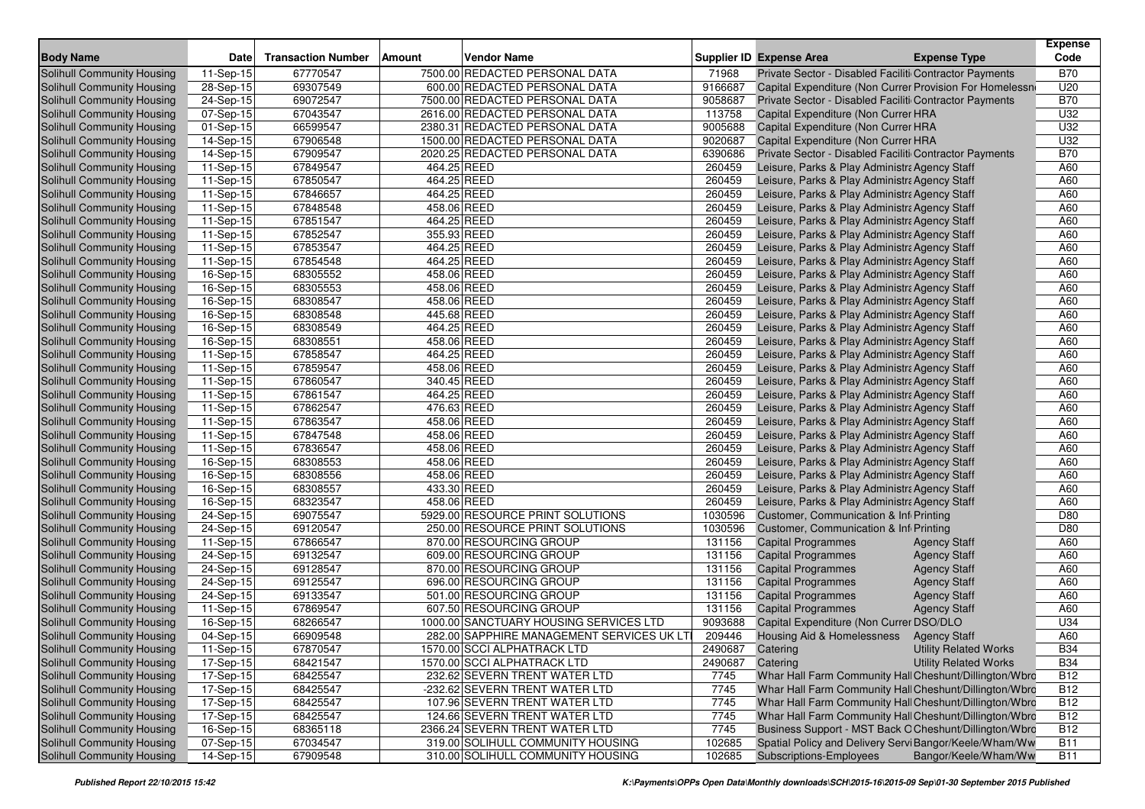| <b>Body Name</b>                  | <b>Date</b>             | <b>Transaction Number</b> | <b>Amount</b> | <b>Vendor Name</b>                         |         | <b>Supplier ID Expense Area</b><br><b>Expense Type</b>       | <b>Expense</b><br>Code |
|-----------------------------------|-------------------------|---------------------------|---------------|--------------------------------------------|---------|--------------------------------------------------------------|------------------------|
| <b>Solihull Community Housing</b> | 11-Sep-15               | 67770547                  |               | 7500.00 REDACTED PERSONAL DATA             | 71968   | Private Sector - Disabled Faciliti Contractor Payments       | <b>B70</b>             |
| <b>Solihull Community Housing</b> | 28-Sep-15               | 69307549                  |               | 600.00 REDACTED PERSONAL DATA              | 9166687 | Capital Expenditure (Non Currer Provision For Homelessn      | U20                    |
| <b>Solihull Community Housing</b> | 24-Sep-15               | 69072547                  |               | 7500.00 REDACTED PERSONAL DATA             | 9058687 | Private Sector - Disabled Faciliti Contractor Payments       | <b>B70</b>             |
| Solihull Community Housing        | $\overline{07}$ -Sep-15 | 67043547                  |               | 2616.00 REDACTED PERSONAL DATA             | 113758  | Capital Expenditure (Non Currer HRA                          | U32                    |
| Solihull Community Housing        | 01-Sep-15               | 66599547                  |               | 2380.31 REDACTED PERSONAL DATA             | 9005688 | Capital Expenditure (Non Currer HRA                          | U32                    |
| Solihull Community Housing        | 14-Sep-15               | 67906548                  |               | 1500.00 REDACTED PERSONAL DATA             | 9020687 | Capital Expenditure (Non Currer HRA                          | U32                    |
| Solihull Community Housing        | 14-Sep-15               | 67909547                  |               | 2020.25 REDACTED PERSONAL DATA             | 6390686 | Private Sector - Disabled Faciliti Contractor Payments       | <b>B70</b>             |
| Solihull Community Housing        | 11-Sep-15               | 67849547                  | 464.25 REED   |                                            | 260459  | Leisure, Parks & Play Administra Agency Staff                | A60                    |
| Solihull Community Housing        | 11-Sep-15               | 67850547                  | 464.25 REED   |                                            | 260459  | Leisure, Parks & Play Administra Agency Staff                | A60                    |
| Solihull Community Housing        | 11-Sep-15               | 67846657                  | 464.25 REED   |                                            | 260459  | Leisure, Parks & Play Administra Agency Staff                | A60                    |
| Solihull Community Housing        | 11-Sep-15               | 67848548                  | 458.06 REED   |                                            | 260459  | Leisure, Parks & Play Administra Agency Staff                | A60                    |
| Solihull Community Housing        | $11-Sep-15$             | 67851547                  | 464.25 REED   |                                            | 260459  | Leisure, Parks & Play Administra Agency Staff                | A60                    |
| Solihull Community Housing        | 11-Sep-15               | 67852547                  | 355.93 REED   |                                            | 260459  | Leisure, Parks & Play Administra Agency Staff                | A60                    |
| Solihull Community Housing        | 11-Sep-15               | 67853547                  | 464.25 REED   |                                            | 260459  | Leisure, Parks & Play Administra Agency Staff                | A60                    |
| Solihull Community Housing        | $\overline{11}$ -Sep-15 | 67854548                  | 464.25 REED   |                                            | 260459  | Leisure, Parks & Play Administra Agency Staff                | A60                    |
| Solihull Community Housing        | 16-Sep-15               | 68305552                  | 458.06 REED   |                                            | 260459  | Leisure, Parks & Play Administra Agency Staff                | A60                    |
| Solihull Community Housing        | 16-Sep-15               | 68305553                  | 458.06 REED   |                                            | 260459  | Leisure, Parks & Play Administra Agency Staff                | A60                    |
| Solihull Community Housing        | 16-Sep-15               | 68308547                  | 458.06 REED   |                                            | 260459  | Leisure, Parks & Play Administra Agency Staff                | A60                    |
| Solihull Community Housing        | 16-Sep-15               | 68308548                  | 445.68 REED   |                                            | 260459  | Leisure, Parks & Play Administra Agency Staff                | A60                    |
| Solihull Community Housing        | 16-Sep-15               | 68308549                  | 464.25 REED   |                                            | 260459  | Leisure, Parks & Play Administra Agency Staff                | A60                    |
| Solihull Community Housing        | 16-Sep-15               | 68308551                  | 458.06 REED   |                                            | 260459  | Leisure, Parks & Play Administra Agency Staff                | A60                    |
| Solihull Community Housing        | 11-Sep-15               | 67858547                  | 464.25 REED   |                                            | 260459  | Leisure, Parks & Play Administra Agency Staff                | A60                    |
| Solihull Community Housing        | $11-Sep-15$             | 67859547                  | 458.06 REED   |                                            | 260459  | Leisure, Parks & Play Administra Agency Staff                | A60                    |
| Solihull Community Housing        | 11-Sep-15               | 67860547                  | 340.45 REED   |                                            | 260459  | Leisure, Parks & Play Administra Agency Staff                | A60                    |
| Solihull Community Housing        | 11-Sep-15               | 67861547                  | 464.25 REED   |                                            | 260459  | Leisure, Parks & Play Administra Agency Staff                | A60                    |
| Solihull Community Housing        | $11-Sep-15$             | 67862547                  | 476.63 REED   |                                            | 260459  | Leisure, Parks & Play Administra Agency Staff                | A60                    |
| Solihull Community Housing        | 11-Sep-15               | 67863547                  | 458.06 REED   |                                            | 260459  | Leisure, Parks & Play Administra Agency Staff                | A60                    |
| Solihull Community Housing        | 11-Sep-15               | 67847548                  | 458.06 REED   |                                            | 260459  | Leisure, Parks & Play Administra Agency Staff                | A60                    |
| Solihull Community Housing        | 11-Sep-15               | 67836547                  | 458.06 REED   |                                            | 260459  | Leisure, Parks & Play Administra Agency Staff                | A60                    |
| Solihull Community Housing        | 16-Sep-15               | 68308553                  | 458.06 REED   |                                            | 260459  | Leisure, Parks & Play Administra Agency Staff                | A60                    |
| Solihull Community Housing        | 16-Sep-15               | 68308556                  | 458.06 REED   |                                            | 260459  | Leisure, Parks & Play Administra Agency Staff                | A60                    |
| Solihull Community Housing        | 16-Sep-15               | 68308557                  | 433.30 REED   |                                            | 260459  | Leisure, Parks & Play Administra Agency Staff                | A60                    |
| Solihull Community Housing        | 16-Sep-15               | 68323547                  | 458.06 REED   |                                            | 260459  | Leisure, Parks & Play Administra Agency Staff                | A60                    |
| Solihull Community Housing        | 24-Sep-15               | 69075547                  |               | 5929.00 RESOURCE PRINT SOLUTIONS           | 1030596 | Customer, Communication & Inf Printing                       | D80                    |
| Solihull Community Housing        | 24-Sep-15               | 69120547                  |               | 250.00 RESOURCE PRINT SOLUTIONS            | 1030596 | Customer, Communication & Inf Printing                       | D80                    |
| Solihull Community Housing        | 11-Sep-15               | 67866547                  |               | 870.00 RESOURCING GROUP                    | 131156  | <b>Capital Programmes</b><br><b>Agency Staff</b>             | A60                    |
| Solihull Community Housing        | 24-Sep-15               | 69132547                  |               | 609.00 RESOURCING GROUP                    | 131156  | <b>Capital Programmes</b><br><b>Agency Staff</b>             | A60                    |
| Solihull Community Housing        | 24-Sep-15               | 69128547                  |               | 870.00 RESOURCING GROUP                    | 131156  | <b>Capital Programmes</b><br><b>Agency Staff</b>             | A60                    |
| Solihull Community Housing        | 24-Sep-15               | 69125547                  |               | 696.00 RESOURCING GROUP                    | 131156  | <b>Capital Programmes</b><br><b>Agency Staff</b>             | A60                    |
| Solihull Community Housing        | $\overline{24}$ -Sep-15 | 69133547                  |               | 501.00 RESOURCING GROUP                    | 131156  | <b>Agency Staff</b><br><b>Capital Programmes</b>             | A60                    |
| Solihull Community Housing        | 11-Sep-15               | 67869547                  |               | 607.50 RESOURCING GROUP                    | 131156  | <b>Capital Programmes</b><br><b>Agency Staff</b>             | A60                    |
| Solihull Community Housing        | 16-Sep-15               | 68266547                  |               | 1000.00 SANCTUARY HOUSING SERVICES LTD     | 9093688 | Capital Expenditure (Non Currer DSO/DLO                      | U34                    |
| Solihull Community Housing        | 04-Sep-15               | 66909548                  |               | 282.00 SAPPHIRE MANAGEMENT SERVICES UK LTI | 209446  | <b>Housing Aid &amp; Homelessness</b><br><b>Agency Staff</b> | A60                    |
| Solihull Community Housing        | $11-Sep-15$             | 67870547                  |               | 1570.00 SCCI ALPHATRACK LTD                | 2490687 | Catering<br>Utility Related Works                            | <b>B34</b>             |
| Solihull Community Housing        | 17-Sep-15               | 68421547                  |               | 1570.00 SCCI ALPHATRACK LTD                | 2490687 | <b>Utility Related Works</b><br>Catering                     | <b>B34</b>             |
| Solihull Community Housing        | 17-Sep-15               | 68425547                  |               | 232.62 SEVERN TRENT WATER LTD              | 7745    | Whar Hall Farm Community Hall Cheshunt/Dillington/Wbro       | <b>B12</b>             |
| Solihull Community Housing        | 17-Sep-15               | 68425547                  |               | -232.62 SEVERN TRENT WATER LTD             | 7745    | Whar Hall Farm Community Hall Cheshunt/Dillington/Wbro       | <b>B12</b>             |
| Solihull Community Housing        | 17-Sep-15               | 68425547                  |               | 107.96 SEVERN TRENT WATER LTD              | 7745    | Whar Hall Farm Community Hall Cheshunt/Dillington/Wbro       | <b>B12</b>             |
| Solihull Community Housing        | 17-Sep-15               | 68425547                  |               | 124.66 SEVERN TRENT WATER LTD              | 7745    | Whar Hall Farm Community Hall Cheshunt/Dillington/Wbro       | <b>B12</b>             |
| Solihull Community Housing        | 16-Sep-15               | 68365118                  |               | 2366.24 SEVERN TRENT WATER LTD             | 7745    | Business Support - MST Back O Cheshunt/Dillington/Wbro       | B12                    |
| Solihull Community Housing        | 07-Sep-15               | 67034547                  |               | 319.00 SOLIHULL COMMUNITY HOUSING          | 102685  | Spatial Policy and Delivery Servi Bangor/Keele/Wham/Ww       | <b>B11</b>             |
| Solihull Community Housing        | 14-Sep-15               | 67909548                  |               | 310.00 SOLIHULL COMMUNITY HOUSING          | 102685  | Subscriptions-Employees<br>Bangor/Keele/Wham/Ww              | <b>B11</b>             |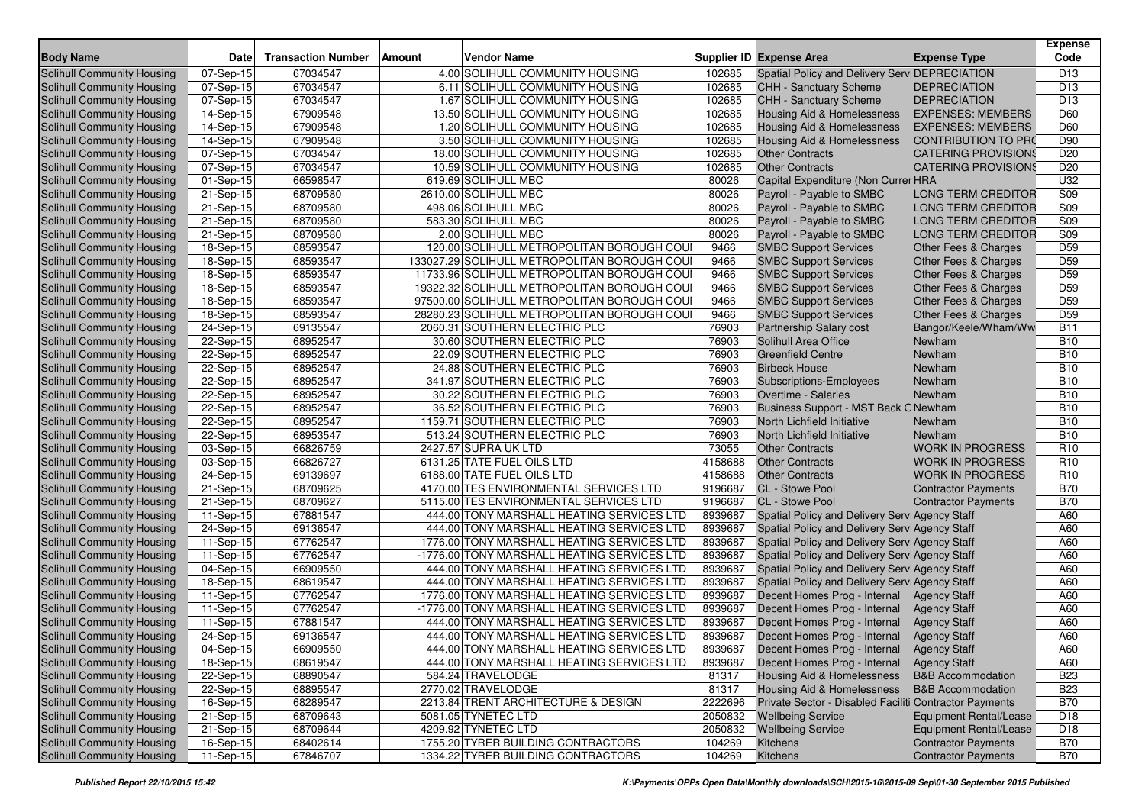| <b>Body Name</b>                  | <b>Date</b>             | <b>Transaction Number</b> | Vendor Name<br>Amount                       |         | <b>Supplier ID Expense Area</b>                        | <b>Expense Type</b>           | <b>Expense</b><br>Code |
|-----------------------------------|-------------------------|---------------------------|---------------------------------------------|---------|--------------------------------------------------------|-------------------------------|------------------------|
| Solihull Community Housing        | 07-Sep-15               | 67034547                  | 4.00 SOLIHULL COMMUNITY HOUSING             | 102685  | Spatial Policy and Delivery Servi DEPRECIATION         |                               | D <sub>13</sub>        |
| <b>Solihull Community Housing</b> | 07-Sep-15               | 67034547                  | 6.11 SOLIHULL COMMUNITY HOUSING             | 102685  | <b>CHH - Sanctuary Scheme</b>                          | <b>DEPRECIATION</b>           | D <sub>13</sub>        |
| Solihull Community Housing        | 07-Sep-15               | 67034547                  | 1.67 SOLIHULL COMMUNITY HOUSING             | 102685  | <b>CHH - Sanctuary Scheme</b>                          | <b>DEPRECIATION</b>           | D <sub>13</sub>        |
| Solihull Community Housing        | 14-Sep-15               | 67909548                  | 13.50 SOLIHULL COMMUNITY HOUSING            | 102685  | <b>Housing Aid &amp; Homelessness</b>                  | <b>EXPENSES: MEMBERS</b>      | D60                    |
| Solihull Community Housing        | 14-Sep-15               | 67909548                  | 1.20 SOLIHULL COMMUNITY HOUSING             | 102685  | Housing Aid & Homelessness                             | <b>EXPENSES: MEMBERS</b>      | D60                    |
| Solihull Community Housing        | 14-Sep-15               | 67909548                  | 3.50 SOLIHULL COMMUNITY HOUSING             | 102685  | <b>Housing Aid &amp; Homelessness</b>                  | <b>CONTRIBUTION TO PRO</b>    | D90                    |
| Solihull Community Housing        | 07-Sep-15               | 67034547                  | 18.00 SOLIHULL COMMUNITY HOUSING            | 102685  | <b>Other Contracts</b>                                 | <b>CATERING PROVISIONS</b>    | D <sub>20</sub>        |
| Solihull Community Housing        | 07-Sep-15               | 67034547                  | 10.59 SOLIHULL COMMUNITY HOUSING            | 102685  | <b>Other Contracts</b>                                 | <b>CATERING PROVISIONS</b>    | D <sub>20</sub>        |
| Solihull Community Housing        | 01-Sep-15               | 66598547                  | 619.69 SOLIHULL MBC                         | 80026   | Capital Expenditure (Non Currer HRA                    |                               | U32                    |
| Solihull Community Housing        | 21-Sep-15               | 68709580                  | 2610.00 SOLIHULL MBC                        | 80026   | Payroll - Payable to SMBC                              | <b>LONG TERM CREDITOR</b>     | S09                    |
| Solihull Community Housing        | 21-Sep-15               | 68709580                  | 498.06 SOLIHULL MBC                         | 80026   | Payroll - Payable to SMBC                              | <b>LONG TERM CREDITOR</b>     | S <sub>09</sub>        |
| Solihull Community Housing        | 21-Sep-15               | 68709580                  | 583.30 SOLIHULL MBC                         | 80026   | Payroll - Payable to SMBC                              | <b>LONG TERM CREDITOR</b>     | S09                    |
| Solihull Community Housing        | 21-Sep-15               | 68709580                  | 2.00 SOLIHULL MBC                           | 80026   | Payroll - Payable to SMBC                              | <b>LONG TERM CREDITOR</b>     | S09                    |
| Solihull Community Housing        | 18-Sep-15               | 68593547                  | 120.00 SOLIHULL METROPOLITAN BOROUGH COU    | 9466    | <b>SMBC Support Services</b>                           | Other Fees & Charges          | D <sub>59</sub>        |
| Solihull Community Housing        | 18-Sep-15               | 68593547                  | 133027.29 SOLIHULL METROPOLITAN BOROUGH COU | 9466    | <b>SMBC Support Services</b>                           | Other Fees & Charges          | D <sub>59</sub>        |
| Solihull Community Housing        | 18-Sep-15               | 68593547                  | 11733.96 SOLIHULL METROPOLITAN BOROUGH COU  | 9466    | <b>SMBC Support Services</b>                           | Other Fees & Charges          | D <sub>59</sub>        |
| Solihull Community Housing        | 18-Sep-15               | 68593547                  | 19322.32 SOLIHULL METROPOLITAN BOROUGH COU  | 9466    | <b>SMBC Support Services</b>                           | Other Fees & Charges          | D59                    |
| Solihull Community Housing        | 18-Sep-15               | 68593547                  | 97500.00 SOLIHULL METROPOLITAN BOROUGH COU  | 9466    | <b>SMBC Support Services</b>                           | Other Fees & Charges          | D <sub>59</sub>        |
| Solihull Community Housing        | 18-Sep-15               | 68593547                  | 28280.23 SOLIHULL METROPOLITAN BOROUGH COU  | 9466    | <b>SMBC Support Services</b>                           | Other Fees & Charges          | D <sub>59</sub>        |
| Solihull Community Housing        | 24-Sep-15               | 69135547                  | 2060.31 SOUTHERN ELECTRIC PLC               | 76903   | Partnership Salary cost                                | Bangor/Keele/Wham/Ww          | <b>B11</b>             |
| Solihull Community Housing        | 22-Sep-15               | 68952547                  | 30.60 SOUTHERN ELECTRIC PLC                 | 76903   | Solihull Area Office                                   | Newham                        | <b>B10</b>             |
| Solihull Community Housing        | 22-Sep-15               | 68952547                  | 22.09 SOUTHERN ELECTRIC PLC                 | 76903   | <b>Greenfield Centre</b>                               | Newham                        | <b>B10</b>             |
| Solihull Community Housing        | 22-Sep-15               | 68952547                  | 24.88 SOUTHERN ELECTRIC PLC                 | 76903   | <b>Birbeck House</b>                                   | Newham                        | <b>B10</b>             |
| Solihull Community Housing        | 22-Sep-15               | 68952547                  | 341.97 SOUTHERN ELECTRIC PLC                | 76903   | Subscriptions-Employees                                | Newham                        | <b>B10</b>             |
| Solihull Community Housing        | 22-Sep-15               | 68952547                  | 30.22 SOUTHERN ELECTRIC PLC                 | 76903   | <b>Overtime - Salaries</b>                             | Newham                        | <b>B10</b>             |
| Solihull Community Housing        | 22-Sep-15               | 68952547                  | 36.52 SOUTHERN ELECTRIC PLC                 | 76903   | Business Support - MST Back ONewham                    |                               | <b>B10</b>             |
| Solihull Community Housing        | $22-Sep-15$             | 68952547                  | 1159.71 SOUTHERN ELECTRIC PLC               | 76903   | North Lichfield Initiative                             | Newham                        | <b>B10</b>             |
| Solihull Community Housing        | $22-Sep-15$             | 68953547                  | 513.24 SOUTHERN ELECTRIC PLC                | 76903   | North Lichfield Initiative                             | Newham                        | <b>B10</b>             |
| Solihull Community Housing        | 03-Sep-15               | 66826759                  | 2427.57 SUPRA UK LTD                        | 73055   | <b>Other Contracts</b>                                 | <b>WORK IN PROGRESS</b>       | R <sub>10</sub>        |
| Solihull Community Housing        | 03-Sep-15               | 66826727                  | 6131.25 TATE FUEL OILS LTD                  | 4158688 | <b>Other Contracts</b>                                 | <b>WORK IN PROGRESS</b>       | R <sub>10</sub>        |
| Solihull Community Housing        | 24-Sep-15               | 69139697                  | 6188.00 TATE FUEL OILS LTD                  | 4158688 | <b>Other Contracts</b>                                 | <b>WORK IN PROGRESS</b>       | R <sub>10</sub>        |
| Solihull Community Housing        | $\overline{2}$ 1-Sep-15 | 68709625                  | 4170.00 TES ENVIRONMENTAL SERVICES LTD      | 9196687 | CL - Stowe Pool                                        | <b>Contractor Payments</b>    | <b>B70</b>             |
| Solihull Community Housing        | 21-Sep-15               | 68709627                  | 5115.00 TES ENVIRONMENTAL SERVICES LTD      | 9196687 | CL - Stowe Pool                                        | <b>Contractor Payments</b>    | <b>B70</b>             |
| Solihull Community Housing        | 11-Sep-15               | 67881547                  | 444.00 TONY MARSHALL HEATING SERVICES LTD   | 8939687 | Spatial Policy and Delivery Servi Agency Staff         |                               | A60                    |
| Solihull Community Housing        | 24-Sep-15               | 69136547                  | 444.00 TONY MARSHALL HEATING SERVICES LTD   | 8939687 | Spatial Policy and Delivery Servi Agency Staff         |                               | A60                    |
| Solihull Community Housing        | 11-Sep-15               | 67762547                  | 1776.00 TONY MARSHALL HEATING SERVICES LTD  | 8939687 | Spatial Policy and Delivery Servi Agency Staff         |                               | A60                    |
| Solihull Community Housing        | 11-Sep-15               | 67762547                  | -1776.00 TONY MARSHALL HEATING SERVICES LTD | 8939687 | Spatial Policy and Delivery Servi Agency Staff         |                               | A60                    |
| Solihull Community Housing        | 04-Sep-15               | 66909550                  | 444.00 TONY MARSHALL HEATING SERVICES LTD   | 8939687 | Spatial Policy and Delivery Servi Agency Staff         |                               | A60                    |
| Solihull Community Housing        | 18-Sep-15               | 68619547                  | 444.00 TONY MARSHALL HEATING SERVICES LTD   | 8939687 | Spatial Policy and Delivery Servi Agency Staff         |                               | A60                    |
| Solihull Community Housing        | 11-Sep-15               | 67762547                  | 1776.00 TONY MARSHALL HEATING SERVICES LTD  | 8939687 | Decent Homes Prog - Internal                           | <b>Agency Staff</b>           | A60                    |
| Solihull Community Housing        | 11-Sep-15               | 67762547                  | -1776.00 TONY MARSHALL HEATING SERVICES LTD | 8939687 | Decent Homes Prog - Internal                           | <b>Agency Staff</b>           | A60                    |
| Solihull Community Housing        | 11-Sep-15               | 67881547                  | 444.00 TONY MARSHALL HEATING SERVICES LTD   | 8939687 | Decent Homes Prog - Internal                           | <b>Agency Staff</b>           | A60                    |
| Solihull Community Housing        | 24-Sep-15               | 69136547                  | 444.00 TONY MARSHALL HEATING SERVICES LTD   | 8939687 | Decent Homes Prog - Internal                           | <b>Agency Staff</b>           | A60                    |
| Solihull Community Housing        | 04-Sep-15               | 66909550                  | 444.00 TONY MARSHALL HEATING SERVICES LTD   | 8939687 | Decent Homes Prog - Internal                           | <b>Agency Staff</b>           | A60                    |
| Solihull Community Housing        | 18-Sep-15               | 68619547                  | 444.00 TONY MARSHALL HEATING SERVICES LTD   | 8939687 | Decent Homes Prog - Internal                           | <b>Agency Staff</b>           | A60                    |
| Solihull Community Housing        | 22-Sep-15               | 68890547                  | 584.24 TRAVELODGE                           | 81317   | Housing Aid & Homelessness                             | <b>B&amp;B Accommodation</b>  | <b>B23</b>             |
| Solihull Community Housing        | 22-Sep-15               | 68895547                  | 2770.02 TRAVELODGE                          | 81317   | <b>Housing Aid &amp; Homelessness</b>                  | <b>B&amp;B</b> Accommodation  | <b>B23</b>             |
| Solihull Community Housing        | 16-Sep-15               | 68289547                  | 2213.84 TRENT ARCHITECTURE & DESIGN         | 2222696 | Private Sector - Disabled Faciliti Contractor Payments |                               | <b>B70</b>             |
| Solihull Community Housing        | 21-Sep-15               | 68709643                  | 5081.05 TYNETEC LTD                         | 2050832 | <b>Wellbeing Service</b>                               | <b>Equipment Rental/Lease</b> | D <sub>18</sub>        |
| Solihull Community Housing        | 21-Sep-15               | 68709644                  | 4209.92 TYNETEC LTD                         | 2050832 | <b>Wellbeing Service</b>                               | <b>Equipment Rental/Lease</b> | D18                    |
| Solihull Community Housing        | 16-Sep-15               | 68402614                  | 1755.20 TYRER BUILDING CONTRACTORS          | 104269  | Kitchens                                               | <b>Contractor Payments</b>    | <b>B70</b>             |
| Solihull Community Housing        | 11-Sep-15               | 67846707                  | 1334.22 TYRER BUILDING CONTRACTORS          | 104269  | Kitchens                                               | <b>Contractor Payments</b>    | <b>B70</b>             |